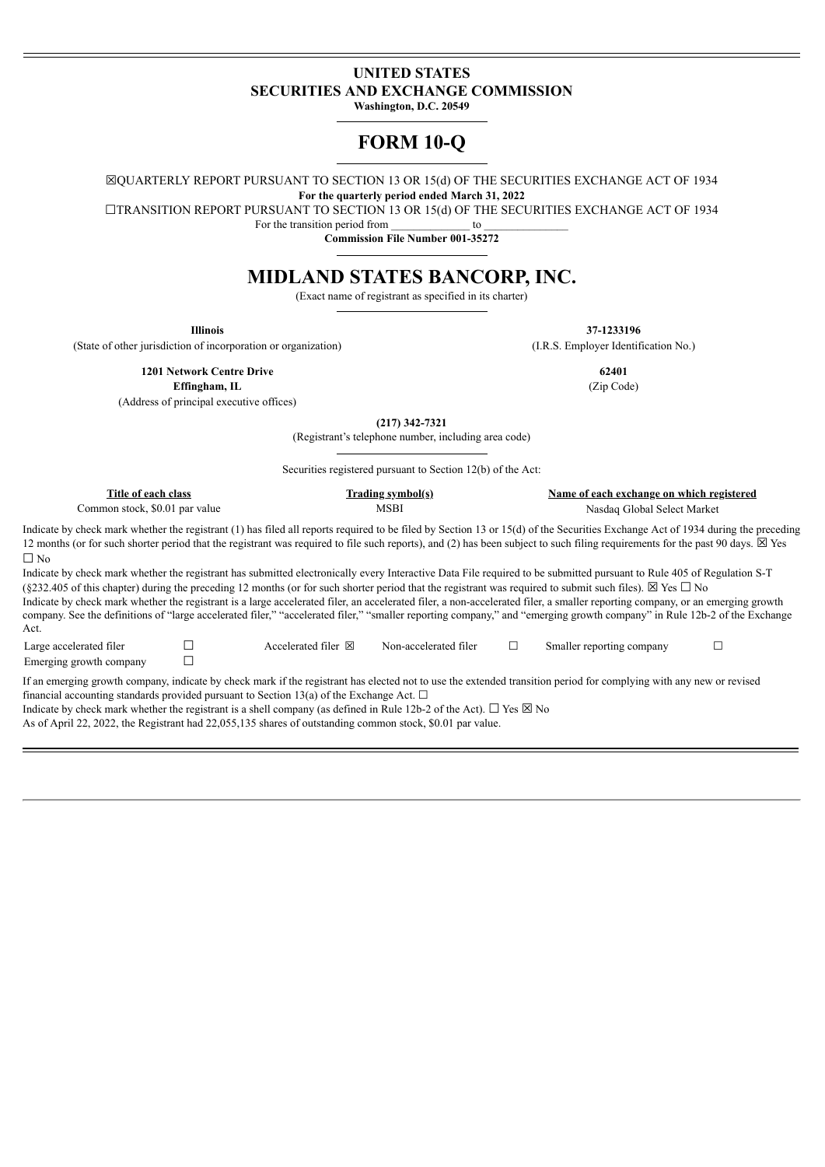# **UNITED STATES SECURITIES AND EXCHANGE COMMISSION**

**Washington, D.C. 20549**

# **FORM 10-Q**

☒QUARTERLY REPORT PURSUANT TO SECTION 13 OR 15(d) OF THE SECURITIES EXCHANGE ACT OF 1934 **For the quarterly period ended March 31, 2022**

☐TRANSITION REPORT PURSUANT TO SECTION 13 OR 15(d) OF THE SECURITIES EXCHANGE ACT OF 1934

For the transition period from to  $\sim$ 

**Commission File Number 001-35272**

# **MIDLAND STATES BANCORP, INC.**

(Exact name of registrant as specified in its charter)

**Illinois 37-1233196**

(State of other jurisdiction of incorporation or organization) (I.R.S. Employer Identification No.)

**1201 Network Centre Drive 62401**

**Effingham, IL** (Zip Code)

(Address of principal executive offices)

**(217) 342-7321**

(Registrant's telephone number, including area code)

Securities registered pursuant to Section 12(b) of the Act:

| Title of each class            | "rading symbol(s) | Name of each exchange on which registered |
|--------------------------------|-------------------|-------------------------------------------|
| Common stock, \$0.01 par value | MSBI              | Nasdag Global Select Market               |

Indicate by check mark whether the registrant (1) has filed all reports required to be filed by Section 13 or 15(d) of the Securities Exchange Act of 1934 during the preceding 12 months (or for such shorter period that the registrant was required to file such reports), and (2) has been subject to such filing requirements for the past 90 days.  $[ \boxtimes \text{ Yes} ]$  $\Box$  No

Indicate by check mark whether the registrant has submitted electronically every Interactive Data File required to be submitted pursuant to Rule 405 of Regulation S-T (§232.405 of this chapter) during the preceding 12 months (or for such shorter period that the registrant was required to submit such files).  $\boxtimes$  Yes  $\Box$  No Indicate by check mark whether the registrant is a large accelerated filer, an accelerated filer, a non-accelerated filer, a smaller reporting company, or an emerging growth company. See the definitions of "large accelerated filer," "accelerated filer," "smaller reporting company," and "emerging growth company" in Rule 12b-2 of the Exchange Act.

Large accelerated filer □ Accelerated filer ⊠ Non-accelerated filer □ Smaller reporting company □ Emerging growth company  $\Box$ 

If an emerging growth company, indicate by check mark if the registrant has elected not to use the extended transition period for complying with any new or revised financial accounting standards provided pursuant to Section 13(a) of the Exchange Act.  $\Box$ Indicate by check mark whether the registrant is a shell company (as defined in Rule 12b-2 of the Act).  $\Box$  Yes  $\boxtimes$  No

<span id="page-0-0"></span>As of April 22, 2022, the Registrant had 22,055,135 shares of outstanding common stock, \$0.01 par value.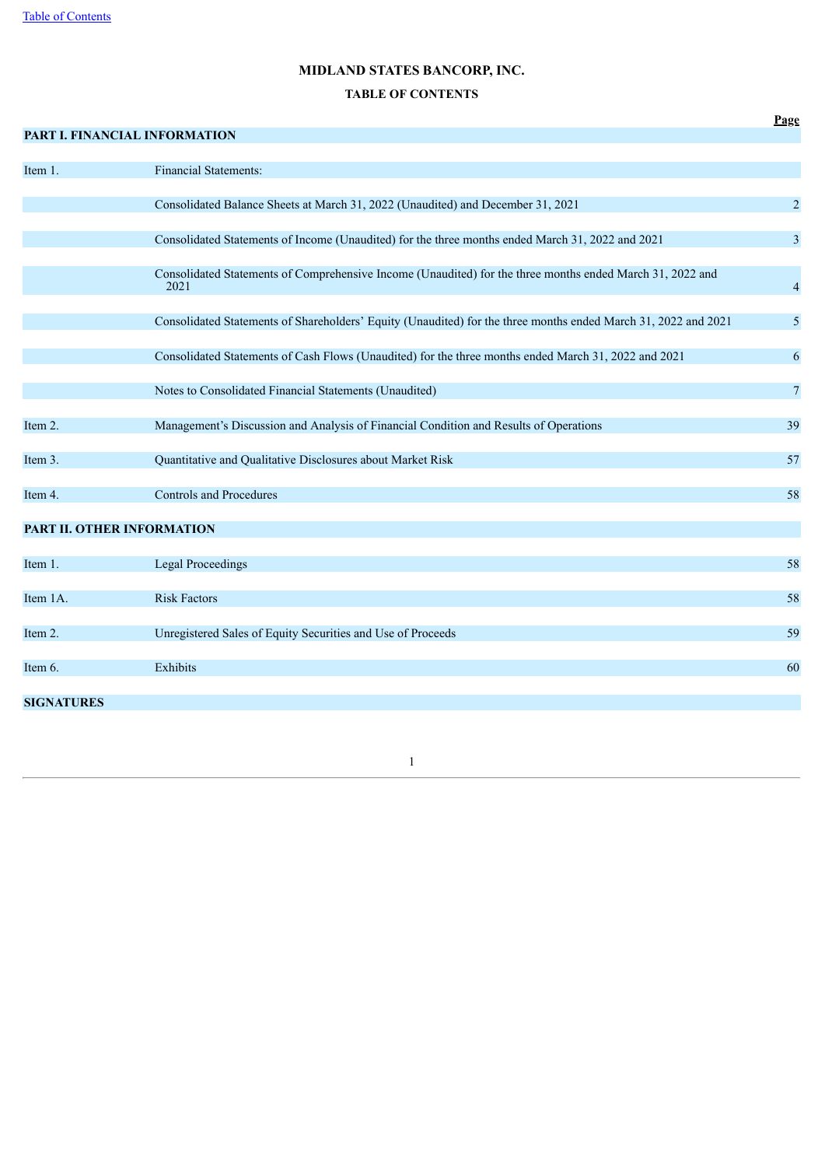# **MIDLAND STATES BANCORP, INC.**

## **TABLE OF CONTENTS**

<span id="page-1-0"></span>

|                            |                                                                                                                   | Page                    |
|----------------------------|-------------------------------------------------------------------------------------------------------------------|-------------------------|
|                            | PART I. FINANCIAL INFORMATION                                                                                     |                         |
|                            |                                                                                                                   |                         |
| Item 1.                    | <b>Financial Statements:</b>                                                                                      |                         |
|                            |                                                                                                                   |                         |
|                            | Consolidated Balance Sheets at March 31, 2022 (Unaudited) and December 31, 2021                                   | $\overline{2}$          |
|                            |                                                                                                                   |                         |
|                            | Consolidated Statements of Income (Unaudited) for the three months ended March 31, 2022 and 2021                  | $\overline{3}$          |
|                            |                                                                                                                   |                         |
|                            | Consolidated Statements of Comprehensive Income (Unaudited) for the three months ended March 31, 2022 and<br>2021 | $\overline{\mathbf{4}}$ |
|                            |                                                                                                                   |                         |
|                            | Consolidated Statements of Shareholders' Equity (Unaudited) for the three months ended March 31, 2022 and 2021    | 5                       |
|                            |                                                                                                                   |                         |
|                            | Consolidated Statements of Cash Flows (Unaudited) for the three months ended March 31, 2022 and 2021              | 6                       |
|                            |                                                                                                                   |                         |
|                            | Notes to Consolidated Financial Statements (Unaudited)                                                            | $\overline{7}$          |
|                            |                                                                                                                   |                         |
| Item 2.                    | Management's Discussion and Analysis of Financial Condition and Results of Operations                             | 39                      |
|                            |                                                                                                                   |                         |
| Item 3.                    | Quantitative and Qualitative Disclosures about Market Risk                                                        | 57                      |
|                            |                                                                                                                   |                         |
| Item 4.                    | <b>Controls and Procedures</b>                                                                                    | 58                      |
| PART II. OTHER INFORMATION |                                                                                                                   |                         |
|                            |                                                                                                                   |                         |
| Item 1.                    | <b>Legal Proceedings</b>                                                                                          | 58                      |
|                            |                                                                                                                   |                         |
| Item 1A.                   | <b>Risk Factors</b>                                                                                               | 58                      |
|                            |                                                                                                                   |                         |
| Item 2.                    | Unregistered Sales of Equity Securities and Use of Proceeds                                                       | 59                      |
|                            |                                                                                                                   |                         |
| Item 6.                    | Exhibits                                                                                                          | 60                      |
|                            |                                                                                                                   |                         |
| <b>SIGNATURES</b>          |                                                                                                                   |                         |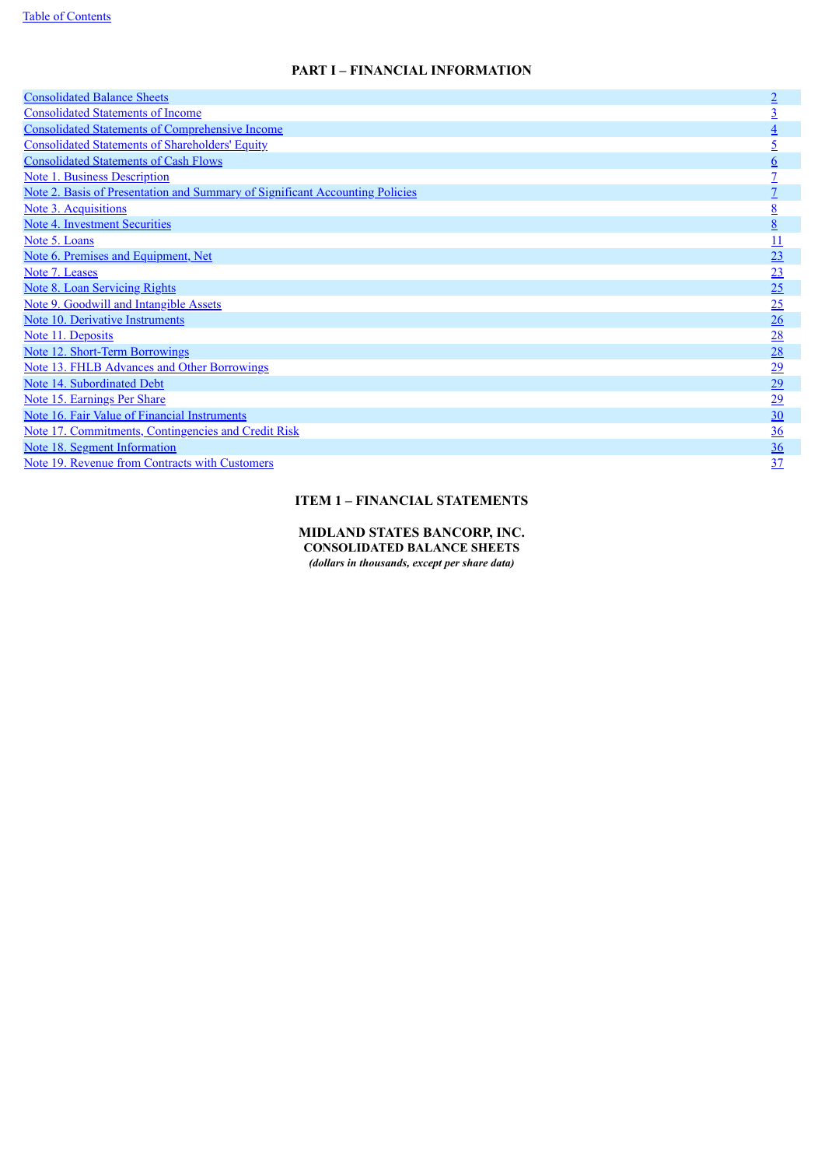# **PART I – FINANCIAL INFORMATION**

| <b>Consolidated Balance Sheets</b>                                           | $\overline{2}$  |
|------------------------------------------------------------------------------|-----------------|
| <b>Consolidated Statements of Income</b>                                     | $\overline{3}$  |
| <b>Consolidated Statements of Comprehensive Income</b>                       | $\overline{4}$  |
| <b>Consolidated Statements of Shareholders' Equity</b>                       | $\overline{2}$  |
| <b>Consolidated Statements of Cash Flows</b>                                 | 6               |
| <b>Note 1. Business Description</b>                                          |                 |
| Note 2. Basis of Presentation and Summary of Significant Accounting Policies |                 |
| Note 3. Acquisitions                                                         | $8\overline{8}$ |
| <b>Note 4. Investment Securities</b>                                         | $\frac{8}{2}$   |
| Note 5. Loans                                                                | 11              |
| Note 6. Premises and Equipment, Net                                          | 23              |
| Note 7. Leases                                                               | 23              |
| <b>Note 8. Loan Servicing Rights</b>                                         | 25              |
| Note 9. Goodwill and Intangible Assets                                       | 25              |
| Note 10. Derivative Instruments                                              | 26              |
| Note 11. Deposits                                                            | 28              |
| Note 12. Short-Term Borrowings                                               | 28              |
| <b>Note 13. FHLB Advances and Other Borrowings</b>                           | 29              |
| Note 14. Subordinated Debt                                                   | 29              |
| Note 15. Earnings Per Share                                                  | 29              |
| Note 16. Fair Value of Financial Instruments                                 | 30              |
| Note 17. Commitments, Contingencies and Credit Risk                          | 36              |
| Note 18. Segment Information                                                 | 36              |
| Note 19. Revenue from Contracts with Customers                               | 37              |

## <span id="page-2-1"></span><span id="page-2-0"></span>**ITEM 1 – FINANCIAL STATEMENTS**

**MIDLAND STATES BANCORP, INC. CONSOLIDATED BALANCE SHEETS** *(dollars in thousands, except per share data)*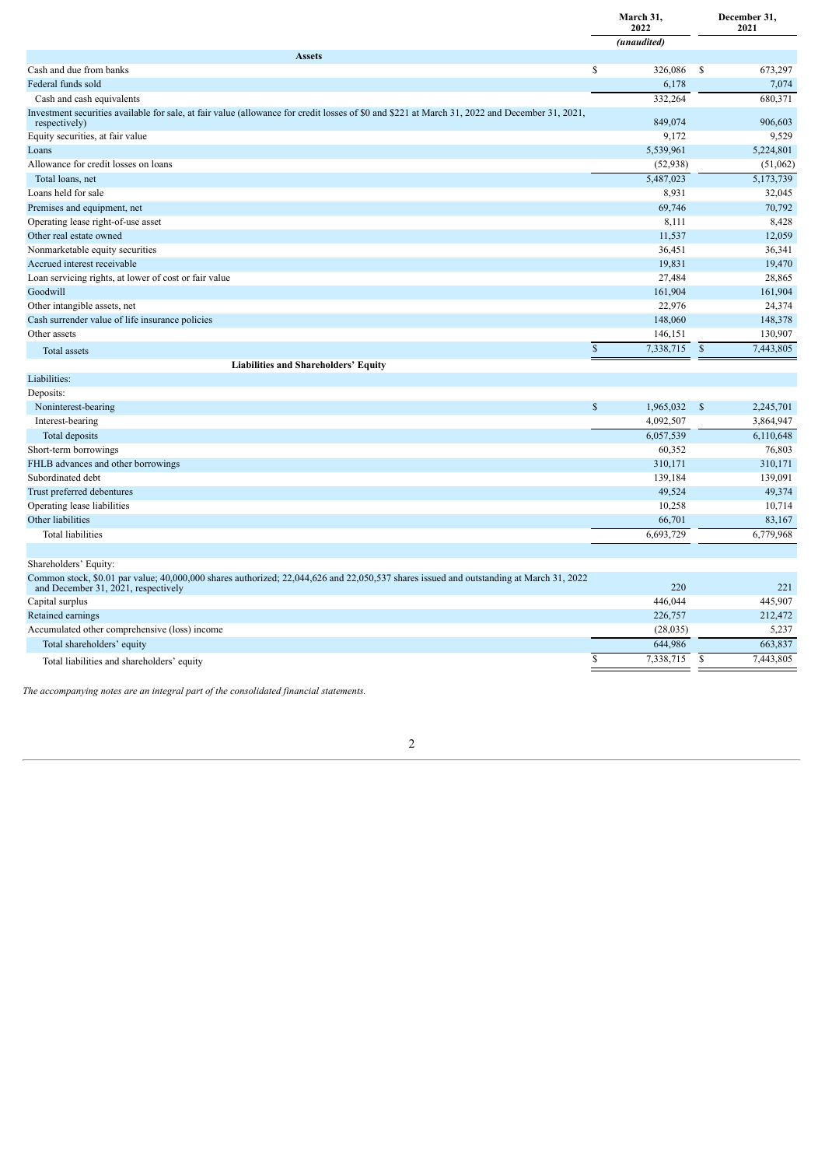| (unaudited)<br><b>Assets</b><br>$\mathbb S$<br>Cash and due from banks<br>326,086<br>-S<br>673,297<br>Federal funds sold<br>6,178<br>7,074<br>332,264<br>680,371<br>Cash and cash equivalents<br>Investment securities available for sale, at fair value (allowance for credit losses of \$0 and \$221 at March 31, 2022 and December 31, 2021,<br>849,074<br>906,603<br>respectively)<br>Equity securities, at fair value<br>9,172<br>9,529<br>5,539,961<br>Loans<br>5,224,801<br>Allowance for credit losses on loans<br>(52, 938)<br>(51,062)<br>5,487,023<br>5,173,739<br>Total loans, net<br>Loans held for sale<br>8,931<br>32,045<br>Premises and equipment, net<br>69,746<br>70,792<br>Operating lease right-of-use asset<br>8,111<br>8,428<br>Other real estate owned<br>12,059<br>11,537<br>Nonmarketable equity securities<br>36,341<br>36,451<br>Accrued interest receivable<br>19,831<br>19,470<br>Loan servicing rights, at lower of cost or fair value<br>28,865<br>27,484<br>Goodwill<br>161,904<br>161,904<br>Other intangible assets, net<br>22,976<br>24,374<br>Cash surrender value of life insurance policies<br>148,060<br>148,378<br>Other assets<br>146,151<br>130,907<br>$\mathbb S$<br>$\mathbf{\hat{s}}$<br>7,338,715<br>7,443,805<br><b>Total</b> assets<br><b>Liabilities and Shareholders' Equity</b><br>Liabilities:<br>Deposits:<br>$\mathbb S$<br>$\boldsymbol{\mathsf{S}}$<br>Noninterest-bearing<br>1,965,032<br>2,245,701<br>4,092,507<br>Interest-bearing<br>3,864,947<br>6,057,539<br>6,110,648<br>Total deposits<br>Short-term borrowings<br>60,352<br>76,803<br>FHLB advances and other borrowings<br>310,171<br>310,171<br>Subordinated debt<br>139,184<br>139,091<br>Trust preferred debentures<br>49,524<br>49,374<br>Operating lease liabilities<br>10,258<br>10,714<br>Other liabilities<br>66,701<br>83,167<br><b>Total liabilities</b><br>6,693,729<br>6,779,968<br>Shareholders' Equity:<br>Common stock, \$0.01 par value; 40,000,000 shares authorized; 22,044,626 and 22,050,537 shares issued and outstanding at March 31, 2022<br>220<br>221<br>and December 31, 2021, respectively<br>446.044<br>Capital surplus<br>445,907<br>Retained earnings<br>226,757<br>212,472<br>Accumulated other comprehensive (loss) income<br>(28, 035)<br>5,237<br>663,837<br>Total shareholders' equity<br>644,986<br>$\mathbb{S}$<br>7,338,715<br>$\mathbf{\$}$<br>7,443,805<br>Total liabilities and shareholders' equity |  | March 31,<br>2022 | December 31,<br>2021 |
|------------------------------------------------------------------------------------------------------------------------------------------------------------------------------------------------------------------------------------------------------------------------------------------------------------------------------------------------------------------------------------------------------------------------------------------------------------------------------------------------------------------------------------------------------------------------------------------------------------------------------------------------------------------------------------------------------------------------------------------------------------------------------------------------------------------------------------------------------------------------------------------------------------------------------------------------------------------------------------------------------------------------------------------------------------------------------------------------------------------------------------------------------------------------------------------------------------------------------------------------------------------------------------------------------------------------------------------------------------------------------------------------------------------------------------------------------------------------------------------------------------------------------------------------------------------------------------------------------------------------------------------------------------------------------------------------------------------------------------------------------------------------------------------------------------------------------------------------------------------------------------------------------------------------------------------------------------------------------------------------------------------------------------------------------------------------------------------------------------------------------------------------------------------------------------------------------------------------------------------------------------------------------------------------------------------------------------------------------------------------------------------------------------------------------------------------------------------|--|-------------------|----------------------|
|                                                                                                                                                                                                                                                                                                                                                                                                                                                                                                                                                                                                                                                                                                                                                                                                                                                                                                                                                                                                                                                                                                                                                                                                                                                                                                                                                                                                                                                                                                                                                                                                                                                                                                                                                                                                                                                                                                                                                                                                                                                                                                                                                                                                                                                                                                                                                                                                                                                                  |  |                   |                      |
|                                                                                                                                                                                                                                                                                                                                                                                                                                                                                                                                                                                                                                                                                                                                                                                                                                                                                                                                                                                                                                                                                                                                                                                                                                                                                                                                                                                                                                                                                                                                                                                                                                                                                                                                                                                                                                                                                                                                                                                                                                                                                                                                                                                                                                                                                                                                                                                                                                                                  |  |                   |                      |
|                                                                                                                                                                                                                                                                                                                                                                                                                                                                                                                                                                                                                                                                                                                                                                                                                                                                                                                                                                                                                                                                                                                                                                                                                                                                                                                                                                                                                                                                                                                                                                                                                                                                                                                                                                                                                                                                                                                                                                                                                                                                                                                                                                                                                                                                                                                                                                                                                                                                  |  |                   |                      |
|                                                                                                                                                                                                                                                                                                                                                                                                                                                                                                                                                                                                                                                                                                                                                                                                                                                                                                                                                                                                                                                                                                                                                                                                                                                                                                                                                                                                                                                                                                                                                                                                                                                                                                                                                                                                                                                                                                                                                                                                                                                                                                                                                                                                                                                                                                                                                                                                                                                                  |  |                   |                      |
|                                                                                                                                                                                                                                                                                                                                                                                                                                                                                                                                                                                                                                                                                                                                                                                                                                                                                                                                                                                                                                                                                                                                                                                                                                                                                                                                                                                                                                                                                                                                                                                                                                                                                                                                                                                                                                                                                                                                                                                                                                                                                                                                                                                                                                                                                                                                                                                                                                                                  |  |                   |                      |
|                                                                                                                                                                                                                                                                                                                                                                                                                                                                                                                                                                                                                                                                                                                                                                                                                                                                                                                                                                                                                                                                                                                                                                                                                                                                                                                                                                                                                                                                                                                                                                                                                                                                                                                                                                                                                                                                                                                                                                                                                                                                                                                                                                                                                                                                                                                                                                                                                                                                  |  |                   |                      |
|                                                                                                                                                                                                                                                                                                                                                                                                                                                                                                                                                                                                                                                                                                                                                                                                                                                                                                                                                                                                                                                                                                                                                                                                                                                                                                                                                                                                                                                                                                                                                                                                                                                                                                                                                                                                                                                                                                                                                                                                                                                                                                                                                                                                                                                                                                                                                                                                                                                                  |  |                   |                      |
|                                                                                                                                                                                                                                                                                                                                                                                                                                                                                                                                                                                                                                                                                                                                                                                                                                                                                                                                                                                                                                                                                                                                                                                                                                                                                                                                                                                                                                                                                                                                                                                                                                                                                                                                                                                                                                                                                                                                                                                                                                                                                                                                                                                                                                                                                                                                                                                                                                                                  |  |                   |                      |
|                                                                                                                                                                                                                                                                                                                                                                                                                                                                                                                                                                                                                                                                                                                                                                                                                                                                                                                                                                                                                                                                                                                                                                                                                                                                                                                                                                                                                                                                                                                                                                                                                                                                                                                                                                                                                                                                                                                                                                                                                                                                                                                                                                                                                                                                                                                                                                                                                                                                  |  |                   |                      |
|                                                                                                                                                                                                                                                                                                                                                                                                                                                                                                                                                                                                                                                                                                                                                                                                                                                                                                                                                                                                                                                                                                                                                                                                                                                                                                                                                                                                                                                                                                                                                                                                                                                                                                                                                                                                                                                                                                                                                                                                                                                                                                                                                                                                                                                                                                                                                                                                                                                                  |  |                   |                      |
|                                                                                                                                                                                                                                                                                                                                                                                                                                                                                                                                                                                                                                                                                                                                                                                                                                                                                                                                                                                                                                                                                                                                                                                                                                                                                                                                                                                                                                                                                                                                                                                                                                                                                                                                                                                                                                                                                                                                                                                                                                                                                                                                                                                                                                                                                                                                                                                                                                                                  |  |                   |                      |
|                                                                                                                                                                                                                                                                                                                                                                                                                                                                                                                                                                                                                                                                                                                                                                                                                                                                                                                                                                                                                                                                                                                                                                                                                                                                                                                                                                                                                                                                                                                                                                                                                                                                                                                                                                                                                                                                                                                                                                                                                                                                                                                                                                                                                                                                                                                                                                                                                                                                  |  |                   |                      |
|                                                                                                                                                                                                                                                                                                                                                                                                                                                                                                                                                                                                                                                                                                                                                                                                                                                                                                                                                                                                                                                                                                                                                                                                                                                                                                                                                                                                                                                                                                                                                                                                                                                                                                                                                                                                                                                                                                                                                                                                                                                                                                                                                                                                                                                                                                                                                                                                                                                                  |  |                   |                      |
|                                                                                                                                                                                                                                                                                                                                                                                                                                                                                                                                                                                                                                                                                                                                                                                                                                                                                                                                                                                                                                                                                                                                                                                                                                                                                                                                                                                                                                                                                                                                                                                                                                                                                                                                                                                                                                                                                                                                                                                                                                                                                                                                                                                                                                                                                                                                                                                                                                                                  |  |                   |                      |
|                                                                                                                                                                                                                                                                                                                                                                                                                                                                                                                                                                                                                                                                                                                                                                                                                                                                                                                                                                                                                                                                                                                                                                                                                                                                                                                                                                                                                                                                                                                                                                                                                                                                                                                                                                                                                                                                                                                                                                                                                                                                                                                                                                                                                                                                                                                                                                                                                                                                  |  |                   |                      |
|                                                                                                                                                                                                                                                                                                                                                                                                                                                                                                                                                                                                                                                                                                                                                                                                                                                                                                                                                                                                                                                                                                                                                                                                                                                                                                                                                                                                                                                                                                                                                                                                                                                                                                                                                                                                                                                                                                                                                                                                                                                                                                                                                                                                                                                                                                                                                                                                                                                                  |  |                   |                      |
|                                                                                                                                                                                                                                                                                                                                                                                                                                                                                                                                                                                                                                                                                                                                                                                                                                                                                                                                                                                                                                                                                                                                                                                                                                                                                                                                                                                                                                                                                                                                                                                                                                                                                                                                                                                                                                                                                                                                                                                                                                                                                                                                                                                                                                                                                                                                                                                                                                                                  |  |                   |                      |
|                                                                                                                                                                                                                                                                                                                                                                                                                                                                                                                                                                                                                                                                                                                                                                                                                                                                                                                                                                                                                                                                                                                                                                                                                                                                                                                                                                                                                                                                                                                                                                                                                                                                                                                                                                                                                                                                                                                                                                                                                                                                                                                                                                                                                                                                                                                                                                                                                                                                  |  |                   |                      |
|                                                                                                                                                                                                                                                                                                                                                                                                                                                                                                                                                                                                                                                                                                                                                                                                                                                                                                                                                                                                                                                                                                                                                                                                                                                                                                                                                                                                                                                                                                                                                                                                                                                                                                                                                                                                                                                                                                                                                                                                                                                                                                                                                                                                                                                                                                                                                                                                                                                                  |  |                   |                      |
|                                                                                                                                                                                                                                                                                                                                                                                                                                                                                                                                                                                                                                                                                                                                                                                                                                                                                                                                                                                                                                                                                                                                                                                                                                                                                                                                                                                                                                                                                                                                                                                                                                                                                                                                                                                                                                                                                                                                                                                                                                                                                                                                                                                                                                                                                                                                                                                                                                                                  |  |                   |                      |
|                                                                                                                                                                                                                                                                                                                                                                                                                                                                                                                                                                                                                                                                                                                                                                                                                                                                                                                                                                                                                                                                                                                                                                                                                                                                                                                                                                                                                                                                                                                                                                                                                                                                                                                                                                                                                                                                                                                                                                                                                                                                                                                                                                                                                                                                                                                                                                                                                                                                  |  |                   |                      |
|                                                                                                                                                                                                                                                                                                                                                                                                                                                                                                                                                                                                                                                                                                                                                                                                                                                                                                                                                                                                                                                                                                                                                                                                                                                                                                                                                                                                                                                                                                                                                                                                                                                                                                                                                                                                                                                                                                                                                                                                                                                                                                                                                                                                                                                                                                                                                                                                                                                                  |  |                   |                      |
|                                                                                                                                                                                                                                                                                                                                                                                                                                                                                                                                                                                                                                                                                                                                                                                                                                                                                                                                                                                                                                                                                                                                                                                                                                                                                                                                                                                                                                                                                                                                                                                                                                                                                                                                                                                                                                                                                                                                                                                                                                                                                                                                                                                                                                                                                                                                                                                                                                                                  |  |                   |                      |
|                                                                                                                                                                                                                                                                                                                                                                                                                                                                                                                                                                                                                                                                                                                                                                                                                                                                                                                                                                                                                                                                                                                                                                                                                                                                                                                                                                                                                                                                                                                                                                                                                                                                                                                                                                                                                                                                                                                                                                                                                                                                                                                                                                                                                                                                                                                                                                                                                                                                  |  |                   |                      |
|                                                                                                                                                                                                                                                                                                                                                                                                                                                                                                                                                                                                                                                                                                                                                                                                                                                                                                                                                                                                                                                                                                                                                                                                                                                                                                                                                                                                                                                                                                                                                                                                                                                                                                                                                                                                                                                                                                                                                                                                                                                                                                                                                                                                                                                                                                                                                                                                                                                                  |  |                   |                      |
|                                                                                                                                                                                                                                                                                                                                                                                                                                                                                                                                                                                                                                                                                                                                                                                                                                                                                                                                                                                                                                                                                                                                                                                                                                                                                                                                                                                                                                                                                                                                                                                                                                                                                                                                                                                                                                                                                                                                                                                                                                                                                                                                                                                                                                                                                                                                                                                                                                                                  |  |                   |                      |
|                                                                                                                                                                                                                                                                                                                                                                                                                                                                                                                                                                                                                                                                                                                                                                                                                                                                                                                                                                                                                                                                                                                                                                                                                                                                                                                                                                                                                                                                                                                                                                                                                                                                                                                                                                                                                                                                                                                                                                                                                                                                                                                                                                                                                                                                                                                                                                                                                                                                  |  |                   |                      |
|                                                                                                                                                                                                                                                                                                                                                                                                                                                                                                                                                                                                                                                                                                                                                                                                                                                                                                                                                                                                                                                                                                                                                                                                                                                                                                                                                                                                                                                                                                                                                                                                                                                                                                                                                                                                                                                                                                                                                                                                                                                                                                                                                                                                                                                                                                                                                                                                                                                                  |  |                   |                      |
|                                                                                                                                                                                                                                                                                                                                                                                                                                                                                                                                                                                                                                                                                                                                                                                                                                                                                                                                                                                                                                                                                                                                                                                                                                                                                                                                                                                                                                                                                                                                                                                                                                                                                                                                                                                                                                                                                                                                                                                                                                                                                                                                                                                                                                                                                                                                                                                                                                                                  |  |                   |                      |
|                                                                                                                                                                                                                                                                                                                                                                                                                                                                                                                                                                                                                                                                                                                                                                                                                                                                                                                                                                                                                                                                                                                                                                                                                                                                                                                                                                                                                                                                                                                                                                                                                                                                                                                                                                                                                                                                                                                                                                                                                                                                                                                                                                                                                                                                                                                                                                                                                                                                  |  |                   |                      |
|                                                                                                                                                                                                                                                                                                                                                                                                                                                                                                                                                                                                                                                                                                                                                                                                                                                                                                                                                                                                                                                                                                                                                                                                                                                                                                                                                                                                                                                                                                                                                                                                                                                                                                                                                                                                                                                                                                                                                                                                                                                                                                                                                                                                                                                                                                                                                                                                                                                                  |  |                   |                      |
|                                                                                                                                                                                                                                                                                                                                                                                                                                                                                                                                                                                                                                                                                                                                                                                                                                                                                                                                                                                                                                                                                                                                                                                                                                                                                                                                                                                                                                                                                                                                                                                                                                                                                                                                                                                                                                                                                                                                                                                                                                                                                                                                                                                                                                                                                                                                                                                                                                                                  |  |                   |                      |
|                                                                                                                                                                                                                                                                                                                                                                                                                                                                                                                                                                                                                                                                                                                                                                                                                                                                                                                                                                                                                                                                                                                                                                                                                                                                                                                                                                                                                                                                                                                                                                                                                                                                                                                                                                                                                                                                                                                                                                                                                                                                                                                                                                                                                                                                                                                                                                                                                                                                  |  |                   |                      |
|                                                                                                                                                                                                                                                                                                                                                                                                                                                                                                                                                                                                                                                                                                                                                                                                                                                                                                                                                                                                                                                                                                                                                                                                                                                                                                                                                                                                                                                                                                                                                                                                                                                                                                                                                                                                                                                                                                                                                                                                                                                                                                                                                                                                                                                                                                                                                                                                                                                                  |  |                   |                      |
|                                                                                                                                                                                                                                                                                                                                                                                                                                                                                                                                                                                                                                                                                                                                                                                                                                                                                                                                                                                                                                                                                                                                                                                                                                                                                                                                                                                                                                                                                                                                                                                                                                                                                                                                                                                                                                                                                                                                                                                                                                                                                                                                                                                                                                                                                                                                                                                                                                                                  |  |                   |                      |
|                                                                                                                                                                                                                                                                                                                                                                                                                                                                                                                                                                                                                                                                                                                                                                                                                                                                                                                                                                                                                                                                                                                                                                                                                                                                                                                                                                                                                                                                                                                                                                                                                                                                                                                                                                                                                                                                                                                                                                                                                                                                                                                                                                                                                                                                                                                                                                                                                                                                  |  |                   |                      |
|                                                                                                                                                                                                                                                                                                                                                                                                                                                                                                                                                                                                                                                                                                                                                                                                                                                                                                                                                                                                                                                                                                                                                                                                                                                                                                                                                                                                                                                                                                                                                                                                                                                                                                                                                                                                                                                                                                                                                                                                                                                                                                                                                                                                                                                                                                                                                                                                                                                                  |  |                   |                      |
|                                                                                                                                                                                                                                                                                                                                                                                                                                                                                                                                                                                                                                                                                                                                                                                                                                                                                                                                                                                                                                                                                                                                                                                                                                                                                                                                                                                                                                                                                                                                                                                                                                                                                                                                                                                                                                                                                                                                                                                                                                                                                                                                                                                                                                                                                                                                                                                                                                                                  |  |                   |                      |
|                                                                                                                                                                                                                                                                                                                                                                                                                                                                                                                                                                                                                                                                                                                                                                                                                                                                                                                                                                                                                                                                                                                                                                                                                                                                                                                                                                                                                                                                                                                                                                                                                                                                                                                                                                                                                                                                                                                                                                                                                                                                                                                                                                                                                                                                                                                                                                                                                                                                  |  |                   |                      |
|                                                                                                                                                                                                                                                                                                                                                                                                                                                                                                                                                                                                                                                                                                                                                                                                                                                                                                                                                                                                                                                                                                                                                                                                                                                                                                                                                                                                                                                                                                                                                                                                                                                                                                                                                                                                                                                                                                                                                                                                                                                                                                                                                                                                                                                                                                                                                                                                                                                                  |  |                   |                      |
|                                                                                                                                                                                                                                                                                                                                                                                                                                                                                                                                                                                                                                                                                                                                                                                                                                                                                                                                                                                                                                                                                                                                                                                                                                                                                                                                                                                                                                                                                                                                                                                                                                                                                                                                                                                                                                                                                                                                                                                                                                                                                                                                                                                                                                                                                                                                                                                                                                                                  |  |                   |                      |
|                                                                                                                                                                                                                                                                                                                                                                                                                                                                                                                                                                                                                                                                                                                                                                                                                                                                                                                                                                                                                                                                                                                                                                                                                                                                                                                                                                                                                                                                                                                                                                                                                                                                                                                                                                                                                                                                                                                                                                                                                                                                                                                                                                                                                                                                                                                                                                                                                                                                  |  |                   |                      |
|                                                                                                                                                                                                                                                                                                                                                                                                                                                                                                                                                                                                                                                                                                                                                                                                                                                                                                                                                                                                                                                                                                                                                                                                                                                                                                                                                                                                                                                                                                                                                                                                                                                                                                                                                                                                                                                                                                                                                                                                                                                                                                                                                                                                                                                                                                                                                                                                                                                                  |  |                   |                      |
|                                                                                                                                                                                                                                                                                                                                                                                                                                                                                                                                                                                                                                                                                                                                                                                                                                                                                                                                                                                                                                                                                                                                                                                                                                                                                                                                                                                                                                                                                                                                                                                                                                                                                                                                                                                                                                                                                                                                                                                                                                                                                                                                                                                                                                                                                                                                                                                                                                                                  |  |                   |                      |

<span id="page-3-0"></span>*The accompanying notes are an integral part of the consolidated financial statements.*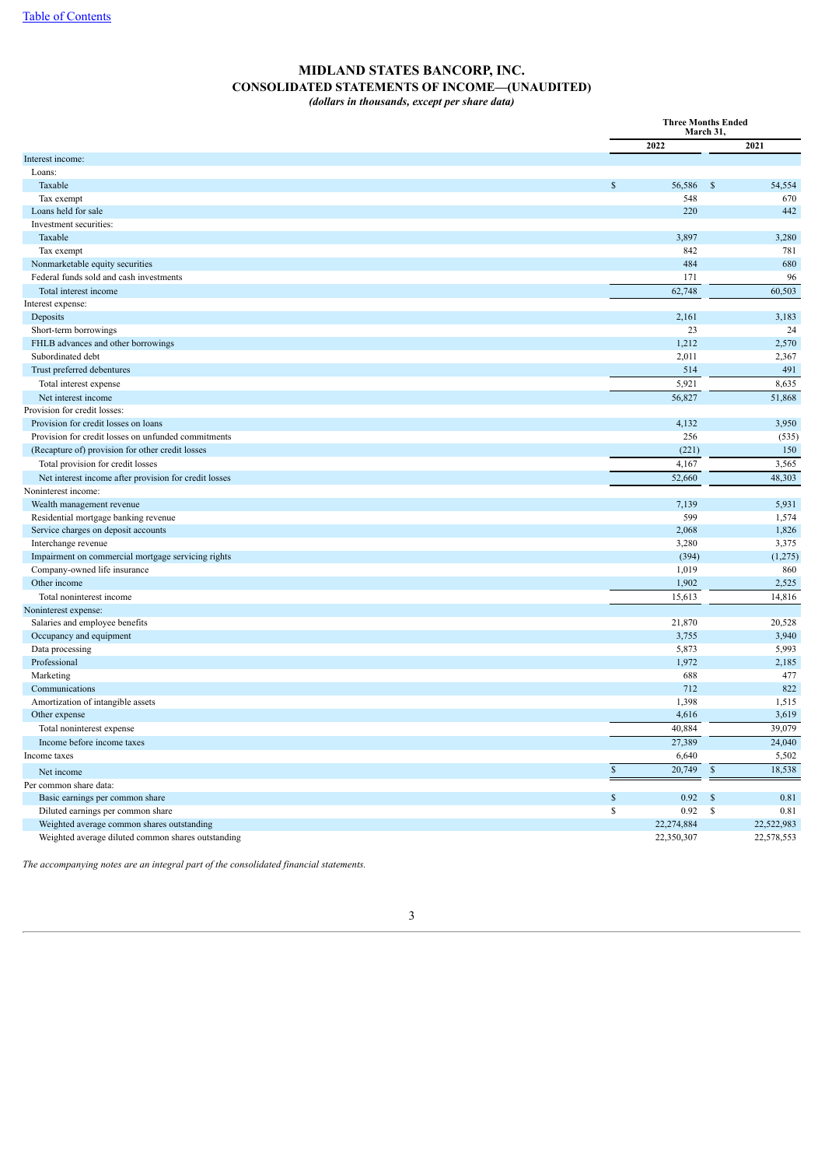# **MIDLAND STATES BANCORP, INC. CONSOLIDATED STATEMENTS OF INCOME—(UNAUDITED)**

*(dollars in thousands, except per share data)*

|                                                       |                        | <b>Three Months Ended</b><br>March 31, |            |  |
|-------------------------------------------------------|------------------------|----------------------------------------|------------|--|
|                                                       | 2022                   |                                        | 2021       |  |
| Interest income:                                      |                        |                                        |            |  |
| Loans:                                                |                        |                                        |            |  |
| Taxable                                               | $\mathbf S$<br>56,586  | <sup>\$</sup>                          | 54,554     |  |
| Tax exempt                                            | 548                    |                                        | 670        |  |
| Loans held for sale                                   | 220                    |                                        | 442        |  |
| Investment securities:                                |                        |                                        |            |  |
| Taxable                                               | 3,897                  |                                        | 3,280      |  |
| Tax exempt                                            | 842                    |                                        | 781        |  |
| Nonmarketable equity securities                       | 484                    |                                        | 680        |  |
| Federal funds sold and cash investments               | 171                    |                                        | 96         |  |
| Total interest income                                 | 62,748                 |                                        | 60,503     |  |
| Interest expense:                                     |                        |                                        |            |  |
| Deposits                                              | 2,161                  |                                        | 3,183      |  |
| Short-term borrowings                                 | 23                     |                                        | 24         |  |
| FHLB advances and other borrowings                    | 1,212                  |                                        | 2,570      |  |
| Subordinated debt                                     | 2,011                  |                                        | 2,367      |  |
| Trust preferred debentures                            | 514                    |                                        | 491        |  |
| Total interest expense                                | 5,921                  |                                        | 8,635      |  |
| Net interest income                                   | 56,827                 |                                        | 51,868     |  |
| Provision for credit losses:                          |                        |                                        |            |  |
| Provision for credit losses on loans                  | 4,132                  |                                        | 3,950      |  |
| Provision for credit losses on unfunded commitments   | 256                    |                                        | (535)      |  |
| (Recapture of) provision for other credit losses      | (221)                  |                                        | 150        |  |
| Total provision for credit losses                     | 4,167                  |                                        | 3,565      |  |
| Net interest income after provision for credit losses | 52,660                 |                                        | 48,303     |  |
| Noninterest income:                                   |                        |                                        |            |  |
| Wealth management revenue                             | 7,139                  |                                        | 5,931      |  |
| Residential mortgage banking revenue                  | 599                    |                                        | 1,574      |  |
| Service charges on deposit accounts                   | 2,068                  |                                        | 1,826      |  |
| Interchange revenue                                   | 3,280                  |                                        | 3,375      |  |
| Impairment on commercial mortgage servicing rights    | (394)                  |                                        | (1, 275)   |  |
| Company-owned life insurance                          | 1,019                  |                                        | 860        |  |
| Other income                                          | 1,902                  |                                        | 2,525      |  |
| Total noninterest income                              | 15,613                 |                                        | 14,816     |  |
| Noninterest expense:                                  |                        |                                        |            |  |
| Salaries and employee benefits                        | 21,870                 |                                        | 20,528     |  |
| Occupancy and equipment                               | 3,755                  |                                        | 3,940      |  |
| Data processing                                       | 5,873                  |                                        | 5,993      |  |
| Professional                                          | 1,972                  |                                        | 2,185      |  |
| Marketing                                             | 688                    |                                        | 477        |  |
| Communications                                        | 712                    |                                        | 822        |  |
| Amortization of intangible assets                     | 1,398                  |                                        | 1,515      |  |
| Other expense                                         | 4,616                  |                                        | 3,619      |  |
| Total noninterest expense                             | 40,884                 |                                        | 39,079     |  |
| Income before income taxes                            | 27,389                 |                                        | 24,040     |  |
| Income taxes                                          | 6,640                  |                                        | 5,502      |  |
| Net income                                            | $\mathbb{S}$<br>20,749 | $\mathbb{S}$                           | 18,538     |  |
| Per common share data:                                |                        |                                        |            |  |
| Basic earnings per common share                       | $\mathbb{S}$<br>0.92   | $\mathbb{S}$                           | 0.81       |  |
| Diluted earnings per common share                     | $\mathbf S$<br>0.92    | $\mathbf S$                            | 0.81       |  |
| Weighted average common shares outstanding            | 22,274,884             |                                        | 22,522,983 |  |
| Weighted average diluted common shares outstanding    | 22,350,307             |                                        | 22,578,553 |  |

<span id="page-4-0"></span>*The accompanying notes are an integral part of the consolidated financial statements.*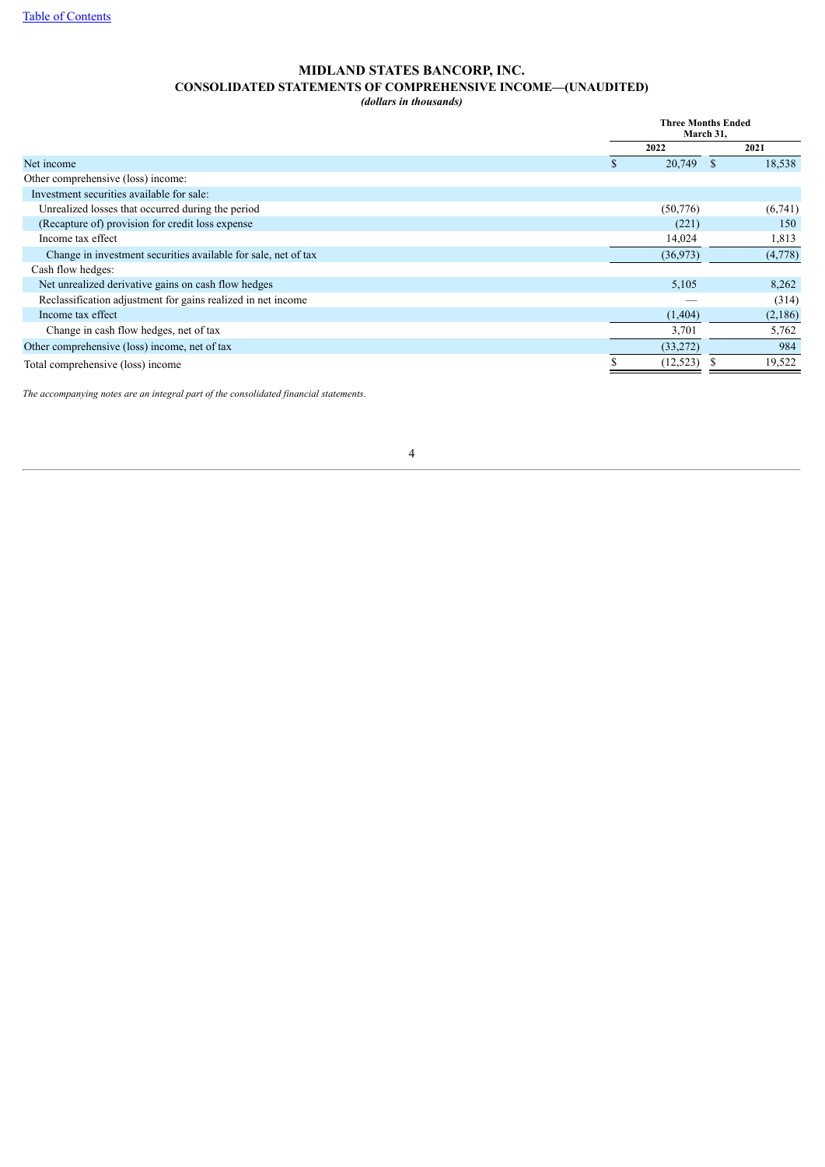# **MIDLAND STATES BANCORP, INC. CONSOLIDATED STATEMENTS OF COMPREHENSIVE INCOME—(UNAUDITED)**

*(dollars in thousands)*

|                                                                |           | <b>Three Months Ended</b><br>March 31, |
|----------------------------------------------------------------|-----------|----------------------------------------|
|                                                                | 2022      | 2021                                   |
| Net income                                                     | 20,749    | 18,538<br><sup>\$</sup>                |
| Other comprehensive (loss) income:                             |           |                                        |
| Investment securities available for sale:                      |           |                                        |
| Unrealized losses that occurred during the period              | (50, 776) | (6,741)                                |
| (Recapture of) provision for credit loss expense               | (221)     | 150                                    |
| Income tax effect                                              | 14,024    | 1,813                                  |
| Change in investment securities available for sale, net of tax | (36,973)  | (4,778)                                |
| Cash flow hedges:                                              |           |                                        |
| Net unrealized derivative gains on cash flow hedges            | 5,105     | 8,262                                  |
| Reclassification adjustment for gains realized in net income   |           | (314)                                  |
| Income tax effect                                              | (1, 404)  | (2,186)                                |
| Change in cash flow hedges, net of tax                         | 3,701     | 5,762                                  |
| Other comprehensive (loss) income, net of tax                  | (33,272)  | 984                                    |
| Total comprehensive (loss) income                              | (12, 523) | 19,522                                 |

<span id="page-5-0"></span>*The accompanying notes are an integral part of the consolidated financial statements*.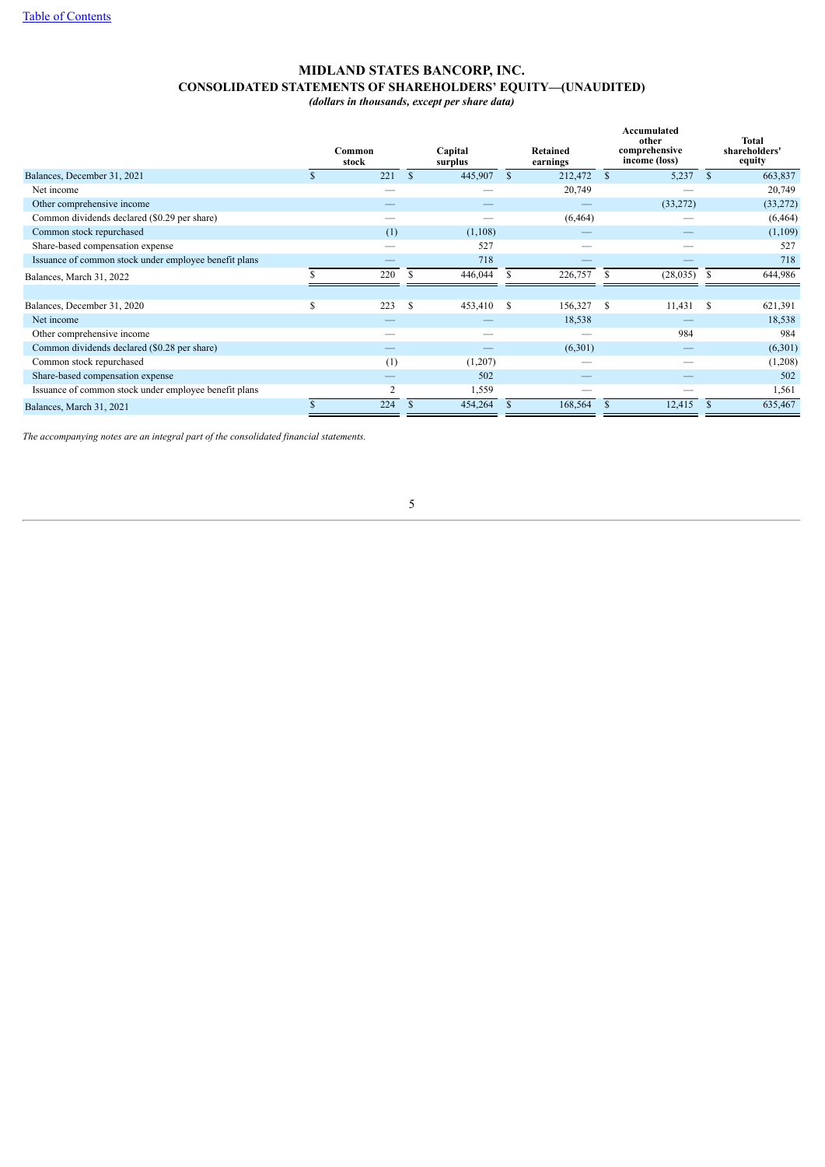# **MIDLAND STATES BANCORP, INC. CONSOLIDATED STATEMENTS OF SHAREHOLDERS' EQUITY—(UNAUDITED)**

*(dollars in thousands, except per share data)*

|                                                       | Common<br>stock |     | Capital<br>surplus |    | <b>Retained</b><br>earnings |               | Accumulated<br>other<br>comprehensive<br>income (loss) |              | <b>Total</b><br>shareholders'<br>equity |
|-------------------------------------------------------|-----------------|-----|--------------------|----|-----------------------------|---------------|--------------------------------------------------------|--------------|-----------------------------------------|
| Balances, December 31, 2021                           | 221             | \$. | 445,907            |    | 212,472                     | <sup>\$</sup> | 5,237                                                  | <sup>S</sup> | 663,837                                 |
| Net income                                            |                 |     |                    |    | 20,749                      |               |                                                        |              | 20,749                                  |
| Other comprehensive income                            |                 |     |                    |    |                             |               | (33,272)                                               |              | (33,272)                                |
| Common dividends declared (\$0.29 per share)          |                 |     |                    |    | (6, 464)                    |               |                                                        |              | (6, 464)                                |
| Common stock repurchased                              | (1)             |     | (1,108)            |    |                             |               |                                                        |              | (1,109)                                 |
| Share-based compensation expense                      |                 |     | 527                |    |                             |               |                                                        |              | 527                                     |
| Issuance of common stock under employee benefit plans |                 |     | 718                |    |                             |               |                                                        |              | 718                                     |
| Balances, March 31, 2022                              | 220             |     | 446,044            |    | 226,757                     | £.            | (28, 035)                                              | S            | 644,986                                 |
|                                                       |                 |     |                    |    |                             |               |                                                        |              |                                         |
| Balances, December 31, 2020                           | \$<br>223       | \$. | 453,410            | -S | 156,327                     | <sup>\$</sup> | $11,431$ \$                                            |              | 621,391                                 |
| Net income                                            |                 |     |                    |    | 18,538                      |               |                                                        |              | 18,538                                  |
| Other comprehensive income                            |                 |     |                    |    |                             |               | 984                                                    |              | 984                                     |
| Common dividends declared (\$0.28 per share)          |                 |     |                    |    | (6,301)                     |               |                                                        |              | (6,301)                                 |
| Common stock repurchased                              | (1)             |     | (1,207)            |    |                             |               |                                                        |              | (1,208)                                 |
| Share-based compensation expense                      |                 |     | 502                |    |                             |               |                                                        |              | 502                                     |
| Issuance of common stock under employee benefit plans |                 |     | 1,559              |    |                             |               |                                                        |              | 1,561                                   |
| Balances, March 31, 2021                              | 224             |     | 454,264            |    | 168,564                     |               | 12,415                                                 |              | 635,467                                 |
|                                                       |                 |     |                    |    |                             |               |                                                        |              |                                         |

<span id="page-6-0"></span>*The accompanying notes are an integral part of the consolidated financial statements.*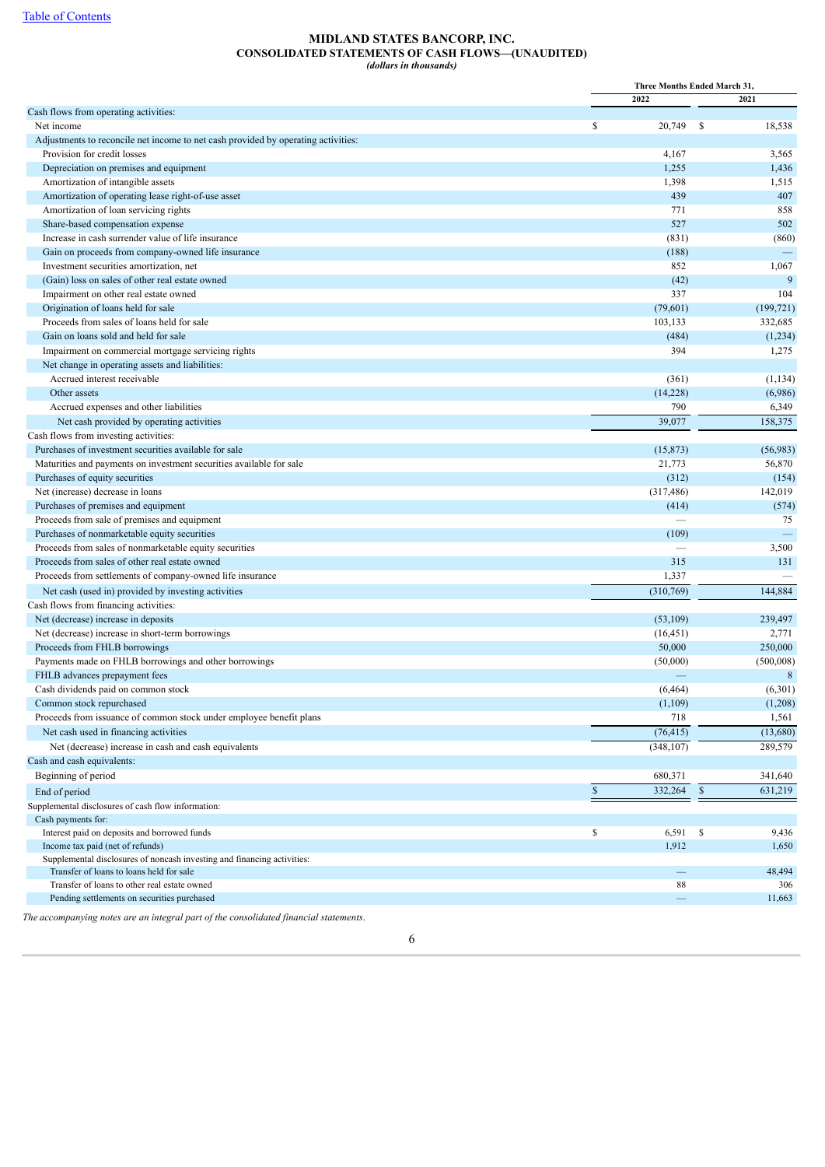# **MIDLAND STATES BANCORP, INC. CONSOLIDATED STATEMENTS OF CASH FLOWS—(UNAUDITED)** *(dollars in thousands)*

|                                                                                                                  |                        | Three Months Ended March 31, |  |  |  |
|------------------------------------------------------------------------------------------------------------------|------------------------|------------------------------|--|--|--|
|                                                                                                                  | 2022                   | 2021                         |  |  |  |
| Cash flows from operating activities:                                                                            |                        |                              |  |  |  |
| Net income                                                                                                       | \$<br>20,749           | \$<br>18,538                 |  |  |  |
| Adjustments to reconcile net income to net cash provided by operating activities:<br>Provision for credit losses |                        |                              |  |  |  |
|                                                                                                                  | 4,167                  | 3,565                        |  |  |  |
| Depreciation on premises and equipment                                                                           | 1,255                  | 1,436                        |  |  |  |
| Amortization of intangible assets                                                                                | 1,398                  | 1,515<br>407                 |  |  |  |
| Amortization of operating lease right-of-use asset<br>Amortization of loan servicing rights                      | 439<br>771             | 858                          |  |  |  |
|                                                                                                                  | 527                    | 502                          |  |  |  |
| Share-based compensation expense<br>Increase in cash surrender value of life insurance                           | (831)                  |                              |  |  |  |
| Gain on proceeds from company-owned life insurance                                                               | (188)                  | (860)                        |  |  |  |
| Investment securities amortization, net                                                                          | 852                    | 1,067                        |  |  |  |
| (Gain) loss on sales of other real estate owned                                                                  | (42)                   | 9                            |  |  |  |
|                                                                                                                  | 337                    | 104                          |  |  |  |
| Impairment on other real estate owned                                                                            |                        |                              |  |  |  |
| Origination of loans held for sale<br>Proceeds from sales of loans held for sale                                 | (79,601)<br>103,133    | (199, 721)                   |  |  |  |
| Gain on loans sold and held for sale                                                                             |                        | 332,685                      |  |  |  |
|                                                                                                                  | (484)<br>394           | (1,234)                      |  |  |  |
| Impairment on commercial mortgage servicing rights                                                               |                        | 1,275                        |  |  |  |
| Net change in operating assets and liabilities:                                                                  |                        |                              |  |  |  |
| Accrued interest receivable                                                                                      | (361)                  | (1, 134)                     |  |  |  |
| Other assets                                                                                                     | (14,228)               | (6,986)                      |  |  |  |
| Accrued expenses and other liabilities                                                                           | 790                    | 6,349                        |  |  |  |
| Net cash provided by operating activities                                                                        | 39,077                 | 158,375                      |  |  |  |
| Cash flows from investing activities:                                                                            |                        |                              |  |  |  |
| Purchases of investment securities available for sale                                                            | (15, 873)              | (56,983)                     |  |  |  |
| Maturities and payments on investment securities available for sale                                              | 21,773                 | 56,870                       |  |  |  |
| Purchases of equity securities                                                                                   | (312)                  | (154)                        |  |  |  |
| Net (increase) decrease in loans                                                                                 | (317, 486)             | 142,019                      |  |  |  |
| Purchases of premises and equipment                                                                              | (414)                  | (574)                        |  |  |  |
| Proceeds from sale of premises and equipment                                                                     |                        | 75                           |  |  |  |
| Purchases of nonmarketable equity securities                                                                     | (109)                  |                              |  |  |  |
| Proceeds from sales of nonmarketable equity securities                                                           |                        | 3,500                        |  |  |  |
| Proceeds from sales of other real estate owned                                                                   | 315                    | 131                          |  |  |  |
| Proceeds from settlements of company-owned life insurance                                                        | 1,337                  |                              |  |  |  |
| Net cash (used in) provided by investing activities                                                              | (310,769)              | 144,884                      |  |  |  |
| Cash flows from financing activities:                                                                            |                        |                              |  |  |  |
| Net (decrease) increase in deposits                                                                              | (53, 109)              | 239,497                      |  |  |  |
| Net (decrease) increase in short-term borrowings                                                                 | (16, 451)              | 2,771                        |  |  |  |
| Proceeds from FHLB borrowings                                                                                    | 50,000                 | 250,000                      |  |  |  |
| Payments made on FHLB borrowings and other borrowings                                                            | (50,000)               | (500,008)                    |  |  |  |
| FHLB advances prepayment fees                                                                                    |                        | $\,8\,$                      |  |  |  |
| Cash dividends paid on common stock                                                                              | (6, 464)               | (6,301)                      |  |  |  |
| Common stock repurchased                                                                                         | (1,109)                | (1,208)                      |  |  |  |
| Proceeds from issuance of common stock under employee benefit plans                                              | 718                    | 1,561                        |  |  |  |
| Net cash used in financing activities                                                                            | (76, 415)              | (13,680)                     |  |  |  |
| Net (decrease) increase in cash and cash equivalents                                                             | (348, 107)             | 289,579                      |  |  |  |
| Cash and cash equivalents:                                                                                       |                        |                              |  |  |  |
| Beginning of period                                                                                              | 680,371                | 341,640                      |  |  |  |
| End of period                                                                                                    | $\mathbb S$<br>332,264 | $\mathbb{S}$<br>631,219      |  |  |  |
| Supplemental disclosures of cash flow information:                                                               |                        |                              |  |  |  |
| Cash payments for:                                                                                               |                        |                              |  |  |  |
| Interest paid on deposits and borrowed funds                                                                     | \$<br>6,591            | \$<br>9,436                  |  |  |  |
| Income tax paid (net of refunds)                                                                                 | 1,912                  | 1,650                        |  |  |  |
| Supplemental disclosures of noncash investing and financing activities:                                          |                        |                              |  |  |  |
| Transfer of loans to loans held for sale                                                                         | $\equiv$               | 48,494                       |  |  |  |
| Transfer of loans to other real estate owned                                                                     | 88                     | 306                          |  |  |  |
| Pending settlements on securities purchased                                                                      |                        | 11,663                       |  |  |  |

<span id="page-7-0"></span>*The accompanying notes are an integral part of the consolidated financial statements*.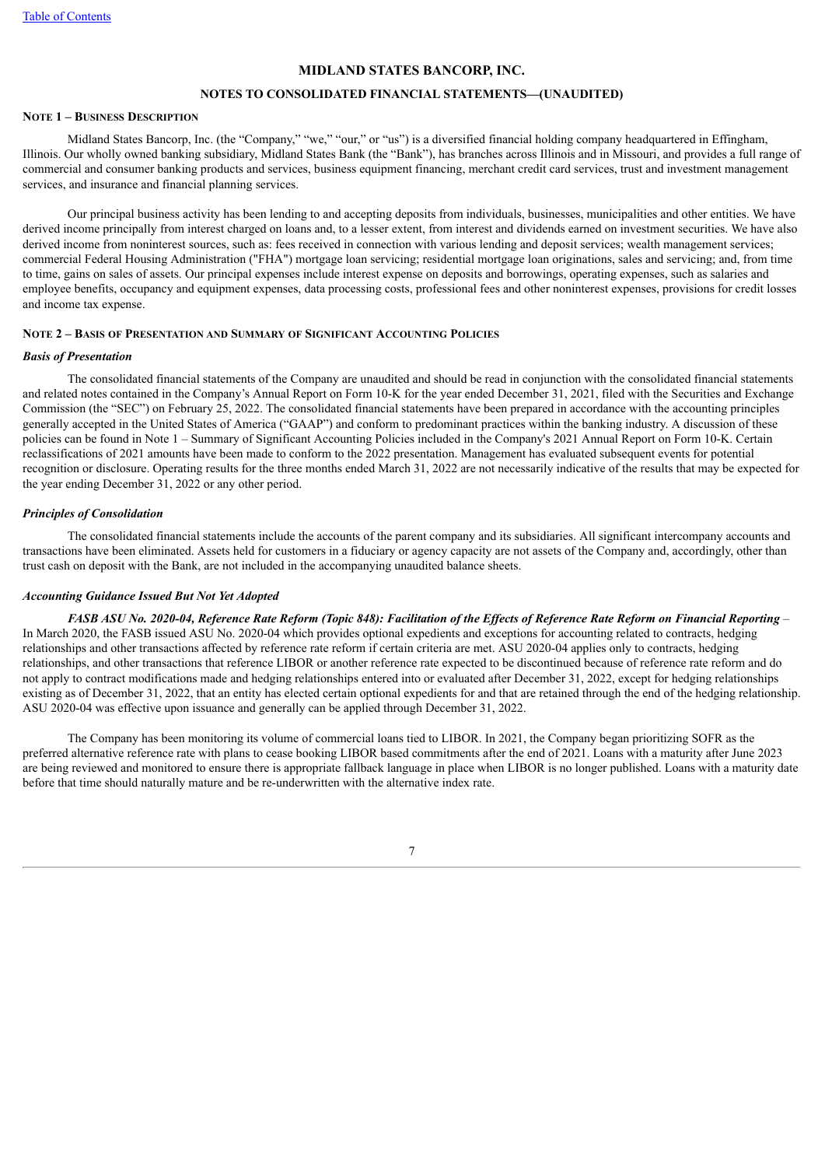### **MIDLAND STATES BANCORP, INC.**

#### **NOTES TO CONSOLIDATED FINANCIAL STATEMENTS—(UNAUDITED)**

### <span id="page-8-0"></span>**NOTE 1 – BUSINESS DESCRIPTION**

Midland States Bancorp, Inc. (the "Company," "we," "our," or "us") is a diversified financial holding company headquartered in Effingham, Illinois. Our wholly owned banking subsidiary, Midland States Bank (the "Bank"), has branches across Illinois and in Missouri, and provides a full range of commercial and consumer banking products and services, business equipment financing, merchant credit card services, trust and investment management services, and insurance and financial planning services.

Our principal business activity has been lending to and accepting deposits from individuals, businesses, municipalities and other entities. We have derived income principally from interest charged on loans and, to a lesser extent, from interest and dividends earned on investment securities. We have also derived income from noninterest sources, such as: fees received in connection with various lending and deposit services; wealth management services; commercial Federal Housing Administration ("FHA") mortgage loan servicing; residential mortgage loan originations, sales and servicing; and, from time to time, gains on sales of assets. Our principal expenses include interest expense on deposits and borrowings, operating expenses, such as salaries and employee benefits, occupancy and equipment expenses, data processing costs, professional fees and other noninterest expenses, provisions for credit losses and income tax expense.

### <span id="page-8-1"></span>**NOTE 2 – BASIS OF PRESENTATION AND SUMMARY OF SIGNIFICANT ACCOUNTING POLICIES**

#### *Basis of Presentation*

The consolidated financial statements of the Company are unaudited and should be read in conjunction with the consolidated financial statements and related notes contained in the Company's Annual Report on Form 10-K for the year ended December 31, 2021, filed with the Securities and Exchange Commission (the "SEC") on February 25, 2022. The consolidated financial statements have been prepared in accordance with the accounting principles generally accepted in the United States of America ("GAAP") and conform to predominant practices within the banking industry. A discussion of these policies can be found in Note 1 – Summary of Significant Accounting Policies included in the Company's 2021 Annual Report on Form 10-K. Certain reclassifications of 2021 amounts have been made to conform to the 2022 presentation. Management has evaluated subsequent events for potential recognition or disclosure. Operating results for the three months ended March 31, 2022 are not necessarily indicative of the results that may be expected for the year ending December 31, 2022 or any other period.

### *Principles of Consolidation*

The consolidated financial statements include the accounts of the parent company and its subsidiaries. All significant intercompany accounts and transactions have been eliminated. Assets held for customers in a fiduciary or agency capacity are not assets of the Company and, accordingly, other than trust cash on deposit with the Bank, are not included in the accompanying unaudited balance sheets.

### *Accounting Guidance Issued But Not Yet Adopted*

FASB ASU No. 2020-04, Reference Rate Reform (Topic 848): Facilitation of the Effects of Reference Rate Reform on Financial Reporting -In March 2020, the FASB issued ASU No. 2020-04 which provides optional expedients and exceptions for accounting related to contracts, hedging relationships and other transactions affected by reference rate reform if certain criteria are met. ASU 2020-04 applies only to contracts, hedging relationships, and other transactions that reference LIBOR or another reference rate expected to be discontinued because of reference rate reform and do not apply to contract modifications made and hedging relationships entered into or evaluated after December 31, 2022, except for hedging relationships existing as of December 31, 2022, that an entity has elected certain optional expedients for and that are retained through the end of the hedging relationship. ASU 2020-04 was effective upon issuance and generally can be applied through December 31, 2022.

The Company has been monitoring its volume of commercial loans tied to LIBOR. In 2021, the Company began prioritizing SOFR as the preferred alternative reference rate with plans to cease booking LIBOR based commitments after the end of 2021. Loans with a maturity after June 2023 are being reviewed and monitored to ensure there is appropriate fallback language in place when LIBOR is no longer published. Loans with a maturity date before that time should naturally mature and be re-underwritten with the alternative index rate.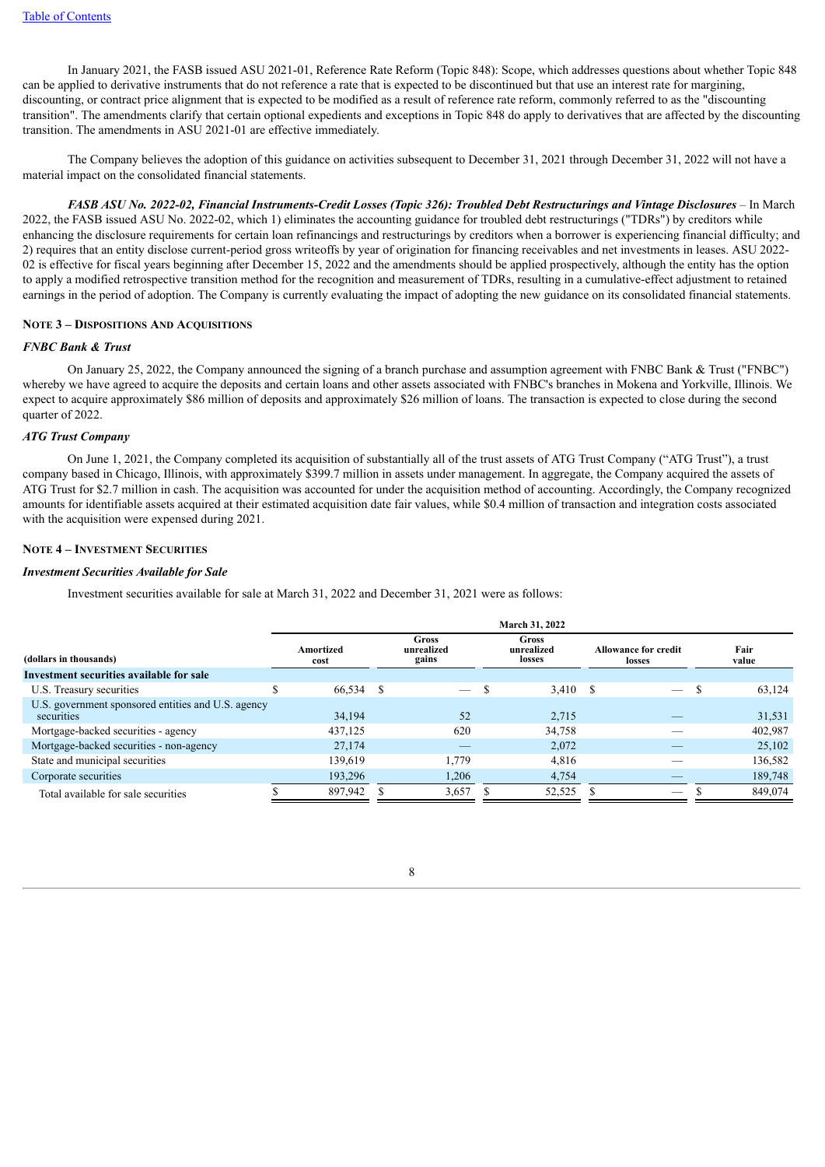In January 2021, the FASB issued ASU 2021-01, Reference Rate Reform (Topic 848): Scope, which addresses questions about whether Topic 848 can be applied to derivative instruments that do not reference a rate that is expected to be discontinued but that use an interest rate for margining, discounting, or contract price alignment that is expected to be modified as a result of reference rate reform, commonly referred to as the "discounting transition". The amendments clarify that certain optional expedients and exceptions in Topic 848 do apply to derivatives that are affected by the discounting transition. The amendments in ASU 2021-01 are effective immediately.

The Company believes the adoption of this guidance on activities subsequent to December 31, 2021 through December 31, 2022 will not have a material impact on the consolidated financial statements.

FASB ASU No. 2022-02, Financial Instruments-Credit Losses (Topic 326): Troubled Debt Restructurings and Vintage Disclosures - In March 2022, the FASB issued ASU No. 2022-02, which 1) eliminates the accounting guidance for troubled debt restructurings ("TDRs") by creditors while enhancing the disclosure requirements for certain loan refinancings and restructurings by creditors when a borrower is experiencing financial difficulty; and 2) requires that an entity disclose current-period gross writeoffs by year of origination for financing receivables and net investments in leases. ASU 2022- 02 is effective for fiscal years beginning after December 15, 2022 and the amendments should be applied prospectively, although the entity has the option to apply a modified retrospective transition method for the recognition and measurement of TDRs, resulting in a cumulative-effect adjustment to retained earnings in the period of adoption. The Company is currently evaluating the impact of adopting the new guidance on its consolidated financial statements.

### <span id="page-9-0"></span>**NOTE 3 – DISPOSITIONS AND ACQUISITIONS**

#### *FNBC Bank & Trust*

On January 25, 2022, the Company announced the signing of a branch purchase and assumption agreement with FNBC Bank & Trust ("FNBC") whereby we have agreed to acquire the deposits and certain loans and other assets associated with FNBC's branches in Mokena and Yorkville, Illinois. We expect to acquire approximately \$86 million of deposits and approximately \$26 million of loans. The transaction is expected to close during the second quarter of 2022.

### *ATG Trust Company*

On June 1, 2021, the Company completed its acquisition of substantially all of the trust assets of ATG Trust Company ("ATG Trust"), a trust company based in Chicago, Illinois, with approximately \$399.7 million in assets under management. In aggregate, the Company acquired the assets of ATG Trust for \$2.7 million in cash. The acquisition was accounted for under the acquisition method of accounting. Accordingly, the Company recognized amounts for identifiable assets acquired at their estimated acquisition date fair values, while \$0.4 million of transaction and integration costs associated with the acquisition were expensed during 2021.

### <span id="page-9-1"></span>**NOTE 4 – INVESTMENT SECURITIES**

#### *Investment Securities Available for Sale*

Investment securities available for sale at March 31, 2022 and December 31, 2021 were as follows:

|                                                                  | <b>March 31, 2022</b> |  |                              |  |                                      |      |                                       |  |               |  |  |  |  |
|------------------------------------------------------------------|-----------------------|--|------------------------------|--|--------------------------------------|------|---------------------------------------|--|---------------|--|--|--|--|
| (dollars in thousands)                                           | Amortized<br>cost     |  | Gross<br>unrealized<br>gains |  | <b>Gross</b><br>unrealized<br>losses |      | <b>Allowance for credit</b><br>losses |  | Fair<br>value |  |  |  |  |
| Investment securities available for sale                         |                       |  |                              |  |                                      |      |                                       |  |               |  |  |  |  |
| U.S. Treasury securities                                         | \$<br>66,534 \$       |  |                              |  | 3,410                                | - \$ |                                       |  | 63,124        |  |  |  |  |
| U.S. government sponsored entities and U.S. agency<br>securities | 34.194                |  | 52                           |  | 2,715                                |      |                                       |  | 31,531        |  |  |  |  |
| Mortgage-backed securities - agency                              | 437,125               |  | 620                          |  | 34,758                               |      |                                       |  | 402,987       |  |  |  |  |
| Mortgage-backed securities - non-agency                          | 27,174                |  |                              |  | 2,072                                |      |                                       |  | 25,102        |  |  |  |  |
| State and municipal securities                                   | 139.619               |  | 1.779                        |  | 4,816                                |      |                                       |  | 136,582       |  |  |  |  |
| Corporate securities                                             | 193,296               |  | 1,206                        |  | 4,754                                |      |                                       |  | 189,748       |  |  |  |  |
| Total available for sale securities                              | 897,942               |  | 3,657                        |  | 52,525                               |      |                                       |  | 849,074       |  |  |  |  |
|                                                                  |                       |  |                              |  |                                      |      |                                       |  |               |  |  |  |  |

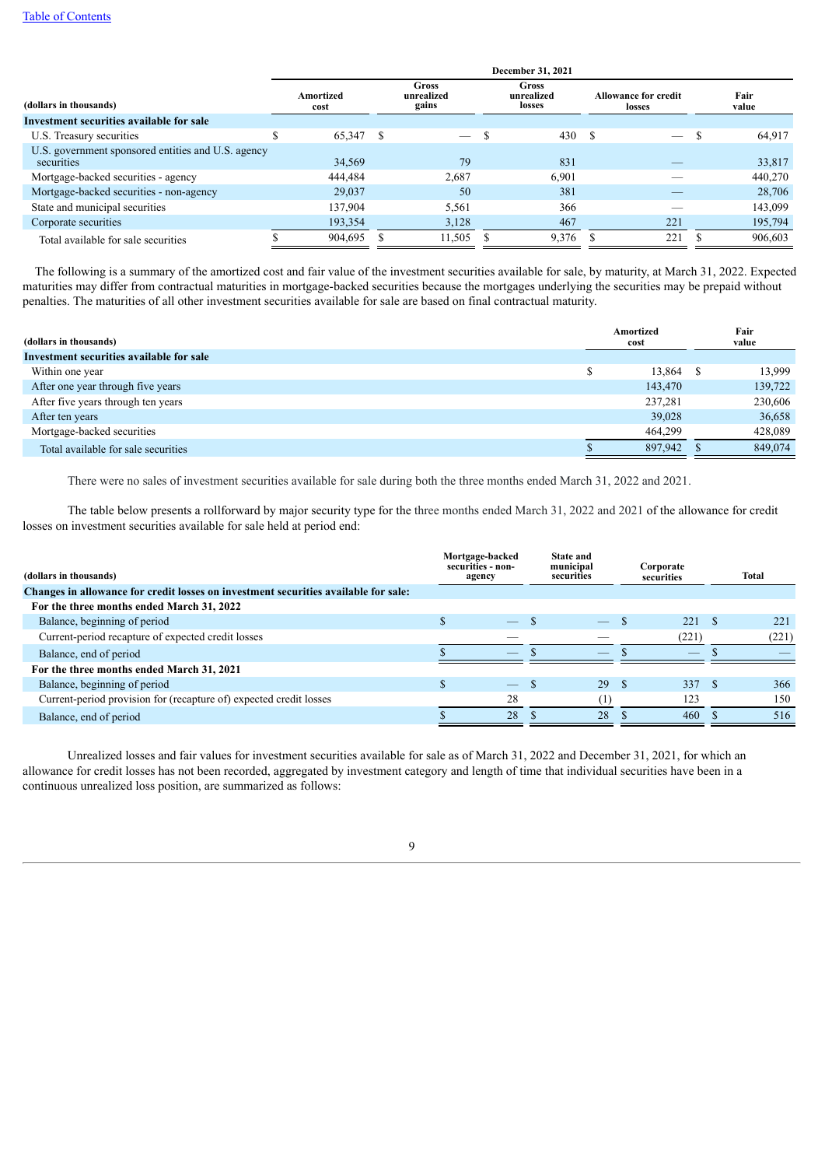#### Table of [Contents](#page-0-0)

|                                                                  | December 31, 2021 |                   |                                                                      |                          |                                       |       |    |                          |  |         |  |
|------------------------------------------------------------------|-------------------|-------------------|----------------------------------------------------------------------|--------------------------|---------------------------------------|-------|----|--------------------------|--|---------|--|
| (dollars in thousands)                                           |                   | Amortized<br>cost | <b>Gross</b><br>Gross<br>unrealized<br>unrealized<br>losses<br>gains |                          | <b>Allowance for credit</b><br>losses |       |    | Fair<br>value            |  |         |  |
| Investment securities available for sale                         |                   |                   |                                                                      |                          |                                       |       |    |                          |  |         |  |
| U.S. Treasury securities                                         | \$                | 65,347 \$         |                                                                      | $\overline{\phantom{m}}$ |                                       | 430   | \$ | $\overline{\phantom{0}}$ |  | 64,917  |  |
| U.S. government sponsored entities and U.S. agency<br>securities |                   | 34,569            |                                                                      | 79                       |                                       | 831   |    |                          |  | 33,817  |  |
| Mortgage-backed securities - agency                              |                   | 444,484           |                                                                      | 2,687                    |                                       | 6,901 |    |                          |  | 440,270 |  |
| Mortgage-backed securities - non-agency                          |                   | 29,037            |                                                                      | 50                       |                                       | 381   |    |                          |  | 28,706  |  |
| State and municipal securities                                   |                   | 137,904           |                                                                      | 5,561                    |                                       | 366   |    |                          |  | 143,099 |  |
| Corporate securities                                             |                   | 193,354           |                                                                      | 3,128                    |                                       | 467   |    | 221                      |  | 195,794 |  |
| Total available for sale securities                              |                   | 904.695           |                                                                      | 11.505                   |                                       | 9,376 |    | 221                      |  | 906,603 |  |

The following is a summary of the amortized cost and fair value of the investment securities available for sale, by maturity, at March 31, 2022. Expected maturities may differ from contractual maturities in mortgage-backed securities because the mortgages underlying the securities may be prepaid without penalties. The maturities of all other investment securities available for sale are based on final contractual maturity.

| (dollars in thousands)                   | Amortized<br>cost |         | Fair<br>value |
|------------------------------------------|-------------------|---------|---------------|
| Investment securities available for sale |                   |         |               |
| Within one year                          |                   | 13.864  | 13.999        |
| After one year through five years        |                   | 143,470 | 139,722       |
| After five years through ten years       |                   | 237.281 | 230,606       |
| After ten years                          |                   | 39,028  | 36,658        |
| Mortgage-backed securities               |                   | 464.299 | 428,089       |
| Total available for sale securities      |                   | 897,942 | 849,074       |

There were no sales of investment securities available for sale during both the three months ended March 31, 2022 and 2021.

The table below presents a rollforward by major security type for the three months ended March 31, 2022 and 2021 of the allowance for credit losses on investment securities available for sale held at period end:

| (dollars in thousands)                                                              | Mortgage-backed<br>securities - non-<br>agency |                          | <b>State and</b><br>municipal<br>securities | Corporate<br>securities |        | Total |
|-------------------------------------------------------------------------------------|------------------------------------------------|--------------------------|---------------------------------------------|-------------------------|--------|-------|
| Changes in allowance for credit losses on investment securities available for sale: |                                                |                          |                                             |                         |        |       |
| For the three months ended March 31, 2022                                           |                                                |                          |                                             |                         |        |       |
| Balance, beginning of period                                                        |                                                | $\overline{\phantom{m}}$ | $\frac{1}{2}$                               |                         | 221    | 221   |
| Current-period recapture of expected credit losses                                  |                                                |                          |                                             |                         | (221)  | (221) |
| Balance, end of period                                                              |                                                |                          |                                             |                         |        |       |
| For the three months ended March 31, 2021                                           |                                                |                          |                                             |                         |        |       |
| Balance, beginning of period                                                        |                                                |                          | 29                                          | - \$                    | 337 \$ | 366   |
| Current-period provision for (recapture of) expected credit losses                  |                                                | 28                       | (1)                                         |                         | 123    | 150   |
| Balance, end of period                                                              |                                                | 28                       | 28                                          |                         | 460    | 516   |

Unrealized losses and fair values for investment securities available for sale as of March 31, 2022 and December 31, 2021, for which an allowance for credit losses has not been recorded, aggregated by investment category and length of time that individual securities have been in a continuous unrealized loss position, are summarized as follows: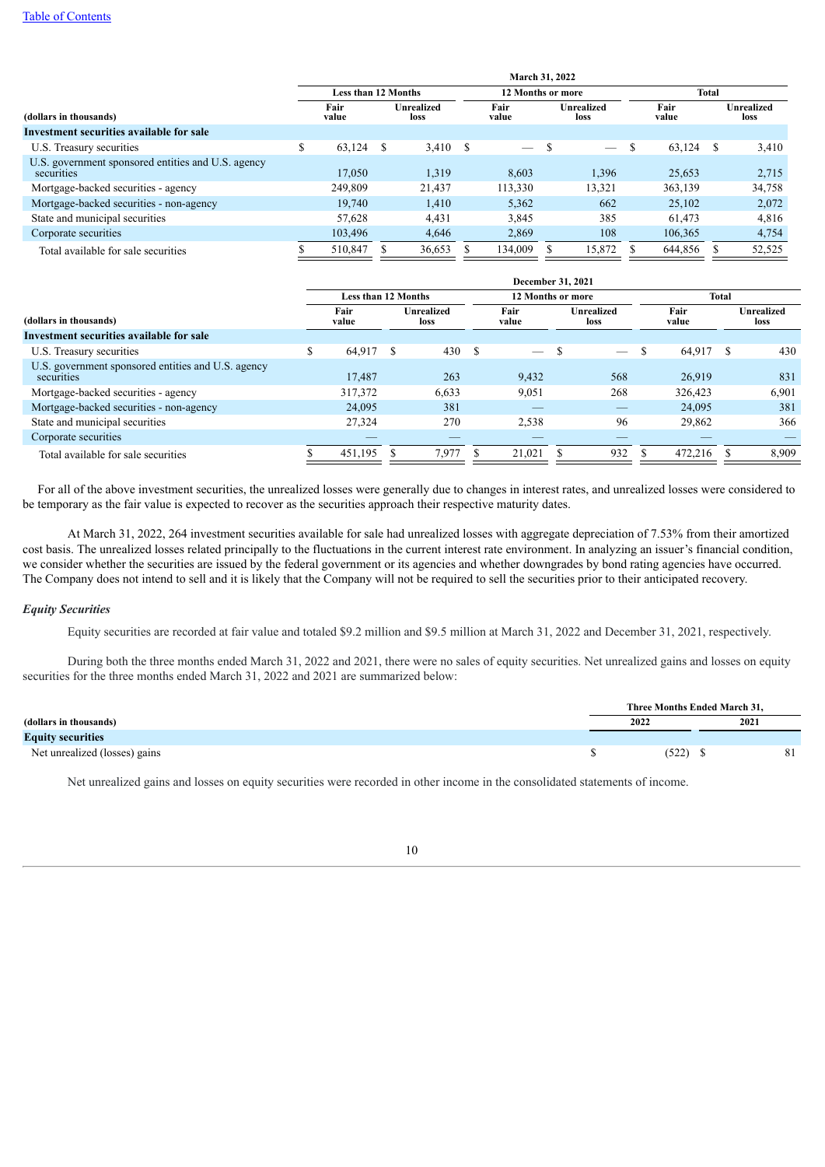### Table of [Contents](#page-0-0)

|                                                                  | <b>March 31, 2022</b> |                            |   |                    |    |                   |               |                           |              |               |      |                           |  |  |
|------------------------------------------------------------------|-----------------------|----------------------------|---|--------------------|----|-------------------|---------------|---------------------------|--------------|---------------|------|---------------------------|--|--|
|                                                                  |                       | <b>Less than 12 Months</b> |   |                    |    | 12 Months or more |               |                           | <b>Total</b> |               |      |                           |  |  |
| (dollars in thousands)                                           |                       | Fair<br>value              |   | Unrealized<br>loss |    | Fair<br>value     |               | <b>Unrealized</b><br>loss |              | Fair<br>value |      | <b>Unrealized</b><br>loss |  |  |
| Investment securities available for sale                         |                       |                            |   |                    |    |                   |               |                           |              |               |      |                           |  |  |
| U.S. Treasury securities                                         |                       | 63,124                     | S | 3,410              | -S |                   | <sup>\$</sup> | $\overline{\phantom{m}}$  | S            | 63,124        | - \$ | 3,410                     |  |  |
| U.S. government sponsored entities and U.S. agency<br>securities |                       | 17.050                     |   | 1,319              |    | 8,603             |               | 1,396                     |              | 25.653        |      | 2,715                     |  |  |
| Mortgage-backed securities - agency                              |                       | 249,809                    |   | 21.437             |    | 113,330           |               | 13,321                    |              | 363,139       |      | 34,758                    |  |  |
| Mortgage-backed securities - non-agency                          |                       | 19.740                     |   | 1,410              |    | 5,362             |               | 662                       |              | 25,102        |      | 2,072                     |  |  |
| State and municipal securities                                   |                       | 57,628                     |   | 4,431              |    | 3,845             |               | 385                       |              | 61.473        |      | 4,816                     |  |  |
| Corporate securities                                             |                       | 103,496                    |   | 4,646              |    | 2,869             |               | 108                       |              | 106,365       |      | 4,754                     |  |  |
| Total available for sale securities                              |                       | 510,847                    |   | 36,653             |    | 134,009           |               | 15,872                    |              | 644,856       |      | 52,525                    |  |  |

|                                                                  | December 31, 2021 |                            |   |                           |    |                          |  |                                           |              |               |    |                           |  |  |
|------------------------------------------------------------------|-------------------|----------------------------|---|---------------------------|----|--------------------------|--|-------------------------------------------|--------------|---------------|----|---------------------------|--|--|
|                                                                  |                   | <b>Less than 12 Months</b> |   |                           |    | 12 Months or more        |  |                                           | <b>Total</b> |               |    |                           |  |  |
| (dollars in thousands)                                           |                   | Fair<br>value              |   | <b>Unrealized</b><br>loss |    | Fair<br>value            |  | Unrealized<br>loss                        |              | Fair<br>value |    | <b>Unrealized</b><br>loss |  |  |
| Investment securities available for sale                         |                   |                            |   |                           |    |                          |  |                                           |              |               |    |                           |  |  |
| U.S. Treasury securities                                         |                   | 64,917                     | S | 430                       | -8 | $\overline{\phantom{m}}$ |  | $\overline{\phantom{a}}$                  | S            | 64,917        | -S | 430                       |  |  |
| U.S. government sponsored entities and U.S. agency<br>securities |                   | 17,487                     |   | 263                       |    | 9,432                    |  | 568                                       |              | 26.919        |    | 831                       |  |  |
| Mortgage-backed securities - agency                              |                   | 317,372                    |   | 6,633                     |    | 9,051                    |  | 268                                       |              | 326.423       |    | 6,901                     |  |  |
| Mortgage-backed securities - non-agency                          |                   | 24.095                     |   | 381                       |    |                          |  | $\qquad \qquad \overline{\qquad \qquad }$ |              | 24.095        |    | 381                       |  |  |
| State and municipal securities                                   |                   | 27,324                     |   | 270                       |    | 2,538                    |  | 96                                        |              | 29,862        |    | 366                       |  |  |
| Corporate securities                                             |                   |                            |   |                           |    |                          |  |                                           |              |               |    |                           |  |  |
| Total available for sale securities                              |                   | 451,195                    |   | 7,977                     |    | 21.021                   |  | 932                                       |              | 472.216       |    | 8,909                     |  |  |

For all of the above investment securities, the unrealized losses were generally due to changes in interest rates, and unrealized losses were considered to be temporary as the fair value is expected to recover as the securities approach their respective maturity dates.

At March 31, 2022, 264 investment securities available for sale had unrealized losses with aggregate depreciation of 7.53% from their amortized cost basis. The unrealized losses related principally to the fluctuations in the current interest rate environment. In analyzing an issuer's financial condition, we consider whether the securities are issued by the federal government or its agencies and whether downgrades by bond rating agencies have occurred. The Company does not intend to sell and it is likely that the Company will not be required to sell the securities prior to their anticipated recovery.

#### *Equity Securities*

Equity securities are recorded at fair value and totaled \$9.2 million and \$9.5 million at March 31, 2022 and December 31, 2021, respectively.

During both the three months ended March 31, 2022 and 2021, there were no sales of equity securities. Net unrealized gains and losses on equity securities for the three months ended March 31, 2022 and 2021 are summarized below:

|                               | Three Months Ended March 31. |  |  |      |  |  |  |  |  |
|-------------------------------|------------------------------|--|--|------|--|--|--|--|--|
| (dollars in thousands)        | 2022                         |  |  | 2021 |  |  |  |  |  |
| <b>Equity securities</b>      |                              |  |  |      |  |  |  |  |  |
| Net unrealized (losses) gains |                              |  |  | 81   |  |  |  |  |  |

<span id="page-11-0"></span>Net unrealized gains and losses on equity securities were recorded in other income in the consolidated statements of income.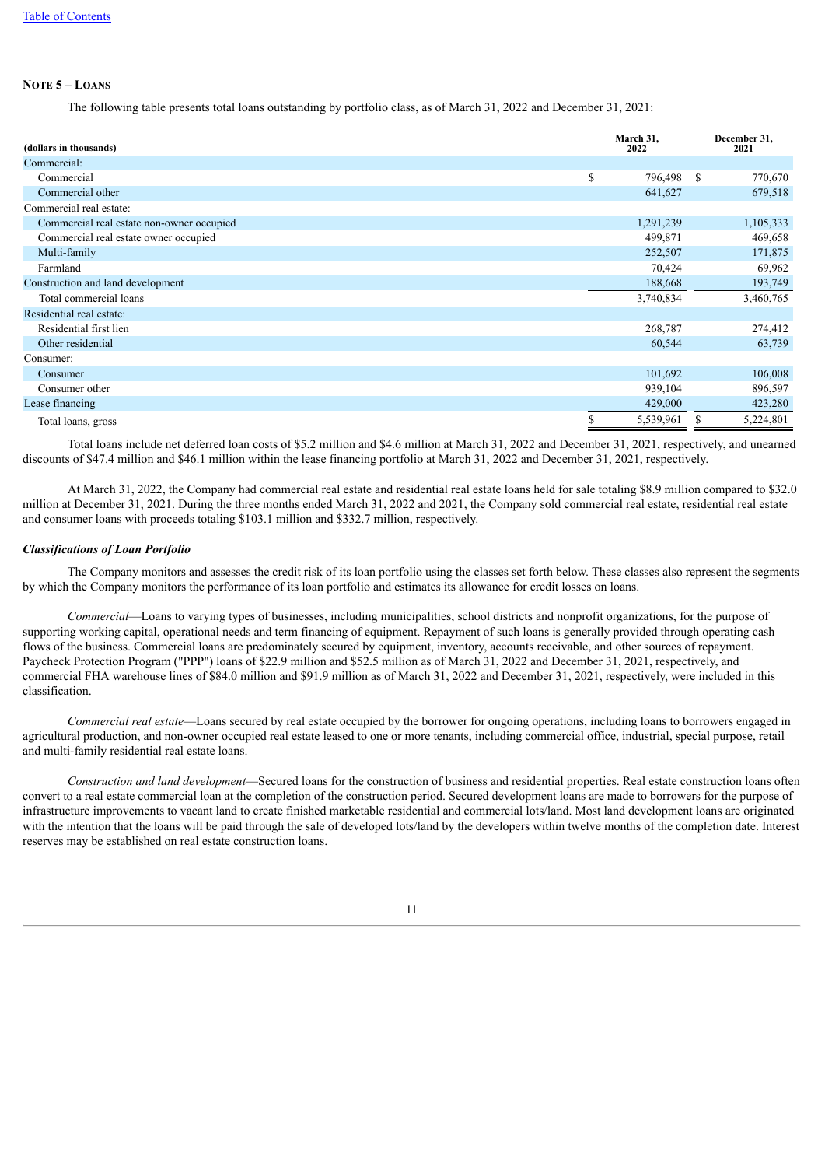### **NOTE 5 – LOANS**

The following table presents total loans outstanding by portfolio class, as of March 31, 2022 and December 31, 2021:

| (dollars in thousands)                    | March 31,<br>2022 | December 31,<br>2021 |
|-------------------------------------------|-------------------|----------------------|
| Commercial:                               |                   |                      |
| Commercial                                | \$<br>796,498 \$  | 770,670              |
| Commercial other                          | 641,627           | 679,518              |
| Commercial real estate:                   |                   |                      |
| Commercial real estate non-owner occupied | 1,291,239         | 1,105,333            |
| Commercial real estate owner occupied     | 499,871           | 469,658              |
| Multi-family                              | 252,507           | 171,875              |
| Farmland                                  | 70,424            | 69,962               |
| Construction and land development         | 188,668           | 193,749              |
| Total commercial loans                    | 3,740,834         | 3,460,765            |
| Residential real estate:                  |                   |                      |
| Residential first lien                    | 268,787           | 274,412              |
| Other residential                         | 60,544            | 63,739               |
| Consumer:                                 |                   |                      |
| Consumer                                  | 101,692           | 106,008              |
| Consumer other                            | 939,104           | 896,597              |
| Lease financing                           | 429,000           | 423,280              |
| Total loans, gross                        | 5,539,961         | 5,224,801            |

Total loans include net deferred loan costs of \$5.2 million and \$4.6 million at March 31, 2022 and December 31, 2021, respectively, and unearned discounts of \$47.4 million and \$46.1 million within the lease financing portfolio at March 31, 2022 and December 31, 2021, respectively.

At March 31, 2022, the Company had commercial real estate and residential real estate loans held for sale totaling \$8.9 million compared to \$32.0 million at December 31, 2021. During the three months ended March 31, 2022 and 2021, the Company sold commercial real estate, residential real estate and consumer loans with proceeds totaling \$103.1 million and \$332.7 million, respectively.

### *Classifications of Loan Portfolio*

The Company monitors and assesses the credit risk of its loan portfolio using the classes set forth below. These classes also represent the segments by which the Company monitors the performance of its loan portfolio and estimates its allowance for credit losses on loans.

*Commercial*—Loans to varying types of businesses, including municipalities, school districts and nonprofit organizations, for the purpose of supporting working capital, operational needs and term financing of equipment. Repayment of such loans is generally provided through operating cash flows of the business. Commercial loans are predominately secured by equipment, inventory, accounts receivable, and other sources of repayment. Paycheck Protection Program ("PPP") loans of \$22.9 million and \$52.5 million as of March 31, 2022 and December 31, 2021, respectively, and commercial FHA warehouse lines of \$84.0 million and \$91.9 million as of March 31, 2022 and December 31, 2021, respectively, were included in this classification.

*Commercial real estate*—Loans secured by real estate occupied by the borrower for ongoing operations, including loans to borrowers engaged in agricultural production, and non-owner occupied real estate leased to one or more tenants, including commercial office, industrial, special purpose, retail and multi-family residential real estate loans.

*Construction and land development*—Secured loans for the construction of business and residential properties. Real estate construction loans often convert to a real estate commercial loan at the completion of the construction period. Secured development loans are made to borrowers for the purpose of infrastructure improvements to vacant land to create finished marketable residential and commercial lots/land. Most land development loans are originated with the intention that the loans will be paid through the sale of developed lots/land by the developers within twelve months of the completion date. Interest reserves may be established on real estate construction loans.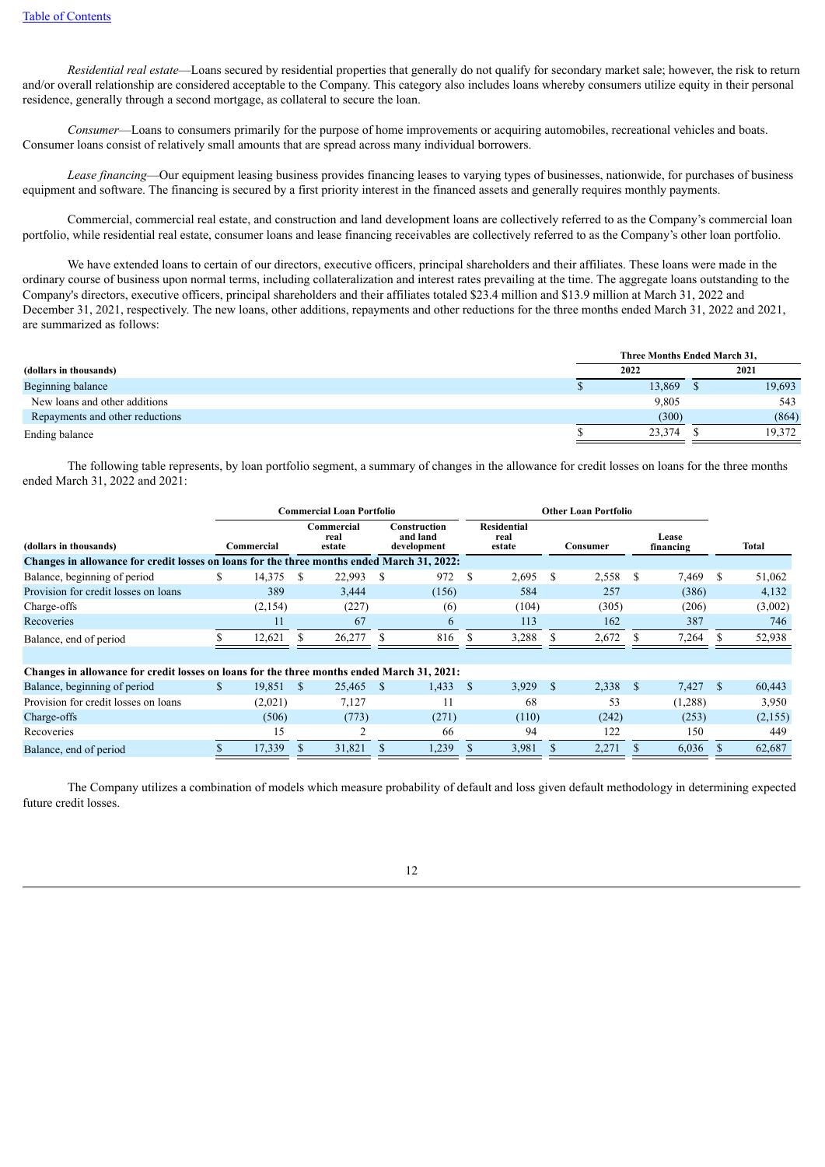*Residential real estate*—Loans secured by residential properties that generally do not qualify for secondary market sale; however, the risk to return and/or overall relationship are considered acceptable to the Company. This category also includes loans whereby consumers utilize equity in their personal residence, generally through a second mortgage, as collateral to secure the loan.

*Consumer*—Loans to consumers primarily for the purpose of home improvements or acquiring automobiles, recreational vehicles and boats. Consumer loans consist of relatively small amounts that are spread across many individual borrowers.

*Lease financing*—Our equipment leasing business provides financing leases to varying types of businesses, nationwide, for purchases of business equipment and software. The financing is secured by a first priority interest in the financed assets and generally requires monthly payments.

Commercial, commercial real estate, and construction and land development loans are collectively referred to as the Company's commercial loan portfolio, while residential real estate, consumer loans and lease financing receivables are collectively referred to as the Company's other loan portfolio.

We have extended loans to certain of our directors, executive officers, principal shareholders and their affiliates. These loans were made in the ordinary course of business upon normal terms, including collateralization and interest rates prevailing at the time. The aggregate loans outstanding to the Company's directors, executive officers, principal shareholders and their affiliates totaled \$23.4 million and \$13.9 million at March 31, 2022 and December 31, 2021, respectively. The new loans, other additions, repayments and other reductions for the three months ended March 31, 2022 and 2021, are summarized as follows:

|                                 | Three Months Ended March 31, |        |  |        |  |  |  |  |  |  |
|---------------------------------|------------------------------|--------|--|--------|--|--|--|--|--|--|
| (dollars in thousands)          |                              | 2022   |  | 2021   |  |  |  |  |  |  |
| Beginning balance               |                              | 13,869 |  | 19,693 |  |  |  |  |  |  |
| New loans and other additions   |                              | 9,805  |  | 543    |  |  |  |  |  |  |
| Repayments and other reductions |                              | (300)  |  | (864)  |  |  |  |  |  |  |
| Ending balance                  |                              | 23.374 |  | 19.372 |  |  |  |  |  |  |

The following table represents, by loan portfolio segment, a summary of changes in the allowance for credit losses on loans for the three months ended March 31, 2022 and 2021:

|                                                                                            |    |            | <b>Commercial Loan Portfolio</b> |                              |          | <b>Other Loan Portfolio</b>             |    |                                      |    |          |     |                    |      |         |
|--------------------------------------------------------------------------------------------|----|------------|----------------------------------|------------------------------|----------|-----------------------------------------|----|--------------------------------------|----|----------|-----|--------------------|------|---------|
| (dollars in thousands)                                                                     |    | Commercial |                                  | Commercial<br>real<br>estate |          | Construction<br>and land<br>development |    | <b>Residential</b><br>real<br>estate |    | Consumer |     | Lease<br>financing |      | Total   |
| Changes in allowance for credit losses on loans for the three months ended March 31, 2022: |    |            |                                  |                              |          |                                         |    |                                      |    |          |     |                    |      |         |
| Balance, beginning of period                                                               | S  | 14,375     | \$.                              | 22,993                       | £.       | 972                                     | S  | 2,695                                | S  | 2,558    | -S  | 7.469              | S    | 51,062  |
| Provision for credit losses on loans                                                       |    | 389        |                                  | 3,444                        |          | (156)                                   |    | 584                                  |    | 257      |     | (386)              |      | 4,132   |
| Charge-offs                                                                                |    | (2,154)    |                                  | (227)                        |          | (6)                                     |    | (104)                                |    | (305)    |     | (206)              |      | (3,002) |
| Recoveries                                                                                 |    | 11         |                                  | 67                           |          | 6                                       |    | 113                                  |    | 162      |     | 387                |      | 746     |
| Balance, end of period                                                                     |    | 12,621     |                                  | 26,277                       |          | 816                                     |    | 3,288                                |    | 2,672    |     | 7,264              |      | 52,938  |
|                                                                                            |    |            |                                  |                              |          |                                         |    |                                      |    |          |     |                    |      |         |
| Changes in allowance for credit losses on loans for the three months ended March 31, 2021: |    |            |                                  |                              |          |                                         |    |                                      |    |          |     |                    |      |         |
| Balance, beginning of period                                                               | S. | 19,851     | <sup>\$</sup>                    | 25,465                       | $\sim$ S | 1,433                                   | -S | 3,929                                | -S | 2,338    | - S | 7,427              | - \$ | 60,443  |
| Provision for credit losses on loans                                                       |    | (2,021)    |                                  | 7,127                        |          |                                         |    | 68                                   |    | 53       |     | (1,288)            |      | 3,950   |
| Charge-offs                                                                                |    | (506)      |                                  | (773)                        |          | (271)                                   |    | (110)                                |    | (242)    |     | (253)              |      | (2,155) |
| Recoveries                                                                                 |    | 15         |                                  |                              |          | 66                                      |    | 94                                   |    | 122      |     | 150                |      | 449     |
| Balance, end of period                                                                     |    | 17,339     |                                  | 31,821                       |          | 1,239                                   |    | 3,981                                |    | 2,271    |     | 6,036              |      | 62,687  |

The Company utilizes a combination of models which measure probability of default and loss given default methodology in determining expected future credit losses.

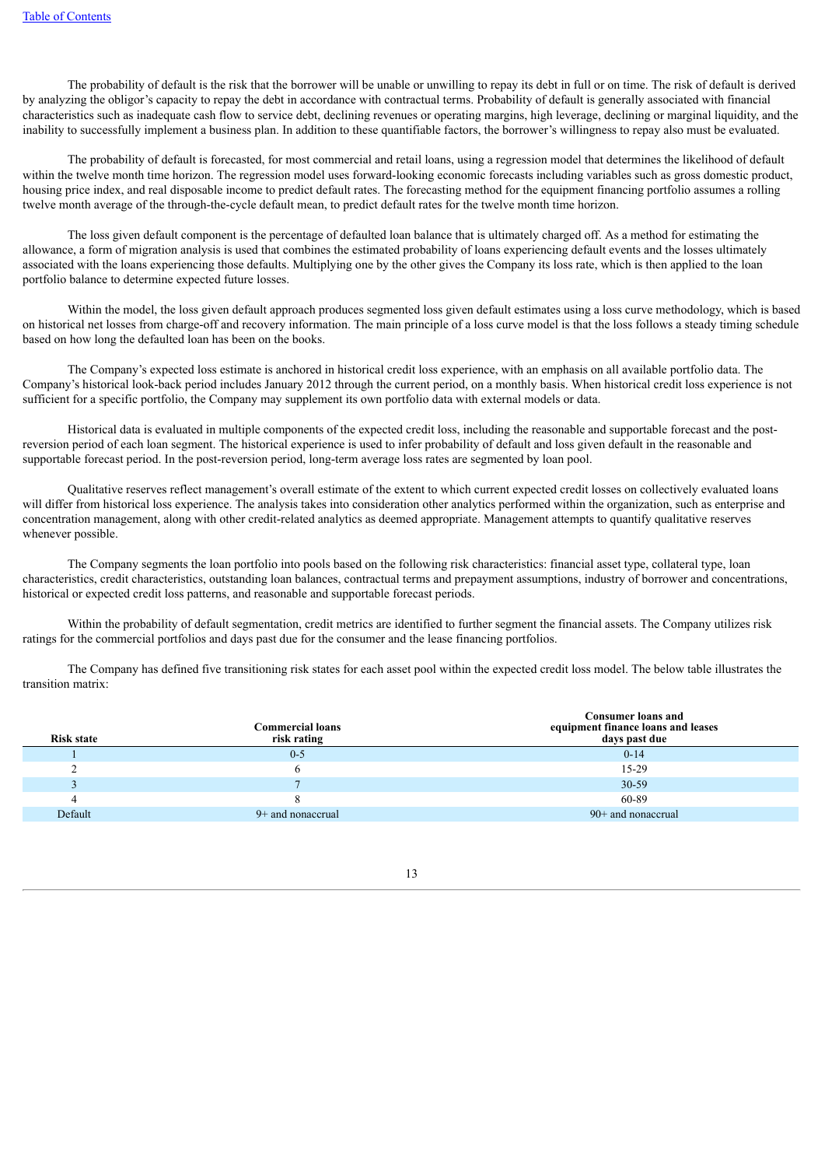The probability of default is the risk that the borrower will be unable or unwilling to repay its debt in full or on time. The risk of default is derived by analyzing the obligor's capacity to repay the debt in accordance with contractual terms. Probability of default is generally associated with financial characteristics such as inadequate cash flow to service debt, declining revenues or operating margins, high leverage, declining or marginal liquidity, and the inability to successfully implement a business plan. In addition to these quantifiable factors, the borrower's willingness to repay also must be evaluated.

The probability of default is forecasted, for most commercial and retail loans, using a regression model that determines the likelihood of default within the twelve month time horizon. The regression model uses forward-looking economic forecasts including variables such as gross domestic product, housing price index, and real disposable income to predict default rates. The forecasting method for the equipment financing portfolio assumes a rolling twelve month average of the through-the-cycle default mean, to predict default rates for the twelve month time horizon.

The loss given default component is the percentage of defaulted loan balance that is ultimately charged off. As a method for estimating the allowance, a form of migration analysis is used that combines the estimated probability of loans experiencing default events and the losses ultimately associated with the loans experiencing those defaults. Multiplying one by the other gives the Company its loss rate, which is then applied to the loan portfolio balance to determine expected future losses.

Within the model, the loss given default approach produces segmented loss given default estimates using a loss curve methodology, which is based on historical net losses from charge-off and recovery information. The main principle of a loss curve model is that the loss follows a steady timing schedule based on how long the defaulted loan has been on the books.

The Company's expected loss estimate is anchored in historical credit loss experience, with an emphasis on all available portfolio data. The Company's historical look-back period includes January 2012 through the current period, on a monthly basis. When historical credit loss experience is not sufficient for a specific portfolio, the Company may supplement its own portfolio data with external models or data.

Historical data is evaluated in multiple components of the expected credit loss, including the reasonable and supportable forecast and the postreversion period of each loan segment. The historical experience is used to infer probability of default and loss given default in the reasonable and supportable forecast period. In the post-reversion period, long-term average loss rates are segmented by loan pool.

Qualitative reserves reflect management's overall estimate of the extent to which current expected credit losses on collectively evaluated loans will differ from historical loss experience. The analysis takes into consideration other analytics performed within the organization, such as enterprise and concentration management, along with other credit-related analytics as deemed appropriate. Management attempts to quantify qualitative reserves whenever possible.

The Company segments the loan portfolio into pools based on the following risk characteristics: financial asset type, collateral type, loan characteristics, credit characteristics, outstanding loan balances, contractual terms and prepayment assumptions, industry of borrower and concentrations, historical or expected credit loss patterns, and reasonable and supportable forecast periods.

Within the probability of default segmentation, credit metrics are identified to further segment the financial assets. The Company utilizes risk ratings for the commercial portfolios and days past due for the consumer and the lease financing portfolios.

The Company has defined five transitioning risk states for each asset pool within the expected credit loss model. The below table illustrates the transition matrix:

| <b>Risk state</b> | <b>Commercial loans</b><br>risk rating | <b>Consumer loans and</b><br>equipment finance loans and leases<br>days past due |
|-------------------|----------------------------------------|----------------------------------------------------------------------------------|
|                   | $0 - 5$                                | $0 - 14$                                                                         |
|                   |                                        | 15-29                                                                            |
|                   | n                                      |                                                                                  |
|                   |                                        | 30-59                                                                            |
|                   |                                        | 60-89                                                                            |
| Default           | $9+$ and nonaccrual                    | $90+$ and nonaccrual                                                             |
|                   |                                        |                                                                                  |

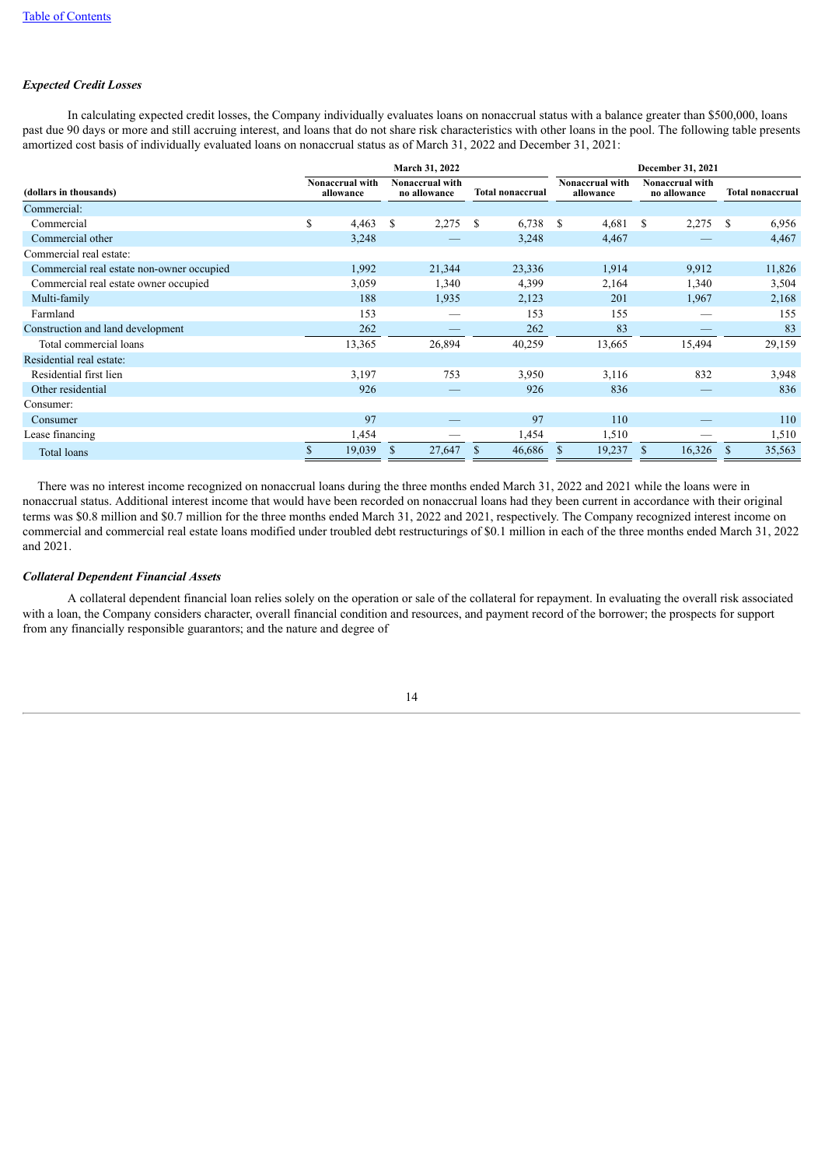## *Expected Credit Losses*

In calculating expected credit losses, the Company individually evaluates loans on nonaccrual status with a balance greater than \$500,000, loans past due 90 days or more and still accruing interest, and loans that do not share risk characteristics with other loans in the pool. The following table presents amortized cost basis of individually evaluated loans on nonaccrual status as of March 31, 2022 and December 31, 2021:

|                                           |                                     | March 31, 2022                         |                         | December 31, 2021 |                                     |                                        |                     |  |  |
|-------------------------------------------|-------------------------------------|----------------------------------------|-------------------------|-------------------|-------------------------------------|----------------------------------------|---------------------|--|--|
| (dollars in thousands)                    | <b>Nonaccrual with</b><br>allowance | <b>Nonaccrual with</b><br>no allowance | <b>Total nonaccrual</b> |                   | <b>Nonaccrual with</b><br>allowance | <b>Nonaccrual with</b><br>no allowance | Total nonaccrual    |  |  |
| Commercial:                               |                                     |                                        |                         |                   |                                     |                                        |                     |  |  |
| Commercial                                | \$<br>4,463                         | 2,275<br>-S                            | 6,738<br>- \$           |                   | 4,681<br>- S                        | 2,275<br>-S                            | $^{\circ}$<br>6,956 |  |  |
| Commercial other                          | 3,248                               |                                        | 3,248                   |                   | 4,467                               |                                        | 4,467               |  |  |
| Commercial real estate:                   |                                     |                                        |                         |                   |                                     |                                        |                     |  |  |
| Commercial real estate non-owner occupied | 1,992                               | 21,344                                 | 23,336                  |                   | 1,914                               | 9,912                                  | 11,826              |  |  |
| Commercial real estate owner occupied     | 3,059                               | 1,340                                  | 4,399                   |                   | 2,164                               | 1,340                                  | 3,504               |  |  |
| Multi-family                              | 188                                 | 1,935                                  | 2,123                   |                   | 201                                 | 1,967                                  | 2,168               |  |  |
| Farmland                                  | 153                                 | –                                      |                         | 153               | 155                                 |                                        | 155                 |  |  |
| Construction and land development         | 262                                 |                                        |                         | 262               | 83                                  |                                        | 83                  |  |  |
| Total commercial loans                    | 13,365                              | 26,894                                 | 40,259                  |                   | 13,665                              | 15,494                                 | 29,159              |  |  |
| Residential real estate:                  |                                     |                                        |                         |                   |                                     |                                        |                     |  |  |
| Residential first lien                    | 3,197                               | 753                                    | 3,950                   |                   | 3,116                               | 832                                    | 3,948               |  |  |
| Other residential                         | 926                                 |                                        |                         | 926               | 836                                 |                                        | 836                 |  |  |
| Consumer:                                 |                                     |                                        |                         |                   |                                     |                                        |                     |  |  |
| Consumer                                  | 97                                  |                                        |                         | 97                | 110                                 |                                        | 110                 |  |  |
| Lease financing                           | 1,454                               |                                        | 1,454                   |                   | 1,510                               |                                        | 1,510               |  |  |
| <b>Total loans</b>                        | 19,039                              | 27,647<br><b>S</b>                     | 46,686<br>-S            |                   | 19,237                              | 16,326<br><sup>\$</sup>                | 35,563              |  |  |

There was no interest income recognized on nonaccrual loans during the three months ended March 31, 2022 and 2021 while the loans were in nonaccrual status. Additional interest income that would have been recorded on nonaccrual loans had they been current in accordance with their original terms was \$0.8 million and \$0.7 million for the three months ended March 31, 2022 and 2021, respectively. The Company recognized interest income on commercial and commercial real estate loans modified under troubled debt restructurings of \$0.1 million in each of the three months ended March 31, 2022 and 2021.

### *Collateral Dependent Financial Assets*

A collateral dependent financial loan relies solely on the operation or sale of the collateral for repayment. In evaluating the overall risk associated with a loan, the Company considers character, overall financial condition and resources, and payment record of the borrower; the prospects for support from any financially responsible guarantors; and the nature and degree of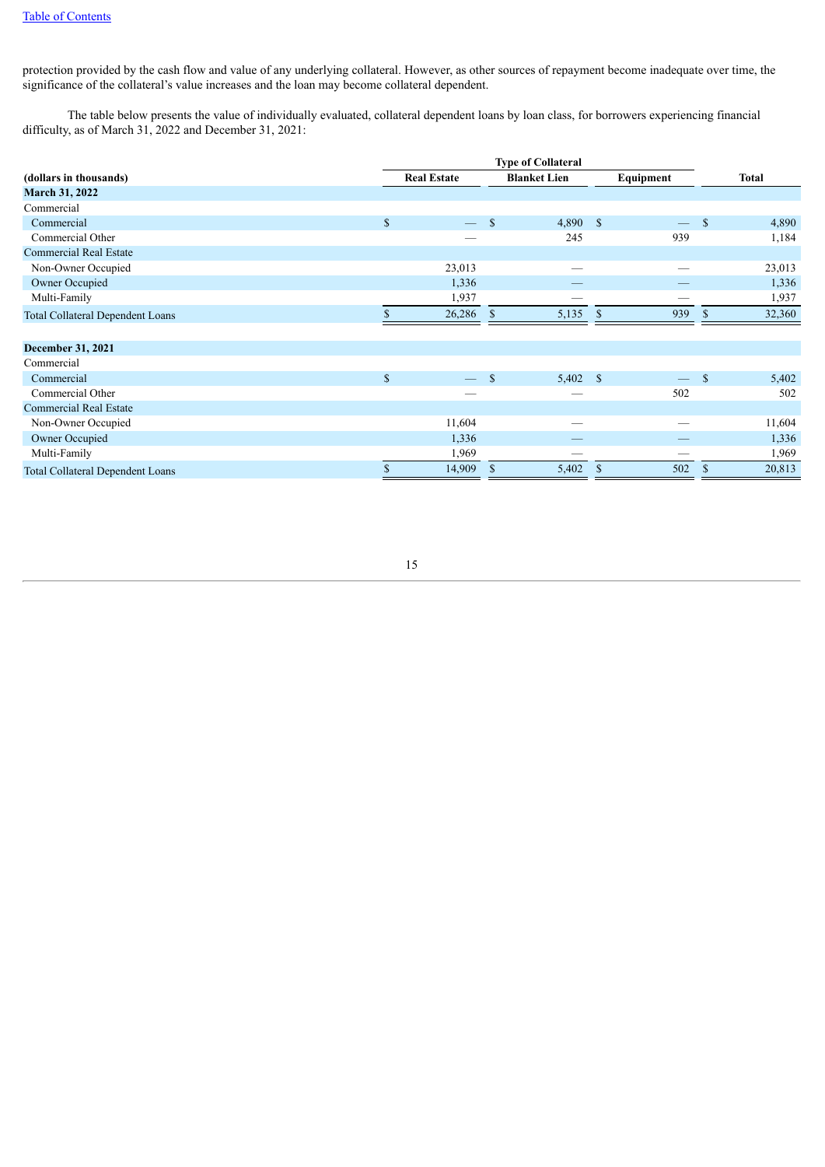protection provided by the cash flow and value of any underlying collateral. However, as other sources of repayment become inadequate over time, the significance of the collateral's value increases and the loan may become collateral dependent.

The table below presents the value of individually evaluated, collateral dependent loans by loan class, for borrowers experiencing financial difficulty, as of March 31, 2022 and December 31, 2021:

| (dollars in thousands)                  |              | <b>Real Estate</b>       |               | <b>Blanket Lien</b> |              | Equipment |               | Total  |
|-----------------------------------------|--------------|--------------------------|---------------|---------------------|--------------|-----------|---------------|--------|
| March 31, 2022                          |              |                          |               |                     |              |           |               |        |
| Commercial                              |              |                          |               |                     |              |           |               |        |
| Commercial                              | $\mathbb{S}$ | $\overline{\phantom{m}}$ | <sup>\$</sup> | 4,890               | <sup>S</sup> |           | <sup>S</sup>  | 4,890  |
| Commercial Other                        |              |                          |               | 245                 |              | 939       |               | 1,184  |
| <b>Commercial Real Estate</b>           |              |                          |               |                     |              |           |               |        |
| Non-Owner Occupied                      |              | 23,013                   |               | __                  |              |           |               | 23,013 |
| Owner Occupied                          |              | 1,336                    |               | _                   |              |           |               | 1,336  |
| Multi-Family                            |              | 1,937                    |               |                     |              |           |               | 1,937  |
| <b>Total Collateral Dependent Loans</b> |              | 26,286                   | $\mathbb{S}$  | 5,135               | \$           | 939       | <sup>\$</sup> | 32,360 |
| <b>December 31, 2021</b>                |              |                          |               |                     |              |           |               |        |
| Commercial                              |              |                          |               |                     |              |           |               |        |
| Commercial                              | \$           | $\overline{\phantom{0}}$ | $\mathbb{S}$  | 5,402               | -S           |           | $\mathbb{S}$  | 5,402  |
| Commercial Other                        |              |                          |               |                     |              | 502       |               | 502    |
| <b>Commercial Real Estate</b>           |              |                          |               |                     |              |           |               |        |
| Non-Owner Occupied                      |              | 11,604                   |               |                     |              |           |               | 11,604 |
| Owner Occupied                          |              | 1,336                    |               |                     |              |           |               | 1,336  |
| Multi-Family                            |              | 1,969                    |               |                     |              |           |               | 1,969  |
| <b>Total Collateral Dependent Loans</b> | \$           | 14,909                   | \$            | 5,402               | \$           | 502       | S             | 20,813 |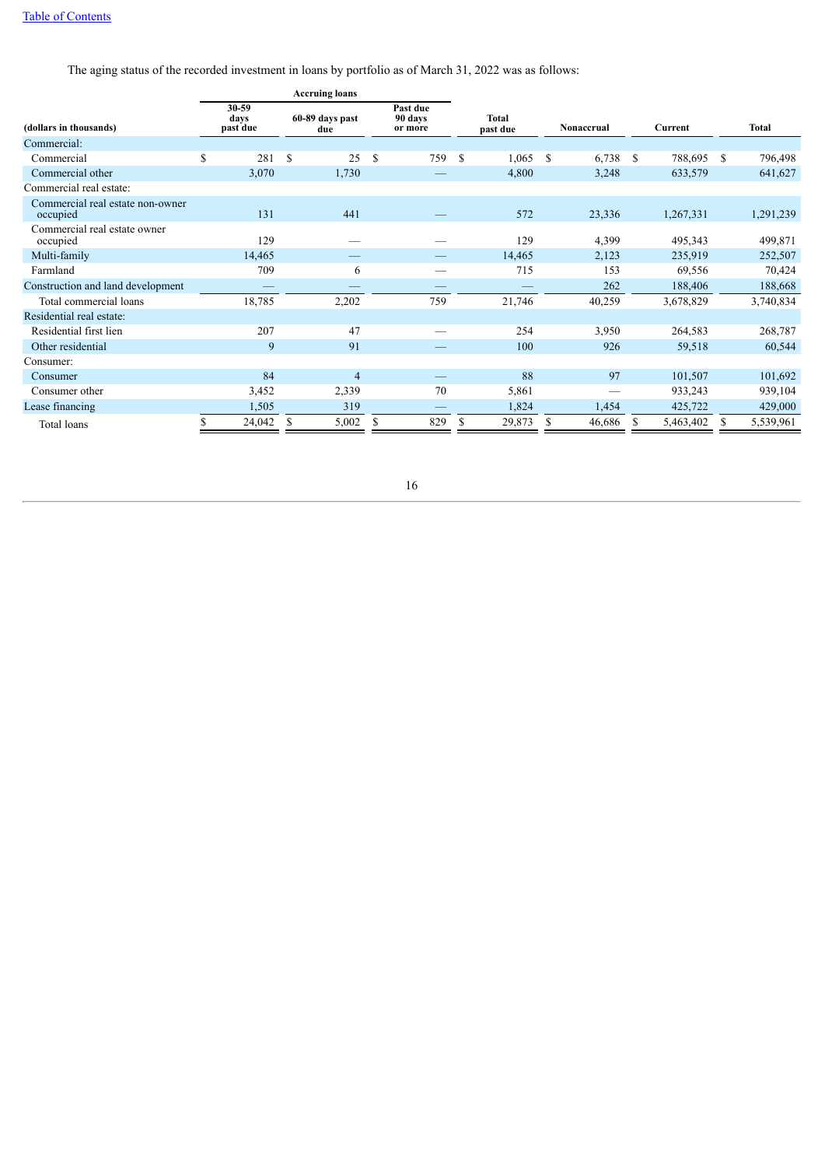The aging status of the recorded investment in loans by portfolio as of March 31, 2022 was as follows:

|                                              |                           | <b>Accruing loans</b> |                        |               |                                |    |                          |               |            |    |           |              |              |
|----------------------------------------------|---------------------------|-----------------------|------------------------|---------------|--------------------------------|----|--------------------------|---------------|------------|----|-----------|--------------|--------------|
| (dollars in thousands)                       | 30-59<br>davs<br>past due |                       | 60-89 days past<br>due |               | Past due<br>90 days<br>or more |    | <b>Total</b><br>past due |               | Nonaccrual |    | Current   |              | <b>Total</b> |
| Commercial:                                  |                           |                       |                        |               |                                |    |                          |               |            |    |           |              |              |
| Commercial                                   | \$<br>281                 | -S                    | 25                     | <sup>\$</sup> | 759                            | -S | 1,065                    | <sup>\$</sup> | 6,738      | -S | 788,695   | <sup>S</sup> | 796,498      |
| Commercial other                             | 3,070                     |                       | 1,730                  |               |                                |    | 4,800                    |               | 3,248      |    | 633,579   |              | 641,627      |
| Commercial real estate:                      |                           |                       |                        |               |                                |    |                          |               |            |    |           |              |              |
| Commercial real estate non-owner<br>occupied | 131                       |                       | 441                    |               |                                |    | 572                      |               | 23,336     |    | 1,267,331 |              | 1,291,239    |
| Commercial real estate owner<br>occupied     | 129                       |                       |                        |               |                                |    | 129                      |               | 4,399      |    | 495,343   |              | 499,871      |
| Multi-family                                 | 14,465                    |                       |                        |               |                                |    | 14,465                   |               | 2,123      |    | 235,919   |              | 252,507      |
| Farmland                                     | 709                       |                       | 6                      |               |                                |    | 715                      |               | 153        |    | 69,556    |              | 70,424       |
| Construction and land development            |                           |                       |                        |               |                                |    |                          |               | 262        |    | 188,406   |              | 188,668      |
| Total commercial loans                       | 18,785                    |                       | 2,202                  |               | 759                            |    | 21,746                   |               | 40,259     |    | 3,678,829 |              | 3,740,834    |
| Residential real estate:                     |                           |                       |                        |               |                                |    |                          |               |            |    |           |              |              |
| Residential first lien                       | 207                       |                       | 47                     |               |                                |    | 254                      |               | 3,950      |    | 264,583   |              | 268,787      |
| Other residential                            | 9                         |                       | 91                     |               |                                |    | 100                      |               | 926        |    | 59,518    |              | 60,544       |
| Consumer:                                    |                           |                       |                        |               |                                |    |                          |               |            |    |           |              |              |
| Consumer                                     | 84                        |                       | $\overline{4}$         |               |                                |    | 88                       |               | 97         |    | 101,507   |              | 101,692      |
| Consumer other                               | 3,452                     |                       | 2,339                  |               | 70                             |    | 5,861                    |               |            |    | 933,243   |              | 939,104      |
| Lease financing                              | 1,505                     |                       | 319                    |               |                                |    | 1,824                    |               | 1,454      |    | 425,722   |              | 429,000      |
| Total loans                                  | 24,042                    | S                     | 5,002                  |               | 829                            |    | 29,873                   |               | 46,686     |    | 5,463,402 |              | 5,539,961    |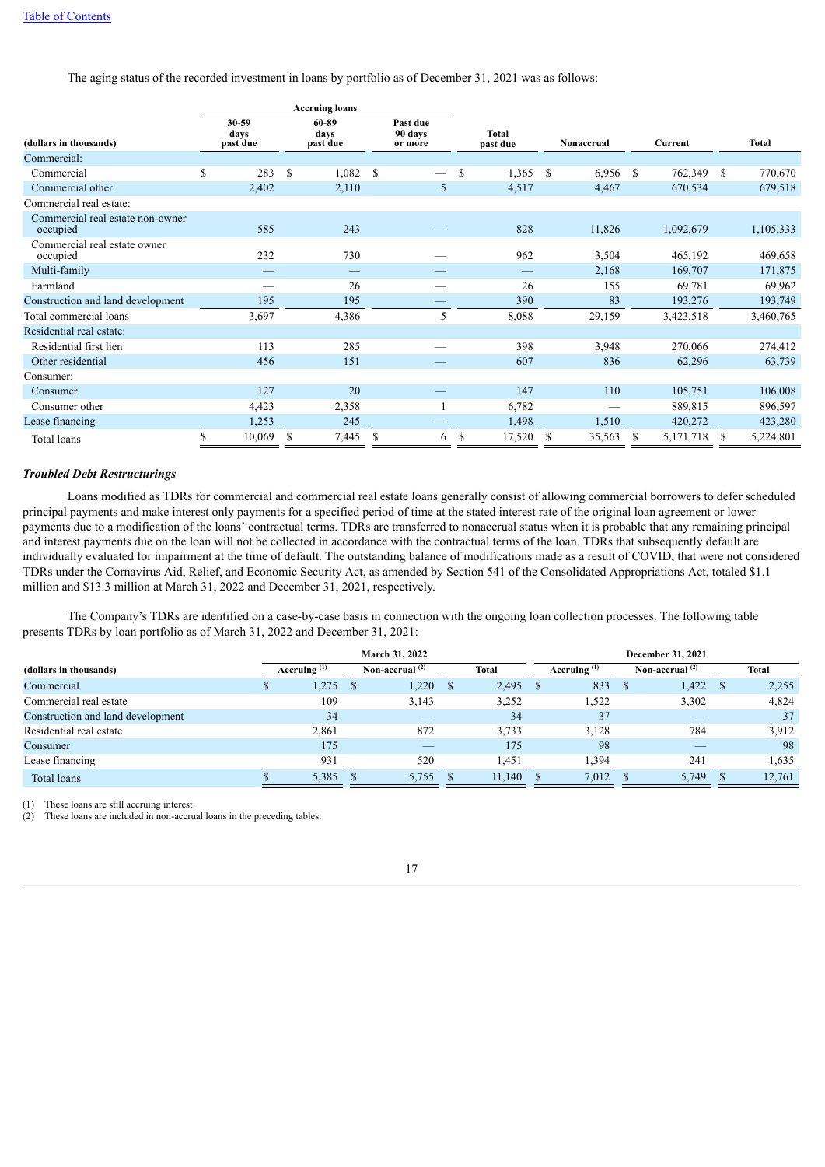The aging status of the recorded investment in loans by portfolio as of December 31, 2021 was as follows:

| <b>Accruing loans</b>                        |    |                           |               |                           |               |                                |               |                          |               |            |               |           |               |              |
|----------------------------------------------|----|---------------------------|---------------|---------------------------|---------------|--------------------------------|---------------|--------------------------|---------------|------------|---------------|-----------|---------------|--------------|
| (dollars in thousands)                       |    | 30-59<br>days<br>past due |               | 60-89<br>davs<br>past due |               | Past due<br>90 days<br>or more |               | <b>Total</b><br>past due |               | Nonaccrual |               | Current   |               | <b>Total</b> |
| Commercial:                                  |    |                           |               |                           |               |                                |               |                          |               |            |               |           |               |              |
| Commercial                                   | \$ | 283                       | <sup>\$</sup> | 1,082                     | <sup>\$</sup> | $\overline{\phantom{0}}$       | <sup>\$</sup> | 1,365                    | -S            | 6,956      | <sup>\$</sup> | 762,349   | -S            | 770,670      |
| Commercial other                             |    | 2,402                     |               | 2,110                     |               | 5                              |               | 4,517                    |               | 4,467      |               | 670,534   |               | 679,518      |
| Commercial real estate:                      |    |                           |               |                           |               |                                |               |                          |               |            |               |           |               |              |
| Commercial real estate non-owner<br>occupied |    | 585                       |               | 243                       |               |                                |               | 828                      |               | 11,826     |               | 1,092,679 |               | 1,105,333    |
| Commercial real estate owner<br>occupied     |    | 232                       |               | 730                       |               |                                |               | 962                      |               | 3,504      |               | 465,192   |               | 469,658      |
| Multi-family                                 |    |                           |               | –                         |               |                                |               |                          |               | 2,168      |               | 169,707   |               | 171,875      |
| Farmland                                     |    |                           |               | 26                        |               | --                             |               | 26                       |               | 155        |               | 69,781    |               | 69,962       |
| Construction and land development            |    | 195                       |               | 195                       |               | -                              |               | 390                      |               | 83         |               | 193,276   |               | 193,749      |
| Total commercial loans                       |    | 3,697                     |               | 4,386                     |               | 5                              |               | 8,088                    |               | 29,159     |               | 3,423,518 |               | 3,460,765    |
| Residential real estate:                     |    |                           |               |                           |               |                                |               |                          |               |            |               |           |               |              |
| Residential first lien                       |    | 113                       |               | 285                       |               |                                |               | 398                      |               | 3,948      |               | 270,066   |               | 274,412      |
| Other residential                            |    | 456                       |               | 151                       |               |                                |               | 607                      |               | 836        |               | 62,296    |               | 63,739       |
| Consumer:                                    |    |                           |               |                           |               |                                |               |                          |               |            |               |           |               |              |
| Consumer                                     |    | 127                       |               | 20                        |               |                                |               | 147                      |               | 110        |               | 105,751   |               | 106,008      |
| Consumer other                               |    | 4,423                     |               | 2,358                     |               |                                |               | 6,782                    |               |            |               | 889,815   |               | 896,597      |
| Lease financing                              |    | 1,253                     |               | 245                       |               |                                |               | 1,498                    |               | 1,510      |               | 420,272   |               | 423,280      |
| Total loans                                  | S  | 10,069                    | S             | 7,445                     | \$            | 6                              | \$            | 17,520                   | <sup>\$</sup> | 35,563     | \$            | 5,171,718 | <sup>\$</sup> | 5,224,801    |

#### *Troubled Debt Restructurings*

Loans modified as TDRs for commercial and commercial real estate loans generally consist of allowing commercial borrowers to defer scheduled principal payments and make interest only payments for a specified period of time at the stated interest rate of the original loan agreement or lower payments due to a modification of the loans' contractual terms. TDRs are transferred to nonaccrual status when it is probable that any remaining principal and interest payments due on the loan will not be collected in accordance with the contractual terms of the loan. TDRs that subsequently default are individually evaluated for impairment at the time of default. The outstanding balance of modifications made as a result of COVID, that were not considered TDRs under the Cornavirus Aid, Relief, and Economic Security Act, as amended by Section 541 of the Consolidated Appropriations Act, totaled \$1.1 million and \$13.3 million at March 31, 2022 and December 31, 2021, respectively.

The Company's TDRs are identified on a case-by-case basis in connection with the ongoing loan collection processes. The following table presents TDRs by loan portfolio as of March 31, 2022 and December 31, 2021:

|                                   | <b>March 31, 2022</b><br><b>December 31, 2021</b> |  |                   |  |              |                |       |  |                   |  |        |  |  |
|-----------------------------------|---------------------------------------------------|--|-------------------|--|--------------|----------------|-------|--|-------------------|--|--------|--|--|
| (dollars in thousands)            | Accruing $(1)$                                    |  | Non-accrual $(2)$ |  | <b>Total</b> | Accruing $(1)$ |       |  | Non-accrual $(2)$ |  | Total  |  |  |
| Commercial                        | ,275                                              |  | 1,220             |  | 2,495        |                | 833   |  | 1,422             |  | 2,255  |  |  |
| Commercial real estate            | 109                                               |  | 3,143             |  | 3,252        |                | .522  |  | 3,302             |  | 4,824  |  |  |
| Construction and land development | 34                                                |  |                   |  | 34           |                | 37    |  |                   |  | 37     |  |  |
| Residential real estate           | 2,861                                             |  | 872               |  | 3.733        |                | 3,128 |  | 784               |  | 3,912  |  |  |
| Consumer                          | 175                                               |  |                   |  | 175          |                | 98    |  |                   |  | 98     |  |  |
| Lease financing                   | 931                                               |  | 520               |  | 1.451        |                | .394  |  | 241               |  | . 635  |  |  |
| Total loans                       | 5,385                                             |  | 5,755             |  | 11.140       |                | 7,012 |  | 5.749             |  | 12,761 |  |  |

(1) These loans are still accruing interest.

(2) These loans are included in non-accrual loans in the preceding tables.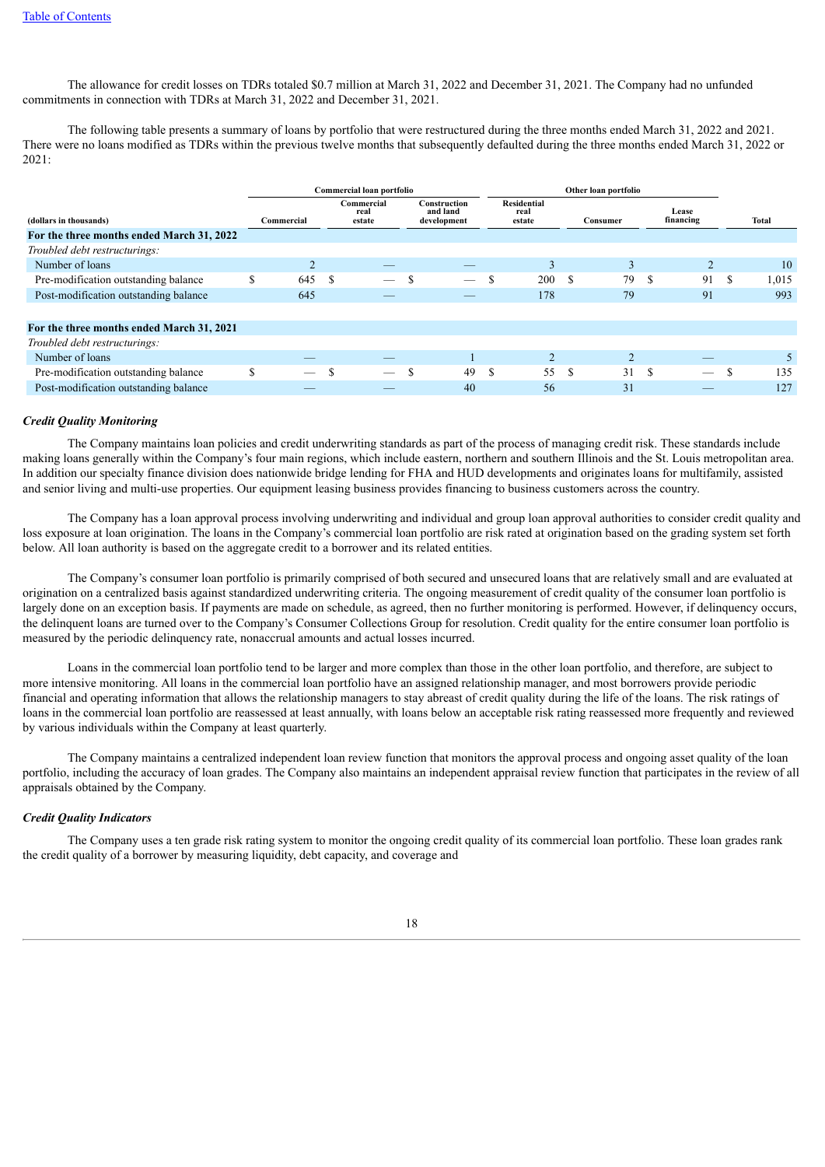The allowance for credit losses on TDRs totaled \$0.7 million at March 31, 2022 and December 31, 2021. The Company had no unfunded commitments in connection with TDRs at March 31, 2022 and December 31, 2021.

The following table presents a summary of loans by portfolio that were restructured during the three months ended March 31, 2022 and 2021. There were no loans modified as TDRs within the previous twelve months that subsequently defaulted during the three months ended March 31, 2022 or 2021:

|                                           | Commercial loan portfolio<br>Other loan portfolio |            |    |                              |   |                                         |   |                                      |    |               |    |                    |        |       |
|-------------------------------------------|---------------------------------------------------|------------|----|------------------------------|---|-----------------------------------------|---|--------------------------------------|----|---------------|----|--------------------|--------|-------|
| (dollars in thousands)                    |                                                   | Commercial |    | Commercial<br>real<br>estate |   | Construction<br>and land<br>development |   | <b>Residential</b><br>real<br>estate |    | Consumer      |    | Lease<br>financing |        | Total |
| For the three months ended March 31, 2022 |                                                   |            |    |                              |   |                                         |   |                                      |    |               |    |                    |        |       |
| Troubled debt restructurings:             |                                                   |            |    |                              |   |                                         |   |                                      |    |               |    |                    |        |       |
| Number of loans                           |                                                   |            |    |                              |   |                                         |   |                                      |    | $\mathcal{R}$ |    |                    |        | 10    |
| Pre-modification outstanding balance      | \$                                                | 645        | -S |                              | У |                                         | э | 200                                  | -S | 79            | -S | 91                 | S      | 1,015 |
| Post-modification outstanding balance     |                                                   | 645        |    |                              |   |                                         |   | 178                                  |    | 79            |    | 91                 |        | 993   |
|                                           |                                                   |            |    |                              |   |                                         |   |                                      |    |               |    |                    |        |       |
| For the three months ended March 31, 2021 |                                                   |            |    |                              |   |                                         |   |                                      |    |               |    |                    |        |       |
| Troubled debt restructurings:             |                                                   |            |    |                              |   |                                         |   |                                      |    |               |    |                    |        |       |
| Number of loans                           |                                                   | __         |    | __                           |   |                                         |   | ◠                                    |    | $\mathcal{D}$ |    | –                  |        |       |
| Pre-modification outstanding balance      | \$                                                | –          | S  | –                            |   | 49                                      | S | 55                                   | -S | 31            | -S |                    | ¢<br>ъ | 135   |
| Post-modification outstanding balance     |                                                   |            |    |                              |   | 40                                      |   | 56                                   |    | 31            |    |                    |        | 127   |

### *Credit Quality Monitoring*

The Company maintains loan policies and credit underwriting standards as part of the process of managing credit risk. These standards include making loans generally within the Company's four main regions, which include eastern, northern and southern Illinois and the St. Louis metropolitan area. In addition our specialty finance division does nationwide bridge lending for FHA and HUD developments and originates loans for multifamily, assisted and senior living and multi-use properties. Our equipment leasing business provides financing to business customers across the country.

The Company has a loan approval process involving underwriting and individual and group loan approval authorities to consider credit quality and loss exposure at loan origination. The loans in the Company's commercial loan portfolio are risk rated at origination based on the grading system set forth below. All loan authority is based on the aggregate credit to a borrower and its related entities.

The Company's consumer loan portfolio is primarily comprised of both secured and unsecured loans that are relatively small and are evaluated at origination on a centralized basis against standardized underwriting criteria. The ongoing measurement of credit quality of the consumer loan portfolio is largely done on an exception basis. If payments are made on schedule, as agreed, then no further monitoring is performed. However, if delinquency occurs, the delinquent loans are turned over to the Company's Consumer Collections Group for resolution. Credit quality for the entire consumer loan portfolio is measured by the periodic delinquency rate, nonaccrual amounts and actual losses incurred.

Loans in the commercial loan portfolio tend to be larger and more complex than those in the other loan portfolio, and therefore, are subject to more intensive monitoring. All loans in the commercial loan portfolio have an assigned relationship manager, and most borrowers provide periodic financial and operating information that allows the relationship managers to stay abreast of credit quality during the life of the loans. The risk ratings of loans in the commercial loan portfolio are reassessed at least annually, with loans below an acceptable risk rating reassessed more frequently and reviewed by various individuals within the Company at least quarterly.

The Company maintains a centralized independent loan review function that monitors the approval process and ongoing asset quality of the loan portfolio, including the accuracy of loan grades. The Company also maintains an independent appraisal review function that participates in the review of all appraisals obtained by the Company.

### *Credit Quality Indicators*

The Company uses a ten grade risk rating system to monitor the ongoing credit quality of its commercial loan portfolio. These loan grades rank the credit quality of a borrower by measuring liquidity, debt capacity, and coverage and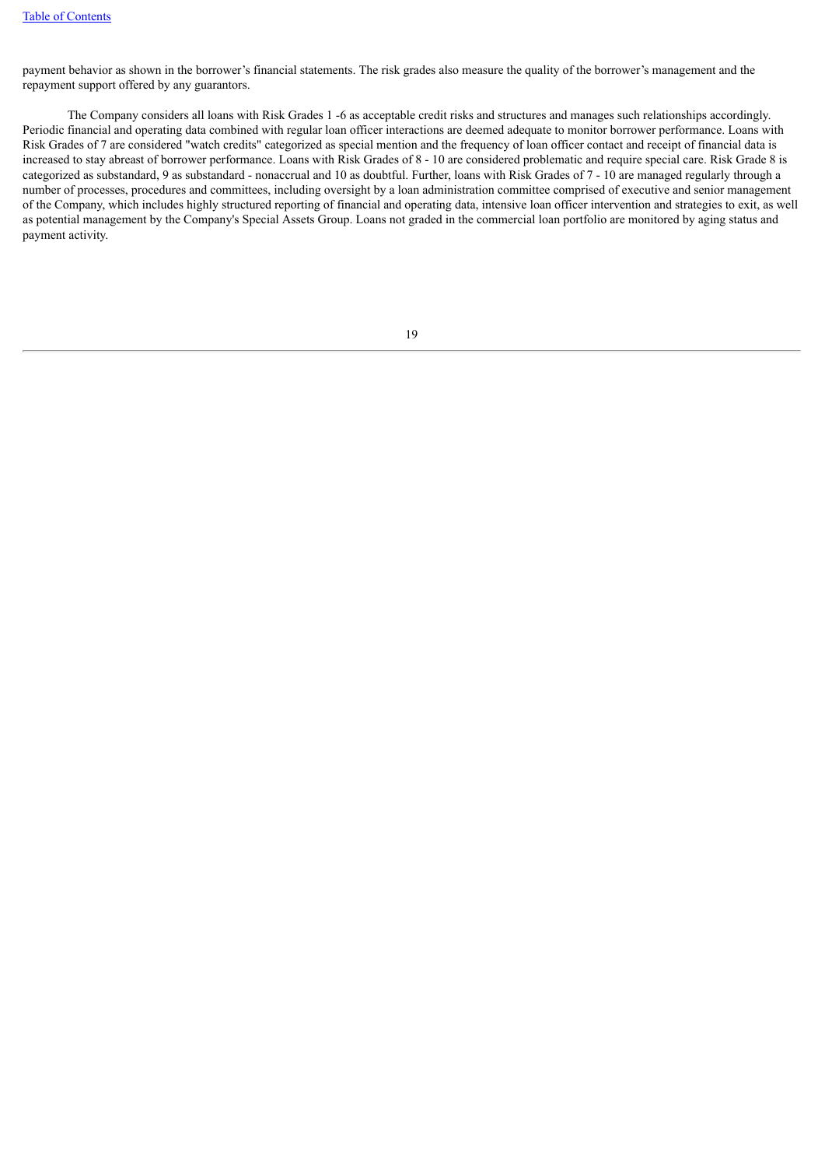payment behavior as shown in the borrower's financial statements. The risk grades also measure the quality of the borrower's management and the repayment support offered by any guarantors.

The Company considers all loans with Risk Grades 1 -6 as acceptable credit risks and structures and manages such relationships accordingly. Periodic financial and operating data combined with regular loan officer interactions are deemed adequate to monitor borrower performance. Loans with Risk Grades of 7 are considered "watch credits" categorized as special mention and the frequency of loan officer contact and receipt of financial data is increased to stay abreast of borrower performance. Loans with Risk Grades of 8 - 10 are considered problematic and require special care. Risk Grade 8 is categorized as substandard, 9 as substandard - nonaccrual and 10 as doubtful. Further, loans with Risk Grades of 7 - 10 are managed regularly through a number of processes, procedures and committees, including oversight by a loan administration committee comprised of executive and senior management of the Company, which includes highly structured reporting of financial and operating data, intensive loan officer intervention and strategies to exit, as well as potential management by the Company's Special Assets Group. Loans not graded in the commercial loan portfolio are monitored by aging status and payment activity.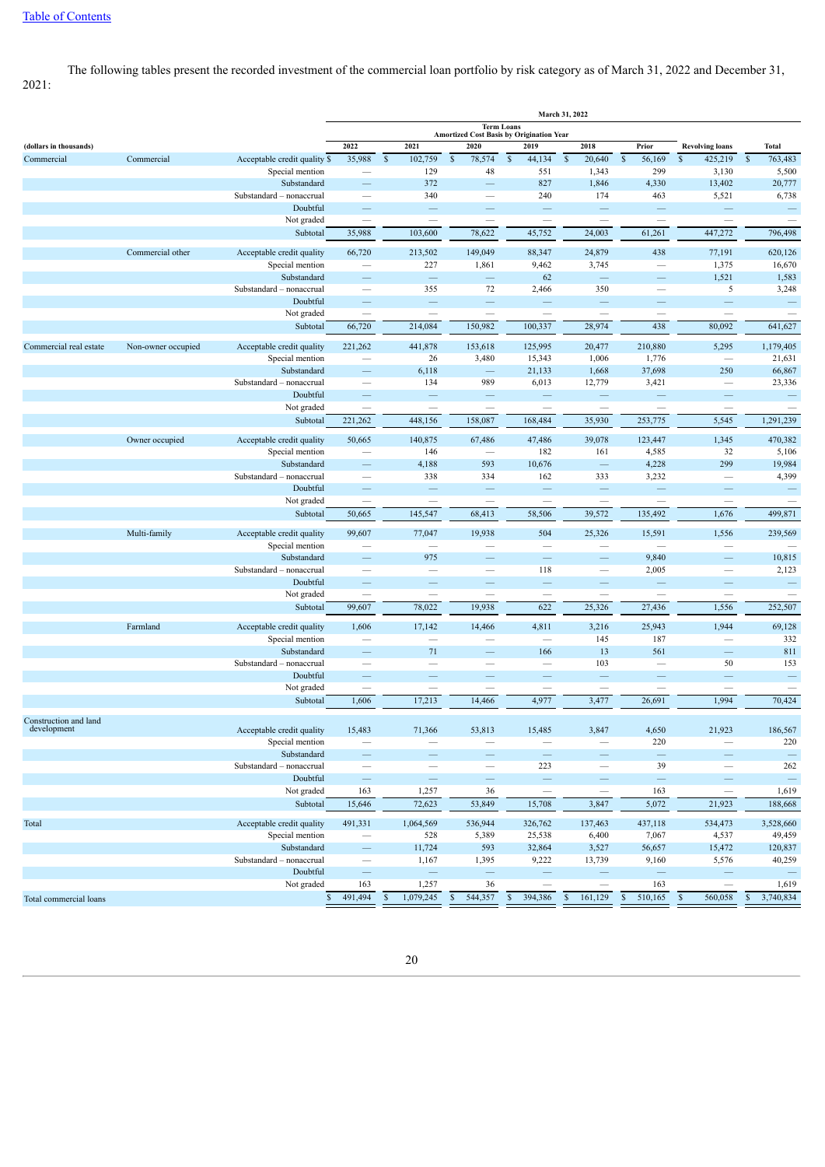The following tables present the recorded investment of the commercial loan portfolio by risk category as of March 31, 2022 and December 31, 2021:

| <b>Term Loans</b><br><b>Amortized Cost Basis by Origination Year</b><br>2022<br>2021<br>2020<br>2019<br>2018<br>Prior<br><b>Revolving loans</b><br><b>Total</b><br>(dollars in thousands)<br>35,988<br>$\mathbf{s}$<br>20,640<br>$\mathbf{s}$<br>56,169<br>$\mathbf{s}$<br>102,759<br>78,574<br>$\mathbf{s}$<br>44,134<br>$\mathbf{\hat{s}}$<br>425,219 \$<br>763,483<br>Commercial<br>Commercial<br>Acceptable credit quality \$<br><sup>S</sup><br>1,343<br>Special mention<br>129<br>48<br>551<br>299<br>3,130<br>5,500<br>372<br>827<br>20,777<br>Substandard<br>1,846<br>4,330<br>13,402<br>$\overline{\phantom{0}}$<br>$\overline{\phantom{0}}$<br>340<br>240<br>174<br>463<br>5,521<br>6,738<br>Substandard - nonaccrual<br>Doubtful<br>—<br>Not graded<br>$\overline{\phantom{m}}$<br>$\overline{\phantom{m}}$<br>$\overline{\phantom{m}}$<br>$\overline{\phantom{m}}$<br>35,988<br>103,600<br>78,622<br>45,752<br>24,003<br>61,261<br>447,272<br>796,498<br>Subtotal<br>Commercial other<br>Acceptable credit quality<br>66,720<br>213,502<br>149,049<br>88,347<br>24,879<br>438<br>77,191<br>620,126<br>Special mention<br>227<br>1,861<br>9,462<br>3,745<br>1,375<br>16,670<br>-<br>Substandard<br>62<br>1,521<br>1,583<br>$\qquad \qquad -$<br>$\overline{\phantom{0}}$<br>$\qquad \qquad -$<br>$\overline{\phantom{0}}$<br>Substandard - nonaccrual<br>355<br>72<br>350<br>5<br>3,248<br>2,466<br>$\overline{\phantom{0}}$<br>$\overline{\phantom{0}}$<br>Doubtful<br>$\equiv$<br>$\overline{\phantom{0}}$<br>a,<br>Not graded<br>$\overline{\phantom{m}}$<br>$\overline{\phantom{m}}$<br>-<br>-<br>100,337<br>28,974<br>438<br>80,092<br>641,627<br>Subtotal<br>66,720<br>214,084<br>150,982<br>Commercial real estate<br>Non-owner occupied<br>Acceptable credit quality<br>221,262<br>441,878<br>153,618<br>125,995<br>20,477<br>210,880<br>5,295<br>1,179,405<br>26<br>3,480<br>15,343<br>1,006<br>1,776<br>21,631<br>Special mention<br>$\overline{\phantom{a}}$<br>6,118<br>21,133<br>37,698<br>250<br>66,867<br>Substandard<br>$\qquad \qquad -$<br>1,668<br>$\qquad \qquad -$<br>Substandard - nonaccrual<br>134<br>989<br>12,779<br>3,421<br>23,336<br>6,013<br>$\overline{\phantom{0}}$<br>$\overline{\phantom{m}}$<br>Doubtful<br>—<br>-<br>-<br>-<br>Not graded<br>$\overline{\phantom{m}}$<br>$\overline{\phantom{0}}$<br>$\overline{\phantom{0}}$<br>$\overline{\phantom{0}}$<br>448,156<br>35,930<br>253,775<br>5,545<br>1,291,239<br>Subtotal<br>221,262<br>158,087<br>168,484<br>Owner occupied<br>Acceptable credit quality<br>50,665<br>140,875<br>67,486<br>47,486<br>39,078<br>123,447<br>1,345<br>470,382<br>146<br>182<br>Special mention<br>161<br>4,585<br>32<br>5,106<br>593<br>Substandard<br>4,188<br>10,676<br>$\qquad \qquad -$<br>4,228<br>299<br>19,984<br>$\overline{\phantom{0}}$<br>4,399<br>Substandard - nonaccrual<br>338<br>334<br>162<br>333<br>3,232<br>$\overline{\phantom{0}}$<br>Doubtful<br>$\equiv$<br>-<br>$\overline{\phantom{0}}$<br>$\overline{\phantom{0}}$<br>a,<br>Not graded<br>$\overline{\phantom{m}}$<br>$\overline{\phantom{0}}$<br>$\overline{\phantom{m}}$<br>-<br>145,547<br>68,413<br>58,506<br>39,572<br>135,492<br>1,676<br>499,871<br>Subtotal<br>50,665<br>Multi-family<br>Acceptable credit quality<br>99,607<br>77,047<br>19,938<br>504<br>25,326<br>15,591<br>1,556<br>239,569<br>Special mention<br>-<br>-<br>-<br>-<br>Substandard<br>975<br>9,840<br>10,815<br>$\overline{\phantom{0}}$<br>$\overline{\phantom{0}}$<br>$\qquad \qquad -$<br>118<br>2,005<br>2,123<br>Substandard - nonaccrual<br>$\overline{\phantom{0}}$<br>$\qquad \qquad -$<br>$\overline{\phantom{0}}$<br>$\qquad \qquad -$<br>$\overline{\phantom{0}}$<br>Doubtful<br>—<br>Not graded<br>$\overline{\phantom{0}}$<br>$\overline{\phantom{0}}$<br>$\overline{\phantom{0}}$<br>$\overbrace{\phantom{123221111}}$<br>$\overline{\phantom{0}}$<br>99,607<br>78,022<br>19,938<br>622<br>25,326<br>27,436<br>1,556<br>252,507<br>Subtotal<br>Farmland<br>Acceptable credit quality<br>1,606<br>17,142<br>14,466<br>4,811<br>3,216<br>25,943<br>1,944<br>69,128<br>Special mention<br>145<br>187<br>332<br>▃<br>÷<br>-<br>71<br>561<br>Substandard<br>166<br>13<br>811<br>$\overline{\phantom{0}}$<br>$\overline{\phantom{m}}$<br>$\overline{\phantom{0}}$<br>Substandard - nonaccrual<br>103<br>153<br>50<br>-<br>Doubtful<br>Not graded<br>Subtotal<br>17,213<br>4,977<br>3,477<br>1,994<br>70,424<br>1,606<br>14,466<br>26,691<br>Construction and land<br>15,483<br>53813<br>15 485<br>3847<br>21 923<br>186,567<br>development<br>Acceptable credit quality<br>71 366<br>4,650<br>220<br>220<br>Special mention<br>Substandard<br>$\qquad \qquad -$<br>-<br>Substandard - nonaccrual<br>223<br>39<br>262<br>$\overline{\phantom{0}}$<br>$\overline{\phantom{0}}$<br>-<br>$\overline{\phantom{0}}$<br>$\overline{\phantom{a}}$<br>Doubtful<br>$\qquad \qquad -$<br>$\qquad \qquad -$<br>$\qquad \qquad -$<br>$\qquad \qquad -$<br>-<br>—<br>-<br>-<br>163<br>36<br>Not graded<br>1,257<br>163<br>1,619<br>-<br>72,623<br>Subtotal<br>15,646<br>53,849<br>15,708<br>3,847<br>5,072<br>21,923<br>188,668<br>Acceptable credit quality<br>Total<br>491,331<br>1,064,569<br>536,944<br>326,762<br>137,463<br>437,118<br>534,473<br>3,528,660<br>Special mention<br>528<br>5,389<br>25,538<br>6,400<br>7,067<br>4,537<br>49,459<br>$\overline{\phantom{0}}$<br>593<br>Substandard<br>11,724<br>32,864<br>3,527<br>56,657<br>15,472<br>120,837<br>Substandard - nonaccrual<br>1,167<br>1,395<br>9,222<br>13,739<br>9,160<br>5,576<br>40,259<br>$\overline{\phantom{m}}$ |  |          | March 31, 2022           |  |                   |  |                          |                          |  |                   |  |                   |  |                   |  |
|--------------------------------------------------------------------------------------------------------------------------------------------------------------------------------------------------------------------------------------------------------------------------------------------------------------------------------------------------------------------------------------------------------------------------------------------------------------------------------------------------------------------------------------------------------------------------------------------------------------------------------------------------------------------------------------------------------------------------------------------------------------------------------------------------------------------------------------------------------------------------------------------------------------------------------------------------------------------------------------------------------------------------------------------------------------------------------------------------------------------------------------------------------------------------------------------------------------------------------------------------------------------------------------------------------------------------------------------------------------------------------------------------------------------------------------------------------------------------------------------------------------------------------------------------------------------------------------------------------------------------------------------------------------------------------------------------------------------------------------------------------------------------------------------------------------------------------------------------------------------------------------------------------------------------------------------------------------------------------------------------------------------------------------------------------------------------------------------------------------------------------------------------------------------------------------------------------------------------------------------------------------------------------------------------------------------------------------------------------------------------------------------------------------------------------------------------------------------------------------------------------------------------------------------------------------------------------------------------------------------------------------------------------------------------------------------------------------------------------------------------------------------------------------------------------------------------------------------------------------------------------------------------------------------------------------------------------------------------------------------------------------------------------------------------------------------------------------------------------------------------------------------------------------------------------------------------------------------------------------------------------------------------------------------------------------------------------------------------------------------------------------------------------------------------------------------------------------------------------------------------------------------------------------------------------------------------------------------------------------------------------------------------------------------------------------------------------------------------------------------------------------------------------------------------------------------------------------------------------------------------------------------------------------------------------------------------------------------------------------------------------------------------------------------------------------------------------------------------------------------------------------------------------------------------------------------------------------------------------------------------------------------------------------------------------------------------------------------------------------------------------------------------------------------------------------------------------------------------------------------------------------------------------------------------------------------------------------------------------------------------------------------------------------------------------------------------------------------------------------------------------------------------------------------------------------------------------------------------------------------------------------------------------------------------------------------------------------------------------------------------------------------------------------------------------------------------------------------------------------------------------------------------------------------------------------------------------------------------------------------------------------------------------------------------------------------------------------------------------------------------------------------------------------------------------------------------------------------------------------------------------------------------------------------------------------------------------------------------------------------------|--|----------|--------------------------|--|-------------------|--|--------------------------|--------------------------|--|-------------------|--|-------------------|--|-------------------|--|
|                                                                                                                                                                                                                                                                                                                                                                                                                                                                                                                                                                                                                                                                                                                                                                                                                                                                                                                                                                                                                                                                                                                                                                                                                                                                                                                                                                                                                                                                                                                                                                                                                                                                                                                                                                                                                                                                                                                                                                                                                                                                                                                                                                                                                                                                                                                                                                                                                                                                                                                                                                                                                                                                                                                                                                                                                                                                                                                                                                                                                                                                                                                                                                                                                                                                                                                                                                                                                                                                                                                                                                                                                                                                                                                                                                                                                                                                                                                                                                                                                                                                                                                                                                                                                                                                                                                                                                                                                                                                                                                                                                                                                                                                                                                                                                                                                                                                                                                                                                                                                                                                                                                                                                                                                                                                                                                                                                                                                                                                                                                                                                                                                          |  |          |                          |  |                   |  |                          |                          |  |                   |  |                   |  |                   |  |
|                                                                                                                                                                                                                                                                                                                                                                                                                                                                                                                                                                                                                                                                                                                                                                                                                                                                                                                                                                                                                                                                                                                                                                                                                                                                                                                                                                                                                                                                                                                                                                                                                                                                                                                                                                                                                                                                                                                                                                                                                                                                                                                                                                                                                                                                                                                                                                                                                                                                                                                                                                                                                                                                                                                                                                                                                                                                                                                                                                                                                                                                                                                                                                                                                                                                                                                                                                                                                                                                                                                                                                                                                                                                                                                                                                                                                                                                                                                                                                                                                                                                                                                                                                                                                                                                                                                                                                                                                                                                                                                                                                                                                                                                                                                                                                                                                                                                                                                                                                                                                                                                                                                                                                                                                                                                                                                                                                                                                                                                                                                                                                                                                          |  |          |                          |  |                   |  |                          |                          |  |                   |  |                   |  |                   |  |
|                                                                                                                                                                                                                                                                                                                                                                                                                                                                                                                                                                                                                                                                                                                                                                                                                                                                                                                                                                                                                                                                                                                                                                                                                                                                                                                                                                                                                                                                                                                                                                                                                                                                                                                                                                                                                                                                                                                                                                                                                                                                                                                                                                                                                                                                                                                                                                                                                                                                                                                                                                                                                                                                                                                                                                                                                                                                                                                                                                                                                                                                                                                                                                                                                                                                                                                                                                                                                                                                                                                                                                                                                                                                                                                                                                                                                                                                                                                                                                                                                                                                                                                                                                                                                                                                                                                                                                                                                                                                                                                                                                                                                                                                                                                                                                                                                                                                                                                                                                                                                                                                                                                                                                                                                                                                                                                                                                                                                                                                                                                                                                                                                          |  |          |                          |  |                   |  |                          |                          |  |                   |  |                   |  |                   |  |
|                                                                                                                                                                                                                                                                                                                                                                                                                                                                                                                                                                                                                                                                                                                                                                                                                                                                                                                                                                                                                                                                                                                                                                                                                                                                                                                                                                                                                                                                                                                                                                                                                                                                                                                                                                                                                                                                                                                                                                                                                                                                                                                                                                                                                                                                                                                                                                                                                                                                                                                                                                                                                                                                                                                                                                                                                                                                                                                                                                                                                                                                                                                                                                                                                                                                                                                                                                                                                                                                                                                                                                                                                                                                                                                                                                                                                                                                                                                                                                                                                                                                                                                                                                                                                                                                                                                                                                                                                                                                                                                                                                                                                                                                                                                                                                                                                                                                                                                                                                                                                                                                                                                                                                                                                                                                                                                                                                                                                                                                                                                                                                                                                          |  |          |                          |  |                   |  |                          |                          |  |                   |  |                   |  |                   |  |
|                                                                                                                                                                                                                                                                                                                                                                                                                                                                                                                                                                                                                                                                                                                                                                                                                                                                                                                                                                                                                                                                                                                                                                                                                                                                                                                                                                                                                                                                                                                                                                                                                                                                                                                                                                                                                                                                                                                                                                                                                                                                                                                                                                                                                                                                                                                                                                                                                                                                                                                                                                                                                                                                                                                                                                                                                                                                                                                                                                                                                                                                                                                                                                                                                                                                                                                                                                                                                                                                                                                                                                                                                                                                                                                                                                                                                                                                                                                                                                                                                                                                                                                                                                                                                                                                                                                                                                                                                                                                                                                                                                                                                                                                                                                                                                                                                                                                                                                                                                                                                                                                                                                                                                                                                                                                                                                                                                                                                                                                                                                                                                                                                          |  |          |                          |  |                   |  |                          |                          |  |                   |  |                   |  |                   |  |
|                                                                                                                                                                                                                                                                                                                                                                                                                                                                                                                                                                                                                                                                                                                                                                                                                                                                                                                                                                                                                                                                                                                                                                                                                                                                                                                                                                                                                                                                                                                                                                                                                                                                                                                                                                                                                                                                                                                                                                                                                                                                                                                                                                                                                                                                                                                                                                                                                                                                                                                                                                                                                                                                                                                                                                                                                                                                                                                                                                                                                                                                                                                                                                                                                                                                                                                                                                                                                                                                                                                                                                                                                                                                                                                                                                                                                                                                                                                                                                                                                                                                                                                                                                                                                                                                                                                                                                                                                                                                                                                                                                                                                                                                                                                                                                                                                                                                                                                                                                                                                                                                                                                                                                                                                                                                                                                                                                                                                                                                                                                                                                                                                          |  |          |                          |  |                   |  |                          |                          |  |                   |  |                   |  |                   |  |
|                                                                                                                                                                                                                                                                                                                                                                                                                                                                                                                                                                                                                                                                                                                                                                                                                                                                                                                                                                                                                                                                                                                                                                                                                                                                                                                                                                                                                                                                                                                                                                                                                                                                                                                                                                                                                                                                                                                                                                                                                                                                                                                                                                                                                                                                                                                                                                                                                                                                                                                                                                                                                                                                                                                                                                                                                                                                                                                                                                                                                                                                                                                                                                                                                                                                                                                                                                                                                                                                                                                                                                                                                                                                                                                                                                                                                                                                                                                                                                                                                                                                                                                                                                                                                                                                                                                                                                                                                                                                                                                                                                                                                                                                                                                                                                                                                                                                                                                                                                                                                                                                                                                                                                                                                                                                                                                                                                                                                                                                                                                                                                                                                          |  |          |                          |  |                   |  |                          |                          |  |                   |  |                   |  |                   |  |
|                                                                                                                                                                                                                                                                                                                                                                                                                                                                                                                                                                                                                                                                                                                                                                                                                                                                                                                                                                                                                                                                                                                                                                                                                                                                                                                                                                                                                                                                                                                                                                                                                                                                                                                                                                                                                                                                                                                                                                                                                                                                                                                                                                                                                                                                                                                                                                                                                                                                                                                                                                                                                                                                                                                                                                                                                                                                                                                                                                                                                                                                                                                                                                                                                                                                                                                                                                                                                                                                                                                                                                                                                                                                                                                                                                                                                                                                                                                                                                                                                                                                                                                                                                                                                                                                                                                                                                                                                                                                                                                                                                                                                                                                                                                                                                                                                                                                                                                                                                                                                                                                                                                                                                                                                                                                                                                                                                                                                                                                                                                                                                                                                          |  |          |                          |  |                   |  |                          |                          |  |                   |  |                   |  |                   |  |
|                                                                                                                                                                                                                                                                                                                                                                                                                                                                                                                                                                                                                                                                                                                                                                                                                                                                                                                                                                                                                                                                                                                                                                                                                                                                                                                                                                                                                                                                                                                                                                                                                                                                                                                                                                                                                                                                                                                                                                                                                                                                                                                                                                                                                                                                                                                                                                                                                                                                                                                                                                                                                                                                                                                                                                                                                                                                                                                                                                                                                                                                                                                                                                                                                                                                                                                                                                                                                                                                                                                                                                                                                                                                                                                                                                                                                                                                                                                                                                                                                                                                                                                                                                                                                                                                                                                                                                                                                                                                                                                                                                                                                                                                                                                                                                                                                                                                                                                                                                                                                                                                                                                                                                                                                                                                                                                                                                                                                                                                                                                                                                                                                          |  |          |                          |  |                   |  |                          |                          |  |                   |  |                   |  |                   |  |
|                                                                                                                                                                                                                                                                                                                                                                                                                                                                                                                                                                                                                                                                                                                                                                                                                                                                                                                                                                                                                                                                                                                                                                                                                                                                                                                                                                                                                                                                                                                                                                                                                                                                                                                                                                                                                                                                                                                                                                                                                                                                                                                                                                                                                                                                                                                                                                                                                                                                                                                                                                                                                                                                                                                                                                                                                                                                                                                                                                                                                                                                                                                                                                                                                                                                                                                                                                                                                                                                                                                                                                                                                                                                                                                                                                                                                                                                                                                                                                                                                                                                                                                                                                                                                                                                                                                                                                                                                                                                                                                                                                                                                                                                                                                                                                                                                                                                                                                                                                                                                                                                                                                                                                                                                                                                                                                                                                                                                                                                                                                                                                                                                          |  |          |                          |  |                   |  |                          |                          |  |                   |  |                   |  |                   |  |
|                                                                                                                                                                                                                                                                                                                                                                                                                                                                                                                                                                                                                                                                                                                                                                                                                                                                                                                                                                                                                                                                                                                                                                                                                                                                                                                                                                                                                                                                                                                                                                                                                                                                                                                                                                                                                                                                                                                                                                                                                                                                                                                                                                                                                                                                                                                                                                                                                                                                                                                                                                                                                                                                                                                                                                                                                                                                                                                                                                                                                                                                                                                                                                                                                                                                                                                                                                                                                                                                                                                                                                                                                                                                                                                                                                                                                                                                                                                                                                                                                                                                                                                                                                                                                                                                                                                                                                                                                                                                                                                                                                                                                                                                                                                                                                                                                                                                                                                                                                                                                                                                                                                                                                                                                                                                                                                                                                                                                                                                                                                                                                                                                          |  |          |                          |  |                   |  |                          |                          |  |                   |  |                   |  |                   |  |
|                                                                                                                                                                                                                                                                                                                                                                                                                                                                                                                                                                                                                                                                                                                                                                                                                                                                                                                                                                                                                                                                                                                                                                                                                                                                                                                                                                                                                                                                                                                                                                                                                                                                                                                                                                                                                                                                                                                                                                                                                                                                                                                                                                                                                                                                                                                                                                                                                                                                                                                                                                                                                                                                                                                                                                                                                                                                                                                                                                                                                                                                                                                                                                                                                                                                                                                                                                                                                                                                                                                                                                                                                                                                                                                                                                                                                                                                                                                                                                                                                                                                                                                                                                                                                                                                                                                                                                                                                                                                                                                                                                                                                                                                                                                                                                                                                                                                                                                                                                                                                                                                                                                                                                                                                                                                                                                                                                                                                                                                                                                                                                                                                          |  |          |                          |  |                   |  |                          |                          |  |                   |  |                   |  |                   |  |
|                                                                                                                                                                                                                                                                                                                                                                                                                                                                                                                                                                                                                                                                                                                                                                                                                                                                                                                                                                                                                                                                                                                                                                                                                                                                                                                                                                                                                                                                                                                                                                                                                                                                                                                                                                                                                                                                                                                                                                                                                                                                                                                                                                                                                                                                                                                                                                                                                                                                                                                                                                                                                                                                                                                                                                                                                                                                                                                                                                                                                                                                                                                                                                                                                                                                                                                                                                                                                                                                                                                                                                                                                                                                                                                                                                                                                                                                                                                                                                                                                                                                                                                                                                                                                                                                                                                                                                                                                                                                                                                                                                                                                                                                                                                                                                                                                                                                                                                                                                                                                                                                                                                                                                                                                                                                                                                                                                                                                                                                                                                                                                                                                          |  |          |                          |  |                   |  |                          |                          |  |                   |  |                   |  |                   |  |
|                                                                                                                                                                                                                                                                                                                                                                                                                                                                                                                                                                                                                                                                                                                                                                                                                                                                                                                                                                                                                                                                                                                                                                                                                                                                                                                                                                                                                                                                                                                                                                                                                                                                                                                                                                                                                                                                                                                                                                                                                                                                                                                                                                                                                                                                                                                                                                                                                                                                                                                                                                                                                                                                                                                                                                                                                                                                                                                                                                                                                                                                                                                                                                                                                                                                                                                                                                                                                                                                                                                                                                                                                                                                                                                                                                                                                                                                                                                                                                                                                                                                                                                                                                                                                                                                                                                                                                                                                                                                                                                                                                                                                                                                                                                                                                                                                                                                                                                                                                                                                                                                                                                                                                                                                                                                                                                                                                                                                                                                                                                                                                                                                          |  |          |                          |  |                   |  |                          |                          |  |                   |  |                   |  |                   |  |
|                                                                                                                                                                                                                                                                                                                                                                                                                                                                                                                                                                                                                                                                                                                                                                                                                                                                                                                                                                                                                                                                                                                                                                                                                                                                                                                                                                                                                                                                                                                                                                                                                                                                                                                                                                                                                                                                                                                                                                                                                                                                                                                                                                                                                                                                                                                                                                                                                                                                                                                                                                                                                                                                                                                                                                                                                                                                                                                                                                                                                                                                                                                                                                                                                                                                                                                                                                                                                                                                                                                                                                                                                                                                                                                                                                                                                                                                                                                                                                                                                                                                                                                                                                                                                                                                                                                                                                                                                                                                                                                                                                                                                                                                                                                                                                                                                                                                                                                                                                                                                                                                                                                                                                                                                                                                                                                                                                                                                                                                                                                                                                                                                          |  |          |                          |  |                   |  |                          |                          |  |                   |  |                   |  |                   |  |
|                                                                                                                                                                                                                                                                                                                                                                                                                                                                                                                                                                                                                                                                                                                                                                                                                                                                                                                                                                                                                                                                                                                                                                                                                                                                                                                                                                                                                                                                                                                                                                                                                                                                                                                                                                                                                                                                                                                                                                                                                                                                                                                                                                                                                                                                                                                                                                                                                                                                                                                                                                                                                                                                                                                                                                                                                                                                                                                                                                                                                                                                                                                                                                                                                                                                                                                                                                                                                                                                                                                                                                                                                                                                                                                                                                                                                                                                                                                                                                                                                                                                                                                                                                                                                                                                                                                                                                                                                                                                                                                                                                                                                                                                                                                                                                                                                                                                                                                                                                                                                                                                                                                                                                                                                                                                                                                                                                                                                                                                                                                                                                                                                          |  |          |                          |  |                   |  |                          |                          |  |                   |  |                   |  |                   |  |
|                                                                                                                                                                                                                                                                                                                                                                                                                                                                                                                                                                                                                                                                                                                                                                                                                                                                                                                                                                                                                                                                                                                                                                                                                                                                                                                                                                                                                                                                                                                                                                                                                                                                                                                                                                                                                                                                                                                                                                                                                                                                                                                                                                                                                                                                                                                                                                                                                                                                                                                                                                                                                                                                                                                                                                                                                                                                                                                                                                                                                                                                                                                                                                                                                                                                                                                                                                                                                                                                                                                                                                                                                                                                                                                                                                                                                                                                                                                                                                                                                                                                                                                                                                                                                                                                                                                                                                                                                                                                                                                                                                                                                                                                                                                                                                                                                                                                                                                                                                                                                                                                                                                                                                                                                                                                                                                                                                                                                                                                                                                                                                                                                          |  |          |                          |  |                   |  |                          |                          |  |                   |  |                   |  |                   |  |
|                                                                                                                                                                                                                                                                                                                                                                                                                                                                                                                                                                                                                                                                                                                                                                                                                                                                                                                                                                                                                                                                                                                                                                                                                                                                                                                                                                                                                                                                                                                                                                                                                                                                                                                                                                                                                                                                                                                                                                                                                                                                                                                                                                                                                                                                                                                                                                                                                                                                                                                                                                                                                                                                                                                                                                                                                                                                                                                                                                                                                                                                                                                                                                                                                                                                                                                                                                                                                                                                                                                                                                                                                                                                                                                                                                                                                                                                                                                                                                                                                                                                                                                                                                                                                                                                                                                                                                                                                                                                                                                                                                                                                                                                                                                                                                                                                                                                                                                                                                                                                                                                                                                                                                                                                                                                                                                                                                                                                                                                                                                                                                                                                          |  |          |                          |  |                   |  |                          |                          |  |                   |  |                   |  |                   |  |
|                                                                                                                                                                                                                                                                                                                                                                                                                                                                                                                                                                                                                                                                                                                                                                                                                                                                                                                                                                                                                                                                                                                                                                                                                                                                                                                                                                                                                                                                                                                                                                                                                                                                                                                                                                                                                                                                                                                                                                                                                                                                                                                                                                                                                                                                                                                                                                                                                                                                                                                                                                                                                                                                                                                                                                                                                                                                                                                                                                                                                                                                                                                                                                                                                                                                                                                                                                                                                                                                                                                                                                                                                                                                                                                                                                                                                                                                                                                                                                                                                                                                                                                                                                                                                                                                                                                                                                                                                                                                                                                                                                                                                                                                                                                                                                                                                                                                                                                                                                                                                                                                                                                                                                                                                                                                                                                                                                                                                                                                                                                                                                                                                          |  |          |                          |  |                   |  |                          |                          |  |                   |  |                   |  |                   |  |
|                                                                                                                                                                                                                                                                                                                                                                                                                                                                                                                                                                                                                                                                                                                                                                                                                                                                                                                                                                                                                                                                                                                                                                                                                                                                                                                                                                                                                                                                                                                                                                                                                                                                                                                                                                                                                                                                                                                                                                                                                                                                                                                                                                                                                                                                                                                                                                                                                                                                                                                                                                                                                                                                                                                                                                                                                                                                                                                                                                                                                                                                                                                                                                                                                                                                                                                                                                                                                                                                                                                                                                                                                                                                                                                                                                                                                                                                                                                                                                                                                                                                                                                                                                                                                                                                                                                                                                                                                                                                                                                                                                                                                                                                                                                                                                                                                                                                                                                                                                                                                                                                                                                                                                                                                                                                                                                                                                                                                                                                                                                                                                                                                          |  |          |                          |  |                   |  |                          |                          |  |                   |  |                   |  |                   |  |
|                                                                                                                                                                                                                                                                                                                                                                                                                                                                                                                                                                                                                                                                                                                                                                                                                                                                                                                                                                                                                                                                                                                                                                                                                                                                                                                                                                                                                                                                                                                                                                                                                                                                                                                                                                                                                                                                                                                                                                                                                                                                                                                                                                                                                                                                                                                                                                                                                                                                                                                                                                                                                                                                                                                                                                                                                                                                                                                                                                                                                                                                                                                                                                                                                                                                                                                                                                                                                                                                                                                                                                                                                                                                                                                                                                                                                                                                                                                                                                                                                                                                                                                                                                                                                                                                                                                                                                                                                                                                                                                                                                                                                                                                                                                                                                                                                                                                                                                                                                                                                                                                                                                                                                                                                                                                                                                                                                                                                                                                                                                                                                                                                          |  |          |                          |  |                   |  |                          |                          |  |                   |  |                   |  |                   |  |
|                                                                                                                                                                                                                                                                                                                                                                                                                                                                                                                                                                                                                                                                                                                                                                                                                                                                                                                                                                                                                                                                                                                                                                                                                                                                                                                                                                                                                                                                                                                                                                                                                                                                                                                                                                                                                                                                                                                                                                                                                                                                                                                                                                                                                                                                                                                                                                                                                                                                                                                                                                                                                                                                                                                                                                                                                                                                                                                                                                                                                                                                                                                                                                                                                                                                                                                                                                                                                                                                                                                                                                                                                                                                                                                                                                                                                                                                                                                                                                                                                                                                                                                                                                                                                                                                                                                                                                                                                                                                                                                                                                                                                                                                                                                                                                                                                                                                                                                                                                                                                                                                                                                                                                                                                                                                                                                                                                                                                                                                                                                                                                                                                          |  |          |                          |  |                   |  |                          |                          |  |                   |  |                   |  |                   |  |
|                                                                                                                                                                                                                                                                                                                                                                                                                                                                                                                                                                                                                                                                                                                                                                                                                                                                                                                                                                                                                                                                                                                                                                                                                                                                                                                                                                                                                                                                                                                                                                                                                                                                                                                                                                                                                                                                                                                                                                                                                                                                                                                                                                                                                                                                                                                                                                                                                                                                                                                                                                                                                                                                                                                                                                                                                                                                                                                                                                                                                                                                                                                                                                                                                                                                                                                                                                                                                                                                                                                                                                                                                                                                                                                                                                                                                                                                                                                                                                                                                                                                                                                                                                                                                                                                                                                                                                                                                                                                                                                                                                                                                                                                                                                                                                                                                                                                                                                                                                                                                                                                                                                                                                                                                                                                                                                                                                                                                                                                                                                                                                                                                          |  |          |                          |  |                   |  |                          |                          |  |                   |  |                   |  |                   |  |
|                                                                                                                                                                                                                                                                                                                                                                                                                                                                                                                                                                                                                                                                                                                                                                                                                                                                                                                                                                                                                                                                                                                                                                                                                                                                                                                                                                                                                                                                                                                                                                                                                                                                                                                                                                                                                                                                                                                                                                                                                                                                                                                                                                                                                                                                                                                                                                                                                                                                                                                                                                                                                                                                                                                                                                                                                                                                                                                                                                                                                                                                                                                                                                                                                                                                                                                                                                                                                                                                                                                                                                                                                                                                                                                                                                                                                                                                                                                                                                                                                                                                                                                                                                                                                                                                                                                                                                                                                                                                                                                                                                                                                                                                                                                                                                                                                                                                                                                                                                                                                                                                                                                                                                                                                                                                                                                                                                                                                                                                                                                                                                                                                          |  |          |                          |  |                   |  |                          |                          |  |                   |  |                   |  |                   |  |
|                                                                                                                                                                                                                                                                                                                                                                                                                                                                                                                                                                                                                                                                                                                                                                                                                                                                                                                                                                                                                                                                                                                                                                                                                                                                                                                                                                                                                                                                                                                                                                                                                                                                                                                                                                                                                                                                                                                                                                                                                                                                                                                                                                                                                                                                                                                                                                                                                                                                                                                                                                                                                                                                                                                                                                                                                                                                                                                                                                                                                                                                                                                                                                                                                                                                                                                                                                                                                                                                                                                                                                                                                                                                                                                                                                                                                                                                                                                                                                                                                                                                                                                                                                                                                                                                                                                                                                                                                                                                                                                                                                                                                                                                                                                                                                                                                                                                                                                                                                                                                                                                                                                                                                                                                                                                                                                                                                                                                                                                                                                                                                                                                          |  |          |                          |  |                   |  |                          |                          |  |                   |  |                   |  |                   |  |
|                                                                                                                                                                                                                                                                                                                                                                                                                                                                                                                                                                                                                                                                                                                                                                                                                                                                                                                                                                                                                                                                                                                                                                                                                                                                                                                                                                                                                                                                                                                                                                                                                                                                                                                                                                                                                                                                                                                                                                                                                                                                                                                                                                                                                                                                                                                                                                                                                                                                                                                                                                                                                                                                                                                                                                                                                                                                                                                                                                                                                                                                                                                                                                                                                                                                                                                                                                                                                                                                                                                                                                                                                                                                                                                                                                                                                                                                                                                                                                                                                                                                                                                                                                                                                                                                                                                                                                                                                                                                                                                                                                                                                                                                                                                                                                                                                                                                                                                                                                                                                                                                                                                                                                                                                                                                                                                                                                                                                                                                                                                                                                                                                          |  |          |                          |  |                   |  |                          |                          |  |                   |  |                   |  |                   |  |
|                                                                                                                                                                                                                                                                                                                                                                                                                                                                                                                                                                                                                                                                                                                                                                                                                                                                                                                                                                                                                                                                                                                                                                                                                                                                                                                                                                                                                                                                                                                                                                                                                                                                                                                                                                                                                                                                                                                                                                                                                                                                                                                                                                                                                                                                                                                                                                                                                                                                                                                                                                                                                                                                                                                                                                                                                                                                                                                                                                                                                                                                                                                                                                                                                                                                                                                                                                                                                                                                                                                                                                                                                                                                                                                                                                                                                                                                                                                                                                                                                                                                                                                                                                                                                                                                                                                                                                                                                                                                                                                                                                                                                                                                                                                                                                                                                                                                                                                                                                                                                                                                                                                                                                                                                                                                                                                                                                                                                                                                                                                                                                                                                          |  |          |                          |  |                   |  |                          |                          |  |                   |  |                   |  |                   |  |
|                                                                                                                                                                                                                                                                                                                                                                                                                                                                                                                                                                                                                                                                                                                                                                                                                                                                                                                                                                                                                                                                                                                                                                                                                                                                                                                                                                                                                                                                                                                                                                                                                                                                                                                                                                                                                                                                                                                                                                                                                                                                                                                                                                                                                                                                                                                                                                                                                                                                                                                                                                                                                                                                                                                                                                                                                                                                                                                                                                                                                                                                                                                                                                                                                                                                                                                                                                                                                                                                                                                                                                                                                                                                                                                                                                                                                                                                                                                                                                                                                                                                                                                                                                                                                                                                                                                                                                                                                                                                                                                                                                                                                                                                                                                                                                                                                                                                                                                                                                                                                                                                                                                                                                                                                                                                                                                                                                                                                                                                                                                                                                                                                          |  |          |                          |  |                   |  |                          |                          |  |                   |  |                   |  |                   |  |
|                                                                                                                                                                                                                                                                                                                                                                                                                                                                                                                                                                                                                                                                                                                                                                                                                                                                                                                                                                                                                                                                                                                                                                                                                                                                                                                                                                                                                                                                                                                                                                                                                                                                                                                                                                                                                                                                                                                                                                                                                                                                                                                                                                                                                                                                                                                                                                                                                                                                                                                                                                                                                                                                                                                                                                                                                                                                                                                                                                                                                                                                                                                                                                                                                                                                                                                                                                                                                                                                                                                                                                                                                                                                                                                                                                                                                                                                                                                                                                                                                                                                                                                                                                                                                                                                                                                                                                                                                                                                                                                                                                                                                                                                                                                                                                                                                                                                                                                                                                                                                                                                                                                                                                                                                                                                                                                                                                                                                                                                                                                                                                                                                          |  |          |                          |  |                   |  |                          |                          |  |                   |  |                   |  |                   |  |
|                                                                                                                                                                                                                                                                                                                                                                                                                                                                                                                                                                                                                                                                                                                                                                                                                                                                                                                                                                                                                                                                                                                                                                                                                                                                                                                                                                                                                                                                                                                                                                                                                                                                                                                                                                                                                                                                                                                                                                                                                                                                                                                                                                                                                                                                                                                                                                                                                                                                                                                                                                                                                                                                                                                                                                                                                                                                                                                                                                                                                                                                                                                                                                                                                                                                                                                                                                                                                                                                                                                                                                                                                                                                                                                                                                                                                                                                                                                                                                                                                                                                                                                                                                                                                                                                                                                                                                                                                                                                                                                                                                                                                                                                                                                                                                                                                                                                                                                                                                                                                                                                                                                                                                                                                                                                                                                                                                                                                                                                                                                                                                                                                          |  |          |                          |  |                   |  |                          |                          |  |                   |  |                   |  |                   |  |
|                                                                                                                                                                                                                                                                                                                                                                                                                                                                                                                                                                                                                                                                                                                                                                                                                                                                                                                                                                                                                                                                                                                                                                                                                                                                                                                                                                                                                                                                                                                                                                                                                                                                                                                                                                                                                                                                                                                                                                                                                                                                                                                                                                                                                                                                                                                                                                                                                                                                                                                                                                                                                                                                                                                                                                                                                                                                                                                                                                                                                                                                                                                                                                                                                                                                                                                                                                                                                                                                                                                                                                                                                                                                                                                                                                                                                                                                                                                                                                                                                                                                                                                                                                                                                                                                                                                                                                                                                                                                                                                                                                                                                                                                                                                                                                                                                                                                                                                                                                                                                                                                                                                                                                                                                                                                                                                                                                                                                                                                                                                                                                                                                          |  |          |                          |  |                   |  |                          |                          |  |                   |  |                   |  |                   |  |
|                                                                                                                                                                                                                                                                                                                                                                                                                                                                                                                                                                                                                                                                                                                                                                                                                                                                                                                                                                                                                                                                                                                                                                                                                                                                                                                                                                                                                                                                                                                                                                                                                                                                                                                                                                                                                                                                                                                                                                                                                                                                                                                                                                                                                                                                                                                                                                                                                                                                                                                                                                                                                                                                                                                                                                                                                                                                                                                                                                                                                                                                                                                                                                                                                                                                                                                                                                                                                                                                                                                                                                                                                                                                                                                                                                                                                                                                                                                                                                                                                                                                                                                                                                                                                                                                                                                                                                                                                                                                                                                                                                                                                                                                                                                                                                                                                                                                                                                                                                                                                                                                                                                                                                                                                                                                                                                                                                                                                                                                                                                                                                                                                          |  |          |                          |  |                   |  |                          |                          |  |                   |  |                   |  |                   |  |
|                                                                                                                                                                                                                                                                                                                                                                                                                                                                                                                                                                                                                                                                                                                                                                                                                                                                                                                                                                                                                                                                                                                                                                                                                                                                                                                                                                                                                                                                                                                                                                                                                                                                                                                                                                                                                                                                                                                                                                                                                                                                                                                                                                                                                                                                                                                                                                                                                                                                                                                                                                                                                                                                                                                                                                                                                                                                                                                                                                                                                                                                                                                                                                                                                                                                                                                                                                                                                                                                                                                                                                                                                                                                                                                                                                                                                                                                                                                                                                                                                                                                                                                                                                                                                                                                                                                                                                                                                                                                                                                                                                                                                                                                                                                                                                                                                                                                                                                                                                                                                                                                                                                                                                                                                                                                                                                                                                                                                                                                                                                                                                                                                          |  |          |                          |  |                   |  |                          |                          |  |                   |  |                   |  |                   |  |
|                                                                                                                                                                                                                                                                                                                                                                                                                                                                                                                                                                                                                                                                                                                                                                                                                                                                                                                                                                                                                                                                                                                                                                                                                                                                                                                                                                                                                                                                                                                                                                                                                                                                                                                                                                                                                                                                                                                                                                                                                                                                                                                                                                                                                                                                                                                                                                                                                                                                                                                                                                                                                                                                                                                                                                                                                                                                                                                                                                                                                                                                                                                                                                                                                                                                                                                                                                                                                                                                                                                                                                                                                                                                                                                                                                                                                                                                                                                                                                                                                                                                                                                                                                                                                                                                                                                                                                                                                                                                                                                                                                                                                                                                                                                                                                                                                                                                                                                                                                                                                                                                                                                                                                                                                                                                                                                                                                                                                                                                                                                                                                                                                          |  |          |                          |  |                   |  |                          |                          |  |                   |  |                   |  |                   |  |
|                                                                                                                                                                                                                                                                                                                                                                                                                                                                                                                                                                                                                                                                                                                                                                                                                                                                                                                                                                                                                                                                                                                                                                                                                                                                                                                                                                                                                                                                                                                                                                                                                                                                                                                                                                                                                                                                                                                                                                                                                                                                                                                                                                                                                                                                                                                                                                                                                                                                                                                                                                                                                                                                                                                                                                                                                                                                                                                                                                                                                                                                                                                                                                                                                                                                                                                                                                                                                                                                                                                                                                                                                                                                                                                                                                                                                                                                                                                                                                                                                                                                                                                                                                                                                                                                                                                                                                                                                                                                                                                                                                                                                                                                                                                                                                                                                                                                                                                                                                                                                                                                                                                                                                                                                                                                                                                                                                                                                                                                                                                                                                                                                          |  |          |                          |  |                   |  |                          |                          |  |                   |  |                   |  |                   |  |
|                                                                                                                                                                                                                                                                                                                                                                                                                                                                                                                                                                                                                                                                                                                                                                                                                                                                                                                                                                                                                                                                                                                                                                                                                                                                                                                                                                                                                                                                                                                                                                                                                                                                                                                                                                                                                                                                                                                                                                                                                                                                                                                                                                                                                                                                                                                                                                                                                                                                                                                                                                                                                                                                                                                                                                                                                                                                                                                                                                                                                                                                                                                                                                                                                                                                                                                                                                                                                                                                                                                                                                                                                                                                                                                                                                                                                                                                                                                                                                                                                                                                                                                                                                                                                                                                                                                                                                                                                                                                                                                                                                                                                                                                                                                                                                                                                                                                                                                                                                                                                                                                                                                                                                                                                                                                                                                                                                                                                                                                                                                                                                                                                          |  |          |                          |  |                   |  |                          |                          |  |                   |  |                   |  |                   |  |
|                                                                                                                                                                                                                                                                                                                                                                                                                                                                                                                                                                                                                                                                                                                                                                                                                                                                                                                                                                                                                                                                                                                                                                                                                                                                                                                                                                                                                                                                                                                                                                                                                                                                                                                                                                                                                                                                                                                                                                                                                                                                                                                                                                                                                                                                                                                                                                                                                                                                                                                                                                                                                                                                                                                                                                                                                                                                                                                                                                                                                                                                                                                                                                                                                                                                                                                                                                                                                                                                                                                                                                                                                                                                                                                                                                                                                                                                                                                                                                                                                                                                                                                                                                                                                                                                                                                                                                                                                                                                                                                                                                                                                                                                                                                                                                                                                                                                                                                                                                                                                                                                                                                                                                                                                                                                                                                                                                                                                                                                                                                                                                                                                          |  |          |                          |  |                   |  |                          |                          |  |                   |  |                   |  |                   |  |
|                                                                                                                                                                                                                                                                                                                                                                                                                                                                                                                                                                                                                                                                                                                                                                                                                                                                                                                                                                                                                                                                                                                                                                                                                                                                                                                                                                                                                                                                                                                                                                                                                                                                                                                                                                                                                                                                                                                                                                                                                                                                                                                                                                                                                                                                                                                                                                                                                                                                                                                                                                                                                                                                                                                                                                                                                                                                                                                                                                                                                                                                                                                                                                                                                                                                                                                                                                                                                                                                                                                                                                                                                                                                                                                                                                                                                                                                                                                                                                                                                                                                                                                                                                                                                                                                                                                                                                                                                                                                                                                                                                                                                                                                                                                                                                                                                                                                                                                                                                                                                                                                                                                                                                                                                                                                                                                                                                                                                                                                                                                                                                                                                          |  |          |                          |  |                   |  |                          |                          |  |                   |  |                   |  |                   |  |
|                                                                                                                                                                                                                                                                                                                                                                                                                                                                                                                                                                                                                                                                                                                                                                                                                                                                                                                                                                                                                                                                                                                                                                                                                                                                                                                                                                                                                                                                                                                                                                                                                                                                                                                                                                                                                                                                                                                                                                                                                                                                                                                                                                                                                                                                                                                                                                                                                                                                                                                                                                                                                                                                                                                                                                                                                                                                                                                                                                                                                                                                                                                                                                                                                                                                                                                                                                                                                                                                                                                                                                                                                                                                                                                                                                                                                                                                                                                                                                                                                                                                                                                                                                                                                                                                                                                                                                                                                                                                                                                                                                                                                                                                                                                                                                                                                                                                                                                                                                                                                                                                                                                                                                                                                                                                                                                                                                                                                                                                                                                                                                                                                          |  |          |                          |  |                   |  |                          |                          |  |                   |  |                   |  |                   |  |
|                                                                                                                                                                                                                                                                                                                                                                                                                                                                                                                                                                                                                                                                                                                                                                                                                                                                                                                                                                                                                                                                                                                                                                                                                                                                                                                                                                                                                                                                                                                                                                                                                                                                                                                                                                                                                                                                                                                                                                                                                                                                                                                                                                                                                                                                                                                                                                                                                                                                                                                                                                                                                                                                                                                                                                                                                                                                                                                                                                                                                                                                                                                                                                                                                                                                                                                                                                                                                                                                                                                                                                                                                                                                                                                                                                                                                                                                                                                                                                                                                                                                                                                                                                                                                                                                                                                                                                                                                                                                                                                                                                                                                                                                                                                                                                                                                                                                                                                                                                                                                                                                                                                                                                                                                                                                                                                                                                                                                                                                                                                                                                                                                          |  |          |                          |  |                   |  |                          |                          |  |                   |  |                   |  |                   |  |
|                                                                                                                                                                                                                                                                                                                                                                                                                                                                                                                                                                                                                                                                                                                                                                                                                                                                                                                                                                                                                                                                                                                                                                                                                                                                                                                                                                                                                                                                                                                                                                                                                                                                                                                                                                                                                                                                                                                                                                                                                                                                                                                                                                                                                                                                                                                                                                                                                                                                                                                                                                                                                                                                                                                                                                                                                                                                                                                                                                                                                                                                                                                                                                                                                                                                                                                                                                                                                                                                                                                                                                                                                                                                                                                                                                                                                                                                                                                                                                                                                                                                                                                                                                                                                                                                                                                                                                                                                                                                                                                                                                                                                                                                                                                                                                                                                                                                                                                                                                                                                                                                                                                                                                                                                                                                                                                                                                                                                                                                                                                                                                                                                          |  |          |                          |  |                   |  |                          |                          |  |                   |  |                   |  |                   |  |
|                                                                                                                                                                                                                                                                                                                                                                                                                                                                                                                                                                                                                                                                                                                                                                                                                                                                                                                                                                                                                                                                                                                                                                                                                                                                                                                                                                                                                                                                                                                                                                                                                                                                                                                                                                                                                                                                                                                                                                                                                                                                                                                                                                                                                                                                                                                                                                                                                                                                                                                                                                                                                                                                                                                                                                                                                                                                                                                                                                                                                                                                                                                                                                                                                                                                                                                                                                                                                                                                                                                                                                                                                                                                                                                                                                                                                                                                                                                                                                                                                                                                                                                                                                                                                                                                                                                                                                                                                                                                                                                                                                                                                                                                                                                                                                                                                                                                                                                                                                                                                                                                                                                                                                                                                                                                                                                                                                                                                                                                                                                                                                                                                          |  |          |                          |  |                   |  |                          |                          |  |                   |  |                   |  |                   |  |
|                                                                                                                                                                                                                                                                                                                                                                                                                                                                                                                                                                                                                                                                                                                                                                                                                                                                                                                                                                                                                                                                                                                                                                                                                                                                                                                                                                                                                                                                                                                                                                                                                                                                                                                                                                                                                                                                                                                                                                                                                                                                                                                                                                                                                                                                                                                                                                                                                                                                                                                                                                                                                                                                                                                                                                                                                                                                                                                                                                                                                                                                                                                                                                                                                                                                                                                                                                                                                                                                                                                                                                                                                                                                                                                                                                                                                                                                                                                                                                                                                                                                                                                                                                                                                                                                                                                                                                                                                                                                                                                                                                                                                                                                                                                                                                                                                                                                                                                                                                                                                                                                                                                                                                                                                                                                                                                                                                                                                                                                                                                                                                                                                          |  |          |                          |  |                   |  |                          |                          |  |                   |  |                   |  |                   |  |
|                                                                                                                                                                                                                                                                                                                                                                                                                                                                                                                                                                                                                                                                                                                                                                                                                                                                                                                                                                                                                                                                                                                                                                                                                                                                                                                                                                                                                                                                                                                                                                                                                                                                                                                                                                                                                                                                                                                                                                                                                                                                                                                                                                                                                                                                                                                                                                                                                                                                                                                                                                                                                                                                                                                                                                                                                                                                                                                                                                                                                                                                                                                                                                                                                                                                                                                                                                                                                                                                                                                                                                                                                                                                                                                                                                                                                                                                                                                                                                                                                                                                                                                                                                                                                                                                                                                                                                                                                                                                                                                                                                                                                                                                                                                                                                                                                                                                                                                                                                                                                                                                                                                                                                                                                                                                                                                                                                                                                                                                                                                                                                                                                          |  |          |                          |  |                   |  |                          |                          |  |                   |  |                   |  |                   |  |
|                                                                                                                                                                                                                                                                                                                                                                                                                                                                                                                                                                                                                                                                                                                                                                                                                                                                                                                                                                                                                                                                                                                                                                                                                                                                                                                                                                                                                                                                                                                                                                                                                                                                                                                                                                                                                                                                                                                                                                                                                                                                                                                                                                                                                                                                                                                                                                                                                                                                                                                                                                                                                                                                                                                                                                                                                                                                                                                                                                                                                                                                                                                                                                                                                                                                                                                                                                                                                                                                                                                                                                                                                                                                                                                                                                                                                                                                                                                                                                                                                                                                                                                                                                                                                                                                                                                                                                                                                                                                                                                                                                                                                                                                                                                                                                                                                                                                                                                                                                                                                                                                                                                                                                                                                                                                                                                                                                                                                                                                                                                                                                                                                          |  |          |                          |  |                   |  |                          |                          |  |                   |  |                   |  |                   |  |
|                                                                                                                                                                                                                                                                                                                                                                                                                                                                                                                                                                                                                                                                                                                                                                                                                                                                                                                                                                                                                                                                                                                                                                                                                                                                                                                                                                                                                                                                                                                                                                                                                                                                                                                                                                                                                                                                                                                                                                                                                                                                                                                                                                                                                                                                                                                                                                                                                                                                                                                                                                                                                                                                                                                                                                                                                                                                                                                                                                                                                                                                                                                                                                                                                                                                                                                                                                                                                                                                                                                                                                                                                                                                                                                                                                                                                                                                                                                                                                                                                                                                                                                                                                                                                                                                                                                                                                                                                                                                                                                                                                                                                                                                                                                                                                                                                                                                                                                                                                                                                                                                                                                                                                                                                                                                                                                                                                                                                                                                                                                                                                                                                          |  |          |                          |  |                   |  |                          |                          |  |                   |  |                   |  |                   |  |
|                                                                                                                                                                                                                                                                                                                                                                                                                                                                                                                                                                                                                                                                                                                                                                                                                                                                                                                                                                                                                                                                                                                                                                                                                                                                                                                                                                                                                                                                                                                                                                                                                                                                                                                                                                                                                                                                                                                                                                                                                                                                                                                                                                                                                                                                                                                                                                                                                                                                                                                                                                                                                                                                                                                                                                                                                                                                                                                                                                                                                                                                                                                                                                                                                                                                                                                                                                                                                                                                                                                                                                                                                                                                                                                                                                                                                                                                                                                                                                                                                                                                                                                                                                                                                                                                                                                                                                                                                                                                                                                                                                                                                                                                                                                                                                                                                                                                                                                                                                                                                                                                                                                                                                                                                                                                                                                                                                                                                                                                                                                                                                                                                          |  |          |                          |  |                   |  |                          |                          |  |                   |  |                   |  |                   |  |
|                                                                                                                                                                                                                                                                                                                                                                                                                                                                                                                                                                                                                                                                                                                                                                                                                                                                                                                                                                                                                                                                                                                                                                                                                                                                                                                                                                                                                                                                                                                                                                                                                                                                                                                                                                                                                                                                                                                                                                                                                                                                                                                                                                                                                                                                                                                                                                                                                                                                                                                                                                                                                                                                                                                                                                                                                                                                                                                                                                                                                                                                                                                                                                                                                                                                                                                                                                                                                                                                                                                                                                                                                                                                                                                                                                                                                                                                                                                                                                                                                                                                                                                                                                                                                                                                                                                                                                                                                                                                                                                                                                                                                                                                                                                                                                                                                                                                                                                                                                                                                                                                                                                                                                                                                                                                                                                                                                                                                                                                                                                                                                                                                          |  |          |                          |  |                   |  |                          |                          |  |                   |  |                   |  |                   |  |
|                                                                                                                                                                                                                                                                                                                                                                                                                                                                                                                                                                                                                                                                                                                                                                                                                                                                                                                                                                                                                                                                                                                                                                                                                                                                                                                                                                                                                                                                                                                                                                                                                                                                                                                                                                                                                                                                                                                                                                                                                                                                                                                                                                                                                                                                                                                                                                                                                                                                                                                                                                                                                                                                                                                                                                                                                                                                                                                                                                                                                                                                                                                                                                                                                                                                                                                                                                                                                                                                                                                                                                                                                                                                                                                                                                                                                                                                                                                                                                                                                                                                                                                                                                                                                                                                                                                                                                                                                                                                                                                                                                                                                                                                                                                                                                                                                                                                                                                                                                                                                                                                                                                                                                                                                                                                                                                                                                                                                                                                                                                                                                                                                          |  |          |                          |  |                   |  |                          |                          |  |                   |  |                   |  |                   |  |
|                                                                                                                                                                                                                                                                                                                                                                                                                                                                                                                                                                                                                                                                                                                                                                                                                                                                                                                                                                                                                                                                                                                                                                                                                                                                                                                                                                                                                                                                                                                                                                                                                                                                                                                                                                                                                                                                                                                                                                                                                                                                                                                                                                                                                                                                                                                                                                                                                                                                                                                                                                                                                                                                                                                                                                                                                                                                                                                                                                                                                                                                                                                                                                                                                                                                                                                                                                                                                                                                                                                                                                                                                                                                                                                                                                                                                                                                                                                                                                                                                                                                                                                                                                                                                                                                                                                                                                                                                                                                                                                                                                                                                                                                                                                                                                                                                                                                                                                                                                                                                                                                                                                                                                                                                                                                                                                                                                                                                                                                                                                                                                                                                          |  |          |                          |  |                   |  |                          |                          |  |                   |  |                   |  |                   |  |
|                                                                                                                                                                                                                                                                                                                                                                                                                                                                                                                                                                                                                                                                                                                                                                                                                                                                                                                                                                                                                                                                                                                                                                                                                                                                                                                                                                                                                                                                                                                                                                                                                                                                                                                                                                                                                                                                                                                                                                                                                                                                                                                                                                                                                                                                                                                                                                                                                                                                                                                                                                                                                                                                                                                                                                                                                                                                                                                                                                                                                                                                                                                                                                                                                                                                                                                                                                                                                                                                                                                                                                                                                                                                                                                                                                                                                                                                                                                                                                                                                                                                                                                                                                                                                                                                                                                                                                                                                                                                                                                                                                                                                                                                                                                                                                                                                                                                                                                                                                                                                                                                                                                                                                                                                                                                                                                                                                                                                                                                                                                                                                                                                          |  |          |                          |  |                   |  |                          |                          |  |                   |  |                   |  |                   |  |
|                                                                                                                                                                                                                                                                                                                                                                                                                                                                                                                                                                                                                                                                                                                                                                                                                                                                                                                                                                                                                                                                                                                                                                                                                                                                                                                                                                                                                                                                                                                                                                                                                                                                                                                                                                                                                                                                                                                                                                                                                                                                                                                                                                                                                                                                                                                                                                                                                                                                                                                                                                                                                                                                                                                                                                                                                                                                                                                                                                                                                                                                                                                                                                                                                                                                                                                                                                                                                                                                                                                                                                                                                                                                                                                                                                                                                                                                                                                                                                                                                                                                                                                                                                                                                                                                                                                                                                                                                                                                                                                                                                                                                                                                                                                                                                                                                                                                                                                                                                                                                                                                                                                                                                                                                                                                                                                                                                                                                                                                                                                                                                                                                          |  |          |                          |  |                   |  |                          |                          |  |                   |  |                   |  |                   |  |
|                                                                                                                                                                                                                                                                                                                                                                                                                                                                                                                                                                                                                                                                                                                                                                                                                                                                                                                                                                                                                                                                                                                                                                                                                                                                                                                                                                                                                                                                                                                                                                                                                                                                                                                                                                                                                                                                                                                                                                                                                                                                                                                                                                                                                                                                                                                                                                                                                                                                                                                                                                                                                                                                                                                                                                                                                                                                                                                                                                                                                                                                                                                                                                                                                                                                                                                                                                                                                                                                                                                                                                                                                                                                                                                                                                                                                                                                                                                                                                                                                                                                                                                                                                                                                                                                                                                                                                                                                                                                                                                                                                                                                                                                                                                                                                                                                                                                                                                                                                                                                                                                                                                                                                                                                                                                                                                                                                                                                                                                                                                                                                                                                          |  |          |                          |  |                   |  |                          |                          |  |                   |  |                   |  |                   |  |
|                                                                                                                                                                                                                                                                                                                                                                                                                                                                                                                                                                                                                                                                                                                                                                                                                                                                                                                                                                                                                                                                                                                                                                                                                                                                                                                                                                                                                                                                                                                                                                                                                                                                                                                                                                                                                                                                                                                                                                                                                                                                                                                                                                                                                                                                                                                                                                                                                                                                                                                                                                                                                                                                                                                                                                                                                                                                                                                                                                                                                                                                                                                                                                                                                                                                                                                                                                                                                                                                                                                                                                                                                                                                                                                                                                                                                                                                                                                                                                                                                                                                                                                                                                                                                                                                                                                                                                                                                                                                                                                                                                                                                                                                                                                                                                                                                                                                                                                                                                                                                                                                                                                                                                                                                                                                                                                                                                                                                                                                                                                                                                                                                          |  |          |                          |  |                   |  |                          |                          |  |                   |  |                   |  |                   |  |
|                                                                                                                                                                                                                                                                                                                                                                                                                                                                                                                                                                                                                                                                                                                                                                                                                                                                                                                                                                                                                                                                                                                                                                                                                                                                                                                                                                                                                                                                                                                                                                                                                                                                                                                                                                                                                                                                                                                                                                                                                                                                                                                                                                                                                                                                                                                                                                                                                                                                                                                                                                                                                                                                                                                                                                                                                                                                                                                                                                                                                                                                                                                                                                                                                                                                                                                                                                                                                                                                                                                                                                                                                                                                                                                                                                                                                                                                                                                                                                                                                                                                                                                                                                                                                                                                                                                                                                                                                                                                                                                                                                                                                                                                                                                                                                                                                                                                                                                                                                                                                                                                                                                                                                                                                                                                                                                                                                                                                                                                                                                                                                                                                          |  |          |                          |  |                   |  |                          |                          |  |                   |  |                   |  |                   |  |
|                                                                                                                                                                                                                                                                                                                                                                                                                                                                                                                                                                                                                                                                                                                                                                                                                                                                                                                                                                                                                                                                                                                                                                                                                                                                                                                                                                                                                                                                                                                                                                                                                                                                                                                                                                                                                                                                                                                                                                                                                                                                                                                                                                                                                                                                                                                                                                                                                                                                                                                                                                                                                                                                                                                                                                                                                                                                                                                                                                                                                                                                                                                                                                                                                                                                                                                                                                                                                                                                                                                                                                                                                                                                                                                                                                                                                                                                                                                                                                                                                                                                                                                                                                                                                                                                                                                                                                                                                                                                                                                                                                                                                                                                                                                                                                                                                                                                                                                                                                                                                                                                                                                                                                                                                                                                                                                                                                                                                                                                                                                                                                                                                          |  |          |                          |  |                   |  |                          |                          |  |                   |  |                   |  |                   |  |
|                                                                                                                                                                                                                                                                                                                                                                                                                                                                                                                                                                                                                                                                                                                                                                                                                                                                                                                                                                                                                                                                                                                                                                                                                                                                                                                                                                                                                                                                                                                                                                                                                                                                                                                                                                                                                                                                                                                                                                                                                                                                                                                                                                                                                                                                                                                                                                                                                                                                                                                                                                                                                                                                                                                                                                                                                                                                                                                                                                                                                                                                                                                                                                                                                                                                                                                                                                                                                                                                                                                                                                                                                                                                                                                                                                                                                                                                                                                                                                                                                                                                                                                                                                                                                                                                                                                                                                                                                                                                                                                                                                                                                                                                                                                                                                                                                                                                                                                                                                                                                                                                                                                                                                                                                                                                                                                                                                                                                                                                                                                                                                                                                          |  | Doubtful | $\overline{\phantom{0}}$ |  | $\qquad \qquad -$ |  | $\overline{\phantom{0}}$ | $\overline{\phantom{0}}$ |  | $\qquad \qquad -$ |  | $\qquad \qquad -$ |  | $\qquad \qquad -$ |  |
| Not graded<br>163<br>1,257<br>36<br>163<br>1,619<br>$\overline{\phantom{0}}$<br>$\overline{\phantom{0}}$<br>-                                                                                                                                                                                                                                                                                                                                                                                                                                                                                                                                                                                                                                                                                                                                                                                                                                                                                                                                                                                                                                                                                                                                                                                                                                                                                                                                                                                                                                                                                                                                                                                                                                                                                                                                                                                                                                                                                                                                                                                                                                                                                                                                                                                                                                                                                                                                                                                                                                                                                                                                                                                                                                                                                                                                                                                                                                                                                                                                                                                                                                                                                                                                                                                                                                                                                                                                                                                                                                                                                                                                                                                                                                                                                                                                                                                                                                                                                                                                                                                                                                                                                                                                                                                                                                                                                                                                                                                                                                                                                                                                                                                                                                                                                                                                                                                                                                                                                                                                                                                                                                                                                                                                                                                                                                                                                                                                                                                                                                                                                                            |  |          |                          |  |                   |  |                          |                          |  |                   |  |                   |  |                   |  |
| 491,494<br>3,740,834<br>1,079,245<br>544,357<br>394,386<br>161,129<br>510,165<br>560,058<br>\$<br>$\mathbb{S}$<br>$\mathbb{S}$<br>$\$$<br>$\mathbb{S}$<br>\$<br>S<br>S<br>Total commercial loans                                                                                                                                                                                                                                                                                                                                                                                                                                                                                                                                                                                                                                                                                                                                                                                                                                                                                                                                                                                                                                                                                                                                                                                                                                                                                                                                                                                                                                                                                                                                                                                                                                                                                                                                                                                                                                                                                                                                                                                                                                                                                                                                                                                                                                                                                                                                                                                                                                                                                                                                                                                                                                                                                                                                                                                                                                                                                                                                                                                                                                                                                                                                                                                                                                                                                                                                                                                                                                                                                                                                                                                                                                                                                                                                                                                                                                                                                                                                                                                                                                                                                                                                                                                                                                                                                                                                                                                                                                                                                                                                                                                                                                                                                                                                                                                                                                                                                                                                                                                                                                                                                                                                                                                                                                                                                                                                                                                                                         |  |          |                          |  |                   |  |                          |                          |  |                   |  |                   |  |                   |  |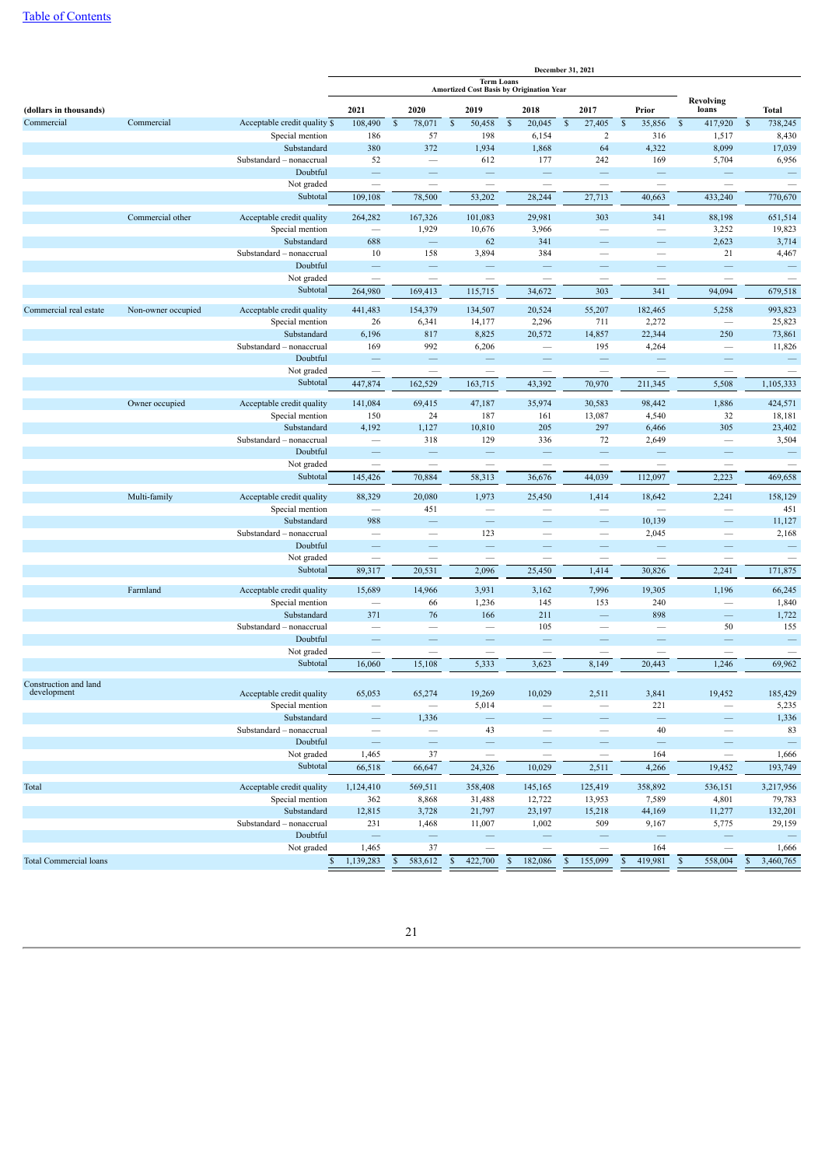|                               |                    |                                | December 31, 2021        |                                   |              |                                                                      |              |                                   |              |                                 |              |                          |                    |                                   |               |                          |
|-------------------------------|--------------------|--------------------------------|--------------------------|-----------------------------------|--------------|----------------------------------------------------------------------|--------------|-----------------------------------|--------------|---------------------------------|--------------|--------------------------|--------------------|-----------------------------------|---------------|--------------------------|
|                               |                    |                                |                          |                                   |              | <b>Term Loans</b><br><b>Amortized Cost Basis by Origination Year</b> |              |                                   |              |                                 |              |                          |                    |                                   |               |                          |
|                               |                    |                                |                          |                                   |              |                                                                      |              |                                   |              |                                 |              |                          |                    | <b>Revolving</b>                  |               |                          |
| (dollars in thousands)        |                    |                                | 2021                     | 2020                              |              | 2019                                                                 |              | 2018                              | 2017         |                                 |              | Prior                    |                    | loans                             |               | <b>Total</b>             |
| Commercial                    | Commercial         | Acceptable credit quality \$   | 108,490                  | $\mathbb{S}$<br>78,071            | $\mathbf{s}$ | 50,458                                                               | $\mathbf{s}$ | 20,045                            | $\mathbf{s}$ | 27,405                          | $\mathbb{S}$ | 35,856                   | $\mathbf{\hat{s}}$ | 417,920                           | $\mathbf{s}$  | 738,245                  |
|                               |                    | Special mention                | 186                      | 57                                |              | 198                                                                  |              | 6,154                             |              | $\sqrt{2}$                      |              | 316                      |                    | 1,517                             |               | 8,430                    |
|                               |                    | Substandard                    | 380                      | 372                               |              | 1,934                                                                |              | 1,868                             |              | 64                              |              | 4,322                    |                    | 8,099                             |               | 17,039                   |
|                               |                    | Substandard - nonaccrual       | 52                       | $\overbrace{\phantom{12322111}}$  |              | 612                                                                  |              | 177                               |              | 242                             |              | 169                      |                    | 5,704                             |               | 6,956                    |
|                               |                    | Doubtful                       | $\qquad \qquad -$        | $\overline{\phantom{0}}$          |              | $\overline{\phantom{0}}$                                             |              | $\qquad \qquad$                   |              | $\qquad \qquad -$               |              | $\qquad \qquad -$        |                    | $\qquad \qquad -$                 |               | $\overline{\phantom{0}}$ |
|                               |                    | Not graded                     | $\overline{\phantom{m}}$ |                                   |              |                                                                      |              | $\overline{\phantom{m}}$          |              |                                 |              | $\overline{\phantom{m}}$ |                    |                                   |               |                          |
|                               |                    | Subtotal                       | 109,108                  | 78,500                            |              | 53,202                                                               |              | 28,244                            |              | 27,713                          |              | 40,663                   |                    | 433,240                           |               | 770,670                  |
|                               | Commercial other   | Acceptable credit quality      | 264,282                  | 167,326                           |              | 101,083                                                              |              | 29,981                            |              | 303                             |              | 341                      |                    | 88,198                            |               | 651,514                  |
|                               |                    | Special mention                |                          | 1,929                             |              | 10,676                                                               |              | 3,966                             |              | $\overline{\phantom{a}}$        |              |                          |                    | 3,252                             |               | 19,823                   |
|                               |                    | Substandard                    | 688                      | $\overline{\phantom{m}}$          |              | 62                                                                   |              | 341                               |              |                                 |              | $\overline{\phantom{0}}$ |                    | 2,623                             |               | 3,714                    |
|                               |                    | Substandard - nonaccrual       | 10                       | 158                               |              | 3,894                                                                |              | 384                               |              | -                               |              | $\overline{\phantom{0}}$ |                    | 21                                |               | 4,467                    |
|                               |                    | Doubtful                       | $\overline{\phantom{a}}$ | $\qquad \qquad$                   |              | $\overline{\phantom{0}}$                                             |              | $\overline{\phantom{a}}$          |              |                                 |              |                          |                    | =                                 |               | $\overline{\phantom{m}}$ |
|                               |                    | Not graded                     |                          |                                   |              |                                                                      |              | $\overline{\phantom{a}}$          |              |                                 |              | $\overline{\phantom{0}}$ |                    | $\overline{\phantom{m}}$          |               | $\sim$                   |
|                               |                    | Subtotal                       | 264,980                  | 169,413                           |              | 115,715                                                              |              | 34,672                            |              | 303                             |              | 341                      |                    | 94,094                            |               | 679,518                  |
| Commercial real estate        | Non-owner occupied | Acceptable credit quality      | 441,483                  | 154,379                           |              | 134,507                                                              |              | 20,524                            |              | 55,207                          |              | 182,465                  |                    | 5,258                             |               | 993,823                  |
|                               |                    | Special mention                | 26                       | 6,341                             |              | 14,177                                                               |              | 2,296                             |              | 711                             |              | 2,272                    |                    |                                   |               | 25,823                   |
|                               |                    | Substandard                    | 6,196                    | 817                               |              | 8,825                                                                |              | 20,572                            |              | 14,857                          |              | 22,344                   |                    | 250                               |               | 73,861                   |
|                               |                    | Substandard - nonaccrual       | 169                      | 992                               |              | 6,206                                                                |              | -                                 |              | 195                             |              | 4,264                    |                    | $\overline{\phantom{m}}$          |               | 11,826                   |
|                               |                    | Doubtful                       | $\qquad \qquad -$        | $\qquad \qquad -$                 |              | $\overline{\phantom{0}}$                                             |              | ⋍                                 |              | $\qquad \qquad -$               |              | $\qquad \qquad -$        |                    |                                   |               | $\qquad \qquad -$        |
|                               |                    | Not graded                     |                          |                                   |              |                                                                      |              |                                   |              |                                 |              | $\overline{\phantom{0}}$ |                    | $\overline{\phantom{m}}$          |               |                          |
|                               |                    | Subtotal                       | 447,874                  | 162,529                           |              | 163,715                                                              |              | 43,392                            |              | 70,970                          |              | 211,345                  |                    | 5,508                             |               | 1,105,333                |
|                               |                    |                                |                          |                                   |              |                                                                      |              |                                   |              |                                 |              |                          |                    |                                   |               |                          |
|                               | Owner occupied     | Acceptable credit quality      | 141,084                  | 69,415                            |              | 47,187                                                               |              | 35,974                            |              | 30,583                          |              | 98,442                   |                    | 1,886                             |               | 424,571                  |
|                               |                    | Special mention<br>Substandard | 150                      | 24                                |              | 187                                                                  |              | 161                               |              | 13,087                          |              | 4,540                    |                    | 32                                |               | 18,181                   |
|                               |                    | Substandard - nonaccrual       | 4,192<br>$\qquad \qquad$ | 1,127<br>318                      |              | 10,810<br>129                                                        |              | 205<br>336                        |              | 297<br>72                       |              | 6,466<br>2,649           |                    | 305                               |               | 23,402<br>3,504          |
|                               |                    | Doubtful                       | $\overline{\phantom{m}}$ | $\qquad \qquad -$                 |              | -                                                                    |              | $\qquad \qquad$                   |              | $\qquad \qquad -$               |              |                          |                    | $\qquad \qquad$                   |               | $\qquad \qquad -$        |
|                               |                    | Not graded                     |                          |                                   |              |                                                                      |              | -                                 |              |                                 |              |                          |                    |                                   |               |                          |
|                               |                    | Subtotal                       | 145,426                  | 70,884                            |              | 58,313                                                               |              | 36,676                            |              | 44,039                          |              | 112,097                  |                    | 2,223                             |               | 469,658                  |
|                               |                    |                                |                          |                                   |              |                                                                      |              |                                   |              |                                 |              |                          |                    |                                   |               |                          |
|                               | Multi-family       | Acceptable credit quality      | 88,329                   | 20,080                            |              | 1,973                                                                |              | 25,450                            |              | 1,414                           |              | 18,642                   |                    | 2,241                             |               | 158,129                  |
|                               |                    | Special mention                | $\qquad \qquad -$        | 451                               |              |                                                                      |              | $\frac{1}{2}$                     |              | $\overline{\phantom{m}}$        |              | $\qquad \qquad$          |                    | $\overline{\phantom{0}}$          |               | 451                      |
|                               |                    | Substandard                    | 988                      |                                   |              |                                                                      |              |                                   |              |                                 |              | 10,139                   |                    |                                   |               | 11,127                   |
|                               |                    | Substandard - nonaccrual       | $\overline{\phantom{m}}$ | $\overline{\phantom{0}}$          |              | 123                                                                  |              | $\overline{\phantom{m}}$          |              | $\overbrace{\phantom{1232211}}$ |              | 2,045                    |                    | $\overline{\phantom{a}}$          |               | 2,168                    |
|                               |                    | Doubtful                       | $\overline{\phantom{0}}$ | $\qquad \qquad -$                 |              | $\equiv$                                                             |              | $\overline{\phantom{0}}$          |              | $\qquad \qquad -$               |              | $\qquad \qquad$          |                    |                                   |               |                          |
|                               |                    | Not graded                     | $\qquad \qquad -$        |                                   |              |                                                                      |              |                                   |              | $\overline{\phantom{m}}$        |              | $\overline{\phantom{m}}$ |                    | $\qquad \qquad -$                 |               |                          |
|                               |                    | Subtotal                       | 89,317                   | 20,531                            |              | 2,096                                                                |              | 25,450                            |              | 1,414                           |              | 30,826                   |                    | 2,241                             |               | 171,875                  |
|                               | Farmland           | Acceptable credit quality      | 15,689                   | 14,966                            |              | 3,931                                                                |              | 3,162                             |              | 7,996                           |              | 19,305                   |                    | 1,196                             |               | 66,245                   |
|                               |                    | Special mention                |                          | 66                                |              | 1,236                                                                |              | 145                               |              | 153                             |              | 240                      |                    |                                   |               | 1,840                    |
|                               |                    | Substandard                    | 371                      | 76                                |              | 166                                                                  |              | 211                               |              | $\equiv$                        |              | 898                      |                    |                                   |               | 1,722                    |
|                               |                    | Substandard - nonaccrual       | $\overline{\phantom{0}}$ | $\overline{\phantom{0}}$          |              |                                                                      |              | 105                               |              | $\overline{\phantom{m}}$        |              | $\sim$                   |                    | 50                                |               | 155                      |
|                               |                    | Doubtful                       |                          |                                   |              | $\overline{\phantom{0}}$                                             |              | $\overline{\phantom{0}}$          |              |                                 |              |                          |                    | $\qquad \qquad$                   |               | $\overline{\phantom{a}}$ |
|                               |                    | Not graded                     |                          |                                   |              | $\overline{\phantom{0}}$                                             |              |                                   |              | -                               |              | $\overline{\phantom{a}}$ |                    |                                   |               |                          |
|                               |                    | Subtotal                       | 16,060                   | 15,108                            |              | 5,333                                                                |              | 3,623                             |              | 8,149                           |              | 20,443                   |                    | 1,246                             |               | 69,962                   |
| Construction and land         |                    |                                |                          |                                   |              |                                                                      |              |                                   |              |                                 |              |                          |                    |                                   |               |                          |
| development                   |                    | Acceptable credit quality      | 65,053                   | 65,274                            |              | 19,269                                                               |              | 10,029                            |              | 2,511                           |              | 3,841                    |                    | 19,452                            |               | 185,429                  |
|                               |                    | Special mention                | $\qquad \qquad$          | $\overbrace{\phantom{12322111}}$  |              | 5,014                                                                |              | -                                 |              |                                 |              | 221                      |                    | $\qquad \qquad -$                 |               | 5,235                    |
|                               |                    | Substandard                    | $\qquad \qquad -$        | 1,336                             |              | $\overline{\phantom{0}}$                                             |              | $\qquad \qquad -$                 |              | $\overline{\phantom{m}}$        |              | $\qquad \qquad -$        |                    | $\qquad \qquad -$                 |               | 1,336                    |
|                               |                    | Substandard - nonaccrual       | $\overline{\phantom{m}}$ | $\hspace{1.0cm} - \hspace{1.0cm}$ |              | 43                                                                   |              |                                   |              | $\overline{\phantom{m}}$        |              | 40                       |                    | $\overline{\phantom{m}}$          |               | 83                       |
|                               |                    | Doubtful                       | $\qquad \qquad -$        | -                                 |              | —                                                                    |              |                                   |              | $\qquad \qquad -$               |              | $\overline{\phantom{0}}$ |                    | $\qquad \qquad -$                 |               |                          |
|                               |                    | Not graded                     | 1,465                    | 37                                |              | $\overline{\phantom{0}}$                                             |              |                                   |              | $\overline{\phantom{m}}$        |              | 164                      |                    |                                   |               | 1,666                    |
|                               |                    | Subtotal                       | 66,518                   | 66,647                            |              | 24,326                                                               |              | 10,029                            |              | 2,511                           |              | 4,266                    |                    | 19,452                            |               | 193,749                  |
| Total                         |                    | Acceptable credit quality      | 1,124,410                | 569,511                           |              | 358,408                                                              |              | 145,165                           |              | 125,419                         |              | 358,892                  |                    | 536,151                           |               | 3,217,956                |
|                               |                    | Special mention                | 362                      | 8,868                             |              | 31,488                                                               |              | 12,722                            |              | 13,953                          |              | 7,589                    |                    | 4,801                             |               | 79,783                   |
|                               |                    | Substandard                    | 12,815                   | 3,728                             |              | 21,797                                                               |              | 23,197                            |              | 15,218                          |              | 44,169                   |                    | 11,277                            |               | 132,201                  |
|                               |                    | Substandard - nonaccrual       | 231                      | 1,468                             |              | 11,007                                                               |              | 1,002                             |              | 509                             |              | 9,167                    |                    | 5,775                             |               | 29,159                   |
|                               |                    | Doubtful                       |                          | $\equiv$                          |              |                                                                      |              | $\overline{\phantom{0}}$          |              | $\overline{\phantom{0}}$        |              | $\overline{\phantom{0}}$ |                    |                                   |               |                          |
|                               |                    | Not graded                     | 1,465                    | 37                                |              |                                                                      |              | $\overbrace{\phantom{123221111}}$ |              | $\overline{\phantom{m}}$        |              | 164                      |                    | $\overbrace{\phantom{123221111}}$ |               | 1,666                    |
| <b>Total Commercial loans</b> |                    | $\mathbb{S}$                   | 1,139,283                | 583,612<br>$\mathbb{S}$           | $\mathbb{S}$ | 422,700                                                              | $\mathbb{S}$ | 182,086                           | $\mathbb{S}$ | 155,099                         | $\mathbb{S}$ | 419,981                  | $\mathbb{S}$       | 558,004                           | <sup>\$</sup> | 3,460,765                |
|                               |                    |                                |                          |                                   |              |                                                                      |              |                                   |              |                                 |              |                          |                    |                                   |               |                          |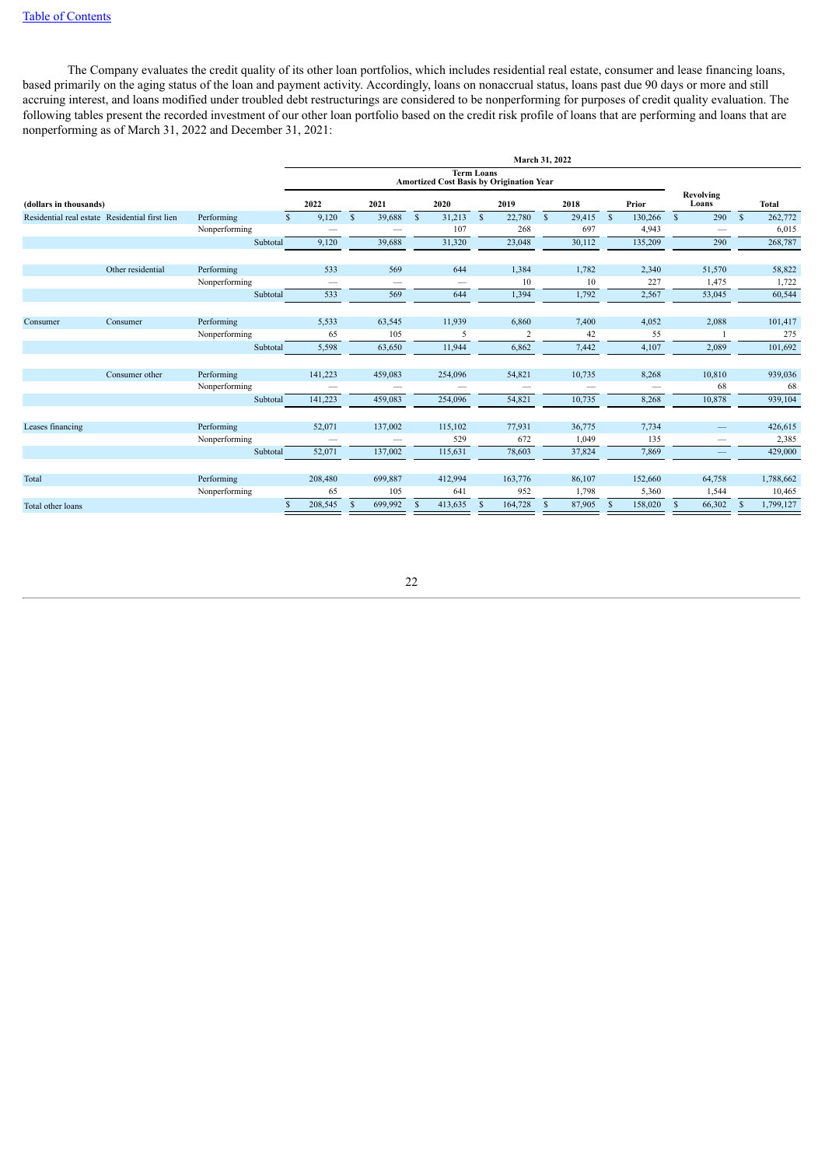The Company evaluates the credit quality of its other loan portfolios, which includes residential real estate, consumer and lease financing loans, based primarily on the aging status of the loan and payment activity. Accordingly, loans on nonaccrual status, loans past due 90 days or more and still accruing interest, and loans modified under troubled debt restructurings are considered to be nonperforming for purposes of credit quality evaluation. The following tables present the recorded investment of our other loan portfolio based on the credit risk profile of loans that are performing and loans that are nonperforming as of March 31, 2022 and December 31, 2021:

|                                                |                   |               |            |              |         |              |                                 |              | March 31, 2022                                  |              |                               |              |         |              |                          |              |              |
|------------------------------------------------|-------------------|---------------|------------|--------------|---------|--------------|---------------------------------|--------------|-------------------------------------------------|--------------|-------------------------------|--------------|---------|--------------|--------------------------|--------------|--------------|
|                                                |                   |               |            |              |         |              | <b>Term Loans</b>               |              | <b>Amortized Cost Basis by Origination Year</b> |              |                               |              |         |              |                          |              |              |
| (dollars in thousands)                         |                   |               | 2022       |              | 2021    |              | 2020                            |              | 2019                                            |              | 2018                          |              | Prior   |              | Revolving<br>Loans       |              | <b>Total</b> |
| Residential real estate Residential first lien |                   | Performing    | S<br>9,120 | $\mathbf{s}$ | 39,688  | $\mathbf{s}$ | 31,213                          | $\mathbf{s}$ | 22,780                                          | $\mathbf{s}$ | 29,415                        | $\mathbf{s}$ | 130,266 | $\mathbb{S}$ | 290                      | $\mathbb{S}$ | 262,772      |
|                                                |                   | Nonperforming | -          |              |         |              | 107                             |              | 268                                             |              | 697                           |              | 4,943   |              | $\overline{\phantom{m}}$ |              | 6,015        |
|                                                |                   | Subtotal      | 9,120      |              | 39,688  |              | 31,320                          |              | 23,048                                          |              | 30,112                        |              | 135,209 |              | 290                      |              | 268,787      |
|                                                | Other residential | Performing    | 533        |              | 569     |              | 644                             |              | 1,384                                           |              | 1,782                         |              | 2,340   |              | 51,570                   |              | 58,822       |
|                                                |                   | Nonperforming | -          |              |         |              | $\hspace{0.1mm}-\hspace{0.1mm}$ |              | 10                                              |              | 10                            |              | 227     |              | 1,475                    |              | 1,722        |
|                                                |                   | Subtotal      | 533        |              | 569     |              | 644                             |              | 1,394                                           |              | 1,792                         |              | 2,567   |              | 53,045                   |              | 60,544       |
| Consumer                                       | Consumer          | Performing    | 5,533      |              | 63,545  |              | 11,939                          |              | 6,860                                           |              | 7,400                         |              | 4,052   |              | 2,088                    |              | 101,417      |
|                                                |                   | Nonperforming | 65         |              | 105     |              | 5                               |              | $\overline{2}$                                  |              | 42                            |              | 55      |              |                          |              | 275          |
|                                                |                   | Subtotal      | 5,598      |              | 63,650  |              | 11,944                          |              | 6,862                                           |              | 7,442                         |              | 4,107   |              | 2,089                    |              | 101,692      |
|                                                | Consumer other    | Performing    | 141,223    |              | 459,083 |              | 254,096                         |              | 54,821                                          |              | 10,735                        |              | 8,268   |              | 10,810                   |              | 939,036      |
|                                                |                   | Nonperforming |            |              | -       |              |                                 |              |                                                 |              | $\overbrace{\phantom{12333}}$ |              |         |              | 68                       |              | 68           |
|                                                |                   | Subtotal      | 141,223    |              | 459,083 |              | 254,096                         |              | 54,821                                          |              | 10,735                        |              | 8,268   |              | 10,878                   |              | 939,104      |
| Leases financing                               |                   | Performing    | 52,071     |              | 137,002 |              | 115,102                         |              | 77,931                                          |              | 36,775                        |              | 7,734   |              | $\overline{\phantom{m}}$ |              | 426,615      |
|                                                |                   | Nonperforming |            |              |         |              | 529                             |              | 672                                             |              | 1,049                         |              | 135     |              |                          |              | 2,385        |
|                                                |                   | Subtotal      | 52,071     |              | 137,002 |              | 115,631                         |              | 78,603                                          |              | 37,824                        |              | 7,869   |              | $\qquad \qquad$          |              | 429,000      |
| Total                                          |                   | Performing    | 208,480    |              | 699,887 |              | 412,994                         |              | 163,776                                         |              | 86,107                        |              | 152,660 |              | 64,758                   |              | 1,788,662    |
|                                                |                   | Nonperforming | 65         |              | 105     |              | 641                             |              | 952                                             |              | 1,798                         |              | 5,360   |              | 1,544                    |              | 10,465       |
| Total other loans                              |                   |               | 208,545    |              | 699,992 | \$.          | 413,635                         |              | 164,728                                         |              | 87,905                        | \$           | 158,020 |              | 66,302                   |              | 1,799,127    |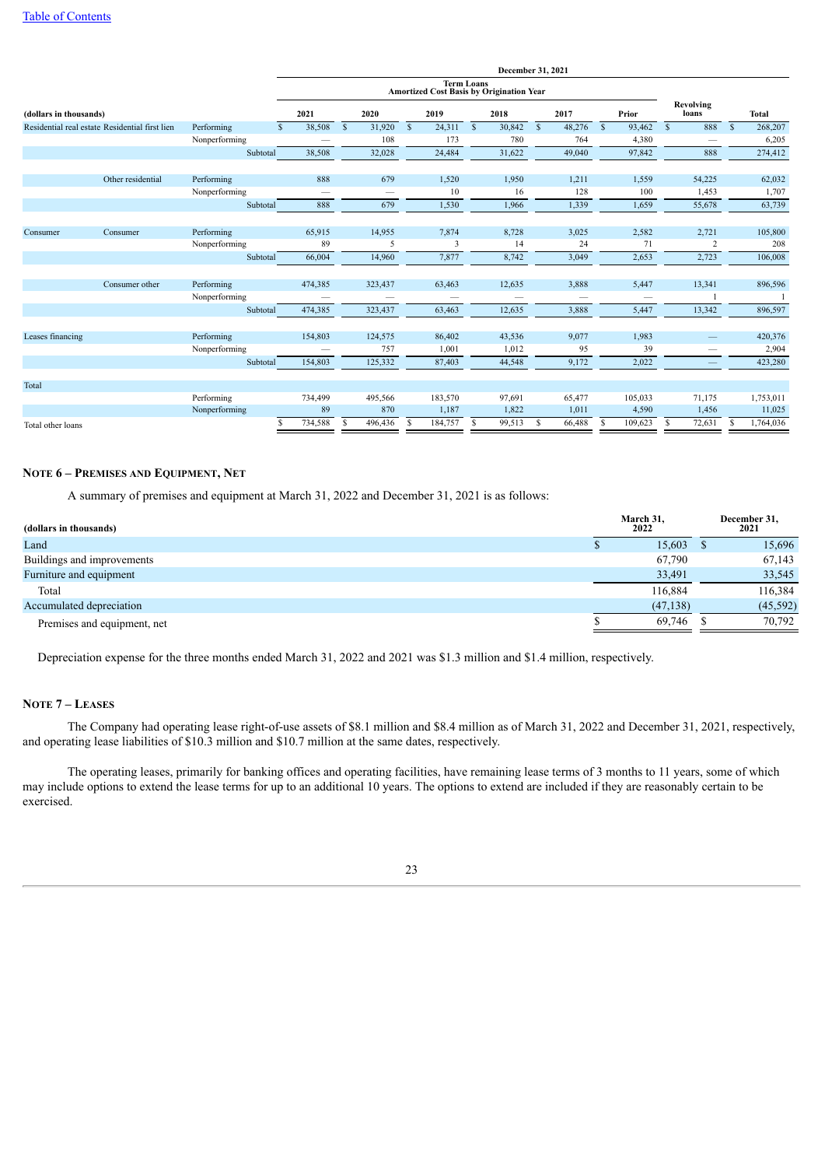|                        |                                                |                            |         |                        |                                                 |                         | December 31, 2021      |                        |                                 |                         |
|------------------------|------------------------------------------------|----------------------------|---------|------------------------|-------------------------------------------------|-------------------------|------------------------|------------------------|---------------------------------|-------------------------|
|                        |                                                |                            |         |                        | <b>Amortized Cost Basis by Origination Year</b> | <b>Term Loans</b>       |                        |                        |                                 |                         |
| (dollars in thousands) |                                                |                            | 2021    | 2020                   | 2019                                            | 2018                    | 2017                   | Prior                  | Revolving<br>loans              | <b>Total</b>            |
|                        | Residential real estate Residential first lien | $\mathbf{s}$<br>Performing | 38,508  | 31,920<br>$\mathbf{s}$ | S<br>24,311                                     | 30,842<br>$\mathbb{S}$  | $\mathbf{s}$<br>48,276 | 93,462<br><sup>S</sup> | 888<br>$\mathbf{s}$             | $\mathbf{s}$<br>268,207 |
|                        |                                                | Nonperforming              |         | 108                    | 173                                             | 780                     | 764                    | 4,380                  | $\overbrace{\phantom{12333}}$   | 6,205                   |
|                        |                                                | Subtotal                   | 38,508  | 32,028                 | 24,484                                          | 31,622                  | 49,040                 | 97,842                 | 888                             | 274,412                 |
|                        | Other residential                              | Performing                 | 888     | 679                    | 1,520                                           | 1,950                   | 1,211                  | 1,559                  | 54,225                          | 62,032                  |
|                        |                                                | Nonperforming              |         | -                      | 10                                              | 16                      | 128                    | 100                    | 1,453                           | 1,707                   |
|                        |                                                | Subtotal                   | 888     | 679                    | 1,530                                           | 1,966                   | 1,339                  | 1,659                  | 55,678                          | 63,739                  |
| Consumer               | Consumer                                       | Performing                 | 65,915  | 14,955                 | 7,874                                           | 8,728                   | 3,025                  | 2,582                  | 2,721                           | 105,800                 |
|                        |                                                | Nonperforming              | 89      | 5                      | 3                                               | 14                      | 24                     | 71                     | $\overline{2}$                  | 208                     |
|                        |                                                | Subtotal                   | 66,004  | 14,960                 | 7,877                                           | 8,742                   | 3,049                  | 2,653                  | 2,723                           | 106,008                 |
|                        | Consumer other                                 | Performing                 | 474,385 | 323,437                | 63,463                                          | 12,635                  | 3,888                  | 5,447                  | 13,341                          | 896,596                 |
|                        |                                                | Nonperforming              |         |                        |                                                 |                         |                        | -                      |                                 |                         |
|                        |                                                | Subtotal                   | 474,385 | 323,437                | 63,463                                          | 12,635                  | 3,888                  | 5,447                  | 13,342                          | 896,597                 |
| Leases financing       |                                                | Performing                 | 154,803 | 124,575                | 86,402                                          | 43,536                  | 9,077                  | 1,983                  |                                 | 420,376                 |
|                        |                                                | Nonperforming              | -       | 757                    | 1,001                                           | 1,012                   | 95                     | 39                     | -                               | 2,904                   |
|                        |                                                | Subtotal                   | 154,803 | 125,332                | 87,403                                          | 44,548                  | 9,172                  | 2,022                  | $\hspace{0.1mm}-\hspace{0.1mm}$ | 423,280                 |
| Total                  |                                                |                            |         |                        |                                                 |                         |                        |                        |                                 |                         |
|                        |                                                | Performing                 | 734,499 | 495,566                | 183,570                                         | 97,691                  | 65,477                 | 105,033                | 71,175                          | 1,753,011               |
|                        |                                                | Nonperforming              | 89      | 870                    | 1,187                                           | 1,822                   | 1,011                  | 4,590                  | 1,456                           | 11,025                  |
| Total other loans      |                                                |                            | 734,588 | 496,436<br>S           | 184,757<br>S                                    | <sup>\$</sup><br>99,513 | S<br>66,488            | 109,623<br>S           | S<br>72,631                     | 1,764,036<br>S          |

### <span id="page-24-0"></span>**NOTE 6 – PREMISES AND EQUIPMENT, NET**

A summary of premises and equipment at March 31, 2022 and December 31, 2021 is as follows:

| (dollars in thousands)      |  | March 31,<br>2022 |     | December 31,<br>2021 |
|-----------------------------|--|-------------------|-----|----------------------|
| Land                        |  | 15,603            | - S | 15,696               |
| Buildings and improvements  |  | 67,790            |     | 67,143               |
| Furniture and equipment     |  | 33,491            |     | 33,545               |
| Total                       |  | 116,884           |     | 116,384              |
| Accumulated depreciation    |  | (47, 138)         |     | (45, 592)            |
| Premises and equipment, net |  | 69.746            |     | 70.792               |
|                             |  |                   |     |                      |

Depreciation expense for the three months ended March 31, 2022 and 2021 was \$1.3 million and \$1.4 million, respectively.

### <span id="page-24-1"></span>**NOTE 7 – LEASES**

The Company had operating lease right-of-use assets of \$8.1 million and \$8.4 million as of March 31, 2022 and December 31, 2021, respectively, and operating lease liabilities of \$10.3 million and \$10.7 million at the same dates, respectively.

The operating leases, primarily for banking offices and operating facilities, have remaining lease terms of 3 months to 11 years, some of which may include options to extend the lease terms for up to an additional 10 years. The options to extend are included if they are reasonably certain to be exercised.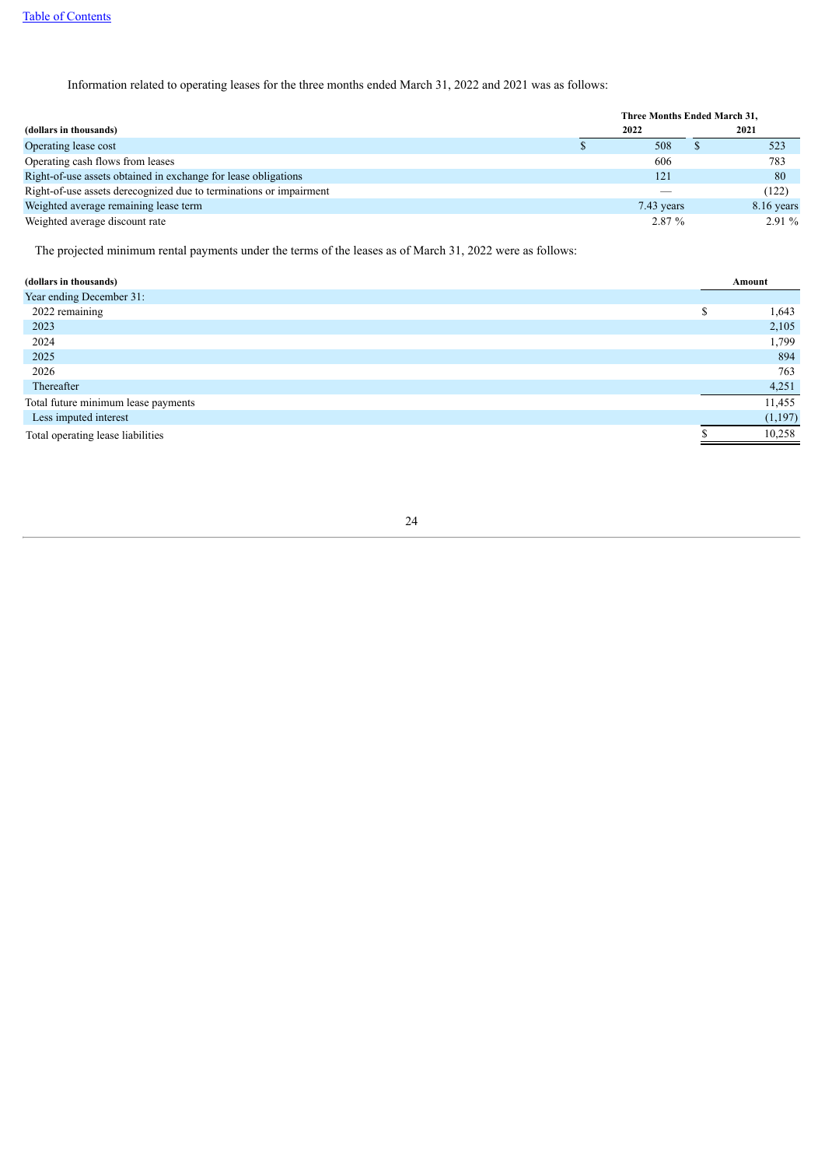Information related to operating leases for the three months ended March 31, 2022 and 2021 was as follows:

|                                                                    | Three Months Ended March 31, |            |  |            |  |  |  |  |  |
|--------------------------------------------------------------------|------------------------------|------------|--|------------|--|--|--|--|--|
| (dollars in thousands)                                             |                              | 2022       |  | 2021       |  |  |  |  |  |
| Operating lease cost                                               |                              | 508        |  | 523        |  |  |  |  |  |
| Operating cash flows from leases                                   |                              | 606        |  | 783        |  |  |  |  |  |
| Right-of-use assets obtained in exchange for lease obligations     |                              | 121        |  | 80         |  |  |  |  |  |
| Right-of-use assets derecognized due to terminations or impairment |                              |            |  | (122)      |  |  |  |  |  |
| Weighted average remaining lease term                              |                              | 7.43 years |  | 8.16 years |  |  |  |  |  |
| Weighted average discount rate                                     |                              | $2.87\%$   |  | $2.91\%$   |  |  |  |  |  |

The projected minimum rental payments under the terms of the leases as of March 31, 2022 were as follows:

<span id="page-25-0"></span>

| (dollars in thousands)              |        | Amount  |
|-------------------------------------|--------|---------|
| Year ending December 31:            |        |         |
| 2022 remaining                      | ¢<br>D | 1,643   |
| 2023                                |        | 2,105   |
| 2024                                |        | 1,799   |
| 2025                                |        | 894     |
| 2026                                |        | 763     |
| Thereafter                          |        | 4,251   |
| Total future minimum lease payments |        | 11,455  |
| Less imputed interest               |        | (1,197) |
| Total operating lease liabilities   |        | 10,258  |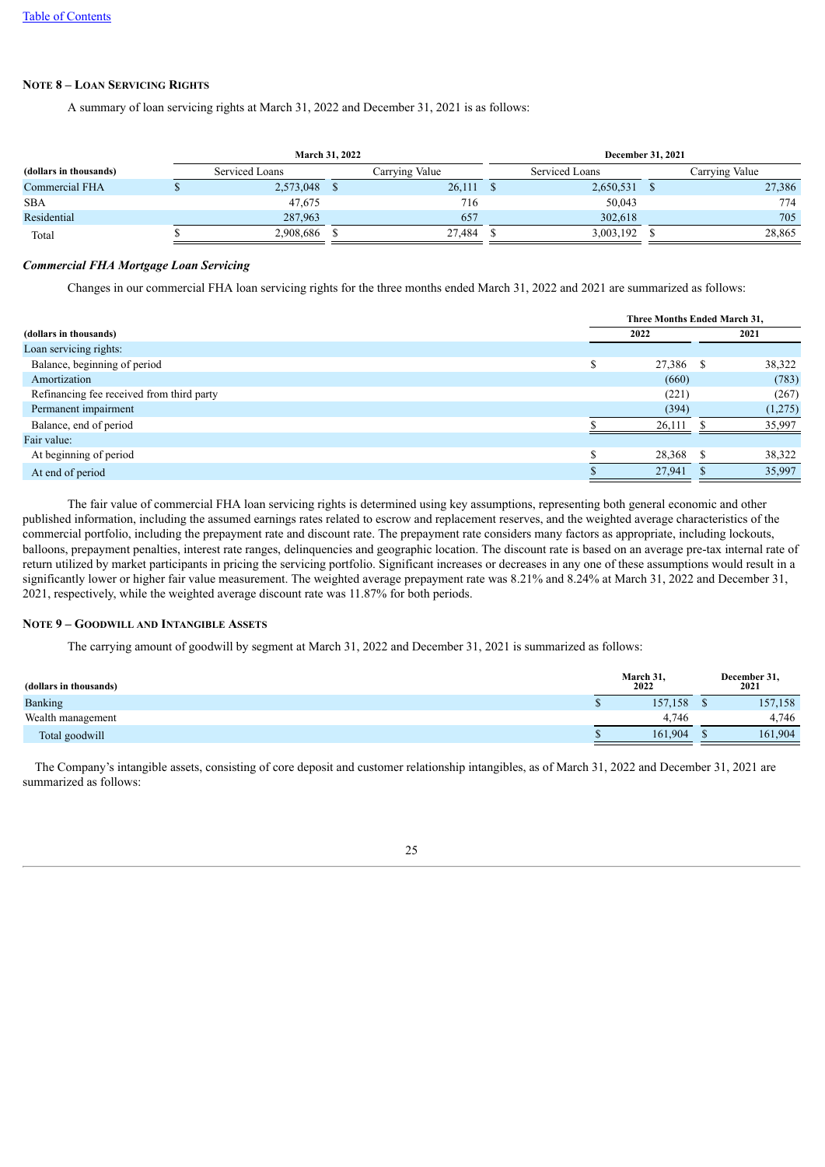### **NOTE 8 – LOAN SERVICING RIGHTS**

A summary of loan servicing rights at March 31, 2022 and December 31, 2021 is as follows:

|                        | <b>March 31, 2022</b> |  |                |  |                | <b>December 31, 2021</b> |                |  |  |  |
|------------------------|-----------------------|--|----------------|--|----------------|--------------------------|----------------|--|--|--|
| (dollars in thousands) | Serviced Loans        |  | Carrying Value |  | Serviced Loans |                          | Carrying Value |  |  |  |
| Commercial FHA         | 2,573,048             |  | 26,111         |  | 2,650,531      |                          | 27,386         |  |  |  |
| <b>SBA</b>             | 47,675                |  | 716            |  | 50,043         |                          | 774            |  |  |  |
| Residential            | 287.963               |  | 657            |  | 302,618        |                          | 705            |  |  |  |
| Total                  | 2,908,686             |  | 27,484         |  | 3,003,192      |                          | 28,865         |  |  |  |

### *Commercial FHA Mortgage Loan Servicing*

Changes in our commercial FHA loan servicing rights for the three months ended March 31, 2022 and 2021 are summarized as follows:

|                                           |        | Three Months Ended March 31, |         |  |  |  |  |  |
|-------------------------------------------|--------|------------------------------|---------|--|--|--|--|--|
| (dollars in thousands)                    | 2022   |                              | 2021    |  |  |  |  |  |
| Loan servicing rights:                    |        |                              |         |  |  |  |  |  |
| Balance, beginning of period              | 27,386 | -S                           | 38,322  |  |  |  |  |  |
| Amortization                              | (660)  |                              | (783)   |  |  |  |  |  |
| Refinancing fee received from third party | (221)  |                              | (267)   |  |  |  |  |  |
| Permanent impairment                      | (394)  |                              | (1,275) |  |  |  |  |  |
| Balance, end of period                    | 26.111 |                              | 35,997  |  |  |  |  |  |
| Fair value:                               |        |                              |         |  |  |  |  |  |
| At beginning of period                    | 28,368 | S                            | 38,322  |  |  |  |  |  |
| At end of period                          | 27,941 |                              | 35,997  |  |  |  |  |  |
|                                           |        |                              |         |  |  |  |  |  |

The fair value of commercial FHA loan servicing rights is determined using key assumptions, representing both general economic and other published information, including the assumed earnings rates related to escrow and replacement reserves, and the weighted average characteristics of the commercial portfolio, including the prepayment rate and discount rate. The prepayment rate considers many factors as appropriate, including lockouts, balloons, prepayment penalties, interest rate ranges, delinquencies and geographic location. The discount rate is based on an average pre-tax internal rate of return utilized by market participants in pricing the servicing portfolio. Significant increases or decreases in any one of these assumptions would result in a significantly lower or higher fair value measurement. The weighted average prepayment rate was 8.21% and 8.24% at March 31, 2022 and December 31, 2021, respectively, while the weighted average discount rate was 11.87% for both periods.

### <span id="page-26-0"></span>**NOTE 9 – GOODWILL AND INTANGIBLE ASSETS**

The carrying amount of goodwill by segment at March 31, 2022 and December 31, 2021 is summarized as follows:

| (dollars in thousands) | March 31,<br>2022 | December 31,<br>2021 |
|------------------------|-------------------|----------------------|
| <b>Banking</b>         | 157,158           | 157,158              |
| Wealth management      | 4.746             | 4.746                |
| Total goodwill         | 161,904           | 161,904              |

The Company's intangible assets, consisting of core deposit and customer relationship intangibles, as of March 31, 2022 and December 31, 2021 are summarized as follows:

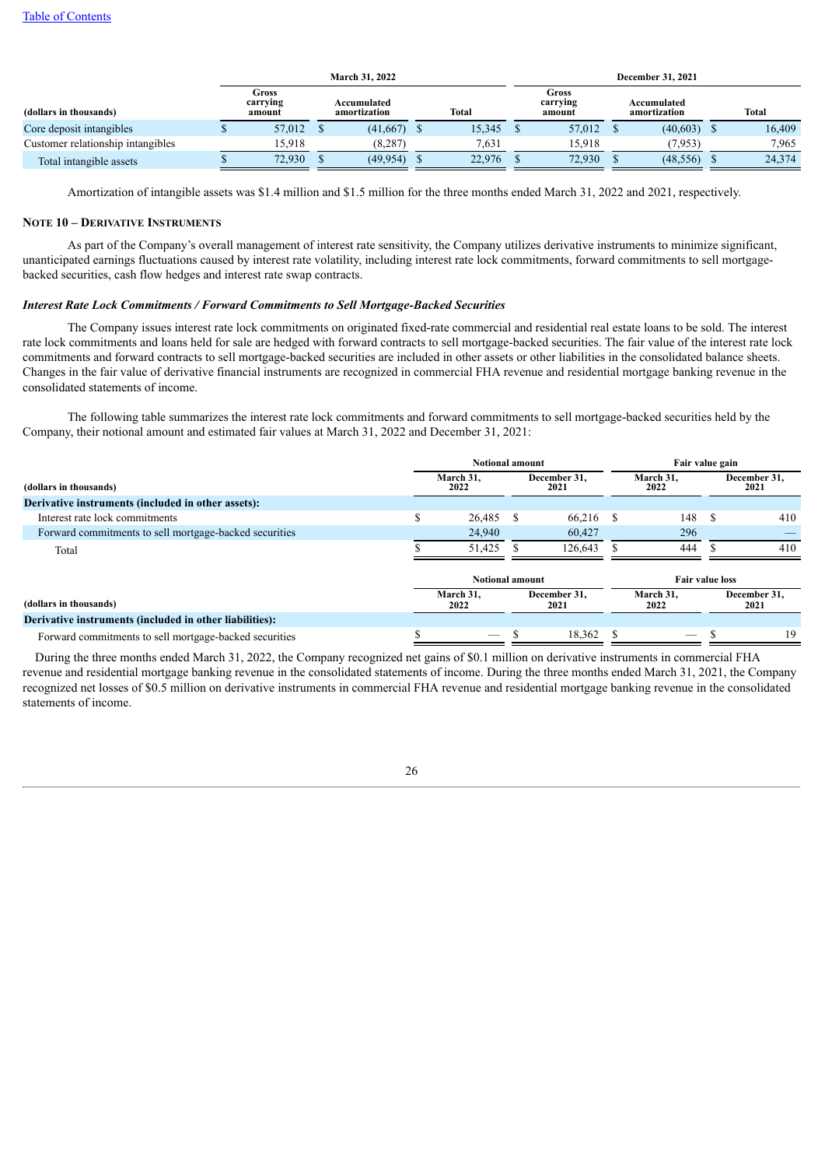|                                   |                             | <b>March 31, 2022</b>       |        |                             |                             |  |        |
|-----------------------------------|-----------------------------|-----------------------------|--------|-----------------------------|-----------------------------|--|--------|
| (dollars in thousands)            | Gross<br>carrying<br>amount | Accumulated<br>amortization | Total  | Gross<br>carrying<br>amount | Accumulated<br>amortization |  | Total  |
| Core deposit intangibles          | 57,012 \$                   | $(41,667)$ \$               | 15,345 | 57,012                      | (40,603)                    |  | 16,409 |
| Customer relationship intangibles | 15.918                      | (8, 287)                    | 7,631  | 15.918                      | (7.953)                     |  | 7,965  |
| Total intangible assets           | 72,930                      | (49.954)                    | 22,976 | 72.930                      | (48, 556)                   |  | 24,374 |

Amortization of intangible assets was \$1.4 million and \$1.5 million for the three months ended March 31, 2022 and 2021, respectively.

### <span id="page-27-0"></span>**NOTE 10 – DERIVATIVE INSTRUMENTS**

As part of the Company's overall management of interest rate sensitivity, the Company utilizes derivative instruments to minimize significant, unanticipated earnings fluctuations caused by interest rate volatility, including interest rate lock commitments, forward commitments to sell mortgagebacked securities, cash flow hedges and interest rate swap contracts.

#### *Interest Rate Lock Commitments / Forward Commitments to Sell Mortgage-Backed Securities*

The Company issues interest rate lock commitments on originated fixed-rate commercial and residential real estate loans to be sold. The interest rate lock commitments and loans held for sale are hedged with forward contracts to sell mortgage-backed securities. The fair value of the interest rate lock commitments and forward contracts to sell mortgage-backed securities are included in other assets or other liabilities in the consolidated balance sheets. Changes in the fair value of derivative financial instruments are recognized in commercial FHA revenue and residential mortgage banking revenue in the consolidated statements of income.

The following table summarizes the interest rate lock commitments and forward commitments to sell mortgage-backed securities held by the Company, their notional amount and estimated fair values at March 31, 2022 and December 31, 2021:

|                                                        | <b>Notional amount</b> |                   |                      | Fair value gain   |  |                      |
|--------------------------------------------------------|------------------------|-------------------|----------------------|-------------------|--|----------------------|
| (dollars in thousands)                                 |                        | March 31,<br>2022 | December 31.<br>2021 | March 31.<br>2022 |  | December 31.<br>2021 |
| Derivative instruments (included in other assets):     |                        |                   |                      |                   |  |                      |
| Interest rate lock commitments                         |                        | 26.485            | 66,216 \$            | 148               |  | 410                  |
| Forward commitments to sell mortgage-backed securities |                        | 24,940            | 60.427               | 296               |  |                      |
| Total                                                  |                        | 51.425            | 126.643              | 444               |  | 410                  |
|                                                        |                        |                   |                      | .                 |  |                      |

|                                                         | Notional amount |                   |  |                      |  | <b>Fair value loss</b> |  |                      |  |
|---------------------------------------------------------|-----------------|-------------------|--|----------------------|--|------------------------|--|----------------------|--|
| (dollars in thousands)                                  |                 | March 31.<br>2022 |  | December 31.<br>2021 |  | March 31.<br>2022      |  | December 31.<br>2021 |  |
| Derivative instruments (included in other liabilities): |                 |                   |  |                      |  |                        |  |                      |  |
| Forward commitments to sell mortgage-backed securities  |                 | $\hspace{0.05cm}$ |  | 18.362               |  |                        |  | 19                   |  |
|                                                         |                 |                   |  |                      |  |                        |  |                      |  |

During the three months ended March 31, 2022, the Company recognized net gains of \$0.1 million on derivative instruments in commercial FHA revenue and residential mortgage banking revenue in the consolidated statements of income. During the three months ended March 31, 2021, the Company recognized net losses of \$0.5 million on derivative instruments in commercial FHA revenue and residential mortgage banking revenue in the consolidated statements of income.

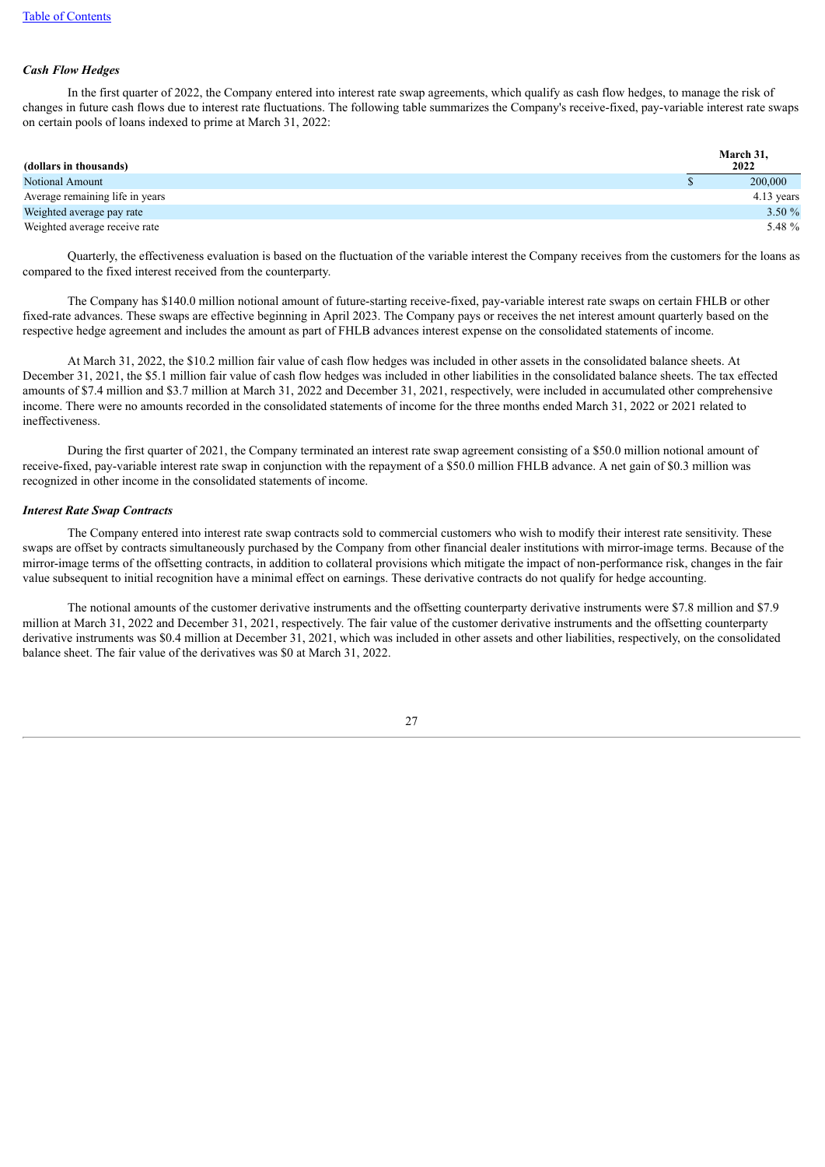### *Cash Flow Hedges*

In the first quarter of 2022, the Company entered into interest rate swap agreements, which qualify as cash flow hedges, to manage the risk of changes in future cash flows due to interest rate fluctuations. The following table summarizes the Company's receive-fixed, pay-variable interest rate swaps on certain pools of loans indexed to prime at March 31, 2022:

| (dollars in thousands)          | March 31,<br>2022 |
|---------------------------------|-------------------|
| <b>Notional Amount</b>          | 200,000           |
| Average remaining life in years | $4.13$ years      |
| Weighted average pay rate       | 3.50%             |
| Weighted average receive rate   | 5.48 %            |

Quarterly, the effectiveness evaluation is based on the fluctuation of the variable interest the Company receives from the customers for the loans as compared to the fixed interest received from the counterparty.

The Company has \$140.0 million notional amount of future-starting receive-fixed, pay-variable interest rate swaps on certain FHLB or other fixed-rate advances. These swaps are effective beginning in April 2023. The Company pays or receives the net interest amount quarterly based on the respective hedge agreement and includes the amount as part of FHLB advances interest expense on the consolidated statements of income.

At March 31, 2022, the \$10.2 million fair value of cash flow hedges was included in other assets in the consolidated balance sheets. At December 31, 2021, the \$5.1 million fair value of cash flow hedges was included in other liabilities in the consolidated balance sheets. The tax effected amounts of \$7.4 million and \$3.7 million at March 31, 2022 and December 31, 2021, respectively, were included in accumulated other comprehensive income. There were no amounts recorded in the consolidated statements of income for the three months ended March 31, 2022 or 2021 related to ineffectiveness.

During the first quarter of 2021, the Company terminated an interest rate swap agreement consisting of a \$50.0 million notional amount of receive-fixed, pay-variable interest rate swap in conjunction with the repayment of a \$50.0 million FHLB advance. A net gain of \$0.3 million was recognized in other income in the consolidated statements of income.

### *Interest Rate Swap Contracts*

The Company entered into interest rate swap contracts sold to commercial customers who wish to modify their interest rate sensitivity. These swaps are offset by contracts simultaneously purchased by the Company from other financial dealer institutions with mirror-image terms. Because of the mirror-image terms of the offsetting contracts, in addition to collateral provisions which mitigate the impact of non-performance risk, changes in the fair value subsequent to initial recognition have a minimal effect on earnings. These derivative contracts do not qualify for hedge accounting.

<span id="page-28-0"></span>The notional amounts of the customer derivative instruments and the offsetting counterparty derivative instruments were \$7.8 million and \$7.9 million at March 31, 2022 and December 31, 2021, respectively. The fair value of the customer derivative instruments and the offsetting counterparty derivative instruments was \$0.4 million at December 31, 2021, which was included in other assets and other liabilities, respectively, on the consolidated balance sheet. The fair value of the derivatives was \$0 at March 31, 2022.

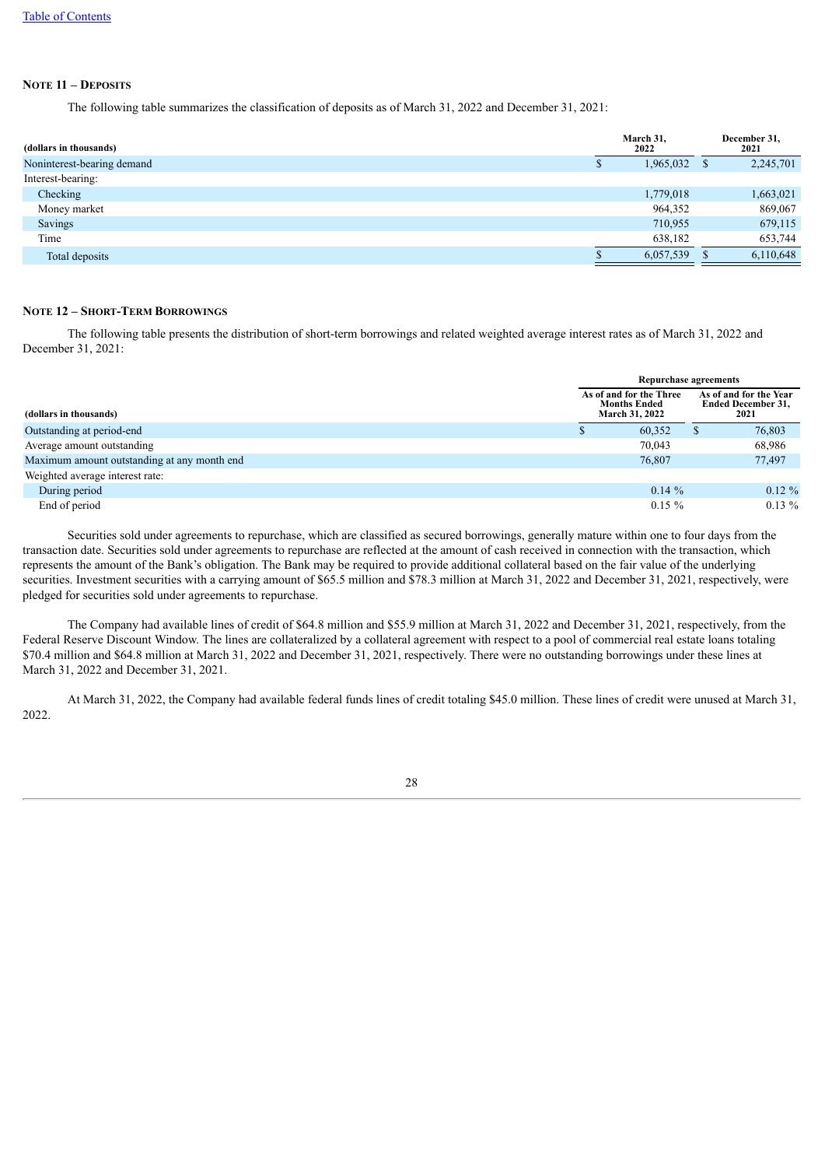### **NOTE 11 – DEPOSITS**

The following table summarizes the classification of deposits as of March 31, 2022 and December 31, 2021:

| (dollars in thousands)     |   | March 31,<br>2022 | December 31,<br>2021 |
|----------------------------|---|-------------------|----------------------|
| Noninterest-bearing demand | ۵ | $1,965,032$ \$    | 2,245,701            |
| Interest-bearing:          |   |                   |                      |
| Checking                   |   | 1,779,018         | 1,663,021            |
| Money market               |   | 964,352           | 869,067              |
| Savings                    |   | 710,955           | 679,115              |
| Time                       |   | 638.182           | 653,744              |
| Total deposits             |   | 6,057,539         | 6,110,648            |

### <span id="page-29-0"></span>**NOTE 12 – SHORT-TERM BORROWINGS**

The following table presents the distribution of short-term borrowings and related weighted average interest rates as of March 31, 2022 and December 31, 2021:

|                                             |  | Repurchase agreements                                                   |  |                                                             |  |  |  |  |  |
|---------------------------------------------|--|-------------------------------------------------------------------------|--|-------------------------------------------------------------|--|--|--|--|--|
| (dollars in thousands)                      |  | As of and for the Three<br><b>Months Ended</b><br><b>March 31, 2022</b> |  | As of and for the Year<br><b>Ended December 31,</b><br>2021 |  |  |  |  |  |
| Outstanding at period-end                   |  | 60,352                                                                  |  | 76,803                                                      |  |  |  |  |  |
| Average amount outstanding                  |  | 70.043                                                                  |  | 68,986                                                      |  |  |  |  |  |
| Maximum amount outstanding at any month end |  | 76.807                                                                  |  | 77,497                                                      |  |  |  |  |  |
| Weighted average interest rate:             |  |                                                                         |  |                                                             |  |  |  |  |  |
| During period                               |  | $0.14 \%$                                                               |  | $0.12 \%$                                                   |  |  |  |  |  |
| End of period                               |  | $0.15\%$                                                                |  | $0.13 \%$                                                   |  |  |  |  |  |

Securities sold under agreements to repurchase, which are classified as secured borrowings, generally mature within one to four days from the transaction date. Securities sold under agreements to repurchase are reflected at the amount of cash received in connection with the transaction, which represents the amount of the Bank's obligation. The Bank may be required to provide additional collateral based on the fair value of the underlying securities. Investment securities with a carrying amount of \$65.5 million and \$78.3 million at March 31, 2022 and December 31, 2021, respectively, were pledged for securities sold under agreements to repurchase.

The Company had available lines of credit of \$64.8 million and \$55.9 million at March 31, 2022 and December 31, 2021, respectively, from the Federal Reserve Discount Window. The lines are collateralized by a collateral agreement with respect to a pool of commercial real estate loans totaling \$70.4 million and \$64.8 million at March 31, 2022 and December 31, 2021, respectively. There were no outstanding borrowings under these lines at March 31, 2022 and December 31, 2021.

<span id="page-29-1"></span>At March 31, 2022, the Company had available federal funds lines of credit totaling \$45.0 million. These lines of credit were unused at March 31, 2022.

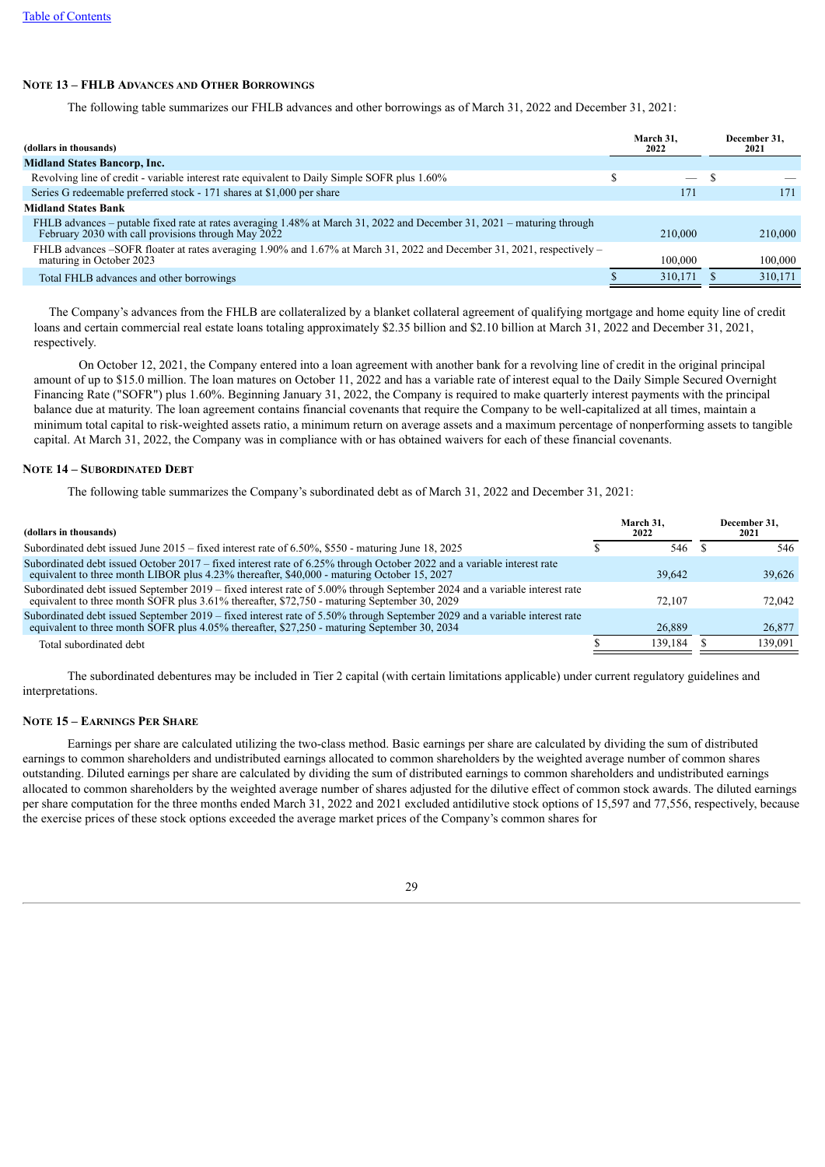### **NOTE 13 – FHLB ADVANCES AND OTHER BORROWINGS**

The following table summarizes our FHLB advances and other borrowings as of March 31, 2022 and December 31, 2021:

| (dollars in thousands)                                                                                                                                                        | March 31.<br>2022 | December 31.<br>2021 |
|-------------------------------------------------------------------------------------------------------------------------------------------------------------------------------|-------------------|----------------------|
| <b>Midland States Bancorp, Inc.</b>                                                                                                                                           |                   |                      |
| Revolving line of credit - variable interest rate equivalent to Daily Simple SOFR plus 1.60%                                                                                  |                   |                      |
| Series G redeemable preferred stock - 171 shares at \$1,000 per share                                                                                                         | 171               | 171                  |
| <b>Midland States Bank</b>                                                                                                                                                    |                   |                      |
| FHLB advances – putable fixed rate at rates averaging 1.48% at March 31, 2022 and December 31, 2021 – maturing through<br>February 2030 with call provisions through May 2022 | 210,000           | 210,000              |
| FHLB advances –SOFR floater at rates averaging 1.90% and 1.67% at March 31, 2022 and December 31, 2021, respectively –<br>maturing in October 2023                            | 100,000           | 100,000              |
| Total FHLB advances and other borrowings                                                                                                                                      | 310.171           | 310,171              |
|                                                                                                                                                                               |                   |                      |

The Company's advances from the FHLB are collateralized by a blanket collateral agreement of qualifying mortgage and home equity line of credit loans and certain commercial real estate loans totaling approximately \$2.35 billion and \$2.10 billion at March 31, 2022 and December 31, 2021, respectively.

On October 12, 2021, the Company entered into a loan agreement with another bank for a revolving line of credit in the original principal amount of up to \$15.0 million. The loan matures on October 11, 2022 and has a variable rate of interest equal to the Daily Simple Secured Overnight Financing Rate ("SOFR") plus 1.60%. Beginning January 31, 2022, the Company is required to make quarterly interest payments with the principal balance due at maturity. The loan agreement contains financial covenants that require the Company to be well-capitalized at all times, maintain a minimum total capital to risk-weighted assets ratio, a minimum return on average assets and a maximum percentage of nonperforming assets to tangible capital. At March 31, 2022, the Company was in compliance with or has obtained waivers for each of these financial covenants.

#### <span id="page-30-0"></span>**NOTE 14 – SUBORDINATED DEBT**

The following table summarizes the Company's subordinated debt as of March 31, 2022 and December 31, 2021:

| (dollars in thousands)                                                                                                                                                                                                     | March 31.<br>2022 | December 31.<br>2021 |
|----------------------------------------------------------------------------------------------------------------------------------------------------------------------------------------------------------------------------|-------------------|----------------------|
| Subordinated debt issued June $2015 -$ fixed interest rate of 6.50%, \$550 - maturing June 18, 2025                                                                                                                        | 546 \$            | 546                  |
| Subordinated debt issued October 2017 – fixed interest rate of 6.25% through October 2022 and a variable interest rate<br>equivalent to three month LIBOR plus 4.23% thereafter, \$40,000 - maturing October 15, 2027      | 39.642            | 39,626               |
| Subordinated debt issued September 2019 – fixed interest rate of 5.00% through September 2024 and a variable interest rate<br>equivalent to three month SOFR plus 3.61% thereafter, \$72,750 - maturing September 30, 2029 | 72.107            | 72,042               |
| Subordinated debt issued September 2019 – fixed interest rate of 5.50% through September 2029 and a variable interest rate<br>equivalent to three month SOFR plus 4.05% thereafter, \$27,250 - maturing September 30, 2034 | 26.889            | 26,877               |
| Total subordinated debt                                                                                                                                                                                                    | 139.184           | 139.091              |

The subordinated debentures may be included in Tier 2 capital (with certain limitations applicable) under current regulatory guidelines and interpretations.

### <span id="page-30-1"></span>**NOTE 15 – EARNINGS PER SHARE**

Earnings per share are calculated utilizing the two-class method. Basic earnings per share are calculated by dividing the sum of distributed earnings to common shareholders and undistributed earnings allocated to common shareholders by the weighted average number of common shares outstanding. Diluted earnings per share are calculated by dividing the sum of distributed earnings to common shareholders and undistributed earnings allocated to common shareholders by the weighted average number of shares adjusted for the dilutive effect of common stock awards. The diluted earnings per share computation for the three months ended March 31, 2022 and 2021 excluded antidilutive stock options of 15,597 and 77,556, respectively, because the exercise prices of these stock options exceeded the average market prices of the Company's common shares for

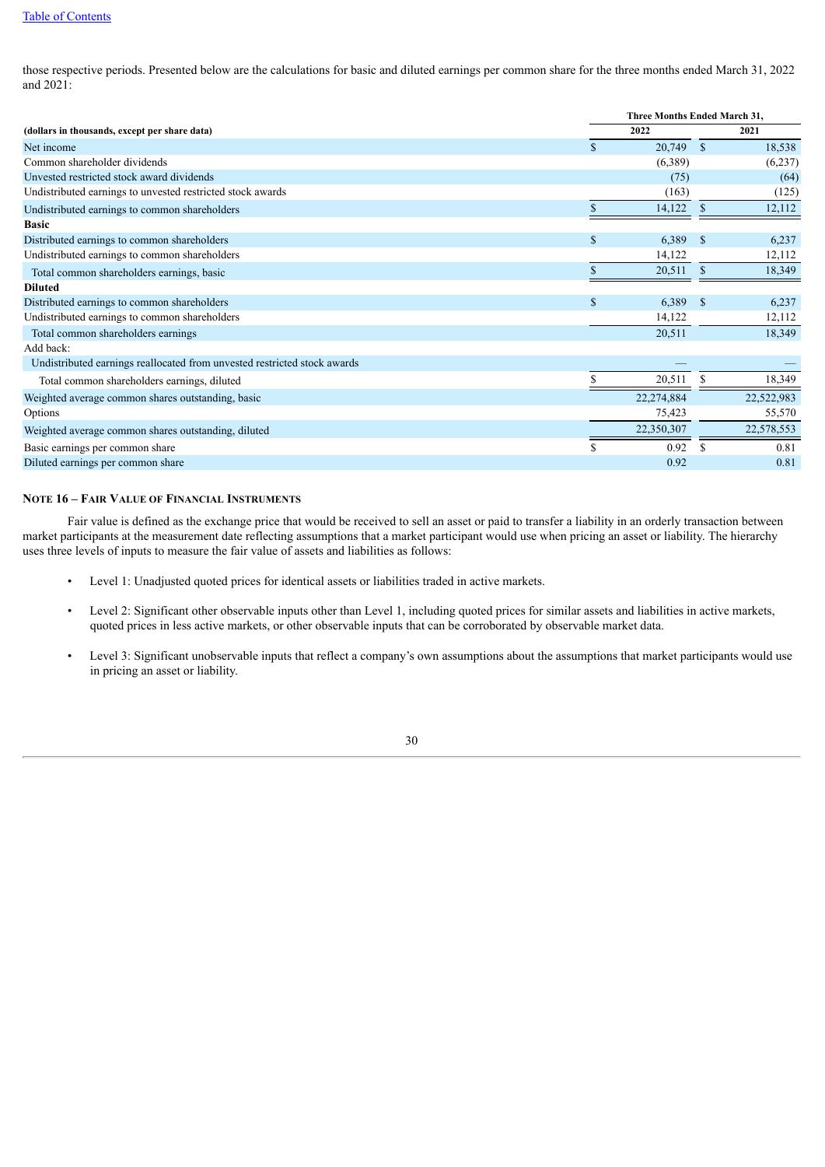those respective periods. Presented below are the calculations for basic and diluted earnings per common share for the three months ended March 31, 2022 and 2021:

|                                                                          |              | Three Months Ended March 31, |               |            |  |  |  |
|--------------------------------------------------------------------------|--------------|------------------------------|---------------|------------|--|--|--|
| (dollars in thousands, except per share data)                            |              | 2022                         |               | 2021       |  |  |  |
| Net income                                                               | \$           | 20,749                       | <sup>S</sup>  | 18,538     |  |  |  |
| Common shareholder dividends                                             |              | (6,389)                      |               | (6,237)    |  |  |  |
| Unvested restricted stock award dividends                                |              | (75)                         |               | (64)       |  |  |  |
| Undistributed earnings to unvested restricted stock awards               |              | (163)                        |               | (125)      |  |  |  |
| Undistributed earnings to common shareholders                            |              | 14,122                       | <sup>\$</sup> | 12,112     |  |  |  |
| <b>Basic</b>                                                             |              |                              |               |            |  |  |  |
| Distributed earnings to common shareholders                              | $\mathbb{S}$ | 6,389                        | -S            | 6,237      |  |  |  |
| Undistributed earnings to common shareholders                            |              | 14,122                       |               | 12,112     |  |  |  |
| Total common shareholders earnings, basic                                |              | 20,511                       | $\mathbb{S}$  | 18,349     |  |  |  |
| <b>Diluted</b>                                                           |              |                              |               |            |  |  |  |
| Distributed earnings to common shareholders                              | \$.          | 6,389                        | -S            | 6,237      |  |  |  |
| Undistributed earnings to common shareholders                            |              | 14,122                       |               | 12,112     |  |  |  |
| Total common shareholders earnings                                       |              | 20,511                       |               | 18,349     |  |  |  |
| Add back:                                                                |              |                              |               |            |  |  |  |
| Undistributed earnings reallocated from unvested restricted stock awards |              |                              |               |            |  |  |  |
| Total common shareholders earnings, diluted                              |              | 20,511                       |               | 18,349     |  |  |  |
| Weighted average common shares outstanding, basic                        |              | 22,274,884                   |               | 22,522,983 |  |  |  |
| Options                                                                  |              | 75,423                       |               | 55,570     |  |  |  |
| Weighted average common shares outstanding, diluted                      |              | 22,350,307                   |               | 22,578,553 |  |  |  |
| Basic earnings per common share                                          |              | 0.92                         |               | 0.81       |  |  |  |
| Diluted earnings per common share                                        |              | 0.92                         |               | 0.81       |  |  |  |
|                                                                          |              |                              |               |            |  |  |  |

### <span id="page-31-0"></span>**NOTE 16 – FAIR VALUE OF FINANCIAL INSTRUMENTS**

Fair value is defined as the exchange price that would be received to sell an asset or paid to transfer a liability in an orderly transaction between market participants at the measurement date reflecting assumptions that a market participant would use when pricing an asset or liability. The hierarchy uses three levels of inputs to measure the fair value of assets and liabilities as follows:

- Level 1: Unadjusted quoted prices for identical assets or liabilities traded in active markets.
- Level 2: Significant other observable inputs other than Level 1, including quoted prices for similar assets and liabilities in active markets, quoted prices in less active markets, or other observable inputs that can be corroborated by observable market data.
- Level 3: Significant unobservable inputs that reflect a company's own assumptions about the assumptions that market participants would use in pricing an asset or liability.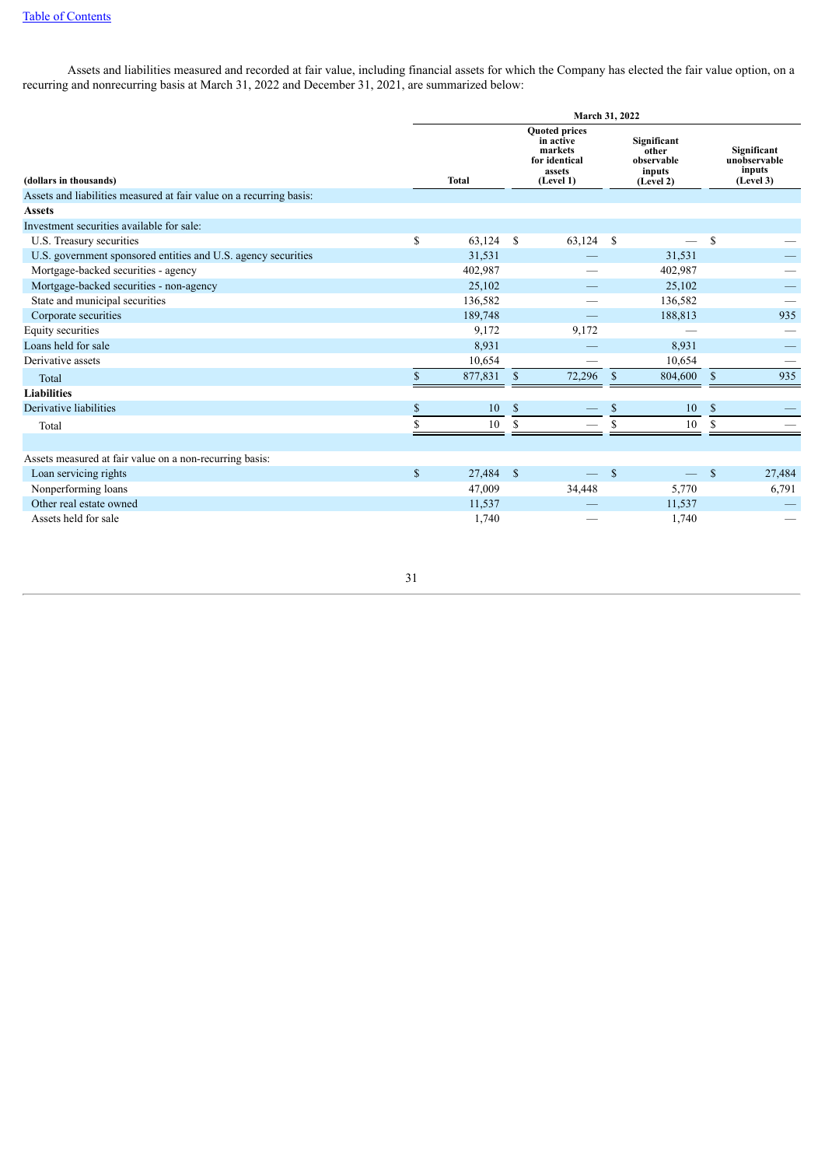Assets and liabilities measured and recorded at fair value, including financial assets for which the Company has elected the fair value option, on a recurring and nonrecurring basis at March 31, 2022 and December 31, 2021, are summarized below:

|                                                                     | March 31, 2022 |              |               |                                                                                      |               |                                                           |               |                                                    |
|---------------------------------------------------------------------|----------------|--------------|---------------|--------------------------------------------------------------------------------------|---------------|-----------------------------------------------------------|---------------|----------------------------------------------------|
| (dollars in thousands)                                              |                | <b>Total</b> |               | <b>Quoted prices</b><br>in active<br>markets<br>for identical<br>assets<br>(Level 1) |               | Significant<br>other<br>observable<br>inputs<br>(Level 2) |               | Significant<br>unobservable<br>inputs<br>(Level 3) |
| Assets and liabilities measured at fair value on a recurring basis: |                |              |               |                                                                                      |               |                                                           |               |                                                    |
| <b>Assets</b>                                                       |                |              |               |                                                                                      |               |                                                           |               |                                                    |
| Investment securities available for sale:                           |                |              |               |                                                                                      |               |                                                           |               |                                                    |
| U.S. Treasury securities                                            | \$             | 63,124       | \$            | 63,124 \$                                                                            |               |                                                           | <sup>\$</sup> |                                                    |
| U.S. government sponsored entities and U.S. agency securities       |                | 31,531       |               |                                                                                      |               | 31,531                                                    |               |                                                    |
| Mortgage-backed securities - agency                                 |                | 402,987      |               |                                                                                      |               | 402,987                                                   |               |                                                    |
| Mortgage-backed securities - non-agency                             |                | 25,102       |               |                                                                                      |               | 25,102                                                    |               |                                                    |
| State and municipal securities                                      |                | 136,582      |               |                                                                                      |               | 136,582                                                   |               |                                                    |
| Corporate securities                                                |                | 189,748      |               |                                                                                      |               | 188,813                                                   |               | 935                                                |
| Equity securities                                                   |                | 9,172        |               | 9,172                                                                                |               |                                                           |               |                                                    |
| Loans held for sale                                                 |                | 8,931        |               |                                                                                      |               | 8,931                                                     |               |                                                    |
| Derivative assets                                                   |                | 10,654       |               |                                                                                      |               | 10,654                                                    |               |                                                    |
| Total                                                               | S.             | 877,831      | $\mathbb{S}$  | 72,296                                                                               | <sup>\$</sup> | 804,600                                                   | $\mathbb{S}$  | 935                                                |
| <b>Liabilities</b>                                                  |                |              |               |                                                                                      |               |                                                           |               |                                                    |
| Derivative liabilities                                              | $\mathbb{S}$   | 10           | $\mathcal{S}$ |                                                                                      | \$            | 10                                                        | $\mathbb{S}$  |                                                    |
| Total                                                               | S              | 10           | S             |                                                                                      |               | 10                                                        | S             |                                                    |
|                                                                     |                |              |               |                                                                                      |               |                                                           |               |                                                    |
| Assets measured at fair value on a non-recurring basis:             |                |              |               |                                                                                      |               |                                                           |               |                                                    |
| Loan servicing rights                                               | $\mathbb{S}$   | 27,484       | $\mathbb{S}$  |                                                                                      | <sup>S</sup>  |                                                           | $\mathbf S$   | 27,484                                             |
| Nonperforming loans                                                 |                | 47,009       |               | 34,448                                                                               |               | 5,770                                                     |               | 6,791                                              |
| Other real estate owned                                             |                | 11,537       |               |                                                                                      |               | 11,537                                                    |               |                                                    |
| Assets held for sale                                                |                | 1,740        |               |                                                                                      |               | 1,740                                                     |               |                                                    |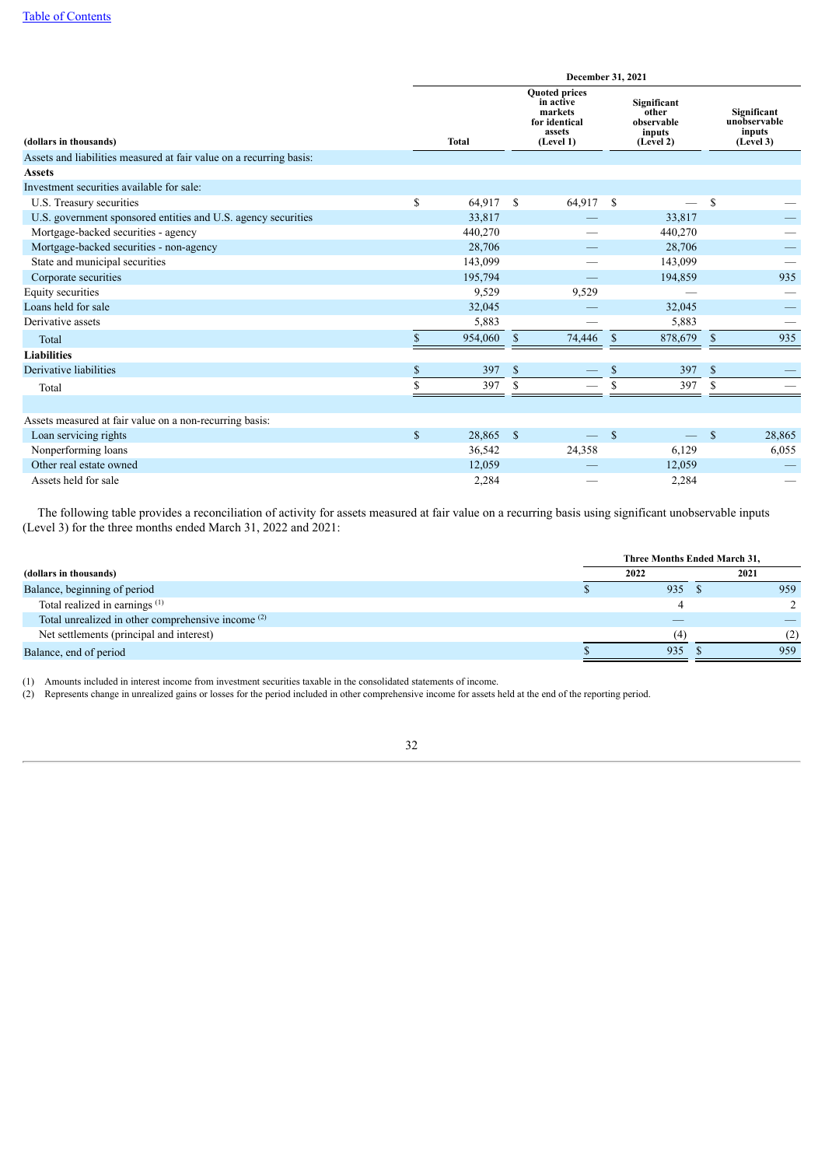|                                                                     |              | December 31, 2021 |                    |                                                                                      |               |                                                           |               |                                                    |
|---------------------------------------------------------------------|--------------|-------------------|--------------------|--------------------------------------------------------------------------------------|---------------|-----------------------------------------------------------|---------------|----------------------------------------------------|
| (dollars in thousands)                                              |              | <b>Total</b>      |                    | <b>Ouoted prices</b><br>in active<br>markets<br>for identical<br>assets<br>(Level 1) |               | Significant<br>other<br>observable<br>inputs<br>(Level 2) |               | Significant<br>unobservable<br>inputs<br>(Level 3) |
| Assets and liabilities measured at fair value on a recurring basis: |              |                   |                    |                                                                                      |               |                                                           |               |                                                    |
| <b>Assets</b>                                                       |              |                   |                    |                                                                                      |               |                                                           |               |                                                    |
| Investment securities available for sale:                           |              |                   |                    |                                                                                      |               |                                                           |               |                                                    |
| U.S. Treasury securities                                            | \$           | 64,917            | <sup>\$</sup>      | 64,917 \$                                                                            |               |                                                           | $\mathbf S$   |                                                    |
| U.S. government sponsored entities and U.S. agency securities       |              | 33,817            |                    |                                                                                      |               | 33,817                                                    |               |                                                    |
| Mortgage-backed securities - agency                                 |              | 440,270           |                    |                                                                                      |               | 440,270                                                   |               |                                                    |
| Mortgage-backed securities - non-agency                             |              | 28,706            |                    |                                                                                      |               | 28,706                                                    |               |                                                    |
| State and municipal securities                                      |              | 143,099           |                    |                                                                                      |               | 143,099                                                   |               |                                                    |
| Corporate securities                                                |              | 195,794           |                    |                                                                                      |               | 194,859                                                   |               | 935                                                |
| <b>Equity securities</b>                                            |              | 9,529             |                    | 9,529                                                                                |               |                                                           |               |                                                    |
| Loans held for sale                                                 |              | 32,045            |                    |                                                                                      |               | 32,045                                                    |               |                                                    |
| Derivative assets                                                   |              | 5,883             |                    |                                                                                      |               | 5,883                                                     |               |                                                    |
| Total                                                               | \$           | 954,060           | $\mathbb{S}$       | 74,446                                                                               | <sup>\$</sup> | 878,679                                                   | <sup>\$</sup> | 935                                                |
| <b>Liabilities</b>                                                  |              |                   |                    |                                                                                      |               |                                                           |               |                                                    |
| Derivative liabilities                                              | \$           | 397               | $\mathbb{S}$       |                                                                                      | S             | 397                                                       | $\mathbb{S}$  |                                                    |
| Total                                                               |              | 397               | S                  |                                                                                      | S             | 397                                                       | S             |                                                    |
|                                                                     |              |                   |                    |                                                                                      |               |                                                           |               |                                                    |
| Assets measured at fair value on a non-recurring basis:             |              |                   |                    |                                                                                      |               |                                                           |               |                                                    |
| Loan servicing rights                                               | $\mathbb{S}$ | 28,865            | $\mathbf{\hat{s}}$ |                                                                                      | $\mathbb{S}$  |                                                           | <sup>\$</sup> | 28,865                                             |
| Nonperforming loans                                                 |              | 36,542            |                    | 24,358                                                                               |               | 6,129                                                     |               | 6,055                                              |
| Other real estate owned                                             |              | 12,059            |                    |                                                                                      |               | 12,059                                                    |               |                                                    |
| Assets held for sale                                                |              | 2.284             |                    |                                                                                      |               | 2.284                                                     |               |                                                    |

The following table provides a reconciliation of activity for assets measured at fair value on a recurring basis using significant unobservable inputs (Level 3) for the three months ended March 31, 2022 and 2021:

|                                                    |      |     | Three Months Ended March 31. |      |  |
|----------------------------------------------------|------|-----|------------------------------|------|--|
| (dollars in thousands)                             | 2022 |     |                              | 2021 |  |
| Balance, beginning of period                       |      | 935 |                              | 959  |  |
| Total realized in earnings <sup>(1)</sup>          |      |     |                              |      |  |
| Total unrealized in other comprehensive income (2) |      |     |                              |      |  |
| Net settlements (principal and interest)           |      |     |                              | (2)  |  |
| Balance, end of period                             |      | 935 |                              | 959  |  |

(1) Amounts included in interest income from investment securities taxable in the consolidated statements of income.

(2) Represents change in unrealized gains or losses for the period included in other comprehensive income for assets held at the end of the reporting period.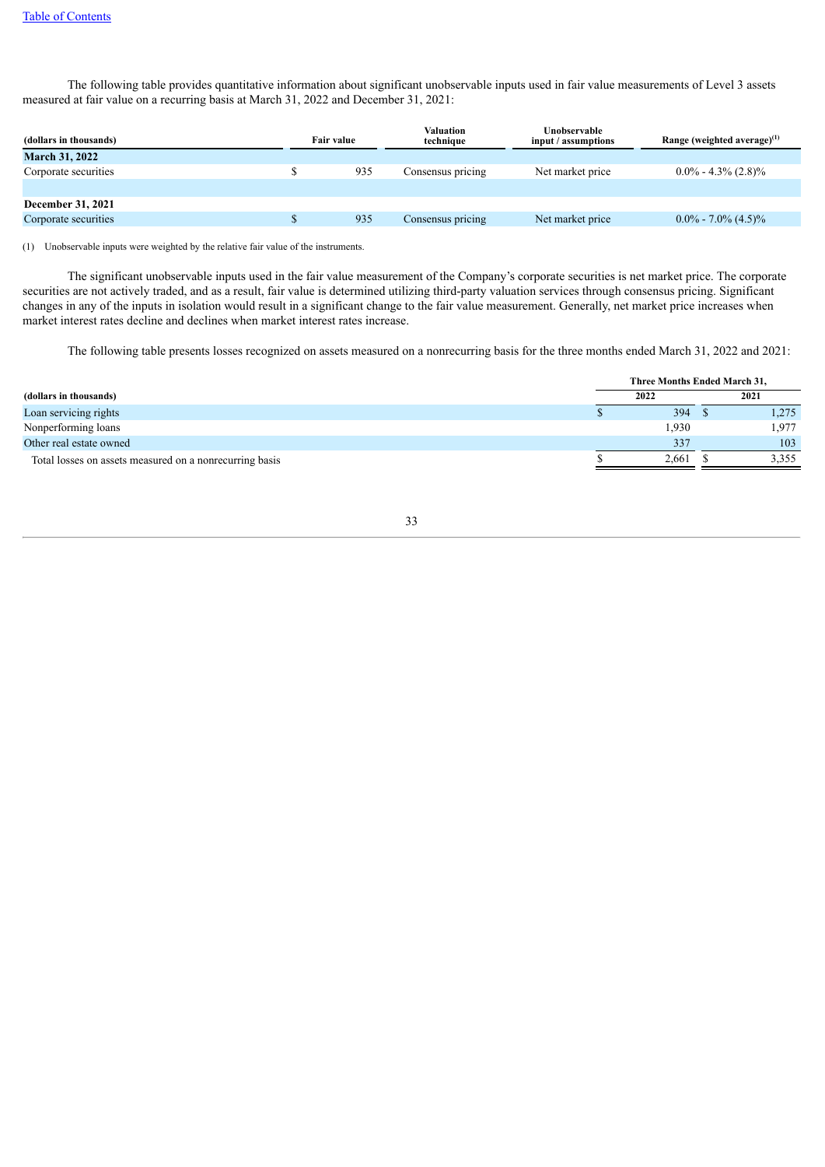The following table provides quantitative information about significant unobservable inputs used in fair value measurements of Level 3 assets measured at fair value on a recurring basis at March 31, 2022 and December 31, 2021:

| (dollars in thousands)   | <b>Fair value</b> |     | Valuation<br>technique | Unobservable<br>input / assumptions | Range (weighted average) $^{(1)}$ |
|--------------------------|-------------------|-----|------------------------|-------------------------------------|-----------------------------------|
| <b>March 31, 2022</b>    |                   |     |                        |                                     |                                   |
| Corporate securities     |                   | 935 | Consensus pricing      | Net market price                    | $0.0\%$ - 4.3% (2.8)%             |
|                          |                   |     |                        |                                     |                                   |
| <b>December 31, 2021</b> |                   |     |                        |                                     |                                   |
| Corporate securities     |                   | 935 | Consensus pricing      | Net market price                    | $0.0\%$ - 7.0% $(4.5)\%$          |

(1) Unobservable inputs were weighted by the relative fair value of the instruments.

The significant unobservable inputs used in the fair value measurement of the Company's corporate securities is net market price. The corporate securities are not actively traded, and as a result, fair value is determined utilizing third-party valuation services through consensus pricing. Significant changes in any of the inputs in isolation would result in a significant change to the fair value measurement. Generally, net market price increases when market interest rates decline and declines when market interest rates increase.

The following table presents losses recognized on assets measured on a nonrecurring basis for the three months ended March 31, 2022 and 2021:

|                                                         |       | Three Months Ended March 31, |       |  |
|---------------------------------------------------------|-------|------------------------------|-------|--|
| (dollars in thousands)                                  | 2022  |                              | 2021  |  |
| Loan servicing rights                                   | 394   |                              | 1,275 |  |
| Nonperforming loans                                     | 1.930 |                              | 1,977 |  |
| Other real estate owned                                 | 337   |                              | 103   |  |
| Total losses on assets measured on a nonrecurring basis | 2.661 |                              | 3,355 |  |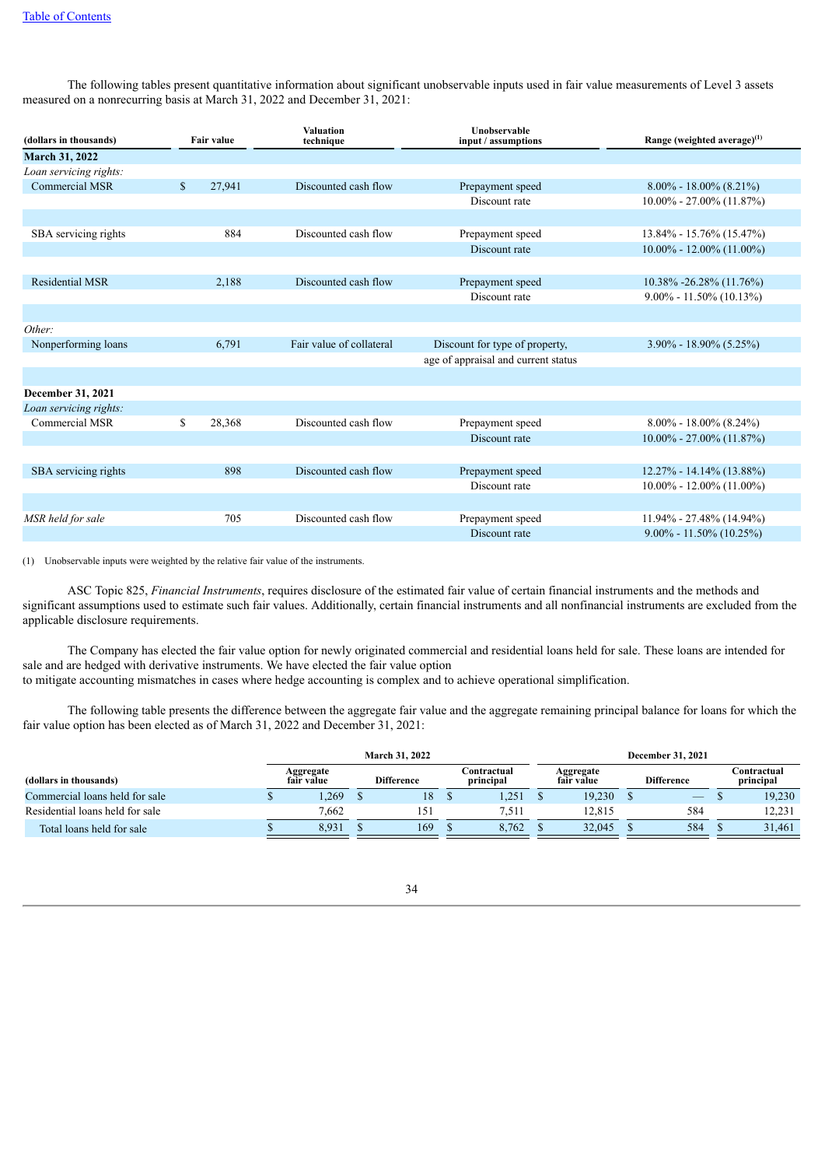The following tables present quantitative information about significant unobservable inputs used in fair value measurements of Level 3 assets measured on a nonrecurring basis at March 31, 2022 and December 31, 2021:

| (dollars in thousands)   | Unobservable<br><b>Valuation</b><br><b>Fair value</b><br>technique<br>input / assumptions |        |                          | Range (weighted average) $(1)$      |                               |
|--------------------------|-------------------------------------------------------------------------------------------|--------|--------------------------|-------------------------------------|-------------------------------|
| <b>March 31, 2022</b>    |                                                                                           |        |                          |                                     |                               |
| Loan servicing rights:   |                                                                                           |        |                          |                                     |                               |
| <b>Commercial MSR</b>    | $\mathbb{S}$                                                                              | 27,941 | Discounted cash flow     | Prepayment speed                    | $8.00\% - 18.00\%$ (8.21\%)   |
|                          |                                                                                           |        |                          | Discount rate                       | $10.00\% - 27.00\%$ (11.87%)  |
|                          |                                                                                           |        |                          |                                     |                               |
| SBA servicing rights     |                                                                                           | 884    | Discounted cash flow     | Prepayment speed                    | $13.84\% - 15.76\%$ (15.47%)  |
|                          |                                                                                           |        |                          | Discount rate                       | $10.00\% - 12.00\%$ (11.00%)  |
|                          |                                                                                           |        |                          |                                     |                               |
| <b>Residential MSR</b>   |                                                                                           | 2,188  | Discounted cash flow     | Prepayment speed                    | $10.38\% - 26.28\% (11.76\%)$ |
|                          |                                                                                           |        |                          | Discount rate                       | $9.00\% - 11.50\%$ (10.13%)   |
|                          |                                                                                           |        |                          |                                     |                               |
| Other:                   |                                                                                           |        |                          |                                     |                               |
| Nonperforming loans      |                                                                                           | 6,791  | Fair value of collateral | Discount for type of property,      | $3.90\% - 18.90\%$ (5.25%)    |
|                          |                                                                                           |        |                          | age of appraisal and current status |                               |
|                          |                                                                                           |        |                          |                                     |                               |
| <b>December 31, 2021</b> |                                                                                           |        |                          |                                     |                               |
| Loan servicing rights:   |                                                                                           |        |                          |                                     |                               |
| Commercial MSR           | $\mathbb{S}$                                                                              | 28,368 | Discounted cash flow     | Prepayment speed                    | $8.00\% - 18.00\%$ (8.24%)    |
|                          |                                                                                           |        |                          | Discount rate                       | $10.00\% - 27.00\%$ (11.87%)  |
|                          |                                                                                           |        |                          |                                     |                               |
| SBA servicing rights     |                                                                                           | 898    | Discounted cash flow     | Prepayment speed                    | $12.27\% - 14.14\% (13.88\%)$ |
|                          |                                                                                           |        |                          | Discount rate                       | $10.00\% - 12.00\%$ (11.00%)  |
|                          |                                                                                           |        |                          |                                     |                               |
| MSR held for sale        |                                                                                           | 705    | Discounted cash flow     | Prepayment speed                    | $11.94\% - 27.48\%$ (14.94%)  |
|                          |                                                                                           |        |                          | Discount rate                       | $9.00\% - 11.50\%$ (10.25%)   |

(1) Unobservable inputs were weighted by the relative fair value of the instruments.

ASC Topic 825, *Financial Instruments*, requires disclosure of the estimated fair value of certain financial instruments and the methods and significant assumptions used to estimate such fair values. Additionally, certain financial instruments and all nonfinancial instruments are excluded from the applicable disclosure requirements.

The Company has elected the fair value option for newly originated commercial and residential loans held for sale. These loans are intended for sale and are hedged with derivative instruments. We have elected the fair value option

to mitigate accounting mismatches in cases where hedge accounting is complex and to achieve operational simplification.

The following table presents the difference between the aggregate fair value and the aggregate remaining principal balance for loans for which the fair value option has been elected as of March 31, 2022 and December 31, 2021:

|                                 |                         | <b>March 31, 2022</b> | <b>December 31, 2021</b> |                          |                         |                   |  |                          |
|---------------------------------|-------------------------|-----------------------|--------------------------|--------------------------|-------------------------|-------------------|--|--------------------------|
| (dollars in thousands)          | Aggregate<br>fair value |                       | <b>Difference</b>        | Contractual<br>principal | Aggregate<br>fair value | <b>Difference</b> |  | Contractual<br>principal |
| Commercial loans held for sale  | .269                    |                       | 18                       | .251                     | 19.230                  |                   |  | 19,230                   |
| Residential loans held for sale | 7.662                   |                       | 151                      | 7.511                    | 12.815                  | 584               |  | 12.231                   |
| Total loans held for sale       | 8.931                   |                       | 169                      | 8.762                    | 32.045                  | 584               |  | 31,461                   |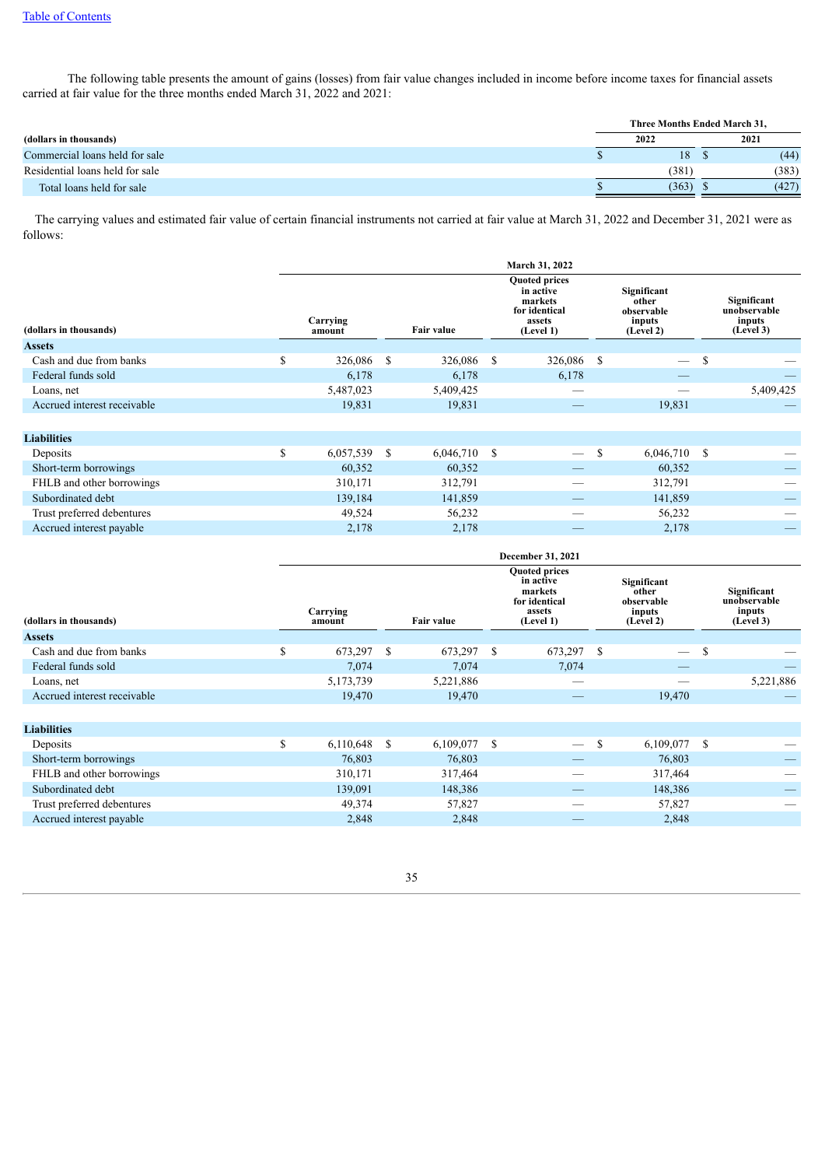The following table presents the amount of gains (losses) from fair value changes included in income before income taxes for financial assets carried at fair value for the three months ended March 31, 2022 and 2021:

|                                 | Three Months Ended March 31, |       |  |       |  |  |  |
|---------------------------------|------------------------------|-------|--|-------|--|--|--|
| (dollars in thousands)          |                              | 2022  |  | 2021  |  |  |  |
| Commercial loans held for sale  |                              | 18    |  | (44)  |  |  |  |
| Residential loans held for sale |                              | (381) |  | (383) |  |  |  |
| Total loans held for sale       |                              | (363) |  | (427) |  |  |  |

The carrying values and estimated fair value of certain financial instruments not carried at fair value at March 31, 2022 and December 31, 2021 were as follows:

|                             |   |                    |                 | March 31, 2022                                                                       |    |                                                           |               |                                                    |
|-----------------------------|---|--------------------|-----------------|--------------------------------------------------------------------------------------|----|-----------------------------------------------------------|---------------|----------------------------------------------------|
| (dollars in thousands)      |   | Carrying<br>amount | Fair value      | <b>Quoted prices</b><br>in active<br>markets<br>for identical<br>assets<br>(Level 1) |    | Significant<br>other<br>observable<br>inputs<br>(Level 2) |               | Significant<br>unobservable<br>inputs<br>(Level 3) |
| <b>Assets</b>               |   |                    |                 |                                                                                      |    |                                                           |               |                                                    |
| Cash and due from banks     | ъ | 326,086            | \$<br>326,086   | \$<br>326,086                                                                        | \$ | $\hspace{0.1mm}-\hspace{0.1mm}$                           | <sup>\$</sup> |                                                    |
| Federal funds sold          |   | 6,178              | 6,178           | 6,178                                                                                |    |                                                           |               |                                                    |
| Loans, net                  |   | 5,487,023          | 5,409,425       |                                                                                      |    |                                                           |               | 5,409,425                                          |
| Accrued interest receivable |   | 19,831             | 19,831          |                                                                                      |    | 19,831                                                    |               |                                                    |
|                             |   |                    |                 |                                                                                      |    |                                                           |               |                                                    |
| <b>Liabilities</b>          |   |                    |                 |                                                                                      |    |                                                           |               |                                                    |
| Deposits                    | S | 6,057,539          | \$<br>6,046,710 | \$<br>$\overbrace{\phantom{aaaaa}}$                                                  | S  | 6,046,710                                                 | - \$          |                                                    |
| Short-term borrowings       |   | 60,352             | 60,352          |                                                                                      |    | 60,352                                                    |               |                                                    |
| FHLB and other borrowings   |   | 310,171            | 312,791         |                                                                                      |    | 312,791                                                   |               |                                                    |
| Subordinated debt           |   | 139,184            | 141,859         |                                                                                      |    | 141,859                                                   |               |                                                    |
| Trust preferred debentures  |   | 49,524             | 56,232          |                                                                                      |    | 56,232                                                    |               |                                                    |
| Accrued interest payable    |   | 2,178              | 2,178           |                                                                                      |    | 2,178                                                     |               |                                                    |

|                             |     |                    |   |            |               | December 31, 2021                                                                    |               |                                                           |               |                                                    |
|-----------------------------|-----|--------------------|---|------------|---------------|--------------------------------------------------------------------------------------|---------------|-----------------------------------------------------------|---------------|----------------------------------------------------|
| (dollars in thousands)      |     | Carrying<br>amount |   | Fair value |               | <b>Quoted prices</b><br>in active<br>markets<br>for identical<br>assets<br>(Level 1) |               | Significant<br>other<br>observable<br>inputs<br>(Level 2) |               | Significant<br>unobservable<br>inputs<br>(Level 3) |
| <b>Assets</b>               |     |                    |   |            |               |                                                                                      |               |                                                           |               |                                                    |
| Cash and due from banks     | \$. | 673,297            | S | 673,297    | \$            | 673,297                                                                              | <sup>\$</sup> | $\overline{\phantom{m}}$                                  | S             |                                                    |
| Federal funds sold          |     | 7,074              |   | 7,074      |               | 7,074                                                                                |               |                                                           |               |                                                    |
| Loans, net                  |     | 5,173,739          |   | 5,221,886  |               | –                                                                                    |               |                                                           |               | 5,221,886                                          |
| Accrued interest receivable |     | 19,470             |   | 19,470     |               |                                                                                      |               | 19,470                                                    |               |                                                    |
| <b>Liabilities</b>          |     |                    |   |            |               |                                                                                      |               |                                                           |               |                                                    |
| Deposits                    | \$. | 6,110,648          | S | 6,109,077  | <sup>\$</sup> | $\hspace{0.05cm}$                                                                    | \$            | 6,109,077                                                 | <sup>\$</sup> |                                                    |
| Short-term borrowings       |     | 76,803             |   | 76,803     |               |                                                                                      |               | 76,803                                                    |               |                                                    |
| FHLB and other borrowings   |     | 310,171            |   | 317,464    |               |                                                                                      |               | 317,464                                                   |               |                                                    |
| Subordinated debt           |     | 139,091            |   | 148,386    |               |                                                                                      |               | 148,386                                                   |               |                                                    |
| Trust preferred debentures  |     | 49,374             |   | 57,827     |               |                                                                                      |               | 57,827                                                    |               |                                                    |
| Accrued interest payable    |     | 2,848              |   | 2,848      |               |                                                                                      |               | 2,848                                                     |               |                                                    |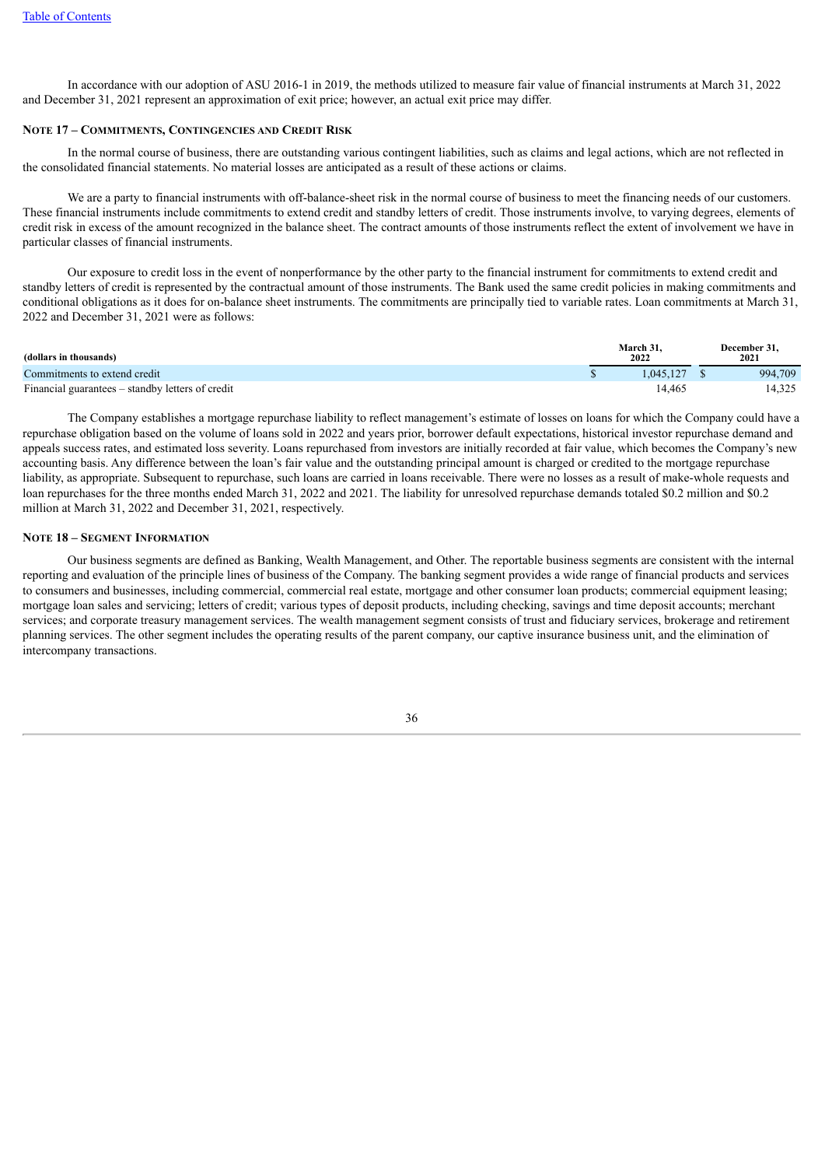In accordance with our adoption of ASU 2016-1 in 2019, the methods utilized to measure fair value of financial instruments at March 31, 2022 and December 31, 2021 represent an approximation of exit price; however, an actual exit price may differ.

#### <span id="page-37-0"></span>**NOTE 17 – COMMITMENTS, CONTINGENCIES AND CREDIT RISK**

In the normal course of business, there are outstanding various contingent liabilities, such as claims and legal actions, which are not reflected in the consolidated financial statements. No material losses are anticipated as a result of these actions or claims.

We are a party to financial instruments with off-balance-sheet risk in the normal course of business to meet the financing needs of our customers. These financial instruments include commitments to extend credit and standby letters of credit. Those instruments involve, to varying degrees, elements of credit risk in excess of the amount recognized in the balance sheet. The contract amounts of those instruments reflect the extent of involvement we have in particular classes of financial instruments.

Our exposure to credit loss in the event of nonperformance by the other party to the financial instrument for commitments to extend credit and standby letters of credit is represented by the contractual amount of those instruments. The Bank used the same credit policies in making commitments and conditional obligations as it does for on-balance sheet instruments. The commitments are principally tied to variable rates. Loan commitments at March 31, 2022 and December 31, 2021 were as follows:

| (dollars in thousands)                           | <b>March 31</b><br>2022 | December 31.<br>2021 |
|--------------------------------------------------|-------------------------|----------------------|
| Commitments to extend credit                     | .045.127                | 994,709              |
| Financial guarantees – standby letters of credit | 14.465                  | 14,325               |

The Company establishes a mortgage repurchase liability to reflect management's estimate of losses on loans for which the Company could have a repurchase obligation based on the volume of loans sold in 2022 and years prior, borrower default expectations, historical investor repurchase demand and appeals success rates, and estimated loss severity. Loans repurchased from investors are initially recorded at fair value, which becomes the Company's new accounting basis. Any difference between the loan's fair value and the outstanding principal amount is charged or credited to the mortgage repurchase liability, as appropriate. Subsequent to repurchase, such loans are carried in loans receivable. There were no losses as a result of make-whole requests and loan repurchases for the three months ended March 31, 2022 and 2021. The liability for unresolved repurchase demands totaled \$0.2 million and \$0.2 million at March 31, 2022 and December 31, 2021, respectively.

### <span id="page-37-1"></span>**NOTE 18 – SEGMENT INFORMATION**

Our business segments are defined as Banking, Wealth Management, and Other. The reportable business segments are consistent with the internal reporting and evaluation of the principle lines of business of the Company. The banking segment provides a wide range of financial products and services to consumers and businesses, including commercial, commercial real estate, mortgage and other consumer loan products; commercial equipment leasing; mortgage loan sales and servicing; letters of credit; various types of deposit products, including checking, savings and time deposit accounts; merchant services; and corporate treasury management services. The wealth management segment consists of trust and fiduciary services, brokerage and retirement planning services. The other segment includes the operating results of the parent company, our captive insurance business unit, and the elimination of intercompany transactions.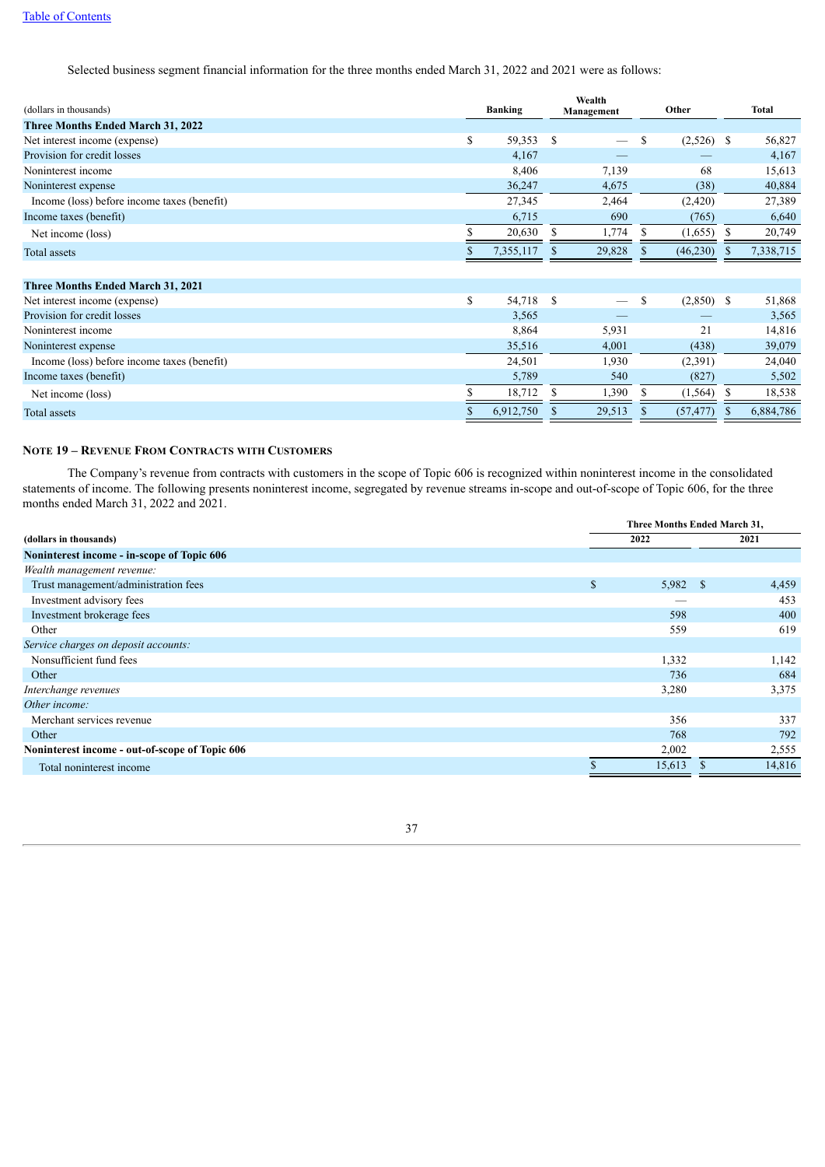Selected business segment financial information for the three months ended March 31, 2022 and 2021 were as follows:

| (dollars in thousands)                      | <b>Banking</b> |               | Wealth<br>Management     |    | Other        | <b>Total</b> |
|---------------------------------------------|----------------|---------------|--------------------------|----|--------------|--------------|
| <b>Three Months Ended March 31, 2022</b>    |                |               |                          |    |              |              |
| Net interest income (expense)               | \$<br>59,353   | S             | $\overline{\phantom{0}}$ | S  | $(2,526)$ \$ | 56,827       |
| Provision for credit losses                 | 4,167          |               |                          |    |              | 4,167        |
| Noninterest income                          | 8,406          |               | 7,139                    |    | 68           | 15,613       |
| Noninterest expense                         | 36,247         |               | 4,675                    |    | (38)         | 40,884       |
| Income (loss) before income taxes (benefit) | 27,345         |               | 2,464                    |    | (2, 420)     | 27,389       |
| Income taxes (benefit)                      | 6,715          |               | 690                      |    | (765)        | 6,640        |
| Net income (loss)                           | 20,630         |               | 1,774                    |    | (1,655)      | 20,749       |
| Total assets                                | 7,355,117      |               | 29,828                   |    | (46,230)     | 7,338,715    |
|                                             |                |               |                          |    |              |              |
| Three Months Ended March 31, 2021           |                |               |                          |    |              |              |
| Net interest income (expense)               | \$<br>54,718   | <sup>\$</sup> |                          | \$ | $(2,850)$ \$ | 51,868       |
| Provision for credit losses                 | 3,565          |               |                          |    |              | 3,565        |
| Noninterest income                          | 8,864          |               | 5,931                    |    | 21           | 14,816       |
| Noninterest expense                         | 35,516         |               | 4,001                    |    | (438)        | 39,079       |
| Income (loss) before income taxes (benefit) | 24,501         |               | 1,930                    |    | (2,391)      | 24,040       |
| Income taxes (benefit)                      | 5,789          |               | 540                      |    | (827)        | 5,502        |
| Net income (loss)                           | 18,712         | S             | 1,390                    | S  | (1, 564)     | \$<br>18,538 |
| Total assets                                | 6,912,750      |               | 29,513                   |    | (57, 477)    | 6,884,786    |
|                                             |                |               |                          |    |              |              |

### <span id="page-38-0"></span>**NOTE 19 – REVENUE FROM CONTRACTS WITH CUSTOMERS**

The Company's revenue from contracts with customers in the scope of Topic 606 is recognized within noninterest income in the consolidated statements of income. The following presents noninterest income, segregated by revenue streams in-scope and out-of-scope of Topic 606, for the three months ended March 31, 2022 and 2021.

|                                                | Three Months Ended March 31, |          |        |
|------------------------------------------------|------------------------------|----------|--------|
| (dollars in thousands)                         | 2022                         |          | 2021   |
| Noninterest income - in-scope of Topic 606     |                              |          |        |
| Wealth management revenue:                     |                              |          |        |
| Trust management/administration fees           | \$<br>5,982                  | $\sim$ S | 4,459  |
| Investment advisory fees                       |                              |          | 453    |
| Investment brokerage fees                      | 598                          |          | 400    |
| Other                                          | 559                          |          | 619    |
| Service charges on deposit accounts:           |                              |          |        |
| Nonsufficient fund fees                        | 1,332                        |          | 1,142  |
| Other                                          | 736                          |          | 684    |
| Interchange revenues                           | 3,280                        |          | 3,375  |
| Other income:                                  |                              |          |        |
| Merchant services revenue                      | 356                          |          | 337    |
| Other                                          | 768                          |          | 792    |
| Noninterest income - out-of-scope of Topic 606 | 2,002                        |          | 2,555  |
| Total noninterest income                       | 15,613                       |          | 14,816 |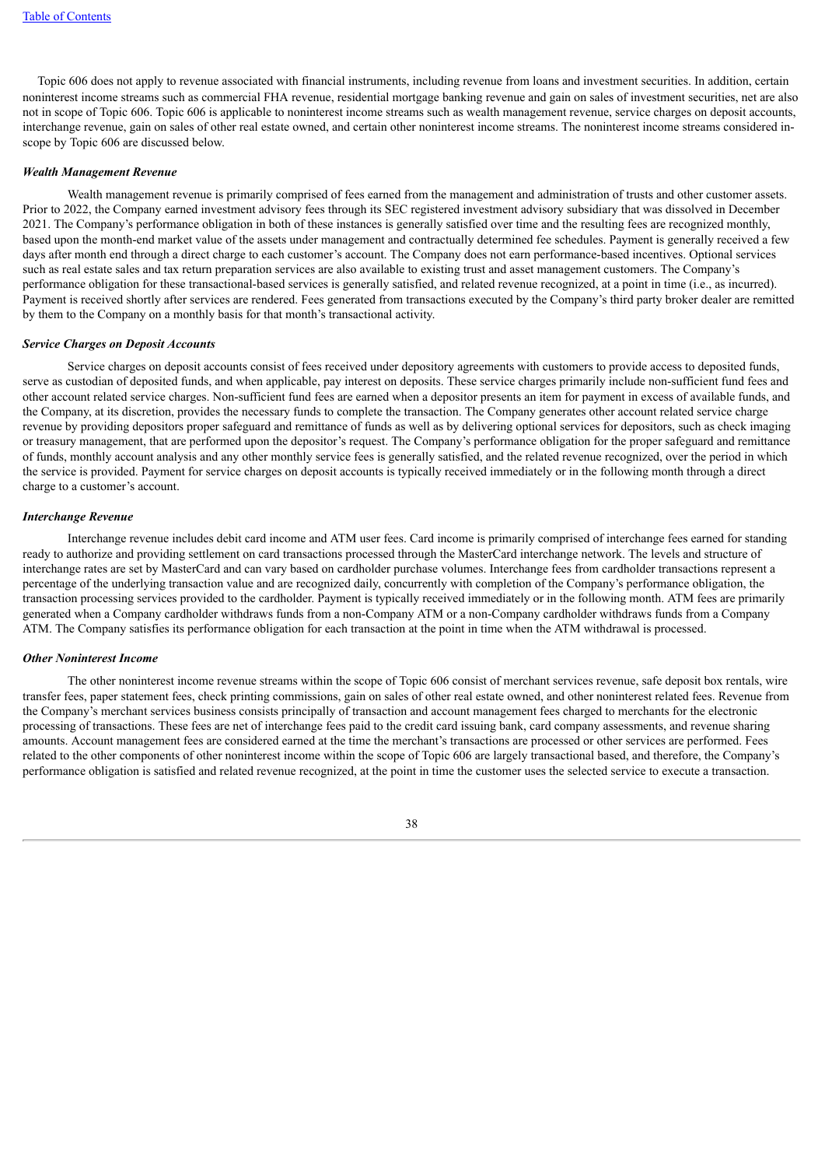Topic 606 does not apply to revenue associated with financial instruments, including revenue from loans and investment securities. In addition, certain noninterest income streams such as commercial FHA revenue, residential mortgage banking revenue and gain on sales of investment securities, net are also not in scope of Topic 606. Topic 606 is applicable to noninterest income streams such as wealth management revenue, service charges on deposit accounts, interchange revenue, gain on sales of other real estate owned, and certain other noninterest income streams. The noninterest income streams considered inscope by Topic 606 are discussed below.

### *Wealth Management Revenue*

Wealth management revenue is primarily comprised of fees earned from the management and administration of trusts and other customer assets. Prior to 2022, the Company earned investment advisory fees through its SEC registered investment advisory subsidiary that was dissolved in December 2021. The Company's performance obligation in both of these instances is generally satisfied over time and the resulting fees are recognized monthly, based upon the month-end market value of the assets under management and contractually determined fee schedules. Payment is generally received a few days after month end through a direct charge to each customer's account. The Company does not earn performance-based incentives. Optional services such as real estate sales and tax return preparation services are also available to existing trust and asset management customers. The Company's performance obligation for these transactional-based services is generally satisfied, and related revenue recognized, at a point in time (i.e., as incurred). Payment is received shortly after services are rendered. Fees generated from transactions executed by the Company's third party broker dealer are remitted by them to the Company on a monthly basis for that month's transactional activity.

#### *Service Charges on Deposit Accounts*

Service charges on deposit accounts consist of fees received under depository agreements with customers to provide access to deposited funds, serve as custodian of deposited funds, and when applicable, pay interest on deposits. These service charges primarily include non-sufficient fund fees and other account related service charges. Non-sufficient fund fees are earned when a depositor presents an item for payment in excess of available funds, and the Company, at its discretion, provides the necessary funds to complete the transaction. The Company generates other account related service charge revenue by providing depositors proper safeguard and remittance of funds as well as by delivering optional services for depositors, such as check imaging or treasury management, that are performed upon the depositor's request. The Company's performance obligation for the proper safeguard and remittance of funds, monthly account analysis and any other monthly service fees is generally satisfied, and the related revenue recognized, over the period in which the service is provided. Payment for service charges on deposit accounts is typically received immediately or in the following month through a direct charge to a customer's account.

#### *Interchange Revenue*

Interchange revenue includes debit card income and ATM user fees. Card income is primarily comprised of interchange fees earned for standing ready to authorize and providing settlement on card transactions processed through the MasterCard interchange network. The levels and structure of interchange rates are set by MasterCard and can vary based on cardholder purchase volumes. Interchange fees from cardholder transactions represent a percentage of the underlying transaction value and are recognized daily, concurrently with completion of the Company's performance obligation, the transaction processing services provided to the cardholder. Payment is typically received immediately or in the following month. ATM fees are primarily generated when a Company cardholder withdraws funds from a non-Company ATM or a non-Company cardholder withdraws funds from a Company ATM. The Company satisfies its performance obligation for each transaction at the point in time when the ATM withdrawal is processed.

### *Other Noninterest Income*

<span id="page-39-0"></span>The other noninterest income revenue streams within the scope of Topic 606 consist of merchant services revenue, safe deposit box rentals, wire transfer fees, paper statement fees, check printing commissions, gain on sales of other real estate owned, and other noninterest related fees. Revenue from the Company's merchant services business consists principally of transaction and account management fees charged to merchants for the electronic processing of transactions. These fees are net of interchange fees paid to the credit card issuing bank, card company assessments, and revenue sharing amounts. Account management fees are considered earned at the time the merchant's transactions are processed or other services are performed. Fees related to the other components of other noninterest income within the scope of Topic 606 are largely transactional based, and therefore, the Company's performance obligation is satisfied and related revenue recognized, at the point in time the customer uses the selected service to execute a transaction.

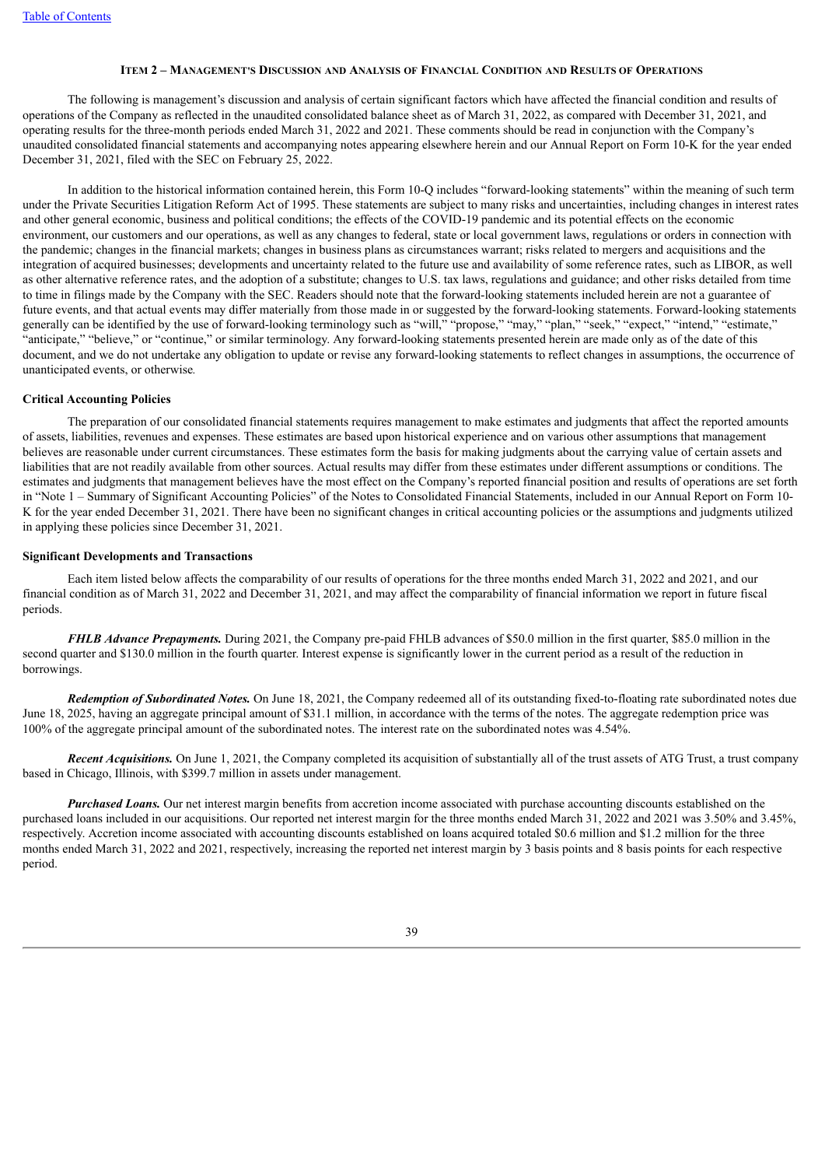### **ITEM 2-MANAGEMENT'S DISCUSSION AND ANALYSIS OF FINANCIAL CONDITION AND RESULTS OF OPERATIONS**

The following is management's discussion and analysis of certain significant factors which have affected the financial condition and results of operations of the Company as reflected in the unaudited consolidated balance sheet as of March 31, 2022, as compared with December 31, 2021, and operating results for the three-month periods ended March 31, 2022 and 2021. These comments should be read in conjunction with the Company's unaudited consolidated financial statements and accompanying notes appearing elsewhere herein and our Annual Report on Form 10-K for the year ended December 31, 2021, filed with the SEC on February 25, 2022.

In addition to the historical information contained herein, this Form 10-Q includes "forward-looking statements" within the meaning of such term under the Private Securities Litigation Reform Act of 1995. These statements are subject to many risks and uncertainties, including changes in interest rates and other general economic, business and political conditions; the effects of the COVID-19 pandemic and its potential effects on the economic environment, our customers and our operations, as well as any changes to federal, state or local government laws, regulations or orders in connection with the pandemic; changes in the financial markets; changes in business plans as circumstances warrant; risks related to mergers and acquisitions and the integration of acquired businesses; developments and uncertainty related to the future use and availability of some reference rates, such as LIBOR, as well as other alternative reference rates, and the adoption of a substitute; changes to U.S. tax laws, regulations and guidance; and other risks detailed from time to time in filings made by the Company with the SEC. Readers should note that the forward-looking statements included herein are not a guarantee of future events, and that actual events may differ materially from those made in or suggested by the forward-looking statements. Forward-looking statements generally can be identified by the use of forward-looking terminology such as "will," "propose," "may," "plan," "seek," "expect," "intend," "estimate," "anticipate," "believe," or "continue," or similar terminology. Any forward-looking statements presented herein are made only as of the date of this document, and we do not undertake any obligation to update or revise any forward-looking statements to reflect changes in assumptions, the occurrence of unanticipated events, or otherwise*.*

#### **Critical Accounting Policies**

The preparation of our consolidated financial statements requires management to make estimates and judgments that affect the reported amounts of assets, liabilities, revenues and expenses. These estimates are based upon historical experience and on various other assumptions that management believes are reasonable under current circumstances. These estimates form the basis for making judgments about the carrying value of certain assets and liabilities that are not readily available from other sources. Actual results may differ from these estimates under different assumptions or conditions. The estimates and judgments that management believes have the most effect on the Company's reported financial position and results of operations are set forth in "Note 1 – Summary of Significant Accounting Policies" of the Notes to Consolidated Financial Statements, included in our Annual Report on Form 10- K for the year ended December 31, 2021. There have been no significant changes in critical accounting policies or the assumptions and judgments utilized in applying these policies since December 31, 2021.

#### **Significant Developments and Transactions**

Each item listed below affects the comparability of our results of operations for the three months ended March 31, 2022 and 2021, and our financial condition as of March 31, 2022 and December 31, 2021, and may affect the comparability of financial information we report in future fiscal periods.

*FHLB Advance Prepayments.* During 2021, the Company pre-paid FHLB advances of \$50.0 million in the first quarter, \$85.0 million in the second quarter and \$130.0 million in the fourth quarter. Interest expense is significantly lower in the current period as a result of the reduction in borrowings.

*Redemption of Subordinated Notes.* On June 18, 2021, the Company redeemed all of its outstanding fixed-to-floating rate subordinated notes due June 18, 2025, having an aggregate principal amount of \$31.1 million, in accordance with the terms of the notes. The aggregate redemption price was 100% of the aggregate principal amount of the subordinated notes. The interest rate on the subordinated notes was 4.54%.

*Recent Acquisitions.* On June 1, 2021, the Company completed its acquisition of substantially all of the trust assets of ATG Trust, a trust company based in Chicago, Illinois, with \$399.7 million in assets under management.

*Purchased Loans.* Our net interest margin benefits from accretion income associated with purchase accounting discounts established on the purchased loans included in our acquisitions. Our reported net interest margin for the three months ended March 31, 2022 and 2021 was 3.50% and 3.45%, respectively. Accretion income associated with accounting discounts established on loans acquired totaled \$0.6 million and \$1.2 million for the three months ended March 31, 2022 and 2021, respectively, increasing the reported net interest margin by 3 basis points and 8 basis points for each respective period.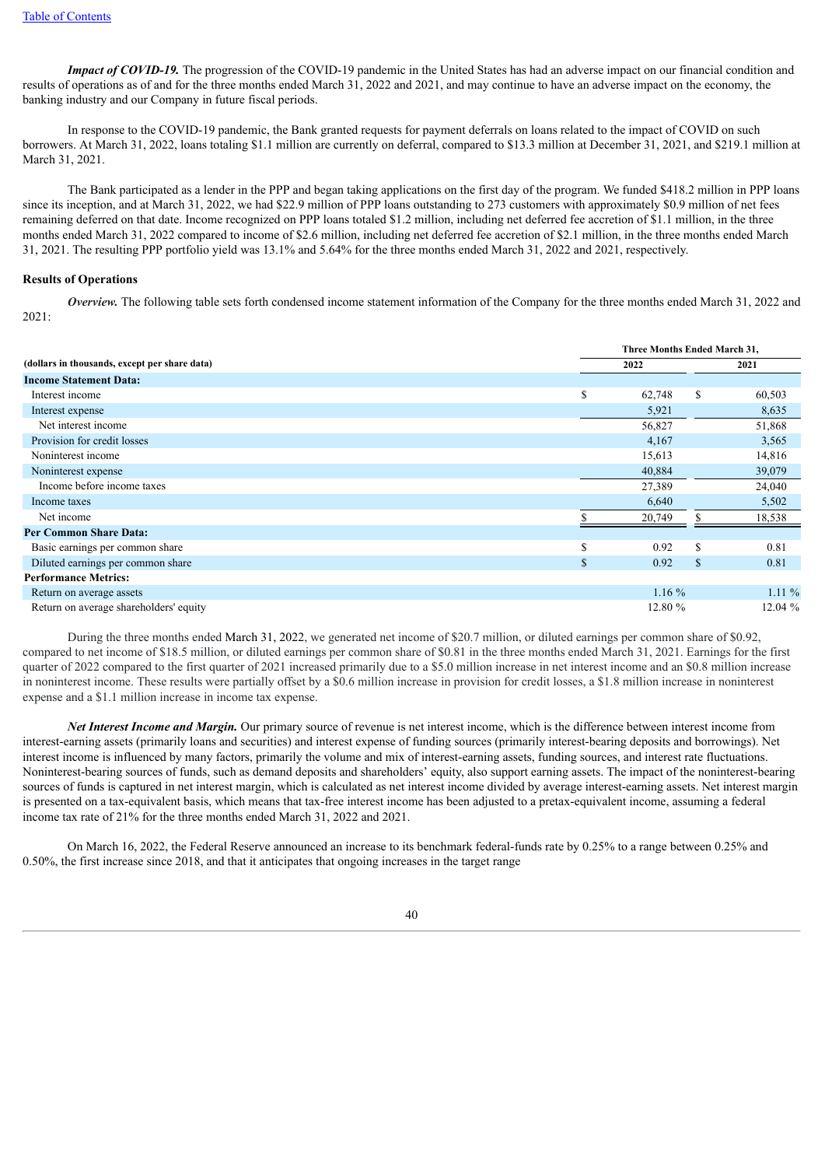*Impact of COVID-19*. The progression of the COVID-19 pandemic in the United States has had an adverse impact on our financial condition and results of operations as of and for the three months ended March 31, 2022 and 2021, and may continue to have an adverse impact on the economy, the banking industry and our Company in future fiscal periods.

In response to the COVID-19 pandemic, the Bank granted requests for payment deferrals on loans related to the impact of COVID on such borrowers. At March 31, 2022, loans totaling \$1.1 million are currently on deferral, compared to \$13.3 million at December 31, 2021, and \$219.1 million at March 31, 2021.

The Bank participated as a lender in the PPP and began taking applications on the first day of the program. We funded \$418.2 million in PPP loans since its inception, and at March 31, 2022, we had \$22.9 million of PPP loans outstanding to 273 customers with approximately \$0.9 million of net fees remaining deferred on that date. Income recognized on PPP loans totaled \$1.2 million, including net deferred fee accretion of \$1.1 million, in the three months ended March 31, 2022 compared to income of \$2.6 million, including net deferred fee accretion of \$2.1 million, in the three months ended March 31, 2021. The resulting PPP portfolio yield was 13.1% and 5.64% for the three months ended March 31, 2022 and 2021, respectively.

### **Results of Operations**

*Overview.* The following table sets forth condensed income statement information of the Company for the three months ended March 31, 2022 and 2021:

|                                               | Three Months Ended March 31, |     |          |  |  |  |  |
|-----------------------------------------------|------------------------------|-----|----------|--|--|--|--|
| (dollars in thousands, except per share data) | 2022                         |     | 2021     |  |  |  |  |
| <b>Income Statement Data:</b>                 |                              |     |          |  |  |  |  |
| Interest income                               | \$<br>62,748                 | S   | 60,503   |  |  |  |  |
| Interest expense                              | 5,921                        |     | 8,635    |  |  |  |  |
| Net interest income                           | 56,827                       |     | 51,868   |  |  |  |  |
| Provision for credit losses                   | 4,167                        |     | 3,565    |  |  |  |  |
| Noninterest income                            | 15,613                       |     | 14,816   |  |  |  |  |
| Noninterest expense                           | 40,884                       |     | 39,079   |  |  |  |  |
| Income before income taxes                    | 27,389                       |     | 24,040   |  |  |  |  |
| Income taxes                                  | 6,640                        |     | 5,502    |  |  |  |  |
| Net income                                    | 20,749                       |     | 18,538   |  |  |  |  |
| <b>Per Common Share Data:</b>                 |                              |     |          |  |  |  |  |
| Basic earnings per common share               | \$<br>0.92                   | \$. | 0.81     |  |  |  |  |
| Diluted earnings per common share             | \$<br>0.92                   | \$  | 0.81     |  |  |  |  |
| <b>Performance Metrics:</b>                   |                              |     |          |  |  |  |  |
| Return on average assets                      | 1.16%                        |     | $1.11\%$ |  |  |  |  |
| Return on average shareholders' equity        | 12.80 %                      |     | 12.04%   |  |  |  |  |

During the three months ended March 31, 2022, we generated net income of \$20.7 million, or diluted earnings per common share of \$0.92, compared to net income of \$18.5 million, or diluted earnings per common share of \$0.81 in the three months ended March 31, 2021. Earnings for the first quarter of 2022 compared to the first quarter of 2021 increased primarily due to a \$5.0 million increase in net interest income and an \$0.8 million increase in noninterest income. These results were partially offset by a \$0.6 million increase in provision for credit losses, a \$1.8 million increase in noninterest expense and a \$1.1 million increase in income tax expense.

*Net Interest Income and Margin.* Our primary source of revenue is net interest income, which is the difference between interest income from interest-earning assets (primarily loans and securities) and interest expense of funding sources (primarily interest-bearing deposits and borrowings). Net interest income is influenced by many factors, primarily the volume and mix of interest-earning assets, funding sources, and interest rate fluctuations. Noninterest-bearing sources of funds, such as demand deposits and shareholders' equity, also support earning assets. The impact of the noninterest-bearing sources of funds is captured in net interest margin, which is calculated as net interest income divided by average interest-earning assets. Net interest margin is presented on a tax-equivalent basis, which means that tax-free interest income has been adjusted to a pretax-equivalent income, assuming a federal income tax rate of 21% for the three months ended March 31, 2022 and 2021.

On March 16, 2022, the Federal Reserve announced an increase to its benchmark federal-funds rate by 0.25% to a range between 0.25% and 0.50%, the first increase since 2018, and that it anticipates that ongoing increases in the target range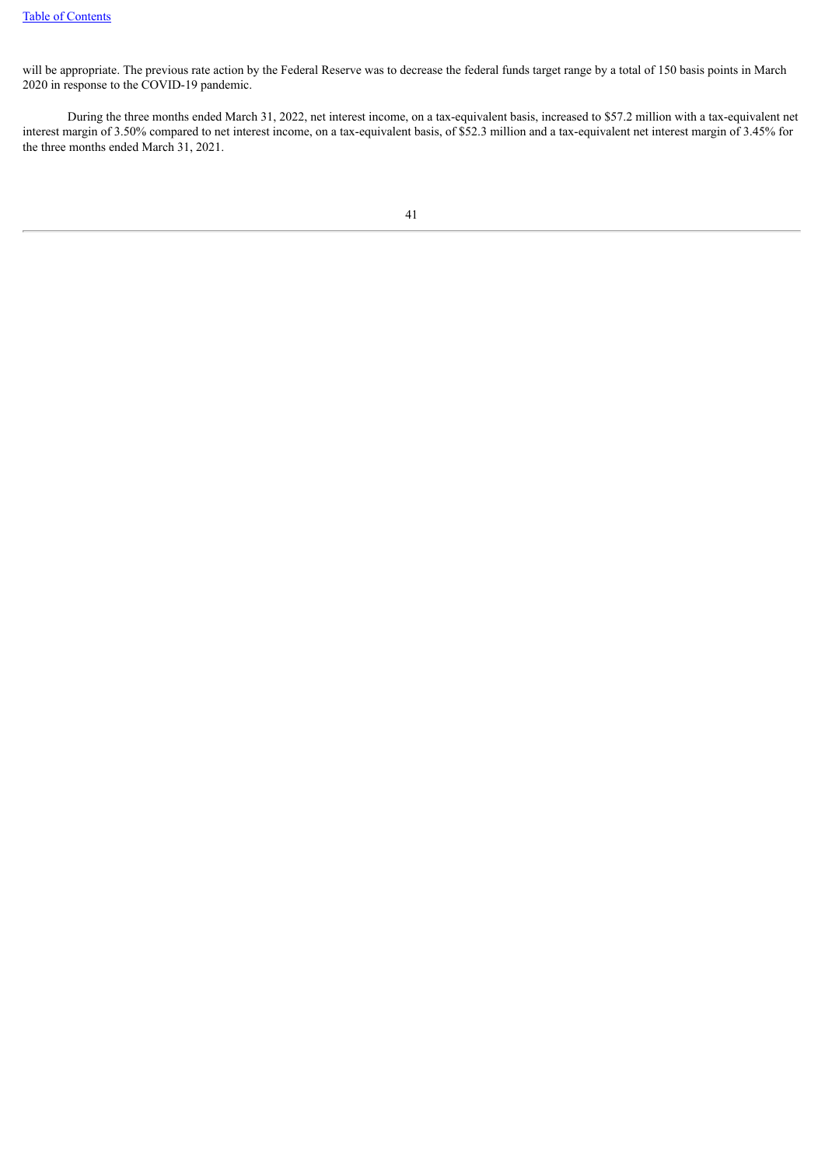will be appropriate. The previous rate action by the Federal Reserve was to decrease the federal funds target range by a total of 150 basis points in March 2020 in response to the COVID-19 pandemic.

During the three months ended March 31, 2022, net interest income, on a tax-equivalent basis, increased to \$57.2 million with a tax-equivalent net interest margin of 3.50% compared to net interest income, on a tax-equivalent basis, of \$52.3 million and a tax-equivalent net interest margin of 3.45% for the three months ended March 31, 2021.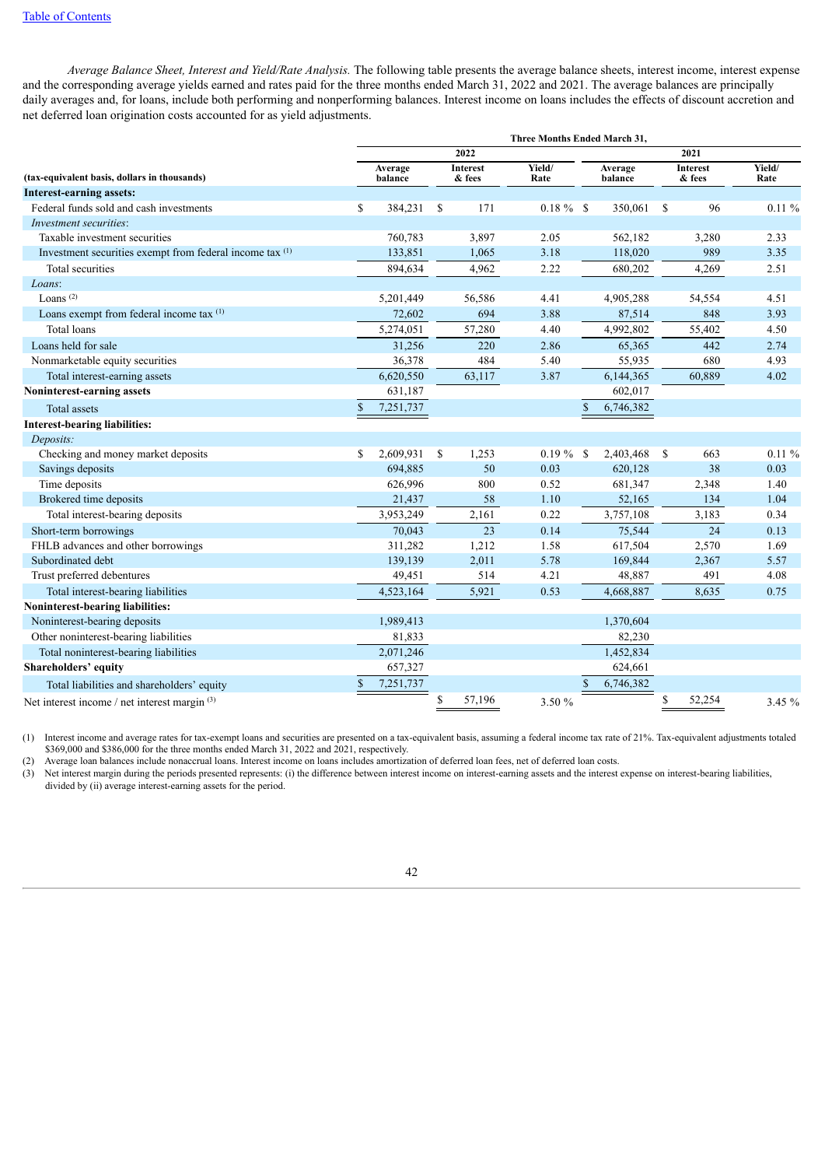*Average Balance Sheet, Interest and Yield/Rate Analysis.* The following table presents the average balance sheets, interest income, interest expense and the corresponding average yields earned and rates paid for the three months ended March 31, 2022 and 2021. The average balances are principally daily averages and, for loans, include both performing and nonperforming balances. Interest income on loans includes the effects of discount accretion and net deferred loan origination costs accounted for as yield adjustments.

|                                                                     |               |                    |          |                    | Three Months Ended March 31, |              |                    |               |                    |                |
|---------------------------------------------------------------------|---------------|--------------------|----------|--------------------|------------------------------|--------------|--------------------|---------------|--------------------|----------------|
|                                                                     |               |                    |          | 2022               |                              |              |                    |               | 2021               |                |
| (tax-equivalent basis, dollars in thousands)                        |               | Average<br>balance |          | Interest<br>& fees | Yield/<br>Rate               |              | Average<br>balance |               | Interest<br>& fees | Yield/<br>Rate |
| <b>Interest-earning assets:</b>                                     |               |                    |          |                    |                              |              |                    |               |                    |                |
| Federal funds sold and cash investments                             | \$            | 384,231            | <b>S</b> | 171                | $0.18 \%$ \$                 |              | 350,061            | <sup>\$</sup> | 96                 | $0.11 \%$      |
| <i>Investment securities:</i>                                       |               |                    |          |                    |                              |              |                    |               |                    |                |
| Taxable investment securities                                       |               | 760,783            |          | 3,897              | 2.05                         |              | 562,182            |               | 3,280              | 2.33           |
| Investment securities exempt from federal income tax <sup>(1)</sup> |               | 133,851            |          | 1,065              | 3.18                         |              | 118,020            |               | 989                | 3.35           |
| Total securities                                                    |               | 894.634            |          | 4,962              | 2.22                         |              | 680,202            |               | 4,269              | 2.51           |
| Loans:                                                              |               |                    |          |                    |                              |              |                    |               |                    |                |
| Loans $(2)$                                                         |               | 5,201,449          |          | 56,586             | 4.41                         |              | 4,905,288          |               | 54,554             | 4.51           |
| Loans exempt from federal income tax $(1)$                          |               | 72,602             |          | 694                | 3.88                         |              | 87,514             |               | 848                | 3.93           |
| <b>Total loans</b>                                                  |               | 5,274,051          |          | 57,280             | 4.40                         |              | 4,992,802          |               | 55,402             | 4.50           |
| Loans held for sale                                                 |               | 31,256             |          | 220                | 2.86                         |              | 65,365             |               | 442                | 2.74           |
| Nonmarketable equity securities                                     |               | 36,378             |          | 484                | 5.40                         |              | 55,935             |               | 680                | 4.93           |
| Total interest-earning assets                                       |               | 6,620,550          |          | 63,117             | 3.87                         |              | 6,144,365          |               | 60,889             | 4.02           |
| Noninterest-earning assets                                          |               | 631,187            |          |                    |                              |              | 602,017            |               |                    |                |
| <b>Total assets</b>                                                 | $\mathbb{S}$  | 7,251,737          |          |                    |                              | $\mathbb{S}$ | 6,746,382          |               |                    |                |
| <b>Interest-bearing liabilities:</b>                                |               |                    |          |                    |                              |              |                    |               |                    |                |
| Deposits:                                                           |               |                    |          |                    |                              |              |                    |               |                    |                |
| Checking and money market deposits                                  | S.            | 2,609,931          | \$       | 1,253              | $0.19 \%$ \$                 |              | 2,403,468          | <sup>\$</sup> | 663                | $0.11 \%$      |
| Savings deposits                                                    |               | 694,885            |          | 50                 | 0.03                         |              | 620,128            |               | 38                 | 0.03           |
| Time deposits                                                       |               | 626,996            |          | 800                | 0.52                         |              | 681,347            |               | 2,348              | 1.40           |
| Brokered time deposits                                              |               | 21,437             |          | 58                 | 1.10                         |              | 52,165             |               | 134                | 1.04           |
| Total interest-bearing deposits                                     |               | 3,953,249          |          | 2,161              | 0.22                         |              | 3,757,108          |               | 3,183              | 0.34           |
| Short-term borrowings                                               |               | 70,043             |          | 23                 | 0.14                         |              | 75,544             |               | 24                 | 0.13           |
| FHLB advances and other borrowings                                  |               | 311,282            |          | 1,212              | 1.58                         |              | 617,504            |               | 2,570              | 1.69           |
| Subordinated debt                                                   |               | 139,139            |          | 2,011              | 5.78                         |              | 169,844            |               | 2,367              | 5.57           |
| Trust preferred debentures                                          |               | 49,451             |          | 514                | 4.21                         |              | 48,887             |               | 491                | 4.08           |
| Total interest-bearing liabilities                                  |               | 4,523,164          |          | 5,921              | 0.53                         |              | 4,668,887          |               | 8,635              | 0.75           |
| Noninterest-bearing liabilities:                                    |               |                    |          |                    |                              |              |                    |               |                    |                |
| Noninterest-bearing deposits                                        |               | 1,989,413          |          |                    |                              |              | 1,370,604          |               |                    |                |
| Other noninterest-bearing liabilities                               |               | 81,833             |          |                    |                              |              | 82,230             |               |                    |                |
| Total noninterest-bearing liabilities                               |               | 2,071,246          |          |                    |                              |              | 1,452,834          |               |                    |                |
| <b>Shareholders' equity</b>                                         |               | 657,327            |          |                    |                              |              | 624,661            |               |                    |                |
| Total liabilities and shareholders' equity                          | $\mathcal{S}$ | 7,251,737          |          |                    |                              | $\mathbf S$  | 6,746,382          |               |                    |                |
| Net interest income / net interest margin $(3)$                     |               |                    | \$       | 57,196             | 3.50 %                       |              |                    | S             | 52,254             | 3.45 %         |

(1) Interest income and average rates for tax-exempt loans and securities are presented on a tax-equivalent basis, assuming a federal income tax rate of 21%. Tax-equivalent adjustments totaled \$369,000 and \$386,000 for the three months ended March 31, 2022 and 2021, respectively.

(2) Average loan balances include nonaccrual loans. Interest income on loans includes amortization of deferred loan fees, net of deferred loan costs.

(3) Net interest margin during the periods presented represents: (i) the difference between interest income on interest-earning assets and the interest expense on interest-bearing liabilities, divided by (ii) average interest-earning assets for the period.

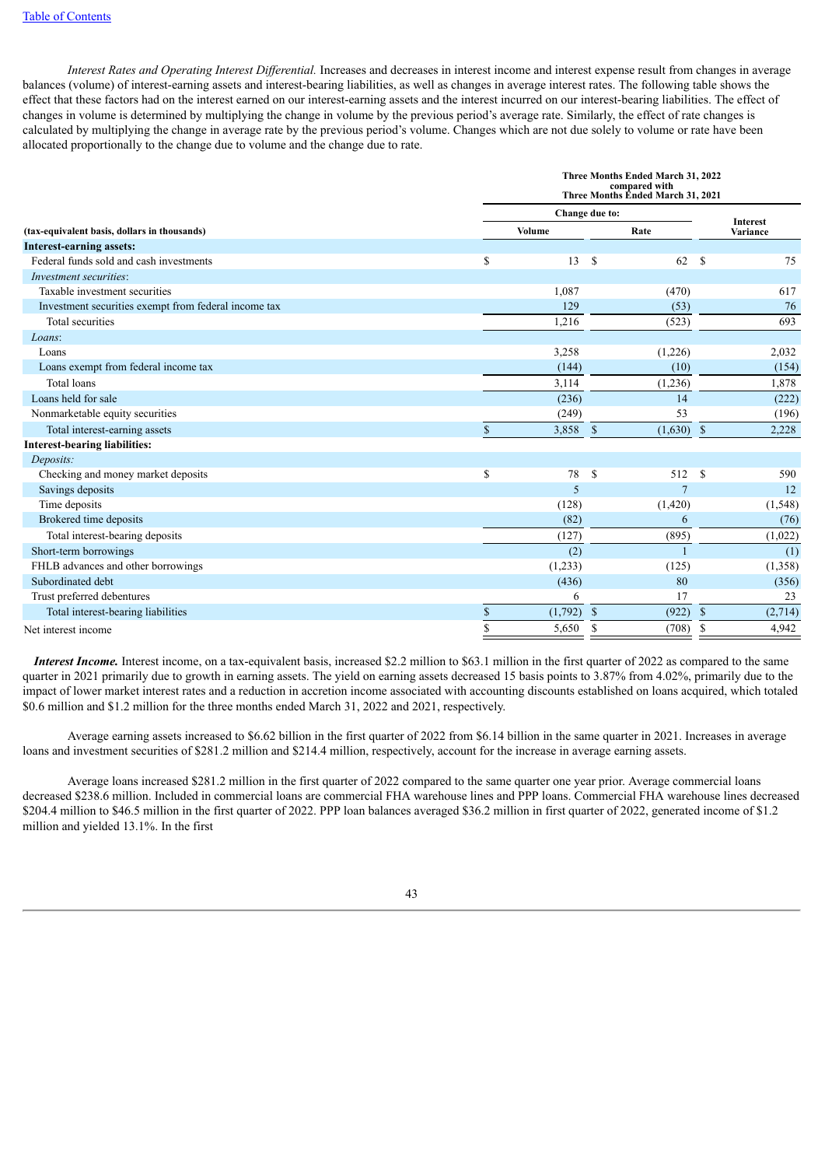*Interest Rates and Operating Interest Dif erential.* Increases and decreases in interest income and interest expense result from changes in average balances (volume) of interest-earning assets and interest-bearing liabilities, as well as changes in average interest rates. The following table shows the effect that these factors had on the interest earned on our interest-earning assets and the interest incurred on our interest-bearing liabilities. The effect of changes in volume is determined by multiplying the change in volume by the previous period's average rate. Similarly, the effect of rate changes is calculated by multiplying the change in average rate by the previous period's volume. Changes which are not due solely to volume or rate have been allocated proportionally to the change due to volume and the change due to rate.

|                                                      |             | Three Months Ended March 31, 2022<br>Three Months Ended March 31, 2021 |                |              |               |                 |  |
|------------------------------------------------------|-------------|------------------------------------------------------------------------|----------------|--------------|---------------|-----------------|--|
|                                                      |             |                                                                        | Change due to: |              |               | <b>Interest</b> |  |
| (tax-equivalent basis, dollars in thousands)         |             | <b>Volume</b>                                                          |                | Rate         |               | Variance        |  |
| <b>Interest-earning assets:</b>                      |             |                                                                        |                |              |               |                 |  |
| Federal funds sold and cash investments              | \$          | 13                                                                     | <sup>\$</sup>  | 62           | <sup>\$</sup> | 75              |  |
| Investment securities:                               |             |                                                                        |                |              |               |                 |  |
| Taxable investment securities                        |             | 1,087                                                                  |                | (470)        |               | 617             |  |
| Investment securities exempt from federal income tax |             | 129                                                                    |                | (53)         |               | 76              |  |
| Total securities                                     |             | 1,216                                                                  |                | (523)        |               | 693             |  |
| Loans:                                               |             |                                                                        |                |              |               |                 |  |
| Loans                                                |             | 3,258                                                                  |                | (1,226)      |               | 2,032           |  |
| Loans exempt from federal income tax                 |             | (144)                                                                  |                | (10)         |               | (154)           |  |
| <b>Total</b> loans                                   |             | 3,114                                                                  |                | (1,236)      |               | 1,878           |  |
| Loans held for sale                                  |             | (236)                                                                  |                | 14           |               | (222)           |  |
| Nonmarketable equity securities                      |             | (249)                                                                  |                | 53           |               | (196)           |  |
| Total interest-earning assets                        | $\mathbf S$ | 3,858                                                                  | $\mathbb{S}$   | $(1,630)$ \$ |               | 2,228           |  |
| <b>Interest-bearing liabilities:</b>                 |             |                                                                        |                |              |               |                 |  |
| Deposits:                                            |             |                                                                        |                |              |               |                 |  |
| Checking and money market deposits                   | \$          | 78                                                                     | <sup>S</sup>   | 512          | <sup>\$</sup> | 590             |  |
| Savings deposits                                     |             | 5                                                                      |                |              |               | 12              |  |
| Time deposits                                        |             | (128)                                                                  |                | (1,420)      |               | (1, 548)        |  |
| Brokered time deposits                               |             | (82)                                                                   |                | 6            |               | (76)            |  |
| Total interest-bearing deposits                      |             | (127)                                                                  |                | (895)        |               | (1,022)         |  |
| Short-term borrowings                                |             | (2)                                                                    |                |              |               | (1)             |  |
| FHLB advances and other borrowings                   |             | (1,233)                                                                |                | (125)        |               | (1,358)         |  |
| Subordinated debt                                    |             | (436)                                                                  |                | 80           |               | (356)           |  |
| Trust preferred debentures                           |             | 6                                                                      |                | 17           |               | 23              |  |
| Total interest-bearing liabilities                   | \$          | (1,792)                                                                | <sup>\$</sup>  | (922)        | $\mathbb{S}$  | (2,714)         |  |
| Net interest income                                  | \$          | 5,650                                                                  | S              | (708)        | <sup>\$</sup> | 4,942           |  |

*Interest Income*. Interest income, on a tax-equivalent basis, increased \$2.2 million to \$63.1 million in the first quarter of 2022 as compared to the same quarter in 2021 primarily due to growth in earning assets. The yield on earning assets decreased 15 basis points to 3.87% from 4.02%, primarily due to the impact of lower market interest rates and a reduction in accretion income associated with accounting discounts established on loans acquired, which totaled \$0.6 million and \$1.2 million for the three months ended March 31, 2022 and 2021, respectively.

Average earning assets increased to \$6.62 billion in the first quarter of 2022 from \$6.14 billion in the same quarter in 2021. Increases in average loans and investment securities of \$281.2 million and \$214.4 million, respectively, account for the increase in average earning assets.

Average loans increased \$281.2 million in the first quarter of 2022 compared to the same quarter one year prior. Average commercial loans decreased \$238.6 million. Included in commercial loans are commercial FHA warehouse lines and PPP loans. Commercial FHA warehouse lines decreased \$204.4 million to \$46.5 million in the first quarter of 2022. PPP loan balances averaged \$36.2 million in first quarter of 2022, generated income of \$1.2 million and yielded 13.1%. In the first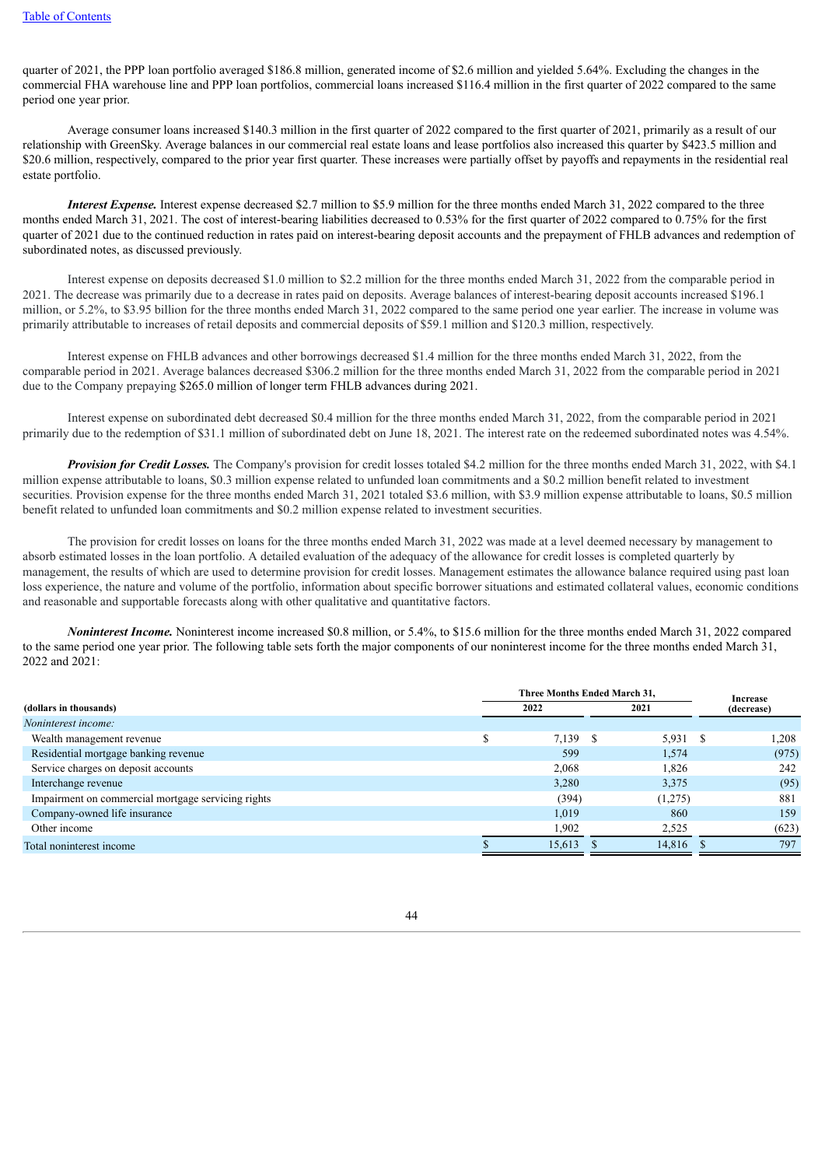quarter of 2021, the PPP loan portfolio averaged \$186.8 million, generated income of \$2.6 million and yielded 5.64%. Excluding the changes in the commercial FHA warehouse line and PPP loan portfolios, commercial loans increased \$116.4 million in the first quarter of 2022 compared to the same period one year prior.

Average consumer loans increased \$140.3 million in the first quarter of 2022 compared to the first quarter of 2021, primarily as a result of our relationship with GreenSky. Average balances in our commercial real estate loans and lease portfolios also increased this quarter by \$423.5 million and \$20.6 million, respectively, compared to the prior year first quarter. These increases were partially offset by payoffs and repayments in the residential real estate portfolio.

*Interest Expense*. Interest expense decreased \$2.7 million to \$5.9 million for the three months ended March 31, 2022 compared to the three months ended March 31, 2021. The cost of interest-bearing liabilities decreased to 0.53% for the first quarter of 2022 compared to 0.75% for the first quarter of 2021 due to the continued reduction in rates paid on interest-bearing deposit accounts and the prepayment of FHLB advances and redemption of subordinated notes, as discussed previously.

Interest expense on deposits decreased \$1.0 million to \$2.2 million for the three months ended March 31, 2022 from the comparable period in 2021. The decrease was primarily due to a decrease in rates paid on deposits. Average balances of interest-bearing deposit accounts increased \$196.1 million, or 5.2%, to \$3.95 billion for the three months ended March 31, 2022 compared to the same period one year earlier. The increase in volume was primarily attributable to increases of retail deposits and commercial deposits of \$59.1 million and \$120.3 million, respectively.

Interest expense on FHLB advances and other borrowings decreased \$1.4 million for the three months ended March 31, 2022, from the comparable period in 2021. Average balances decreased \$306.2 million for the three months ended March 31, 2022 from the comparable period in 2021 due to the Company prepaying \$265.0 million of longer term FHLB advances during 2021.

Interest expense on subordinated debt decreased \$0.4 million for the three months ended March 31, 2022, from the comparable period in 2021 primarily due to the redemption of \$31.1 million of subordinated debt on June 18, 2021. The interest rate on the redeemed subordinated notes was 4.54%.

*Provision for Credit Losses.* The Company's provision for credit losses totaled \$4.2 million for the three months ended March 31, 2022, with \$4.1 million expense attributable to loans, \$0.3 million expense related to unfunded loan commitments and a \$0.2 million benefit related to investment securities. Provision expense for the three months ended March 31, 2021 totaled \$3.6 million, with \$3.9 million expense attributable to loans, \$0.5 million benefit related to unfunded loan commitments and \$0.2 million expense related to investment securities.

The provision for credit losses on loans for the three months ended March 31, 2022 was made at a level deemed necessary by management to absorb estimated losses in the loan portfolio. A detailed evaluation of the adequacy of the allowance for credit losses is completed quarterly by management, the results of which are used to determine provision for credit losses. Management estimates the allowance balance required using past loan loss experience, the nature and volume of the portfolio, information about specific borrower situations and estimated collateral values, economic conditions and reasonable and supportable forecasts along with other qualitative and quantitative factors.

*Noninterest Income.* Noninterest income increased \$0.8 million, or 5.4%, to \$15.6 million for the three months ended March 31, 2022 compared to the same period one year prior. The following table sets forth the major components of our noninterest income for the three months ended March 31, 2022 and 2021:

|                                                    |      |        | Three Months Ended March 31, |    | Increase   |
|----------------------------------------------------|------|--------|------------------------------|----|------------|
| (dollars in thousands)                             | 2022 |        | 2021                         |    | (decrease) |
| Noninterest income:                                |      |        |                              |    |            |
| Wealth management revenue                          |      | 7,139  | 5,931<br><sup>\$</sup>       | -S | 1,208      |
| Residential mortgage banking revenue               |      | 599    | 1,574                        |    | (975)      |
| Service charges on deposit accounts                |      | 2,068  | 1,826                        |    | 242        |
| Interchange revenue                                |      | 3,280  | 3,375                        |    | (95)       |
| Impairment on commercial mortgage servicing rights |      | (394)  | (1,275)                      |    | 881        |
| Company-owned life insurance                       |      | 1,019  | 860                          |    | 159        |
| Other income                                       |      | 1,902  | 2,525                        |    | (623)      |
| Total noninterest income                           |      | 15,613 | 14,816                       |    | 797        |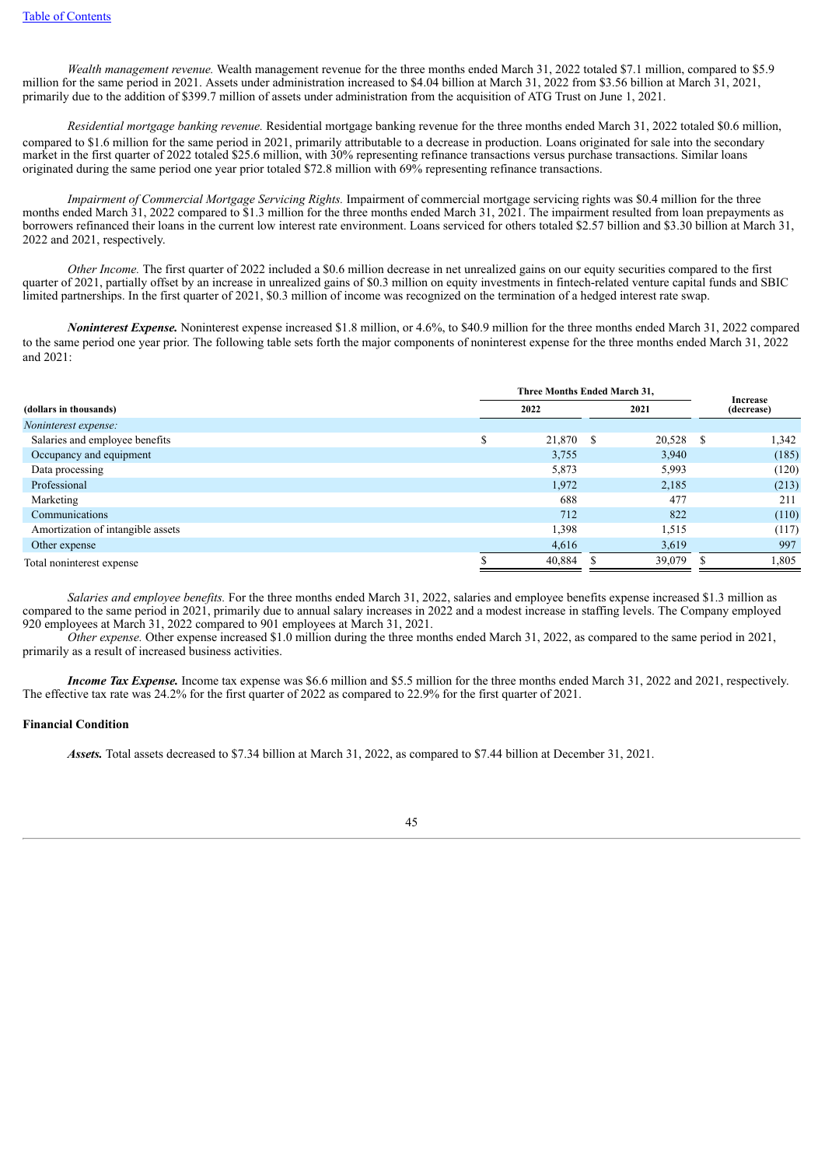*Wealth management revenue.* Wealth management revenue for the three months ended March 31, 2022 totaled \$7.1 million, compared to \$5.9 million for the same period in 2021. Assets under administration increased to \$4.04 billion at March 31, 2022 from \$3.56 billion at March 31, 2021, primarily due to the addition of \$399.7 million of assets under administration from the acquisition of ATG Trust on June 1, 2021.

*Residential mortgage banking revenue.* Residential mortgage banking revenue for the three months ended March 31, 2022 totaled \$0.6 million, compared to \$1.6 million for the same period in 2021, primarily attributable to a decrease in production. Loans originated for sale into the secondary market in the first quarter of 2022 totaled \$25.6 million, with 30% representing refinance transactions versus purchase transactions. Similar loans originated during the same period one year prior totaled \$72.8 million with 69% representing refinance transactions.

*Impairment of Commercial Mortgage Servicing Rights.* Impairment of commercial mortgage servicing rights was \$0.4 million for the three months ended March 31, 2022 compared to \$1.3 million for the three months ended March 31, 2021. The impairment resulted from loan prepayments as borrowers refinanced their loans in the current low interest rate environment. Loans serviced for others totaled \$2.57 billion and \$3.30 billion at March 31, 2022 and 2021, respectively.

*Other Income.* The first quarter of 2022 included a \$0.6 million decrease in net unrealized gains on our equity securities compared to the first quarter of 2021, partially offset by an increase in unrealized gains of \$0.3 million on equity investments in fintech-related venture capital funds and SBIC limited partnerships. In the first quarter of 2021, \$0.3 million of income was recognized on the termination of a hedged interest rate swap.

*Noninterest Expense.* Noninterest expense increased \$1.8 million, or 4.6%, to \$40.9 million for the three months ended March 31, 2022 compared to the same period one year prior. The following table sets forth the major components of noninterest expense for the three months ended March 31, 2022 and 2021:

|                                   | Three Months Ended March 31, | Increase |   |            |
|-----------------------------------|------------------------------|----------|---|------------|
| (dollars in thousands)            | 2022                         | 2021     |   | (decrease) |
| Noninterest expense:              |                              |          |   |            |
| Salaries and employee benefits    | \$<br>21,870 \$              | 20,528   | S | 1,342      |
| Occupancy and equipment           | 3,755                        | 3,940    |   | (185)      |
| Data processing                   | 5,873                        | 5,993    |   | (120)      |
| Professional                      | 1,972                        | 2,185    |   | (213)      |
| Marketing                         | 688                          | 477      |   | 211        |
| Communications                    | 712                          | 822      |   | (110)      |
| Amortization of intangible assets | 1,398                        | 1,515    |   | (117)      |
| Other expense                     | 4,616                        | 3,619    |   | 997        |
| Total noninterest expense         | 40,884                       | 39,079   |   | 1,805      |

*Salaries and employee benefits.* For the three months ended March 31, 2022, salaries and employee benefits expense increased \$1.3 million as compared to the same period in 2021, primarily due to annual salary increases in 2022 and a modest increase in staffing levels. The Company employed 920 employees at March 31, 2022 compared to 901 employees at March 31, 2021.

*Other expense.* Other expense increased \$1.0 million during the three months ended March 31, 2022, as compared to the same period in 2021, primarily as a result of increased business activities.

*Income Tax Expense.* Income tax expense was \$6.6 million and \$5.5 million for the three months ended March 31, 2022 and 2021, respectively. The effective tax rate was 24.2% for the first quarter of 2022 as compared to 22.9% for the first quarter of 2021.

#### **Financial Condition**

*Assets.* Total assets decreased to \$7.34 billion at March 31, 2022, as compared to \$7.44 billion at December 31, 2021.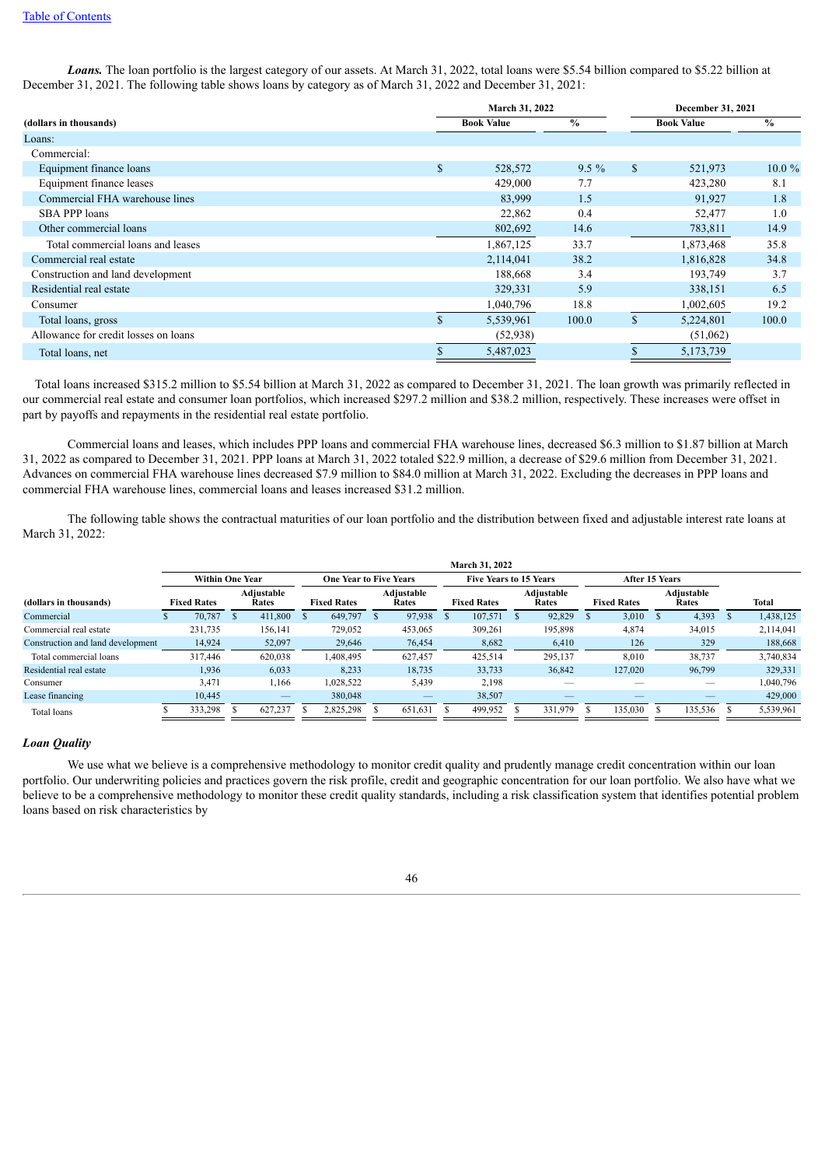*Loans.* The loan portfolio is the largest category of our assets. At March 31, 2022, total loans were \$5.54 billion compared to \$5.22 billion at December 31, 2021. The following table shows loans by category as of March 31, 2022 and December 31, 2021:

|                                      |              | March 31, 2022    | December 31, 2021 |              |                   |               |  |
|--------------------------------------|--------------|-------------------|-------------------|--------------|-------------------|---------------|--|
| (dollars in thousands)               |              | <b>Book Value</b> | $\frac{0}{0}$     |              | <b>Book Value</b> | $\frac{0}{0}$ |  |
| Loans:                               |              |                   |                   |              |                   |               |  |
| Commercial:                          |              |                   |                   |              |                   |               |  |
| Equipment finance loans              | \$           | 528,572           | $9.5\%$           | $\mathbb{S}$ | 521,973           | $10.0 \%$     |  |
| Equipment finance leases             |              | 429,000           | 7.7               |              | 423,280           | 8.1           |  |
| Commercial FHA warehouse lines       |              | 83,999            | 1.5               |              | 91,927            | 1.8           |  |
| SBA PPP loans                        |              | 22,862            | 0.4               |              | 52,477            | 1.0           |  |
| Other commercial loans               |              | 802,692           | 14.6              |              | 783,811           | 14.9          |  |
| Total commercial loans and leases    |              | 1,867,125         | 33.7              |              | 1,873,468         | 35.8          |  |
| Commercial real estate               |              | 2,114,041         | 38.2              |              | 1,816,828         | 34.8          |  |
| Construction and land development    |              | 188,668           | 3.4               |              | 193,749           | 3.7           |  |
| Residential real estate              |              | 329,331           | 5.9               |              | 338,151           | 6.5           |  |
| Consumer                             |              | 1,040,796         | 18.8              |              | 1,002,605         | 19.2          |  |
| Total loans, gross                   | $\mathbf{s}$ | 5,539,961         | 100.0             | \$           | 5,224,801         | 100.0         |  |
| Allowance for credit losses on loans |              | (52,938)          |                   |              | (51,062)          |               |  |
| Total loans, net                     |              | 5,487,023         |                   |              | 5,173,739         |               |  |

Total loans increased \$315.2 million to \$5.54 billion at March 31, 2022 as compared to December 31, 2021. The loan growth was primarily reflected in our commercial real estate and consumer loan portfolios, which increased \$297.2 million and \$38.2 million, respectively. These increases were offset in part by payoffs and repayments in the residential real estate portfolio.

Commercial loans and leases, which includes PPP loans and commercial FHA warehouse lines, decreased \$6.3 million to \$1.87 billion at March 31, 2022 as compared to December 31, 2021. PPP loans at March 31, 2022 totaled \$22.9 million, a decrease of \$29.6 million from December 31, 2021. Advances on commercial FHA warehouse lines decreased \$7.9 million to \$84.0 million at March 31, 2022. Excluding the decreases in PPP loans and commercial FHA warehouse lines, commercial loans and leases increased \$31.2 million.

The following table shows the contractual maturities of our loan portfolio and the distribution between fixed and adjustable interest rate loans at March 31, 2022:

|                                   | <b>March 31, 2022</b> |                        |    |                     |                             |                               |                   |         |  |                               |  |                     |                    |                       |                     |         |           |
|-----------------------------------|-----------------------|------------------------|----|---------------------|-----------------------------|-------------------------------|-------------------|---------|--|-------------------------------|--|---------------------|--------------------|-----------------------|---------------------|---------|-----------|
|                                   |                       | <b>Within One Year</b> |    |                     |                             | <b>One Year to Five Years</b> |                   |         |  | <b>Five Years to 15 Years</b> |  |                     |                    | <b>After 15 Years</b> |                     |         |           |
| (dollars in thousands)            |                       | <b>Fixed Rates</b>     |    | Adjustable<br>Rates | <b>Fixed Rates</b><br>Rates |                               | <b>Adiustable</b> |         |  | <b>Fixed Rates</b>            |  | Adiustable<br>Rates | <b>Fixed Rates</b> |                       | Adiustable<br>Rates |         | Total     |
| Commercial                        |                       | 70.787                 | -S | 411,800             | S                           | 649,797                       |                   | 97,938  |  | 107,571                       |  | 92,829              |                    | 3,010                 | Ъ.                  | 4,393   | 1,438,125 |
| Commercial real estate            |                       | 231,735                |    | 156,141             |                             | 729,052                       |                   | 453,065 |  | 309.261                       |  | 195,898             |                    | 4,874                 |                     | 34,015  | 2,114,041 |
| Construction and land development |                       | 14,924                 |    | 52,097              |                             | 29,646                        |                   | 76,454  |  | 8,682                         |  | 6,410               |                    | 126                   |                     | 329     | 188,668   |
| Total commercial loans            |                       | 317.446                |    | 620,038             |                             | 1,408,495                     |                   | 627,457 |  | 425,514                       |  | 295,137             |                    | 8,010                 |                     | 38,737  | 3,740,834 |
| Residential real estate           |                       | 1,936                  |    | 6,033               |                             | 8,233                         |                   | 18,735  |  | 33,733                        |  | 36,842              |                    | 127,020               |                     | 96,799  | 329,331   |
| Consumer                          |                       | 3.471                  |    | 1,166               |                             | 1,028,522                     |                   | 5,439   |  | 2,198                         |  |                     |                    |                       |                     |         | 1,040,796 |
| Lease financing                   |                       | 10,445                 |    |                     |                             | 380,048                       |                   |         |  | 38,507                        |  |                     |                    |                       |                     |         | 429,000   |
| Total loans                       |                       | 333,298                |    | 627,237             |                             | 2,825,298                     |                   | 651,631 |  | 499,952                       |  | 331,979             |                    | 135,030               |                     | 135,536 | 5,539,961 |

### *Loan Quality*

We use what we believe is a comprehensive methodology to monitor credit quality and prudently manage credit concentration within our loan portfolio. Our underwriting policies and practices govern the risk profile, credit and geographic concentration for our loan portfolio. We also have what we believe to be a comprehensive methodology to monitor these credit quality standards, including a risk classification system that identifies potential problem loans based on risk characteristics by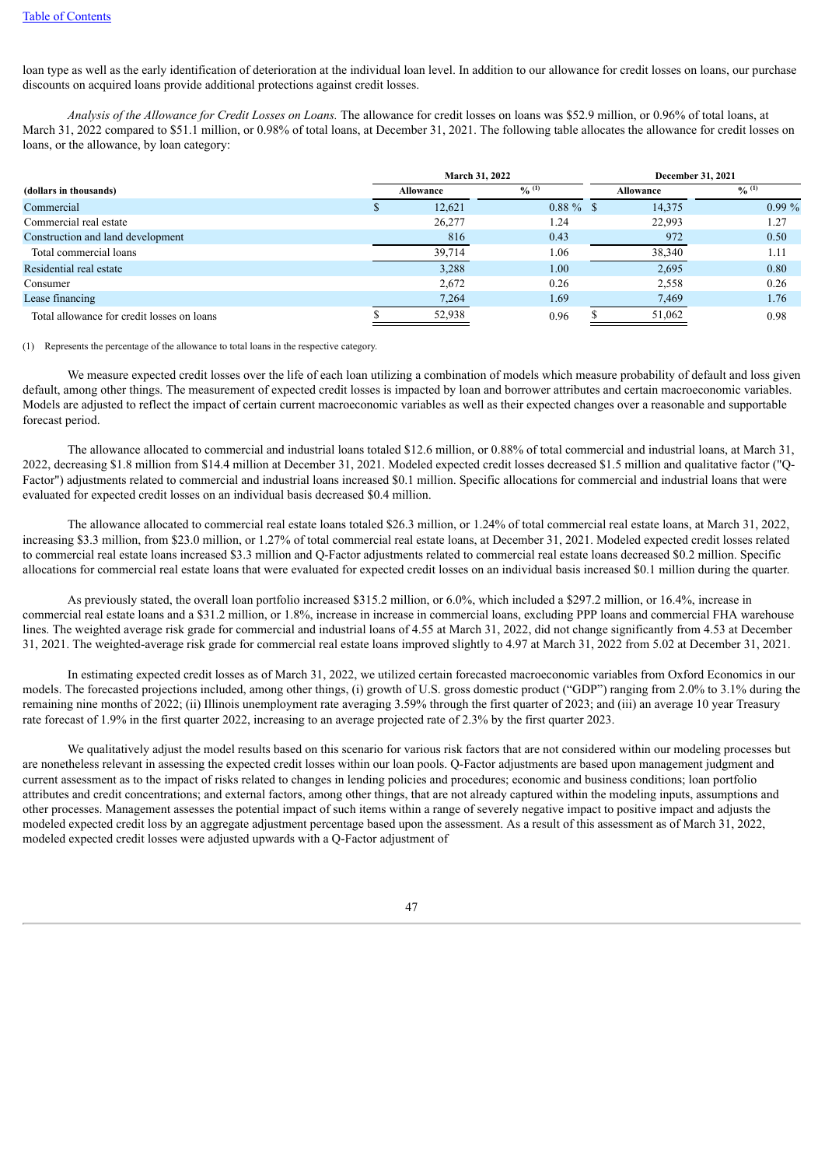loan type as well as the early identification of deterioration at the individual loan level. In addition to our allowance for credit losses on loans, our purchase discounts on acquired loans provide additional protections against credit losses.

*Analysis of the Allowance for Credit Losses on Loans.* The allowance for credit losses on loans was \$52.9 million, or 0.96% of total loans, at March 31, 2022 compared to \$51.1 million, or 0.98% of total loans, at December 31, 2021. The following table allocates the allowance for credit losses on loans, or the allowance, by loan category:

|                                            | <b>March 31, 2022</b> | <b>December 31, 2021</b> |  |                  |                   |  |  |
|--------------------------------------------|-----------------------|--------------------------|--|------------------|-------------------|--|--|
| (dollars in thousands)                     | Allowance             | $\frac{0}{0}$ (1)        |  | <b>Allowance</b> | $\frac{0}{0}$ (1) |  |  |
| Commercial                                 | 12,621                | $0.88 \%$ \$             |  | 14,375           | $0.99\%$          |  |  |
| Commercial real estate                     | 26,277                | 1.24                     |  | 22.993           | 1.27              |  |  |
| Construction and land development          | 816                   | 0.43                     |  | 972              | 0.50              |  |  |
| Total commercial loans                     | 39,714                | 1.06                     |  | 38,340           | 1.11              |  |  |
| Residential real estate                    | 3,288                 | 1.00                     |  | 2,695            | 0.80              |  |  |
| Consumer                                   | 2,672                 | 0.26                     |  | 2,558            | 0.26              |  |  |
| Lease financing                            | 7,264                 | 1.69                     |  | 7,469            | 1.76              |  |  |
| Total allowance for credit losses on loans | 52,938                | 0.96                     |  | 51,062           | 0.98              |  |  |

(1) Represents the percentage of the allowance to total loans in the respective category.

We measure expected credit losses over the life of each loan utilizing a combination of models which measure probability of default and loss given default, among other things. The measurement of expected credit losses is impacted by loan and borrower attributes and certain macroeconomic variables. Models are adjusted to reflect the impact of certain current macroeconomic variables as well as their expected changes over a reasonable and supportable forecast period.

The allowance allocated to commercial and industrial loans totaled \$12.6 million, or 0.88% of total commercial and industrial loans, at March 31, 2022, decreasing \$1.8 million from \$14.4 million at December 31, 2021. Modeled expected credit losses decreased \$1.5 million and qualitative factor ("Q-Factor") adjustments related to commercial and industrial loans increased \$0.1 million. Specific allocations for commercial and industrial loans that were evaluated for expected credit losses on an individual basis decreased \$0.4 million.

The allowance allocated to commercial real estate loans totaled \$26.3 million, or 1.24% of total commercial real estate loans, at March 31, 2022, increasing \$3.3 million, from \$23.0 million, or 1.27% of total commercial real estate loans, at December 31, 2021. Modeled expected credit losses related to commercial real estate loans increased \$3.3 million and Q-Factor adjustments related to commercial real estate loans decreased \$0.2 million. Specific allocations for commercial real estate loans that were evaluated for expected credit losses on an individual basis increased \$0.1 million during the quarter.

As previously stated, the overall loan portfolio increased \$315.2 million, or 6.0%, which included a \$297.2 million, or 16.4%, increase in commercial real estate loans and a \$31.2 million, or 1.8%, increase in increase in commercial loans, excluding PPP loans and commercial FHA warehouse lines. The weighted average risk grade for commercial and industrial loans of 4.55 at March 31, 2022, did not change significantly from 4.53 at December 31, 2021. The weighted-average risk grade for commercial real estate loans improved slightly to 4.97 at March 31, 2022 from 5.02 at December 31, 2021.

In estimating expected credit losses as of March 31, 2022, we utilized certain forecasted macroeconomic variables from Oxford Economics in our models. The forecasted projections included, among other things, (i) growth of U.S. gross domestic product ("GDP") ranging from 2.0% to 3.1% during the remaining nine months of 2022; (ii) Illinois unemployment rate averaging 3.59% through the first quarter of 2023; and (iii) an average 10 year Treasury rate forecast of 1.9% in the first quarter 2022, increasing to an average projected rate of 2.3% by the first quarter 2023.

We qualitatively adjust the model results based on this scenario for various risk factors that are not considered within our modeling processes but are nonetheless relevant in assessing the expected credit losses within our loan pools. Q-Factor adjustments are based upon management judgment and current assessment as to the impact of risks related to changes in lending policies and procedures; economic and business conditions; loan portfolio attributes and credit concentrations; and external factors, among other things, that are not already captured within the modeling inputs, assumptions and other processes. Management assesses the potential impact of such items within a range of severely negative impact to positive impact and adjusts the modeled expected credit loss by an aggregate adjustment percentage based upon the assessment. As a result of this assessment as of March 31, 2022, modeled expected credit losses were adjusted upwards with a Q-Factor adjustment of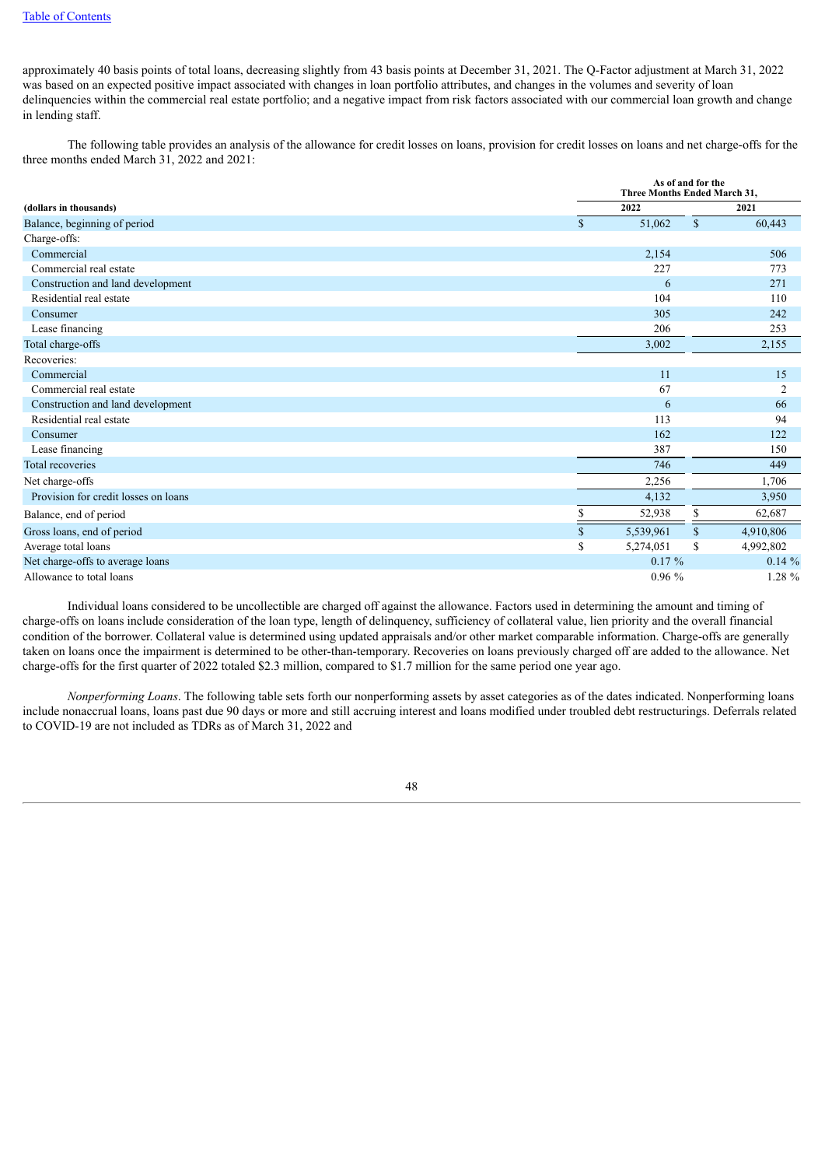approximately 40 basis points of total loans, decreasing slightly from 43 basis points at December 31, 2021. The Q-Factor adjustment at March 31, 2022 was based on an expected positive impact associated with changes in loan portfolio attributes, and changes in the volumes and severity of loan delinquencies within the commercial real estate portfolio; and a negative impact from risk factors associated with our commercial loan growth and change in lending staff.

The following table provides an analysis of the allowance for credit losses on loans, provision for credit losses on loans and net charge-offs for the three months ended March 31, 2022 and 2021:

|                                      |              | As of and for the<br>Three Months Ended March 31, |              |                |
|--------------------------------------|--------------|---------------------------------------------------|--------------|----------------|
| (dollars in thousands)               |              | 2022                                              |              | 2021           |
| Balance, beginning of period         | $\mathbf S$  | 51,062                                            | $\mathbb{S}$ | 60,443         |
| Charge-offs:                         |              |                                                   |              |                |
| Commercial                           |              | 2,154                                             |              | 506            |
| Commercial real estate               |              | 227                                               |              | 773            |
| Construction and land development    |              | 6                                                 |              | 271            |
| Residential real estate              |              | 104                                               |              | 110            |
| Consumer                             |              | 305                                               |              | 242            |
| Lease financing                      |              | 206                                               |              | 253            |
| Total charge-offs                    |              | 3,002                                             |              | 2,155          |
| Recoveries:                          |              |                                                   |              |                |
| Commercial                           |              | 11                                                |              | 15             |
| Commercial real estate               |              | 67                                                |              | $\overline{2}$ |
| Construction and land development    |              | 6                                                 |              | 66             |
| Residential real estate              |              | 113                                               |              | 94             |
| Consumer                             |              | 162                                               |              | 122            |
| Lease financing                      |              | 387                                               |              | 150            |
| <b>Total recoveries</b>              |              | 746                                               |              | 449            |
| Net charge-offs                      |              | 2,256                                             |              | 1,706          |
| Provision for credit losses on loans |              | 4,132                                             |              | 3,950          |
| Balance, end of period               | S            | 52,938                                            | \$           | 62,687         |
| Gross loans, end of period           | $\mathbb{S}$ | 5,539,961                                         | $\mathbb{S}$ | 4,910,806      |
| Average total loans                  | \$           | 5,274,051                                         | \$           | 4,992,802      |
| Net charge-offs to average loans     |              | $0.17\%$                                          |              | $0.14\%$       |
| Allowance to total loans             |              | $0.96\%$                                          |              | 1.28 %         |

Individual loans considered to be uncollectible are charged off against the allowance. Factors used in determining the amount and timing of charge-offs on loans include consideration of the loan type, length of delinquency, sufficiency of collateral value, lien priority and the overall financial condition of the borrower. Collateral value is determined using updated appraisals and/or other market comparable information. Charge-offs are generally taken on loans once the impairment is determined to be other-than-temporary. Recoveries on loans previously charged off are added to the allowance. Net charge-offs for the first quarter of 2022 totaled \$2.3 million, compared to \$1.7 million for the same period one year ago.

*Nonperforming Loans*. The following table sets forth our nonperforming assets by asset categories as of the dates indicated. Nonperforming loans include nonaccrual loans, loans past due 90 days or more and still accruing interest and loans modified under troubled debt restructurings. Deferrals related to COVID-19 are not included as TDRs as of March 31, 2022 and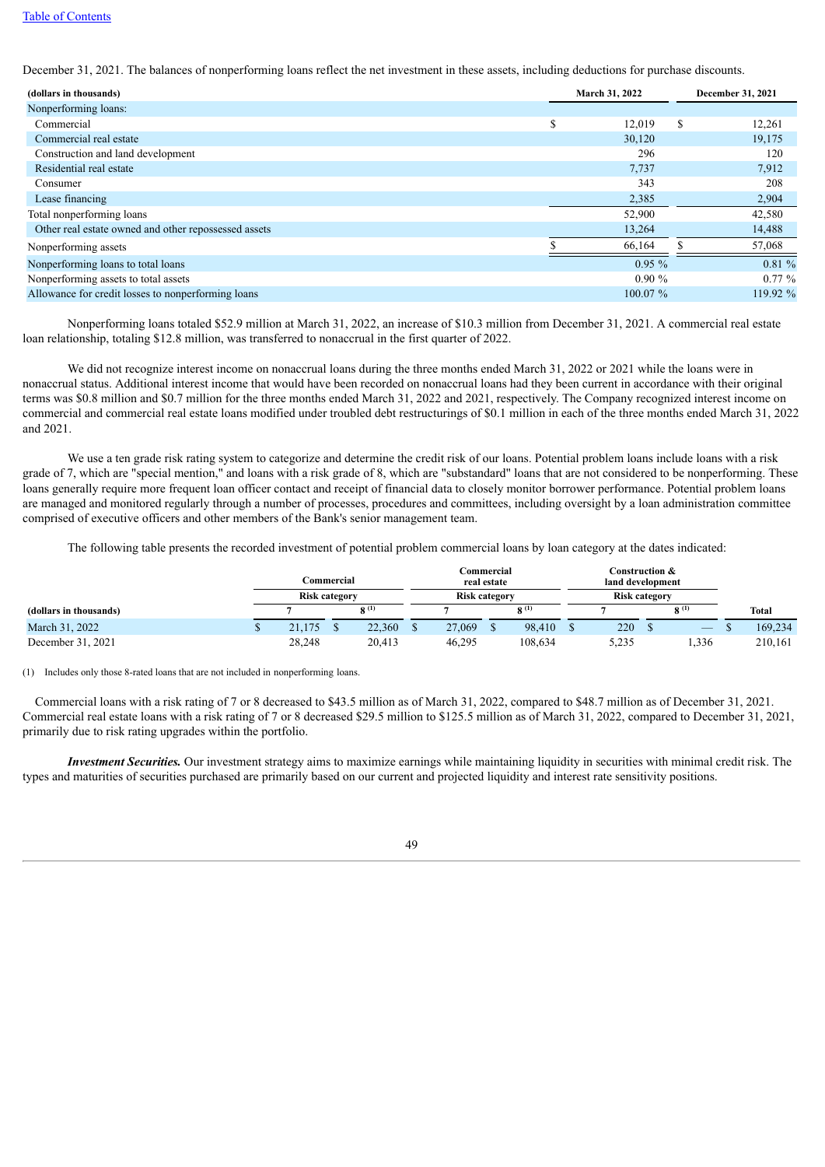### Table of [Contents](#page-0-0)

December 31, 2021. The balances of nonperforming loans reflect the net investment in these assets, including deductions for purchase discounts.

| (dollars in thousands)                               |   | March 31, 2022 |   | December 31, 2021 |  |  |
|------------------------------------------------------|---|----------------|---|-------------------|--|--|
| Nonperforming loans:                                 |   |                |   |                   |  |  |
| Commercial                                           | D | 12,019         | S | 12,261            |  |  |
| Commercial real estate                               |   | 30,120         |   | 19,175            |  |  |
| Construction and land development                    |   | 296            |   | 120               |  |  |
| Residential real estate                              |   | 7,737          |   | 7,912             |  |  |
| Consumer                                             |   | 343            |   | 208               |  |  |
| Lease financing                                      |   | 2,385          |   | 2,904             |  |  |
| Total nonperforming loans                            |   | 52,900         |   | 42,580            |  |  |
| Other real estate owned and other repossessed assets |   | 13,264         |   | 14,488            |  |  |
| Nonperforming assets                                 |   | 66,164         |   | 57,068            |  |  |
| Nonperforming loans to total loans                   |   | $0.95\%$       |   | 0.81%             |  |  |
| Nonperforming assets to total assets                 |   | $0.90\%$       |   | $0.77\%$          |  |  |
| Allowance for credit losses to nonperforming loans   |   | $100.07\%$     |   | 119.92 %          |  |  |

Nonperforming loans totaled \$52.9 million at March 31, 2022, an increase of \$10.3 million from December 31, 2021. A commercial real estate loan relationship, totaling \$12.8 million, was transferred to nonaccrual in the first quarter of 2022.

We did not recognize interest income on nonaccrual loans during the three months ended March 31, 2022 or 2021 while the loans were in nonaccrual status. Additional interest income that would have been recorded on nonaccrual loans had they been current in accordance with their original terms was \$0.8 million and \$0.7 million for the three months ended March 31, 2022 and 2021, respectively. The Company recognized interest income on commercial and commercial real estate loans modified under troubled debt restructurings of \$0.1 million in each of the three months ended March 31, 2022 and 2021.

We use a ten grade risk rating system to categorize and determine the credit risk of our loans. Potential problem loans include loans with a risk grade of 7, which are "special mention," and loans with a risk grade of 8, which are "substandard" loans that are not considered to be nonperforming. These loans generally require more frequent loan officer contact and receipt of financial data to closely monitor borrower performance. Potential problem loans are managed and monitored regularly through a number of processes, procedures and committees, including oversight by a loan administration committee comprised of executive officers and other members of the Bank's senior management team.

The following table presents the recorded investment of potential problem commercial loans by loan category at the dates indicated:

|                        |  | Commercial           |  |           | Commercial<br>real estate |        |  |           | Construction &<br>land development |                      |           |         |
|------------------------|--|----------------------|--|-----------|---------------------------|--------|--|-----------|------------------------------------|----------------------|-----------|---------|
|                        |  | <b>Risk category</b> |  |           | <b>Risk category</b>      |        |  |           |                                    | <b>Risk category</b> |           |         |
| (dollars in thousands) |  |                      |  | $8^{(1)}$ |                           |        |  | $8^{(1)}$ |                                    |                      | $R^{(1)}$ | Total   |
| March 31, 2022         |  | 21,175               |  | 22,360    |                           | 27,069 |  | 98.410    |                                    | 220                  |           | 169.234 |
| December 31, 2021      |  | 28,248               |  | 20.413    |                           | 46,295 |  | 108.634   |                                    | 5,235                | .336      | 210,161 |

(1) Includes only those 8-rated loans that are not included in nonperforming loans.

Commercial loans with a risk rating of 7 or 8 decreased to \$43.5 million as of March 31, 2022, compared to \$48.7 million as of December 31, 2021. Commercial real estate loans with a risk rating of 7 or 8 decreased \$29.5 million to \$125.5 million as of March 31, 2022, compared to December 31, 2021, primarily due to risk rating upgrades within the portfolio.

*Investment Securities.* Our investment strategy aims to maximize earnings while maintaining liquidity in securities with minimal credit risk. The types and maturities of securities purchased are primarily based on our current and projected liquidity and interest rate sensitivity positions.

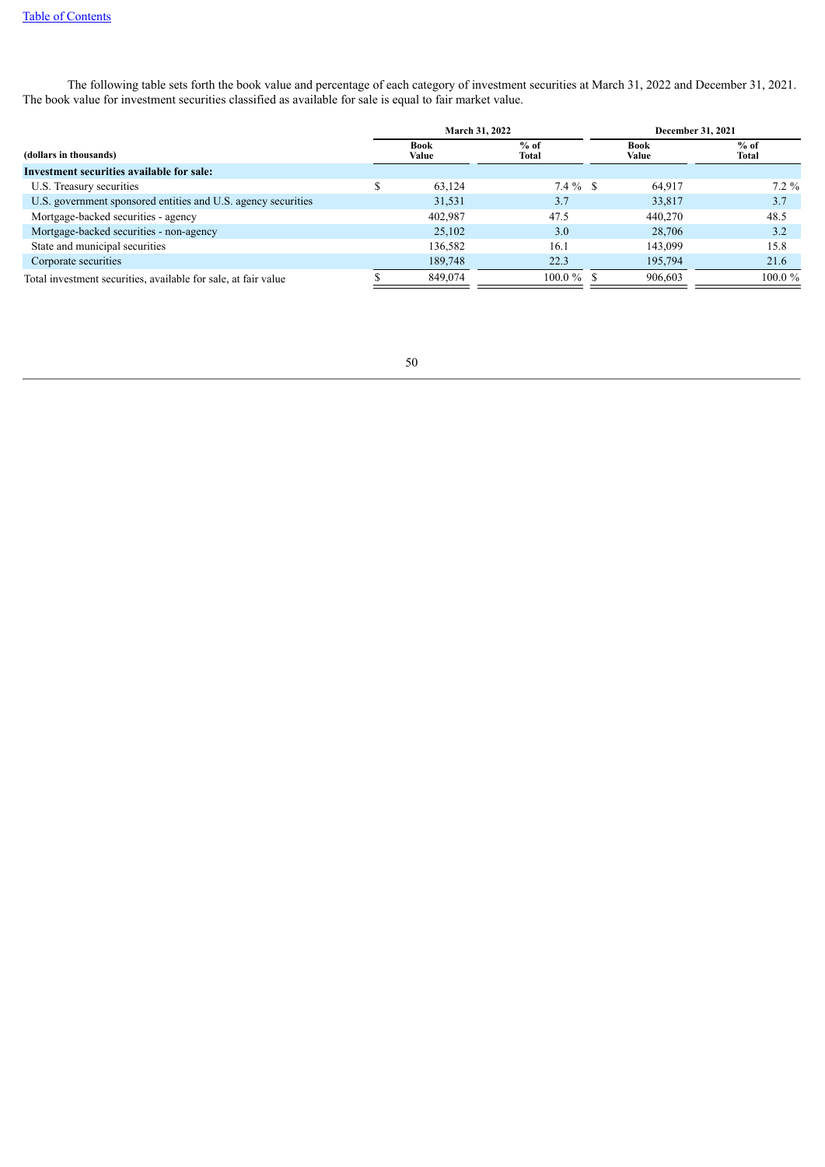The following table sets forth the book value and percentage of each category of investment securities at March 31, 2022 and December 31, 2021. The book value for investment securities classified as available for sale is equal to fair market value.

|                                                                     |  | March 31, 2022 |                 | December 31, 2021    |                 |  |  |  |  |  |
|---------------------------------------------------------------------|--|----------------|-----------------|----------------------|-----------------|--|--|--|--|--|
| (dollars in thousands)<br>Investment securities available for sale: |  | Book<br>Value  | $%$ of<br>Total | <b>Book</b><br>Value | $%$ of<br>Total |  |  |  |  |  |
|                                                                     |  |                |                 |                      |                 |  |  |  |  |  |
| U.S. Treasury securities                                            |  | 63,124         | $7.4 \%$ \$     | 64,917               | $7.2\%$         |  |  |  |  |  |
| U.S. government sponsored entities and U.S. agency securities       |  | 31,531         | 3.7             | 33,817               | 3.7             |  |  |  |  |  |
| Mortgage-backed securities - agency                                 |  | 402.987        | 47.5            | 440,270              | 48.5            |  |  |  |  |  |
| Mortgage-backed securities - non-agency                             |  | 25,102         | 3.0             | 28,706               | 3.2             |  |  |  |  |  |
| State and municipal securities                                      |  | 136,582        | 16.1            | 143.099              | 15.8            |  |  |  |  |  |
| Corporate securities                                                |  | 189,748        | 22.3            | 195,794              | 21.6            |  |  |  |  |  |
| Total investment securities, available for sale, at fair value      |  | 849,074        | $100.0 \%$ \$   | 906,603              | 100.0%          |  |  |  |  |  |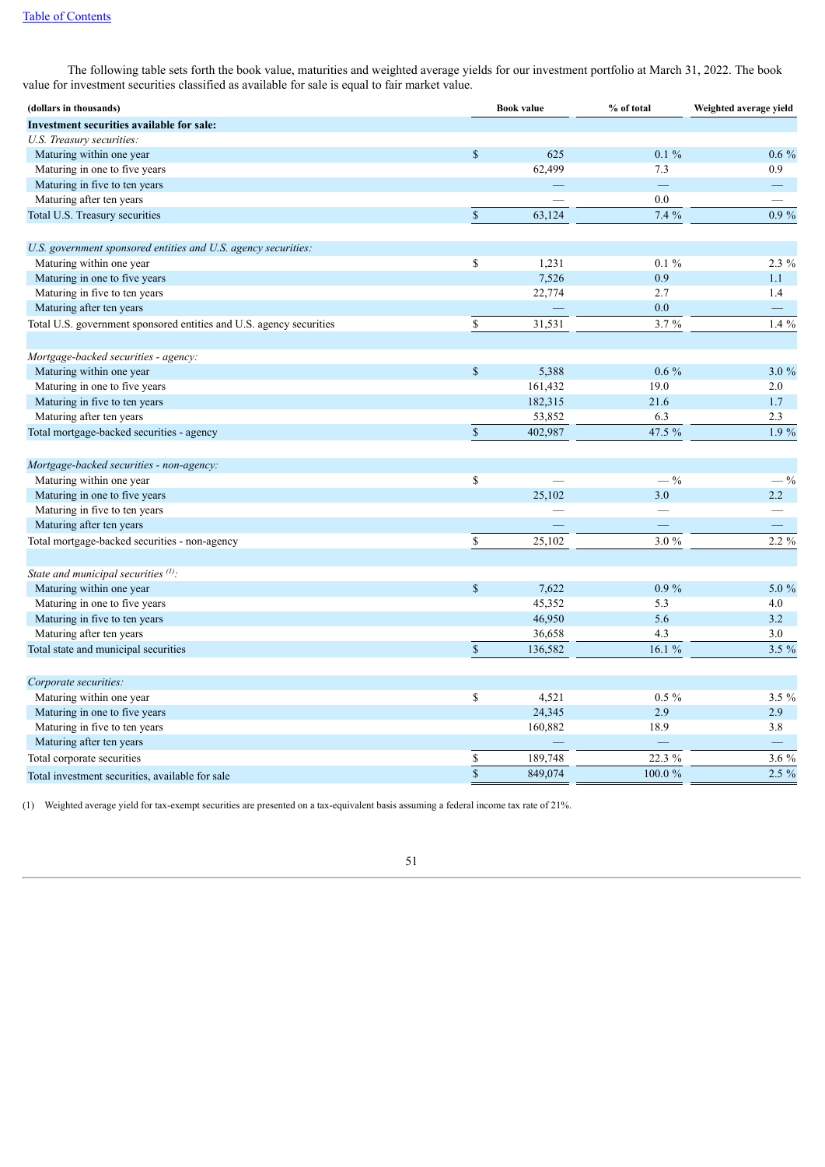The following table sets forth the book value, maturities and weighted average yields for our investment portfolio at March 31, 2022. The book value for investment securities classified as available for sale is equal to fair market value.

| (dollars in thousands)                                              |                         | <b>Book value</b> | % of total    | Weighted average yield            |
|---------------------------------------------------------------------|-------------------------|-------------------|---------------|-----------------------------------|
| Investment securities available for sale:                           |                         |                   |               |                                   |
| U.S. Treasury securities:                                           |                         |                   |               |                                   |
| Maturing within one year                                            | $\mathcal{S}$           | 625               | $0.1 \%$      | $0.6\%$                           |
| Maturing in one to five years                                       |                         | 62,499            | 7.3           | 0.9                               |
| Maturing in five to ten years                                       |                         |                   | $\equiv$      |                                   |
| Maturing after ten years                                            |                         |                   | 0.0           | $\overline{\phantom{0}}$          |
| Total U.S. Treasury securities                                      | $\mathbb{S}$            | 63,124            | 7.4 %         | $0.9\%$                           |
| U.S. government sponsored entities and U.S. agency securities:      |                         |                   |               |                                   |
| Maturing within one year                                            | $\mathbb{S}$            | 1,231             | $0.1\%$       | $2.3\%$                           |
| Maturing in one to five years                                       |                         | 7,526             | 0.9           | 1.1                               |
| Maturing in five to ten years                                       |                         | 22,774            | 2.7           | 1.4                               |
| Maturing after ten years                                            |                         |                   | 0.0           | $\overline{\phantom{0}}$          |
| Total U.S. government sponsored entities and U.S. agency securities | $\mathbb{S}$            | 31,531            | 3.7%          | $1.4\%$                           |
| Mortgage-backed securities - agency:                                |                         |                   |               |                                   |
| Maturing within one year                                            | $\mathsf{\$}$           | 5,388             | $0.6\%$       | 3.0%                              |
| Maturing in one to five years                                       |                         | 161,432           | 19.0          | 2.0                               |
| Maturing in five to ten years                                       |                         | 182,315           | 21.6          | 1.7                               |
| Maturing after ten years                                            |                         | 53,852            | 6.3           | 2.3                               |
| Total mortgage-backed securities - agency                           | $\mathsf{\$}$           | 402,987           | 47.5 %        | $1.9\%$                           |
| Mortgage-backed securities - non-agency:                            |                         |                   |               |                                   |
| Maturing within one year                                            | $\mathbb{S}$            | $\qquad \qquad$   | $-$ %         | $-$ %                             |
| Maturing in one to five years                                       |                         | 25,102            | 3.0           | 2.2                               |
| Maturing in five to ten years                                       |                         |                   | $\frac{1}{2}$ | $\overbrace{\phantom{123221111}}$ |
| Maturing after ten years                                            |                         |                   |               |                                   |
| Total mortgage-backed securities - non-agency                       | $\mathbb{S}$            | 25,102            | 3.0%          | $2.2\%$                           |
| State and municipal securities $(1)$ :                              |                         |                   |               |                                   |
| Maturing within one year                                            | $\mathbb{S}$            | 7,622             | $0.9\%$       | 5.0 %                             |
| Maturing in one to five years                                       |                         | 45,352            | 5.3           | 4.0                               |
| Maturing in five to ten years                                       |                         | 46,950            | 5.6           | 3.2                               |
| Maturing after ten years                                            |                         | 36,658            | 4.3           | 3.0                               |
| Total state and municipal securities                                | $\mathbb{S}$            | 136,582           | 16.1 %        | 3.5%                              |
| Corporate securities:                                               |                         |                   |               |                                   |
| Maturing within one year                                            | $\mathbb{S}$            | 4,521             | $0.5 \%$      | $3.5 \%$                          |
| Maturing in one to five years                                       |                         | 24,345            | 2.9           | 2.9                               |
| Maturing in five to ten years                                       |                         | 160,882           | 18.9          | 3.8                               |
| Maturing after ten years                                            |                         |                   |               |                                   |
| Total corporate securities                                          | $\mathbb{S}$            | 189,748           | 22.3 %        | 3.6 %                             |
| Total investment securities, available for sale                     | $\overline{\mathsf{s}}$ | 849,074           | 100.0%        | $2.5\%$                           |

(1) Weighted average yield for tax-exempt securities are presented on a tax-equivalent basis assuming a federal income tax rate of 21%.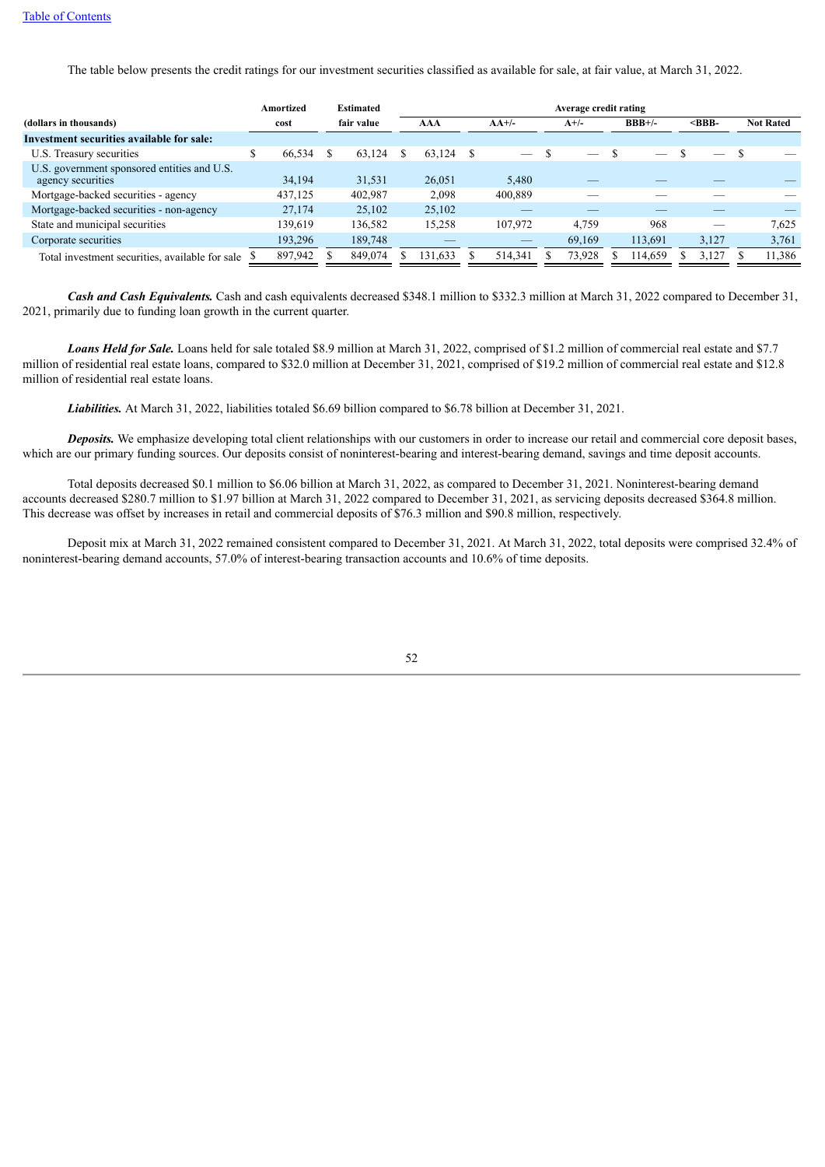The table below presents the credit ratings for our investment securities classified as available for sale, at fair value, at March 31, 2022.

|                                                                  | Amortized | <b>Estimated</b> | Average credit rating |         |  |         |  |                          |  |          |          |  |                  |
|------------------------------------------------------------------|-----------|------------------|-----------------------|---------|--|---------|--|--------------------------|--|----------|----------|--|------------------|
| (dollars in thousands)                                           | cost      | fair value       |                       | AAA     |  | $AA+/-$ |  | $A+/-$                   |  | $BBB+/-$ | $<$ BBB- |  | <b>Not Rated</b> |
| Investment securities available for sale:                        |           |                  |                       |         |  |         |  |                          |  |          |          |  |                  |
| U.S. Treasury securities                                         | 66,534    | 63,124           |                       | 63,124  |  |         |  | $\overline{\phantom{0}}$ |  |          |          |  |                  |
| U.S. government sponsored entities and U.S.<br>agency securities | 34,194    | 31,531           |                       | 26,051  |  | 5,480   |  |                          |  |          |          |  |                  |
| Mortgage-backed securities - agency                              | 437,125   | 402,987          |                       | 2,098   |  | 400,889 |  |                          |  |          |          |  |                  |
| Mortgage-backed securities - non-agency                          | 27,174    | 25.102           |                       | 25,102  |  |         |  |                          |  |          |          |  |                  |
| State and municipal securities                                   | 139,619   | 136,582          |                       | 15,258  |  | 107,972 |  | 4,759                    |  | 968      |          |  | 7,625            |
| Corporate securities                                             | 193,296   | 189,748          |                       |         |  | –       |  | 69.169                   |  | 113,691  | 3,127    |  | 3,761            |
| Total investment securities, available for sale                  | 897,942   | 849,074          |                       | 131,633 |  | 514,341 |  | 73,928                   |  | 114,659  | 3,127    |  | 11,386           |

*Cash and Cash Equivalents.* Cash and cash equivalents decreased \$348.1 million to \$332.3 million at March 31, 2022 compared to December 31, 2021, primarily due to funding loan growth in the current quarter.

*Loans Held for Sale.* Loans held for sale totaled \$8.9 million at March 31, 2022, comprised of \$1.2 million of commercial real estate and \$7.7 million of residential real estate loans, compared to \$32.0 million at December 31, 2021, comprised of \$19.2 million of commercial real estate and \$12.8 million of residential real estate loans.

*Liabilities.* At March 31, 2022, liabilities totaled \$6.69 billion compared to \$6.78 billion at December 31, 2021.

*Deposits.* We emphasize developing total client relationships with our customers in order to increase our retail and commercial core deposit bases, which are our primary funding sources. Our deposits consist of noninterest-bearing and interest-bearing demand, savings and time deposit accounts.

Total deposits decreased \$0.1 million to \$6.06 billion at March 31, 2022, as compared to December 31, 2021. Noninterest-bearing demand accounts decreased \$280.7 million to \$1.97 billion at March 31, 2022 compared to December 31, 2021, as servicing deposits decreased \$364.8 million. This decrease was offset by increases in retail and commercial deposits of \$76.3 million and \$90.8 million, respectively.

Deposit mix at March 31, 2022 remained consistent compared to December 31, 2021. At March 31, 2022, total deposits were comprised 32.4% of noninterest-bearing demand accounts, 57.0% of interest-bearing transaction accounts and 10.6% of time deposits.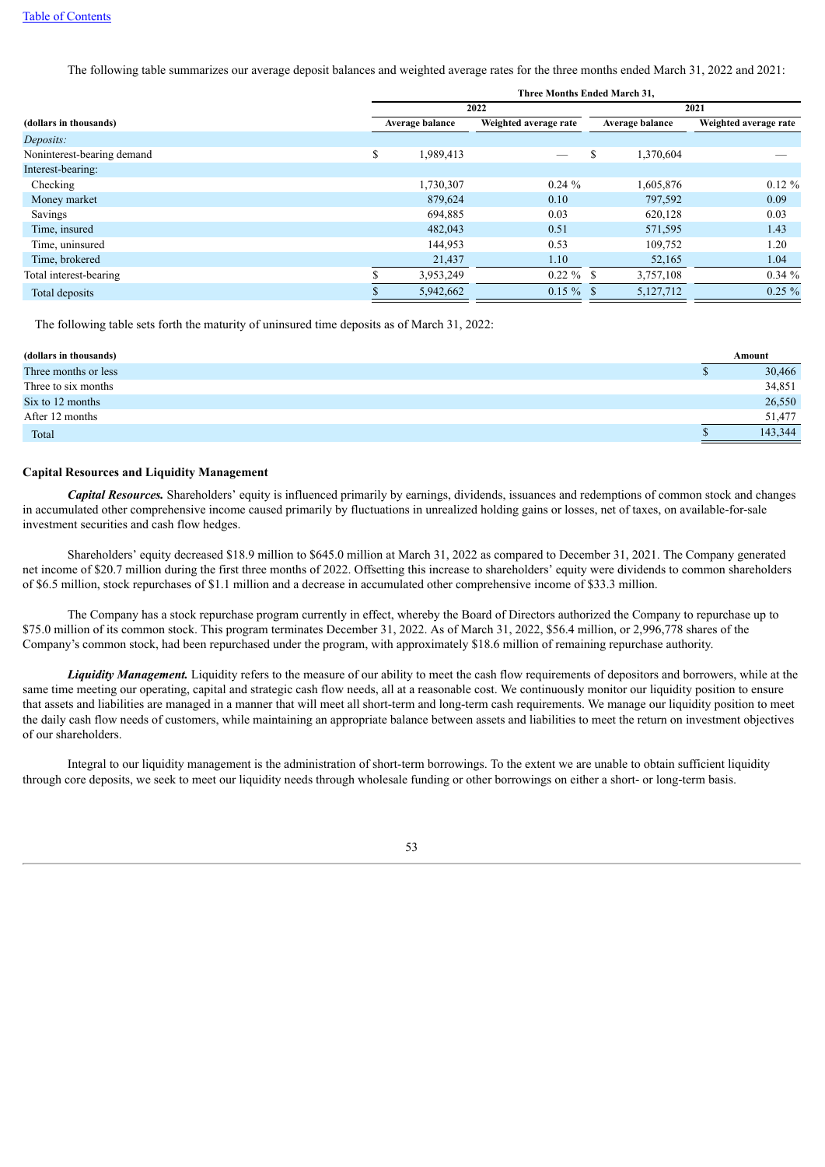The following table summarizes our average deposit balances and weighted average rates for the three months ended March 31, 2022 and 2021:

|                            | Three Months Ended March 31, |                 |                       |   |                 |                       |  |  |  |  |  |  |  |
|----------------------------|------------------------------|-----------------|-----------------------|---|-----------------|-----------------------|--|--|--|--|--|--|--|
|                            |                              |                 | 2022                  |   | 2021            |                       |  |  |  |  |  |  |  |
| (dollars in thousands)     |                              | Average balance | Weighted average rate |   | Average balance | Weighted average rate |  |  |  |  |  |  |  |
| Deposits:                  |                              |                 |                       |   |                 |                       |  |  |  |  |  |  |  |
| Noninterest-bearing demand | \$                           | 1,989,413       |                       | S | 1,370,604       |                       |  |  |  |  |  |  |  |
| Interest-bearing:          |                              |                 |                       |   |                 |                       |  |  |  |  |  |  |  |
| Checking                   |                              | 1,730,307       | $0.24 \%$             |   | 1,605,876       | $0.12 \%$             |  |  |  |  |  |  |  |
| Money market               |                              | 879,624         | 0.10                  |   | 797,592         | 0.09                  |  |  |  |  |  |  |  |
| Savings                    |                              | 694,885         | 0.03                  |   | 620,128         | 0.03                  |  |  |  |  |  |  |  |
| Time, insured              |                              | 482,043         | 0.51                  |   | 571,595         | 1.43                  |  |  |  |  |  |  |  |
| Time, uninsured            |                              | 144,953         | 0.53                  |   | 109,752         | 1.20                  |  |  |  |  |  |  |  |
| Time, brokered             |                              | 21,437          | 1.10                  |   | 52,165          | 1.04                  |  |  |  |  |  |  |  |
| Total interest-bearing     |                              | 3,953,249       | $0.22 \%$ \$          |   | 3,757,108       | $0.34 \%$             |  |  |  |  |  |  |  |
| Total deposits             |                              | 5,942,662       | $0.15 \%$ \$          |   | 5,127,712       | $0.25 \%$             |  |  |  |  |  |  |  |

The following table sets forth the maturity of uninsured time deposits as of March 31, 2022:

| (dollars in thousands) | Amount  |
|------------------------|---------|
| Three months or less   | 30,466  |
| Three to six months    | 34,851  |
| Six to 12 months       | 26,550  |
| After 12 months        | 51,477  |
| Total                  | 143,344 |

#### **Capital Resources and Liquidity Management**

*Capital Resources.* Shareholders' equity is influenced primarily by earnings, dividends, issuances and redemptions of common stock and changes in accumulated other comprehensive income caused primarily by fluctuations in unrealized holding gains or losses, net of taxes, on available-for-sale investment securities and cash flow hedges.

Shareholders' equity decreased \$18.9 million to \$645.0 million at March 31, 2022 as compared to December 31, 2021. The Company generated net income of \$20.7 million during the first three months of 2022. Offsetting this increase to shareholders' equity were dividends to common shareholders of \$6.5 million, stock repurchases of \$1.1 million and a decrease in accumulated other comprehensive income of \$33.3 million.

The Company has a stock repurchase program currently in effect, whereby the Board of Directors authorized the Company to repurchase up to \$75.0 million of its common stock. This program terminates December 31, 2022. As of March 31, 2022, \$56.4 million, or 2,996,778 shares of the Company's common stock, had been repurchased under the program, with approximately \$18.6 million of remaining repurchase authority.

*Liquidity Management.* Liquidity refers to the measure of our ability to meet the cash flow requirements of depositors and borrowers, while at the same time meeting our operating, capital and strategic cash flow needs, all at a reasonable cost. We continuously monitor our liquidity position to ensure that assets and liabilities are managed in a manner that will meet all short-term and long-term cash requirements. We manage our liquidity position to meet the daily cash flow needs of customers, while maintaining an appropriate balance between assets and liabilities to meet the return on investment objectives of our shareholders.

Integral to our liquidity management is the administration of short-term borrowings. To the extent we are unable to obtain sufficient liquidity through core deposits, we seek to meet our liquidity needs through wholesale funding or other borrowings on either a short- or long-term basis.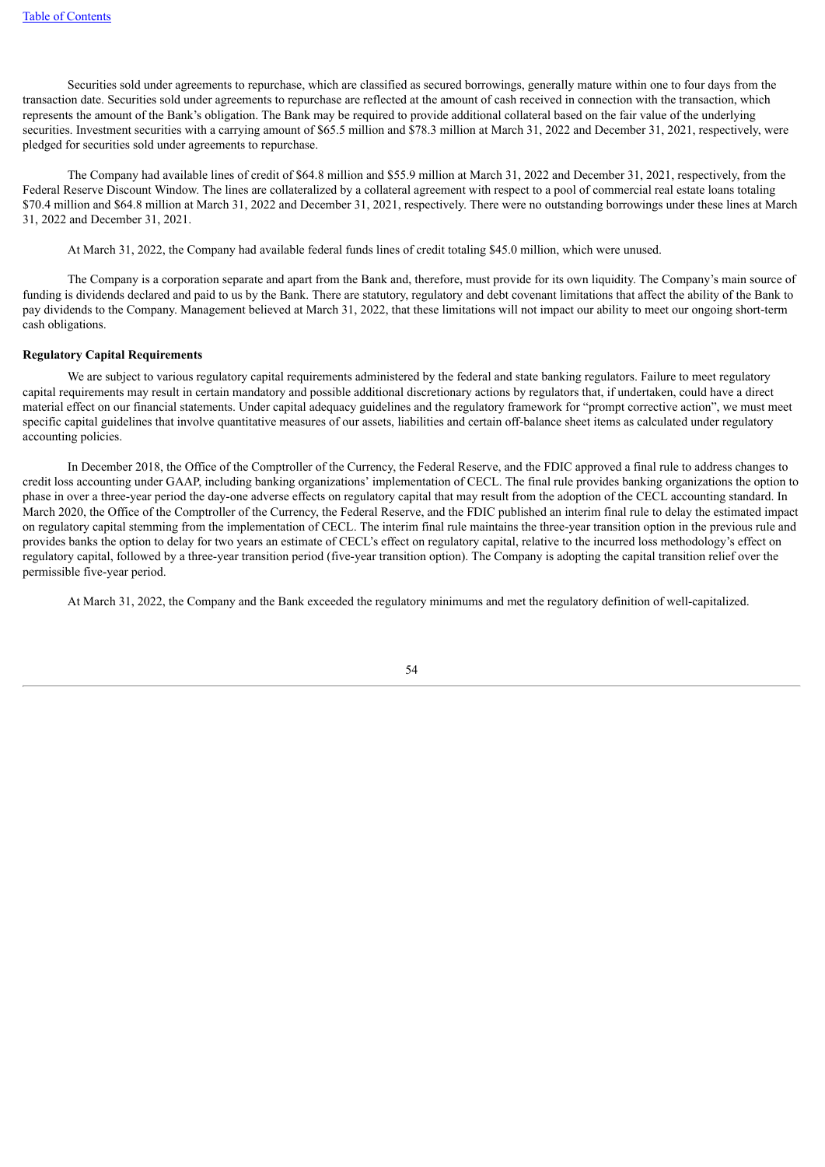Securities sold under agreements to repurchase, which are classified as secured borrowings, generally mature within one to four days from the transaction date. Securities sold under agreements to repurchase are reflected at the amount of cash received in connection with the transaction, which represents the amount of the Bank's obligation. The Bank may be required to provide additional collateral based on the fair value of the underlying securities. Investment securities with a carrying amount of \$65.5 million and \$78.3 million at March 31, 2022 and December 31, 2021, respectively, were pledged for securities sold under agreements to repurchase.

The Company had available lines of credit of \$64.8 million and \$55.9 million at March 31, 2022 and December 31, 2021, respectively, from the Federal Reserve Discount Window. The lines are collateralized by a collateral agreement with respect to a pool of commercial real estate loans totaling \$70.4 million and \$64.8 million at March 31, 2022 and December 31, 2021, respectively. There were no outstanding borrowings under these lines at March 31, 2022 and December 31, 2021.

At March 31, 2022, the Company had available federal funds lines of credit totaling \$45.0 million, which were unused.

The Company is a corporation separate and apart from the Bank and, therefore, must provide for its own liquidity. The Company's main source of funding is dividends declared and paid to us by the Bank. There are statutory, regulatory and debt covenant limitations that affect the ability of the Bank to pay dividends to the Company. Management believed at March 31, 2022, that these limitations will not impact our ability to meet our ongoing short-term cash obligations.

### **Regulatory Capital Requirements**

We are subject to various regulatory capital requirements administered by the federal and state banking regulators. Failure to meet regulatory capital requirements may result in certain mandatory and possible additional discretionary actions by regulators that, if undertaken, could have a direct material effect on our financial statements. Under capital adequacy guidelines and the regulatory framework for "prompt corrective action", we must meet specific capital guidelines that involve quantitative measures of our assets, liabilities and certain off-balance sheet items as calculated under regulatory accounting policies.

In December 2018, the Office of the Comptroller of the Currency, the Federal Reserve, and the FDIC approved a final rule to address changes to credit loss accounting under GAAP, including banking organizations' implementation of CECL. The final rule provides banking organizations the option to phase in over a three-year period the day-one adverse effects on regulatory capital that may result from the adoption of the CECL accounting standard. In March 2020, the Office of the Comptroller of the Currency, the Federal Reserve, and the FDIC published an interim final rule to delay the estimated impact on regulatory capital stemming from the implementation of CECL. The interim final rule maintains the three-year transition option in the previous rule and provides banks the option to delay for two years an estimate of CECL's effect on regulatory capital, relative to the incurred loss methodology's effect on regulatory capital, followed by a three-year transition period (five-year transition option). The Company is adopting the capital transition relief over the permissible five-year period.

At March 31, 2022, the Company and the Bank exceeded the regulatory minimums and met the regulatory definition of well-capitalized.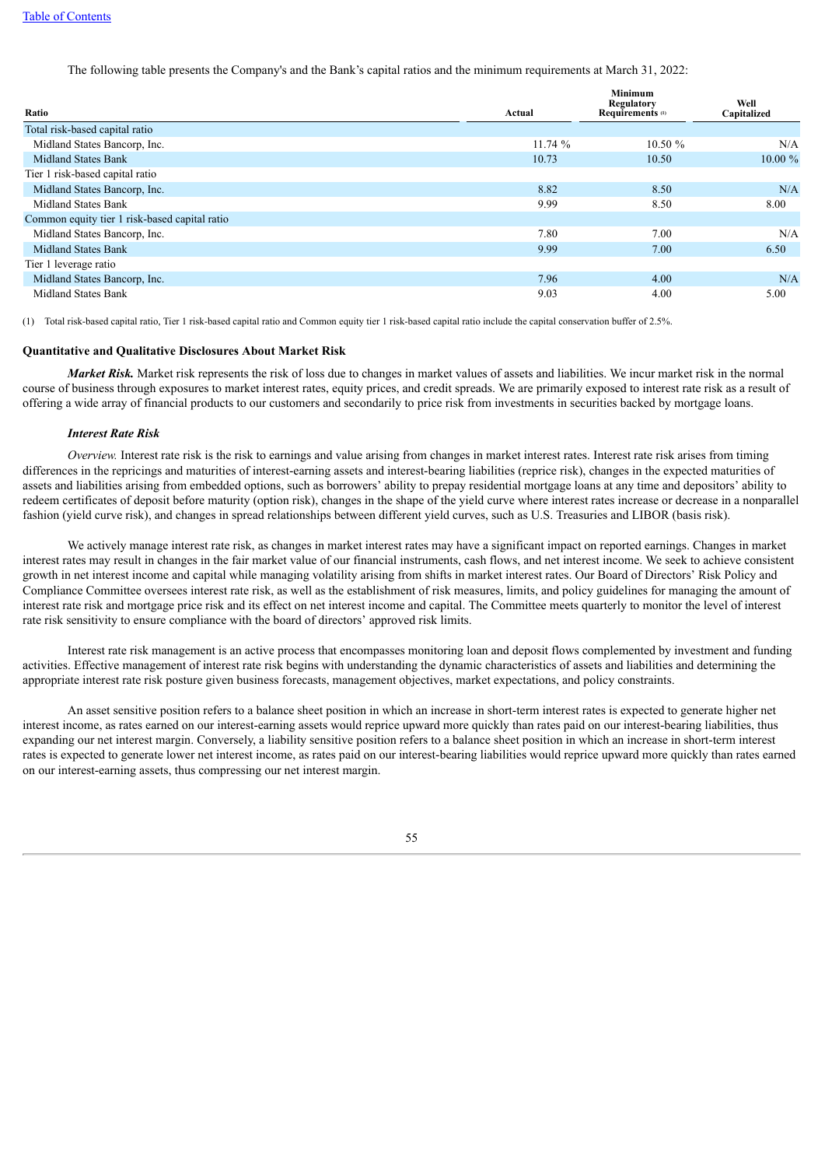The following table presents the Company's and the Bank's capital ratios and the minimum requirements at March 31, 2022:

| Ratio                                         | Actual | <b>Minimum</b><br>Regulatory<br>Requirements <sup>(1)</sup> | Well<br>Capitalized |  |
|-----------------------------------------------|--------|-------------------------------------------------------------|---------------------|--|
| Total risk-based capital ratio                |        |                                                             |                     |  |
| Midland States Bancorp, Inc.                  | 11.74% | $10.50 \%$                                                  | N/A                 |  |
| <b>Midland States Bank</b>                    | 10.73  | 10.50                                                       | $10.00 \%$          |  |
| Tier 1 risk-based capital ratio               |        |                                                             |                     |  |
| Midland States Bancorp, Inc.                  | 8.82   | 8.50                                                        | N/A                 |  |
| Midland States Bank                           | 9.99   | 8.50                                                        | 8.00                |  |
| Common equity tier 1 risk-based capital ratio |        |                                                             |                     |  |
| Midland States Bancorp, Inc.                  | 7.80   | 7.00                                                        | N/A                 |  |
| <b>Midland States Bank</b>                    | 9.99   | 7.00                                                        | 6.50                |  |
| Tier 1 leverage ratio                         |        |                                                             |                     |  |
| Midland States Bancorp, Inc.                  | 7.96   | 4.00                                                        | N/A                 |  |
| <b>Midland States Bank</b>                    | 9.03   | 4.00                                                        | 5.00                |  |

(1) Total risk-based capital ratio, Tier 1 risk-based capital ratio and Common equity tier 1 risk-based capital ratio include the capital conservation buffer of 2.5%.

#### **Quantitative and Qualitative Disclosures About Market Risk**

*Market Risk.* Market risk represents the risk of loss due to changes in market values of assets and liabilities. We incur market risk in the normal course of business through exposures to market interest rates, equity prices, and credit spreads. We are primarily exposed to interest rate risk as a result of offering a wide array of financial products to our customers and secondarily to price risk from investments in securities backed by mortgage loans.

#### *Interest Rate Risk*

*Overview.* Interest rate risk is the risk to earnings and value arising from changes in market interest rates. Interest rate risk arises from timing differences in the repricings and maturities of interest-earning assets and interest-bearing liabilities (reprice risk), changes in the expected maturities of assets and liabilities arising from embedded options, such as borrowers' ability to prepay residential mortgage loans at any time and depositors' ability to redeem certificates of deposit before maturity (option risk), changes in the shape of the yield curve where interest rates increase or decrease in a nonparallel fashion (yield curve risk), and changes in spread relationships between different yield curves, such as U.S. Treasuries and LIBOR (basis risk).

We actively manage interest rate risk, as changes in market interest rates may have a significant impact on reported earnings. Changes in market interest rates may result in changes in the fair market value of our financial instruments, cash flows, and net interest income. We seek to achieve consistent growth in net interest income and capital while managing volatility arising from shifts in market interest rates. Our Board of Directors' Risk Policy and Compliance Committee oversees interest rate risk, as well as the establishment of risk measures, limits, and policy guidelines for managing the amount of interest rate risk and mortgage price risk and its effect on net interest income and capital. The Committee meets quarterly to monitor the level of interest rate risk sensitivity to ensure compliance with the board of directors' approved risk limits.

Interest rate risk management is an active process that encompasses monitoring loan and deposit flows complemented by investment and funding activities. Effective management of interest rate risk begins with understanding the dynamic characteristics of assets and liabilities and determining the appropriate interest rate risk posture given business forecasts, management objectives, market expectations, and policy constraints.

An asset sensitive position refers to a balance sheet position in which an increase in short-term interest rates is expected to generate higher net interest income, as rates earned on our interest-earning assets would reprice upward more quickly than rates paid on our interest-bearing liabilities, thus expanding our net interest margin. Conversely, a liability sensitive position refers to a balance sheet position in which an increase in short-term interest rates is expected to generate lower net interest income, as rates paid on our interest-bearing liabilities would reprice upward more quickly than rates earned on our interest-earning assets, thus compressing our net interest margin.

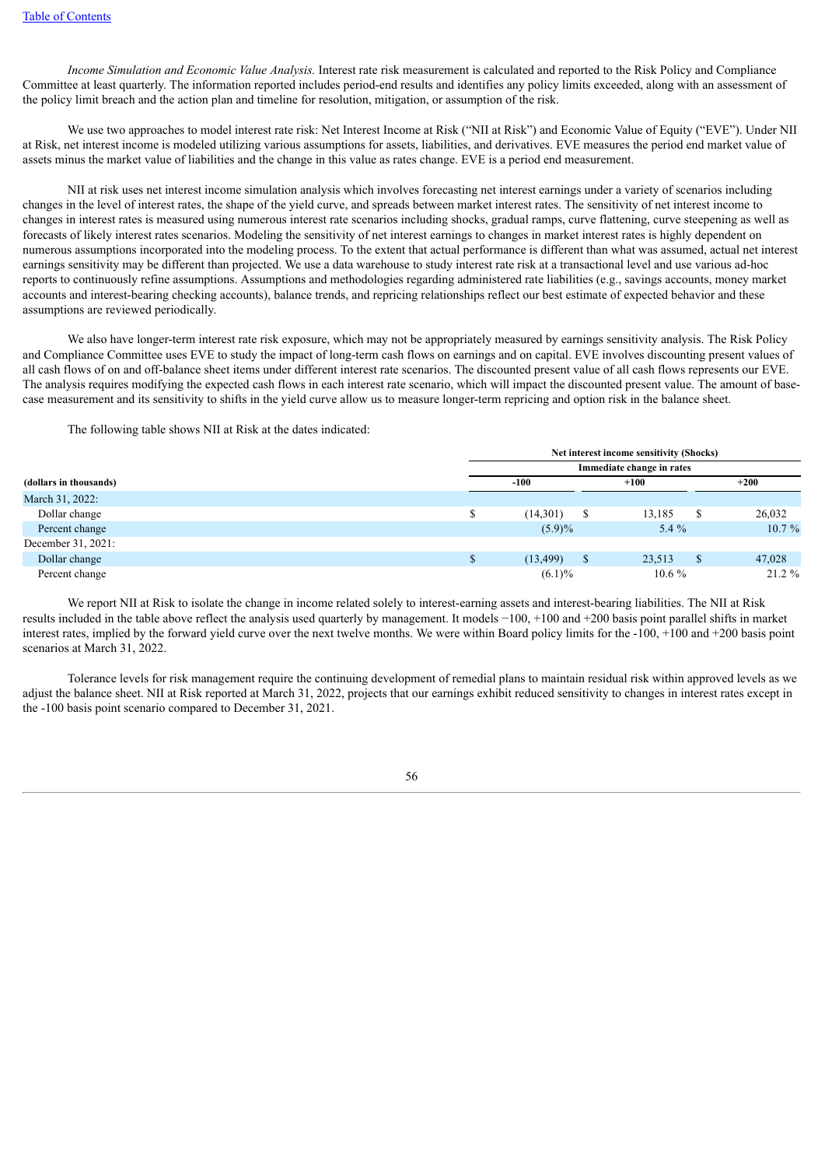*Income Simulation and Economic Value Analysis.* Interest rate risk measurement is calculated and reported to the Risk Policy and Compliance Committee at least quarterly. The information reported includes period-end results and identifies any policy limits exceeded, along with an assessment of the policy limit breach and the action plan and timeline for resolution, mitigation, or assumption of the risk.

We use two approaches to model interest rate risk: Net Interest Income at Risk ("NII at Risk") and Economic Value of Equity ("EVE"). Under NII at Risk, net interest income is modeled utilizing various assumptions for assets, liabilities, and derivatives. EVE measures the period end market value of assets minus the market value of liabilities and the change in this value as rates change. EVE is a period end measurement.

NII at risk uses net interest income simulation analysis which involves forecasting net interest earnings under a variety of scenarios including changes in the level of interest rates, the shape of the yield curve, and spreads between market interest rates. The sensitivity of net interest income to changes in interest rates is measured using numerous interest rate scenarios including shocks, gradual ramps, curve flattening, curve steepening as well as forecasts of likely interest rates scenarios. Modeling the sensitivity of net interest earnings to changes in market interest rates is highly dependent on numerous assumptions incorporated into the modeling process. To the extent that actual performance is different than what was assumed, actual net interest earnings sensitivity may be different than projected. We use a data warehouse to study interest rate risk at a transactional level and use various ad-hoc reports to continuously refine assumptions. Assumptions and methodologies regarding administered rate liabilities (e.g., savings accounts, money market accounts and interest-bearing checking accounts), balance trends, and repricing relationships reflect our best estimate of expected behavior and these assumptions are reviewed periodically.

We also have longer-term interest rate risk exposure, which may not be appropriately measured by earnings sensitivity analysis. The Risk Policy and Compliance Committee uses EVE to study the impact of long-term cash flows on earnings and on capital. EVE involves discounting present values of all cash flows of on and off-balance sheet items under different interest rate scenarios. The discounted present value of all cash flows represents our EVE. The analysis requires modifying the expected cash flows in each interest rate scenario, which will impact the discounted present value. The amount of basecase measurement and its sensitivity to shifts in the yield curve allow us to measure longer-term repricing and option risk in the balance sheet.

The following table shows NII at Risk at the dates indicated:

|                        | Net interest income sensitivity (Shocks) |                           |              |          |    |           |  |  |  |
|------------------------|------------------------------------------|---------------------------|--------------|----------|----|-----------|--|--|--|
|                        |                                          | Immediate change in rates |              |          |    |           |  |  |  |
| (dollars in thousands) |                                          | $-100$                    |              | $+100$   |    | $+200$    |  |  |  |
| March 31, 2022:        |                                          |                           |              |          |    |           |  |  |  |
| Dollar change          |                                          | (14,301)                  | S            | 13,185   |    | 26,032    |  |  |  |
| Percent change         |                                          | $(5.9)\%$                 |              | $5.4\%$  |    | 10.7%     |  |  |  |
| December 31, 2021:     |                                          |                           |              |          |    |           |  |  |  |
| Dollar change          |                                          | (13, 499)                 | <sup>S</sup> | 23,513   | -S | 47,028    |  |  |  |
| Percent change         |                                          | $(6.1)\%$                 |              | $10.6\%$ |    | $21.2 \%$ |  |  |  |

We report NII at Risk to isolate the change in income related solely to interest-earning assets and interest-bearing liabilities. The NII at Risk results included in the table above reflect the analysis used quarterly by management. It models −100, +100 and +200 basis point parallel shifts in market interest rates, implied by the forward yield curve over the next twelve months. We were within Board policy limits for the -100, +100 and +200 basis point scenarios at March 31, 2022.

Tolerance levels for risk management require the continuing development of remedial plans to maintain residual risk within approved levels as we adjust the balance sheet. NII at Risk reported at March 31, 2022, projects that our earnings exhibit reduced sensitivity to changes in interest rates except in the -100 basis point scenario compared to December 31, 2021.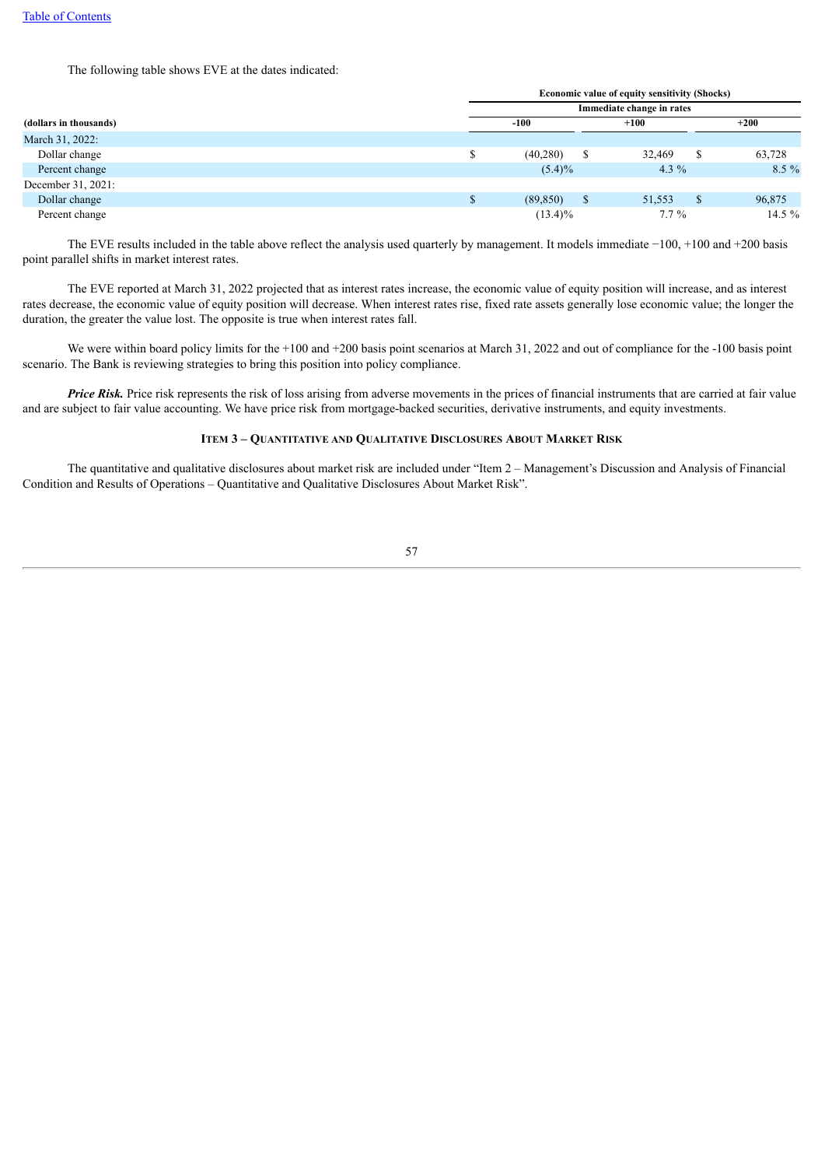The following table shows EVE at the dates indicated:

|                        | <b>Economic value of equity sensitivity (Shocks)</b> |            |    |                           |    |          |  |
|------------------------|------------------------------------------------------|------------|----|---------------------------|----|----------|--|
|                        |                                                      |            |    | Immediate change in rates |    |          |  |
| (dollars in thousands) |                                                      | $-100$     |    | $+100$                    |    | $+200$   |  |
| March 31, 2022:        |                                                      |            |    |                           |    |          |  |
| Dollar change          |                                                      | (40, 280)  | S. | 32,469                    | S  | 63,728   |  |
| Percent change         |                                                      | $(5.4)\%$  |    | 4.3 $%$                   |    | $8.5\%$  |  |
| December 31, 2021:     |                                                      |            |    |                           |    |          |  |
| Dollar change          |                                                      | (89, 850)  | S  | 51,553                    | -S | 96,875   |  |
| Percent change         |                                                      | $(13.4)\%$ |    | $7.7\%$                   |    | 14.5 $%$ |  |

The EVE results included in the table above reflect the analysis used quarterly by management. It models immediate −100, +100 and +200 basis point parallel shifts in market interest rates.

The EVE reported at March 31, 2022 projected that as interest rates increase, the economic value of equity position will increase, and as interest rates decrease, the economic value of equity position will decrease. When interest rates rise, fixed rate assets generally lose economic value; the longer the duration, the greater the value lost. The opposite is true when interest rates fall.

We were within board policy limits for the +100 and +200 basis point scenarios at March 31, 2022 and out of compliance for the -100 basis point scenario. The Bank is reviewing strategies to bring this position into policy compliance.

*Price Risk.* Price risk represents the risk of loss arising from adverse movements in the prices of financial instruments that are carried at fair value and are subject to fair value accounting. We have price risk from mortgage-backed securities, derivative instruments, and equity investments.

### **ITEM 3 – QUANTITATIVE AND QUALITATIVE DISCLOSURES ABOUT MARKET RISK**

<span id="page-58-0"></span>The quantitative and qualitative disclosures about market risk are included under "Item 2 – Management's Discussion and Analysis of Financial Condition and Results of Operations – Quantitative and Qualitative Disclosures About Market Risk".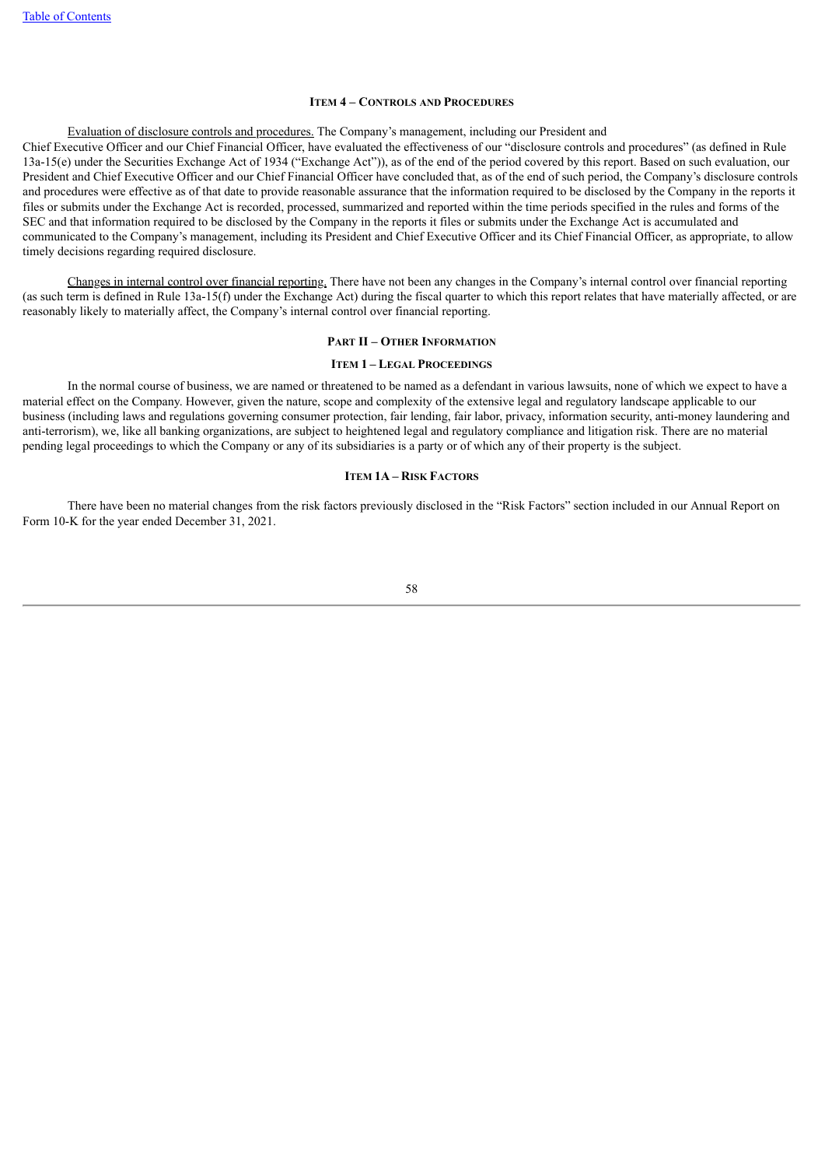### **ITEM 4 – CONTROLS AND PROCEDURES**

Evaluation of disclosure controls and procedures. The Company's management, including our President and

<span id="page-59-0"></span>Chief Executive Officer and our Chief Financial Officer, have evaluated the effectiveness of our "disclosure controls and procedures" (as defined in Rule 13a-15(e) under the Securities Exchange Act of 1934 ("Exchange Act")), as of the end of the period covered by this report. Based on such evaluation, our President and Chief Executive Officer and our Chief Financial Officer have concluded that, as of the end of such period, the Company's disclosure controls and procedures were effective as of that date to provide reasonable assurance that the information required to be disclosed by the Company in the reports it files or submits under the Exchange Act is recorded, processed, summarized and reported within the time periods specified in the rules and forms of the SEC and that information required to be disclosed by the Company in the reports it files or submits under the Exchange Act is accumulated and communicated to the Company's management, including its President and Chief Executive Officer and its Chief Financial Officer, as appropriate, to allow timely decisions regarding required disclosure.

Changes in internal control over financial reporting. There have not been any changes in the Company's internal control over financial reporting (as such term is defined in Rule 13a-15(f) under the Exchange Act) during the fiscal quarter to which this report relates that have materially affected, or are reasonably likely to materially affect, the Company's internal control over financial reporting.

### **PART II – OTHER INFORMATION**

### **ITEM 1 – LEGAL PROCEEDINGS**

<span id="page-59-2"></span><span id="page-59-1"></span>In the normal course of business, we are named or threatened to be named as a defendant in various lawsuits, none of which we expect to have a material effect on the Company. However, given the nature, scope and complexity of the extensive legal and regulatory landscape applicable to our business (including laws and regulations governing consumer protection, fair lending, fair labor, privacy, information security, anti-money laundering and anti-terrorism), we, like all banking organizations, are subject to heightened legal and regulatory compliance and litigation risk. There are no material pending legal proceedings to which the Company or any of its subsidiaries is a party or of which any of their property is the subject.

### **ITEM 1A – RISK FACTORS**

<span id="page-59-3"></span>There have been no material changes from the risk factors previously disclosed in the "Risk Factors" section included in our Annual Report on Form 10-K for the year ended December 31, 2021.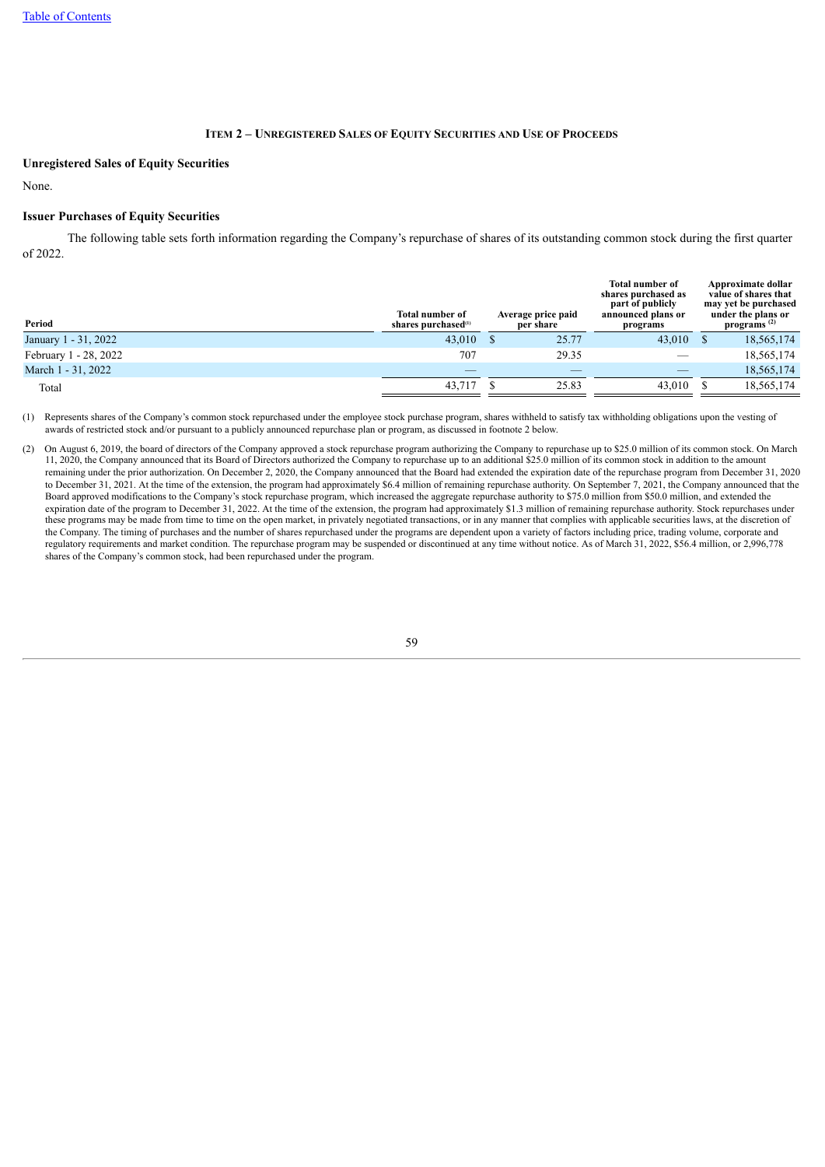### **ITEM 2 – UNREGISTERED SALES OF EQUITY SECURITIES AND USE OF PROCEEDS**

#### <span id="page-60-0"></span>**Unregistered Sales of Equity Securities**

None.

#### **Issuer Purchases of Equity Securities**

The following table sets forth information regarding the Company's repurchase of shares of its outstanding common stock during the first quarter of 2022.

| Period                | <b>Total number of</b><br>shares purchased <sup>(1)</sup> | Average price paid<br>per share | <b>Total number of</b><br>shares purchased as<br>part of publicly<br>announced plans or<br>programs | Approximate dollar<br>value of shares that<br>may yet be purchased<br>under the plans or<br>programs $(2)$ |
|-----------------------|-----------------------------------------------------------|---------------------------------|-----------------------------------------------------------------------------------------------------|------------------------------------------------------------------------------------------------------------|
| January 1 - 31, 2022  | 43,010                                                    | 25.77                           | $43,010$ \$                                                                                         | 18,565,174                                                                                                 |
| February 1 - 28, 2022 | 707                                                       | 29.35                           |                                                                                                     | 18,565,174                                                                                                 |
| March 1 - 31, 2022    |                                                           |                                 |                                                                                                     | 18,565,174                                                                                                 |
| Total                 | 43.717                                                    | 25.83                           | $43,010$ \$                                                                                         | 18,565,174                                                                                                 |

(1) Represents shares of the Company's common stock repurchased under the employee stock purchase program, shares withheld to satisfy tax withholding obligations upon the vesting of awards of restricted stock and/or pursuant to a publicly announced repurchase plan or program, as discussed in footnote 2 below.

<span id="page-60-1"></span>(2) On August 6, 2019, the board of directors of the Company approved a stock repurchase program authorizing the Company to repurchase up to \$25.0 million of its common stock. On March 11, 2020, the Company announced that its Board of Directors authorized the Company to repurchase up to an additional \$25.0 million of its common stock in addition to the amount remaining under the prior authorization. On December 2, 2020, the Company announced that the Board had extended the expiration date of the repurchase program from December 31, 2020 to December 31, 2021. At the time of the extension, the program had approximately \$6.4 million of remaining repurchase authority. On September 7, 2021, the Company announced that the Board approved modifications to the Company's stock repurchase program, which increased the aggregate repurchase authority to \$75.0 million from \$50.0 million, and extended the expiration date of the program to December 31, 2022. At the time of the extension, the program had approximately \$1.3 million of remaining repurchase authority. Stock repurchases under these programs may be made from time to time on the open market, in privately negotiated transactions, or in any manner that complies with applicable securities laws, at the discretion of the Company. The timing of purchases and the number of shares repurchased under the programs are dependent upon a variety of factors including price, trading volume, corporate and regulatory requirements and market condition. The repurchase program may be suspended or discontinued at any time without notice. As of March 31, 2022, \$56.4 million, or 2,996,778 shares of the Company's common stock, had been repurchased under the program.

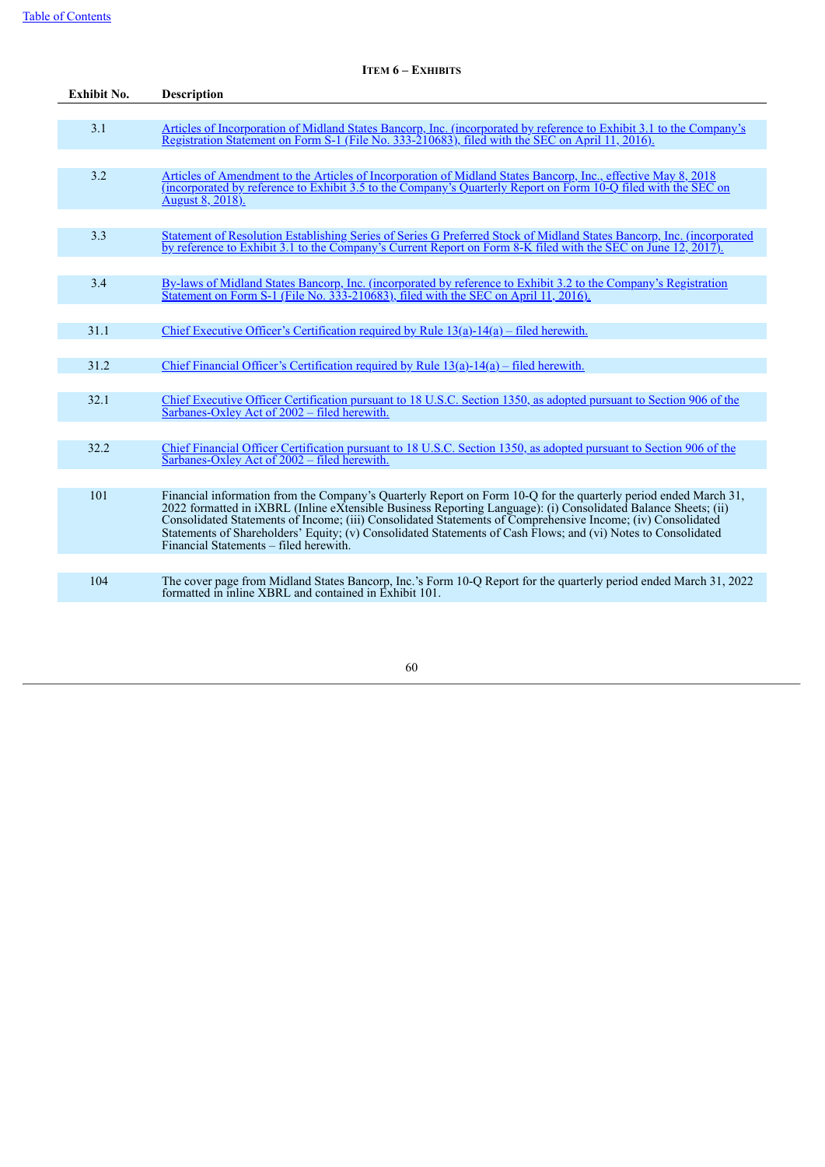<span id="page-61-0"></span>

| <b>Exhibit No.</b> | <b>Description</b>                                                                                                                                                                                                                                                                                                                                                                                                                                                                                         |
|--------------------|------------------------------------------------------------------------------------------------------------------------------------------------------------------------------------------------------------------------------------------------------------------------------------------------------------------------------------------------------------------------------------------------------------------------------------------------------------------------------------------------------------|
|                    |                                                                                                                                                                                                                                                                                                                                                                                                                                                                                                            |
| 3.1                | Articles of Incorporation of Midland States Bancorp, Inc. (incorporated by reference to Exhibit 3.1 to the Company's<br>Registration Statement on Form S-1 (File No. 333-210683), filed with the SEC on April 11, 2016).                                                                                                                                                                                                                                                                                   |
|                    |                                                                                                                                                                                                                                                                                                                                                                                                                                                                                                            |
| 3.2                | Articles of Amendment to the Articles of Incorporation of Midland States Bancorp, Inc., effective May 8, 2018<br>(incorporated by reference to Exhibit 3.5 to the Company's Quarterly Report on Form 10-Q filed with the SEC on<br><b>August 8, 2018</b> ).                                                                                                                                                                                                                                                |
|                    |                                                                                                                                                                                                                                                                                                                                                                                                                                                                                                            |
| 3.3                | Statement of Resolution Establishing Series of Series G Preferred Stock of Midland States Bancorp, Inc. (incorporated<br>by reference to Exhibit 3.1 to the Company's Current Report on Form 8-K filed with the SEC on June 12, 2                                                                                                                                                                                                                                                                          |
|                    |                                                                                                                                                                                                                                                                                                                                                                                                                                                                                                            |
| 3.4                | By-laws of Midland States Bancorp, Inc. (incorporated by reference to Exhibit 3.2 to the Company's Registration<br>Statement on Form S-1 (File No. 333-210683), filed with the SEC on April 11, 2016).                                                                                                                                                                                                                                                                                                     |
|                    |                                                                                                                                                                                                                                                                                                                                                                                                                                                                                                            |
| 31.1               | Chief Executive Officer's Certification required by Rule $13(a)$ - $14(a)$ – filed herewith.                                                                                                                                                                                                                                                                                                                                                                                                               |
| 31.2               | Chief Financial Officer's Certification required by Rule $13(a)$ -14(a) – filed herewith.                                                                                                                                                                                                                                                                                                                                                                                                                  |
|                    |                                                                                                                                                                                                                                                                                                                                                                                                                                                                                                            |
|                    |                                                                                                                                                                                                                                                                                                                                                                                                                                                                                                            |
| 32.1               | Chief Executive Officer Certification pursuant to 18 U.S.C. Section 1350, as adopted pursuant to Section 906 of the<br>Sarbanes-Oxley Act of 2002 – filed herewith.                                                                                                                                                                                                                                                                                                                                        |
|                    |                                                                                                                                                                                                                                                                                                                                                                                                                                                                                                            |
| 32.2               | Chief Financial Officer Certification pursuant to 18 U.S.C. Section 1350, as adopted pursuant to Section 906 of the<br>Sarbanes-Oxley Act of 2002 – filed herewith.                                                                                                                                                                                                                                                                                                                                        |
|                    |                                                                                                                                                                                                                                                                                                                                                                                                                                                                                                            |
| 101                | Financial information from the Company's Quarterly Report on Form 10-Q for the quarterly period ended March 31,<br>2022 formatted in iXBRL (Inline eXtensible Business Reporting Language): (i) Consolidated Balance Sheets; (ii)<br>Consolidated Statements of Income; (iii) Consolidated Statements of Comprehensive Income; (iv) Consolidated<br>Statements of Shareholders' Equity; (v) Consolidated Statements of Cash Flows; and (vi) Notes to Consolidated<br>Financial Statements – filed herewith |
|                    |                                                                                                                                                                                                                                                                                                                                                                                                                                                                                                            |
| 104                | The cover page from Midland States Bancorp, Inc.'s Form 10-Q Report for the quarterly period ended March 31, 2022<br>formatted in inline XBRL and contained in Exhibit 101.                                                                                                                                                                                                                                                                                                                                |
|                    |                                                                                                                                                                                                                                                                                                                                                                                                                                                                                                            |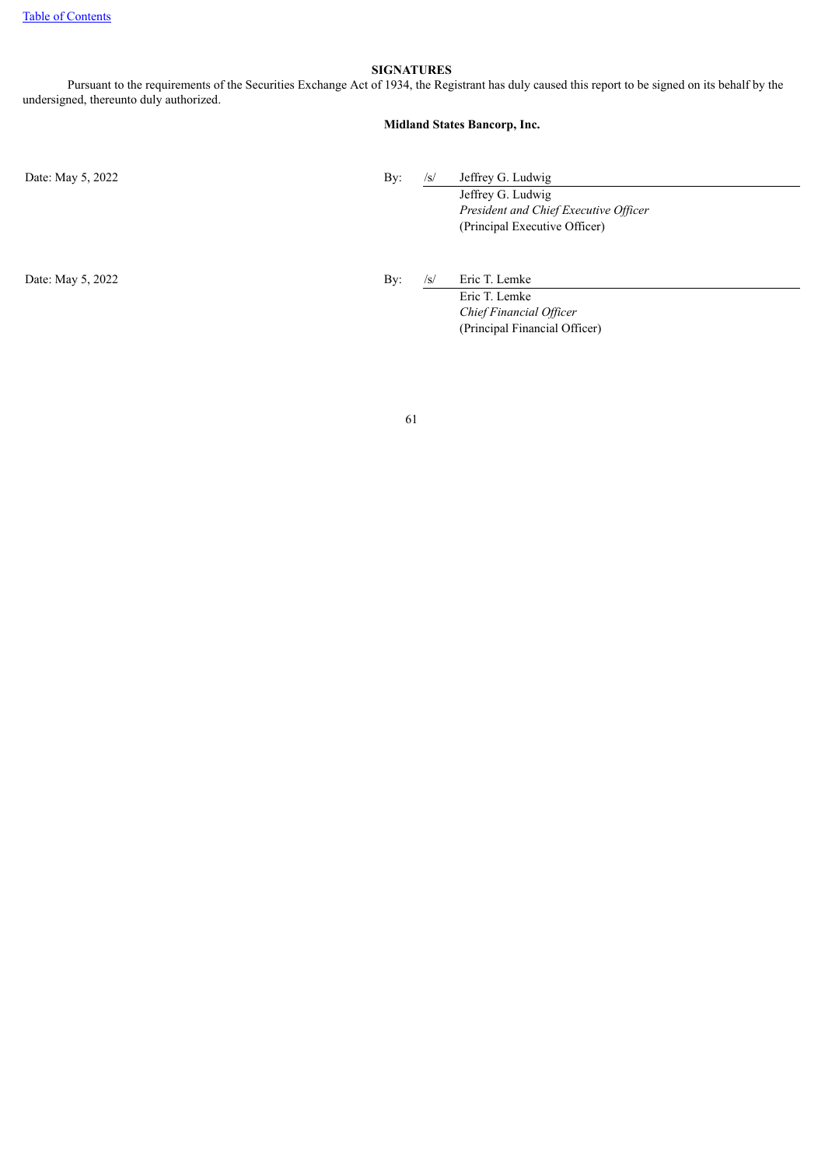### **SIGNATURES**

Pursuant to the requirements of the Securities Exchange Act of 1934, the Registrant has duly caused this report to be signed on its behalf by the undersigned, thereunto duly authorized.

### **Midland States Bancorp, Inc.**

Date: May 5, 2022 By: /s/ Jeffrey G. Ludwig

Jeffrey G. Ludwig *President and Chief Executive Of icer* (Principal Executive Officer)

Date: May 5, 2022 By: /s/ Eric T. Lemke

Eric T. Lemke *Chief Financial Of icer* (Principal Financial Officer)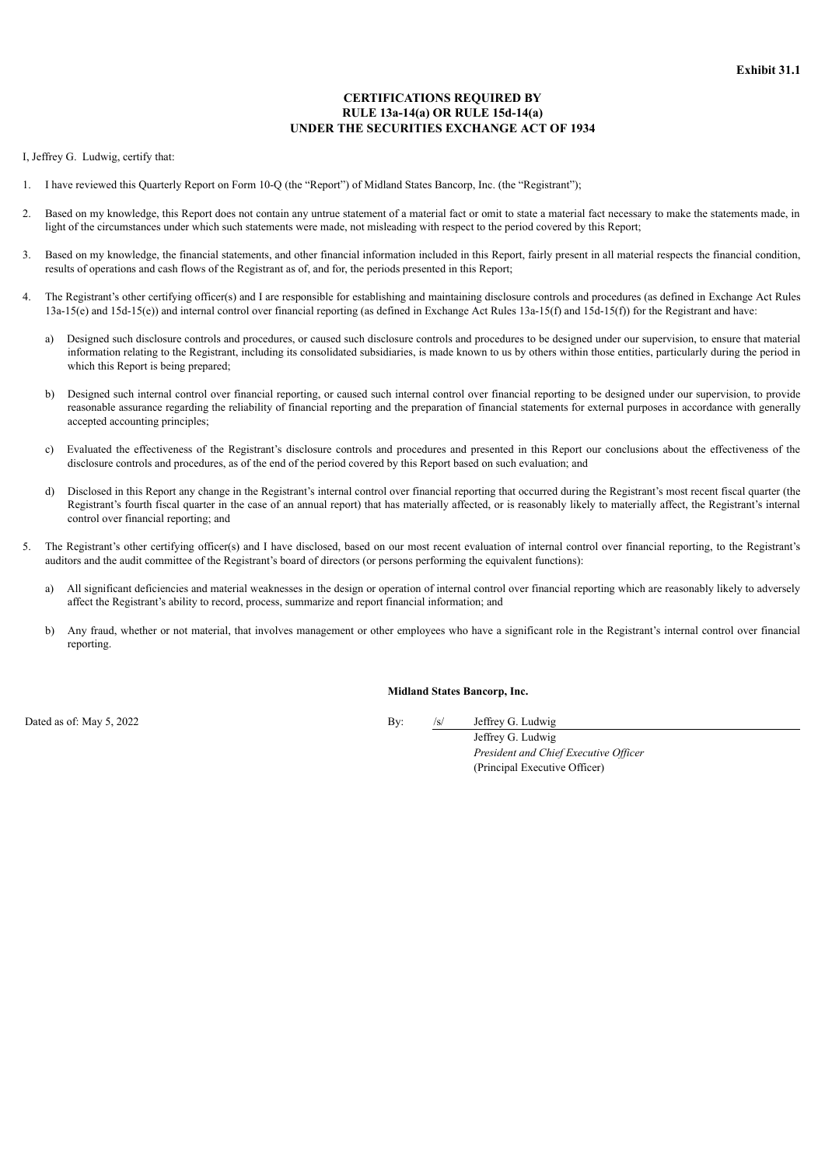### **CERTIFICATIONS REQUIRED BY RULE 13a-14(a) OR RULE 15d-14(a) UNDER THE SECURITIES EXCHANGE ACT OF 1934**

<span id="page-63-0"></span>I, Jeffrey G. Ludwig, certify that:

- 1. I have reviewed this Quarterly Report on Form 10-Q (the "Report") of Midland States Bancorp, Inc. (the "Registrant");
- 2. Based on my knowledge, this Report does not contain any untrue statement of a material fact or omit to state a material fact necessary to make the statements made, in light of the circumstances under which such statements were made, not misleading with respect to the period covered by this Report;
- 3. Based on my knowledge, the financial statements, and other financial information included in this Report, fairly present in all material respects the financial condition, results of operations and cash flows of the Registrant as of, and for, the periods presented in this Report;
- 4. The Registrant's other certifying officer(s) and I are responsible for establishing and maintaining disclosure controls and procedures (as defined in Exchange Act Rules 13a-15(e) and 15d-15(e)) and internal control over financial reporting (as defined in Exchange Act Rules 13a-15(f) and 15d-15(f)) for the Registrant and have:
	- a) Designed such disclosure controls and procedures, or caused such disclosure controls and procedures to be designed under our supervision, to ensure that material information relating to the Registrant, including its consolidated subsidiaries, is made known to us by others within those entities, particularly during the period in which this Report is being prepared;
	- b) Designed such internal control over financial reporting, or caused such internal control over financial reporting to be designed under our supervision, to provide reasonable assurance regarding the reliability of financial reporting and the preparation of financial statements for external purposes in accordance with generally accepted accounting principles;
	- c) Evaluated the effectiveness of the Registrant's disclosure controls and procedures and presented in this Report our conclusions about the effectiveness of the disclosure controls and procedures, as of the end of the period covered by this Report based on such evaluation; and
	- d) Disclosed in this Report any change in the Registrant's internal control over financial reporting that occurred during the Registrant's most recent fiscal quarter (the Registrant's fourth fiscal quarter in the case of an annual report) that has materially affected, or is reasonably likely to materially affect, the Registrant's internal control over financial reporting; and
- 5. The Registrant's other certifying officer(s) and I have disclosed, based on our most recent evaluation of internal control over financial reporting, to the Registrant's auditors and the audit committee of the Registrant's board of directors (or persons performing the equivalent functions):
	- a) All significant deficiencies and material weaknesses in the design or operation of internal control over financial reporting which are reasonably likely to adversely affect the Registrant's ability to record, process, summarize and report financial information; and
	- b) Any fraud, whether or not material, that involves management or other employees who have a significant role in the Registrant's internal control over financial reporting.

#### **Midland States Bancorp, Inc.**

Dated as of: May 5, 2022 By: /s/ Jeffrey G. Ludwig

Jeffrey G. Ludwig *President and Chief Executive Officer* (Principal Executive Officer)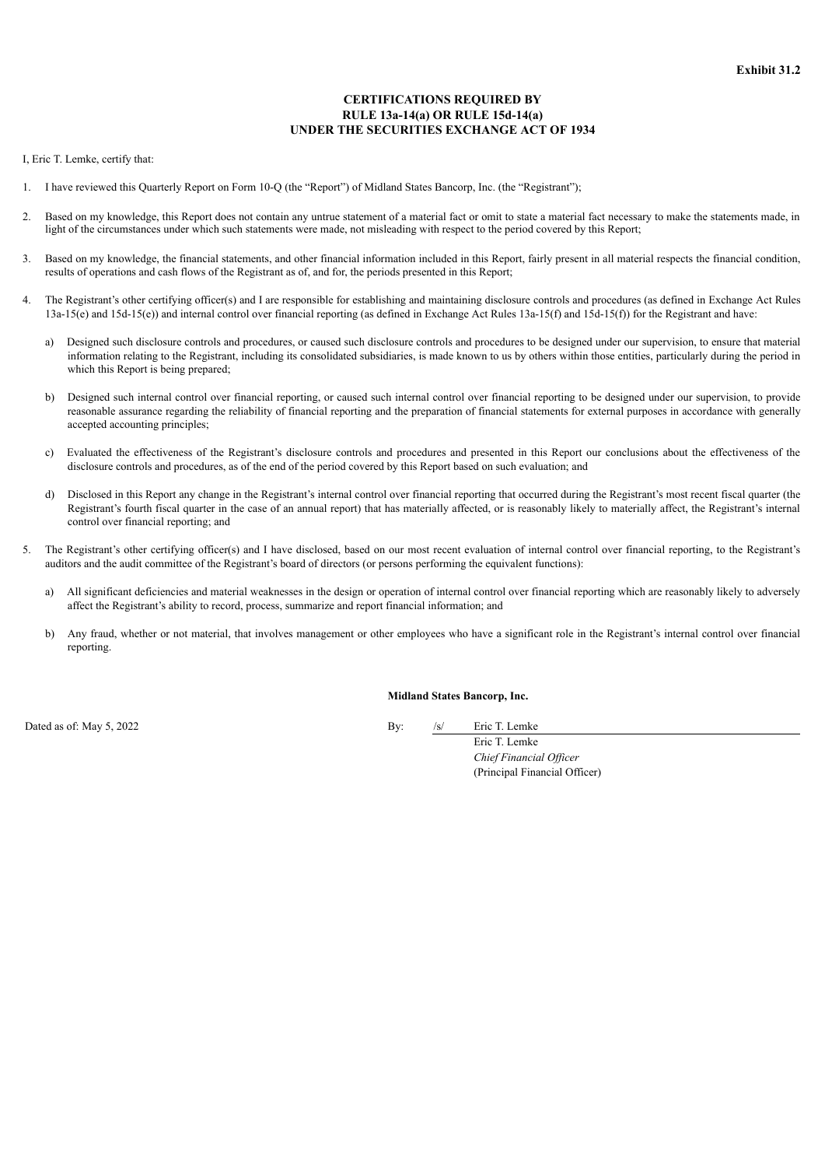### **CERTIFICATIONS REQUIRED BY RULE 13a-14(a) OR RULE 15d-14(a) UNDER THE SECURITIES EXCHANGE ACT OF 1934**

<span id="page-64-0"></span>I, Eric T. Lemke, certify that:

- 1. I have reviewed this Quarterly Report on Form 10-Q (the "Report") of Midland States Bancorp, Inc. (the "Registrant");
- 2. Based on my knowledge, this Report does not contain any untrue statement of a material fact or omit to state a material fact necessary to make the statements made, in light of the circumstances under which such statements were made, not misleading with respect to the period covered by this Report;
- 3. Based on my knowledge, the financial statements, and other financial information included in this Report, fairly present in all material respects the financial condition, results of operations and cash flows of the Registrant as of, and for, the periods presented in this Report;
- 4. The Registrant's other certifying officer(s) and I are responsible for establishing and maintaining disclosure controls and procedures (as defined in Exchange Act Rules 13a-15(e) and 15d-15(e)) and internal control over financial reporting (as defined in Exchange Act Rules 13a-15(f) and 15d-15(f)) for the Registrant and have:
	- a) Designed such disclosure controls and procedures, or caused such disclosure controls and procedures to be designed under our supervision, to ensure that material information relating to the Registrant, including its consolidated subsidiaries, is made known to us by others within those entities, particularly during the period in which this Report is being prepared;
	- b) Designed such internal control over financial reporting, or caused such internal control over financial reporting to be designed under our supervision, to provide reasonable assurance regarding the reliability of financial reporting and the preparation of financial statements for external purposes in accordance with generally accepted accounting principles;
	- c) Evaluated the effectiveness of the Registrant's disclosure controls and procedures and presented in this Report our conclusions about the effectiveness of the disclosure controls and procedures, as of the end of the period covered by this Report based on such evaluation; and
	- d) Disclosed in this Report any change in the Registrant's internal control over financial reporting that occurred during the Registrant's most recent fiscal quarter (the Registrant's fourth fiscal quarter in the case of an annual report) that has materially affected, or is reasonably likely to materially affect, the Registrant's internal control over financial reporting; and
- 5. The Registrant's other certifying officer(s) and I have disclosed, based on our most recent evaluation of internal control over financial reporting, to the Registrant's auditors and the audit committee of the Registrant's board of directors (or persons performing the equivalent functions):
	- a) All significant deficiencies and material weaknesses in the design or operation of internal control over financial reporting which are reasonably likely to adversely affect the Registrant's ability to record, process, summarize and report financial information; and
	- b) Any fraud, whether or not material, that involves management or other employees who have a significant role in the Registrant's internal control over financial reporting.

#### **Midland States Bancorp, Inc.**

Dated as of: May 5, 2022 By: /s/ Eric T. Lemke

Eric T. Lemke *Chief Financial Officer* (Principal Financial Officer)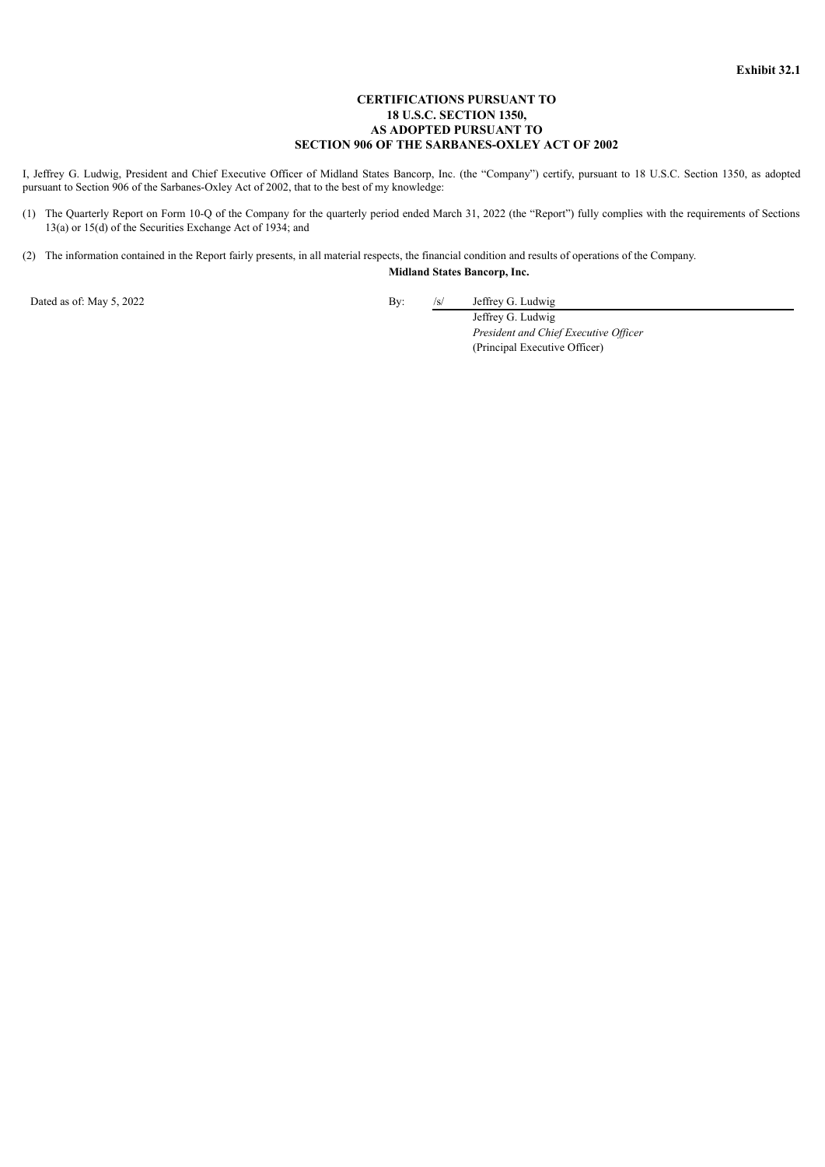### **CERTIFICATIONS PURSUANT TO 18 U.S.C. SECTION 1350, AS ADOPTED PURSUANT TO SECTION 906 OF THE SARBANES-OXLEY ACT OF 2002**

<span id="page-65-0"></span>I, Jeffrey G. Ludwig, President and Chief Executive Officer of Midland States Bancorp, Inc. (the "Company") certify, pursuant to 18 U.S.C. Section 1350, as adopted pursuant to Section 906 of the Sarbanes-Oxley Act of 2002, that to the best of my knowledge:

- (1) The Quarterly Report on Form 10-Q of the Company for the quarterly period ended March 31, 2022 (the "Report") fully complies with the requirements of Sections 13(a) or 15(d) of the Securities Exchange Act of 1934; and
- (2) The information contained in the Report fairly presents, in all material respects, the financial condition and results of operations of the Company. **Midland States Bancorp, Inc.**

Dated as of: May 5, 2022 By: /s/ Jeffrey G. Ludwig

Jeffrey G. Ludwig *President and Chief Executive Officer* (Principal Executive Officer)